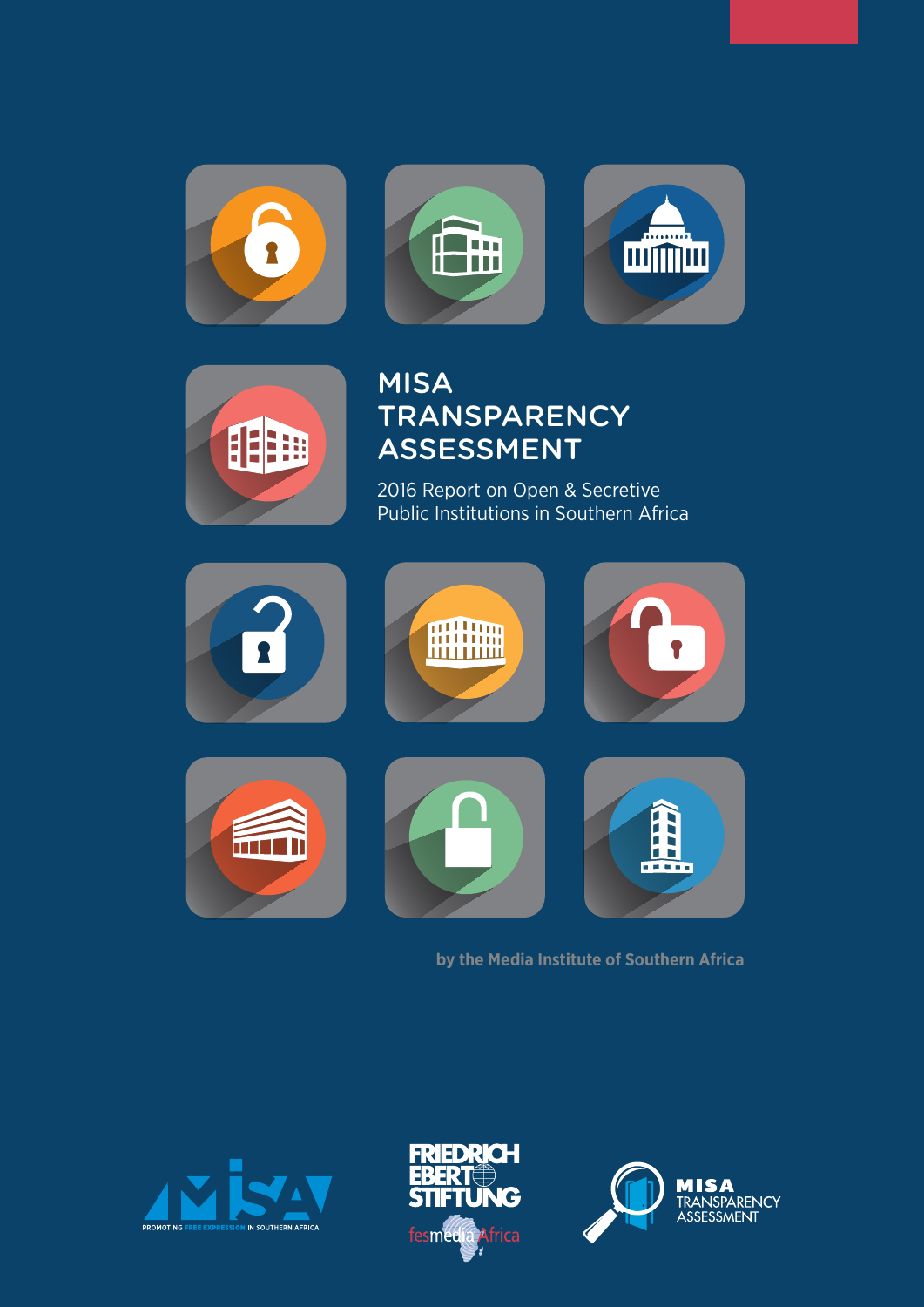







# MISA **TRANSPARENCY** Assessment

2016 Report on Open & Secretive Public Institutions in Southern Africa



# **by the Media Institute of Southern Africa**





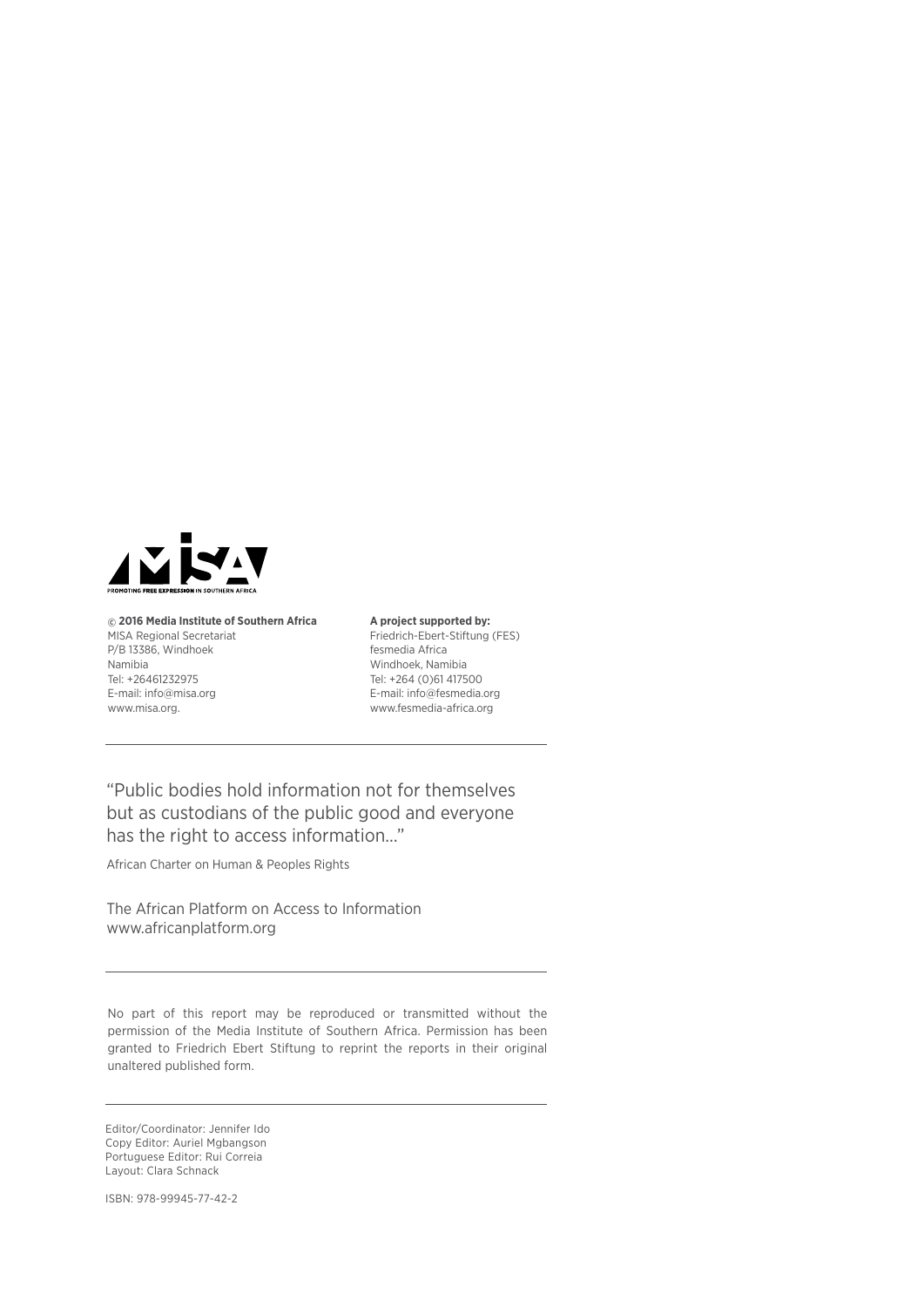

**© 2016 Media Institute of Southern Africa**  MISA Regional Secretariat P/B 13386, Windhoek Namibia Tel: +26461232975 E-mail: info@misa.org www.misa.org.

#### **A project supported by:**

Friedrich-Ebert-Stiftung (FES) fesmedia Africa Windhoek, Namibia Tel: +264 (0)61 417500 E-mail: info@fesmedia.org www.fesmedia-africa.org

"Public bodies hold information not for themselves but as custodians of the public good and everyone has the right to access information…"

African Charter on Human & Peoples Rights

The African Platform on Access to Information www.africanplatform.org

No part of this report may be reproduced or transmitted without the permission of the Media Institute of Southern Africa. Permission has been granted to Friedrich Ebert Stiftung to reprint the reports in their original unaltered published form.

Editor/Coordinator: Jennifer Ido Copy Editor: Auriel Mgbangson Portuguese Editor: Rui Correia Layout: Clara Schnack

ISBN: 978-99945-77-42-2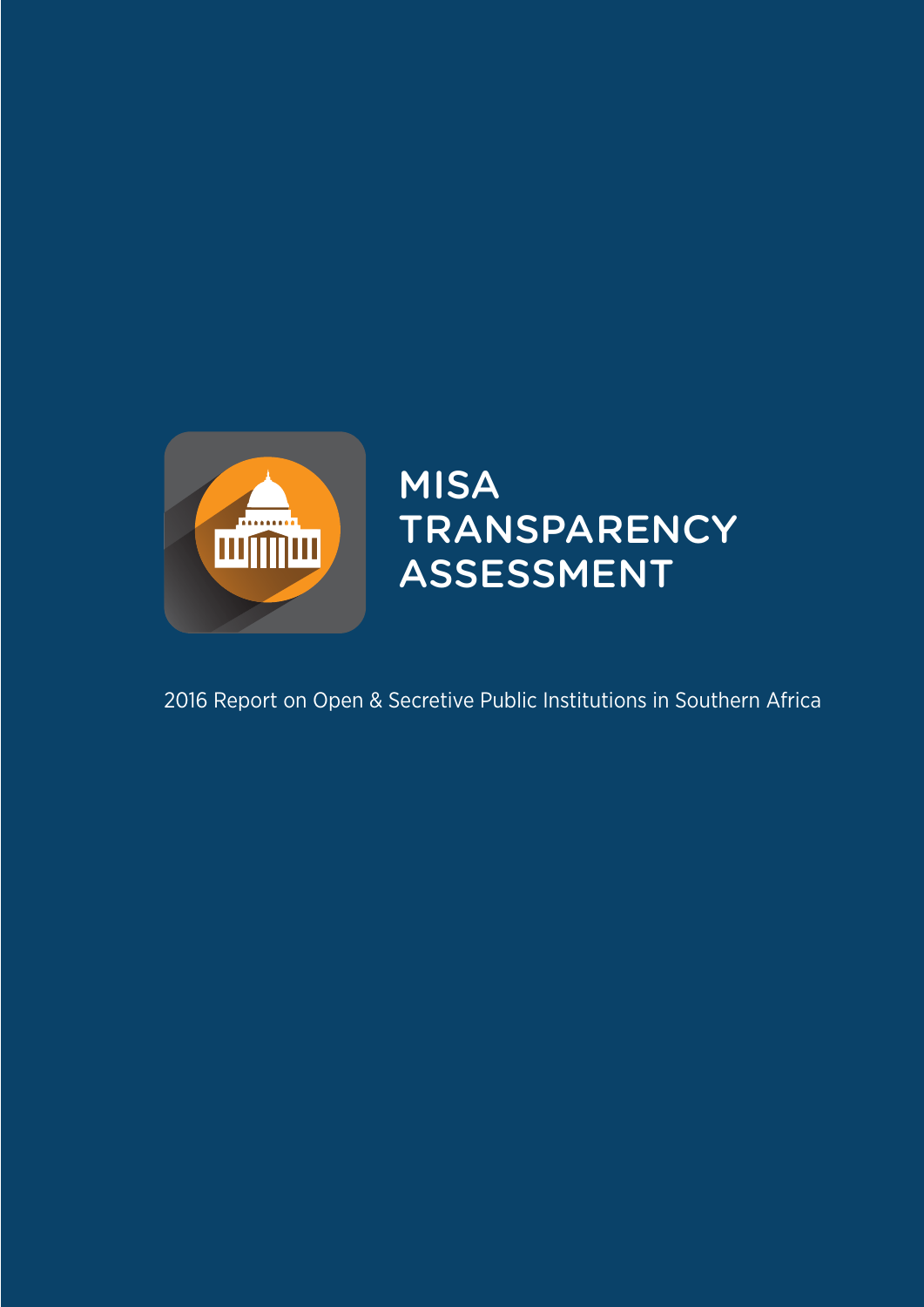

# MISA **TRANSPARENCY** Assessment

2016 Report on Open & Secretive Public Institutions in Southern Africa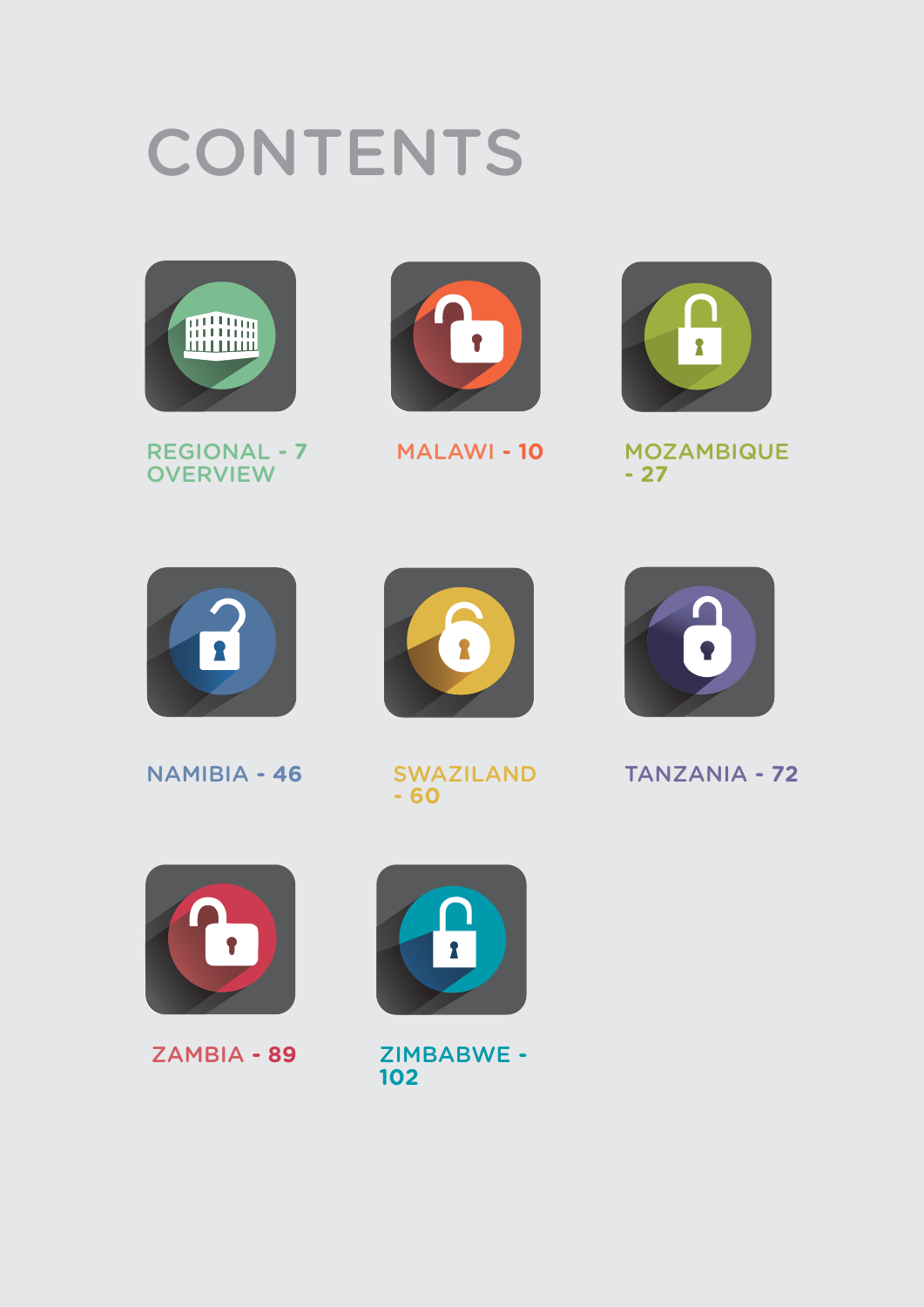# **CONTENTS**







MALAWI *-* **10**



MOZAMBIQUE *-* **27**



NAMIBIA *-* **46**



SWAZILAND *-* **60**



# TANZANIA *-* **72**



ZAMBIA *-* **89**



ZIMBABWE *-*  **102**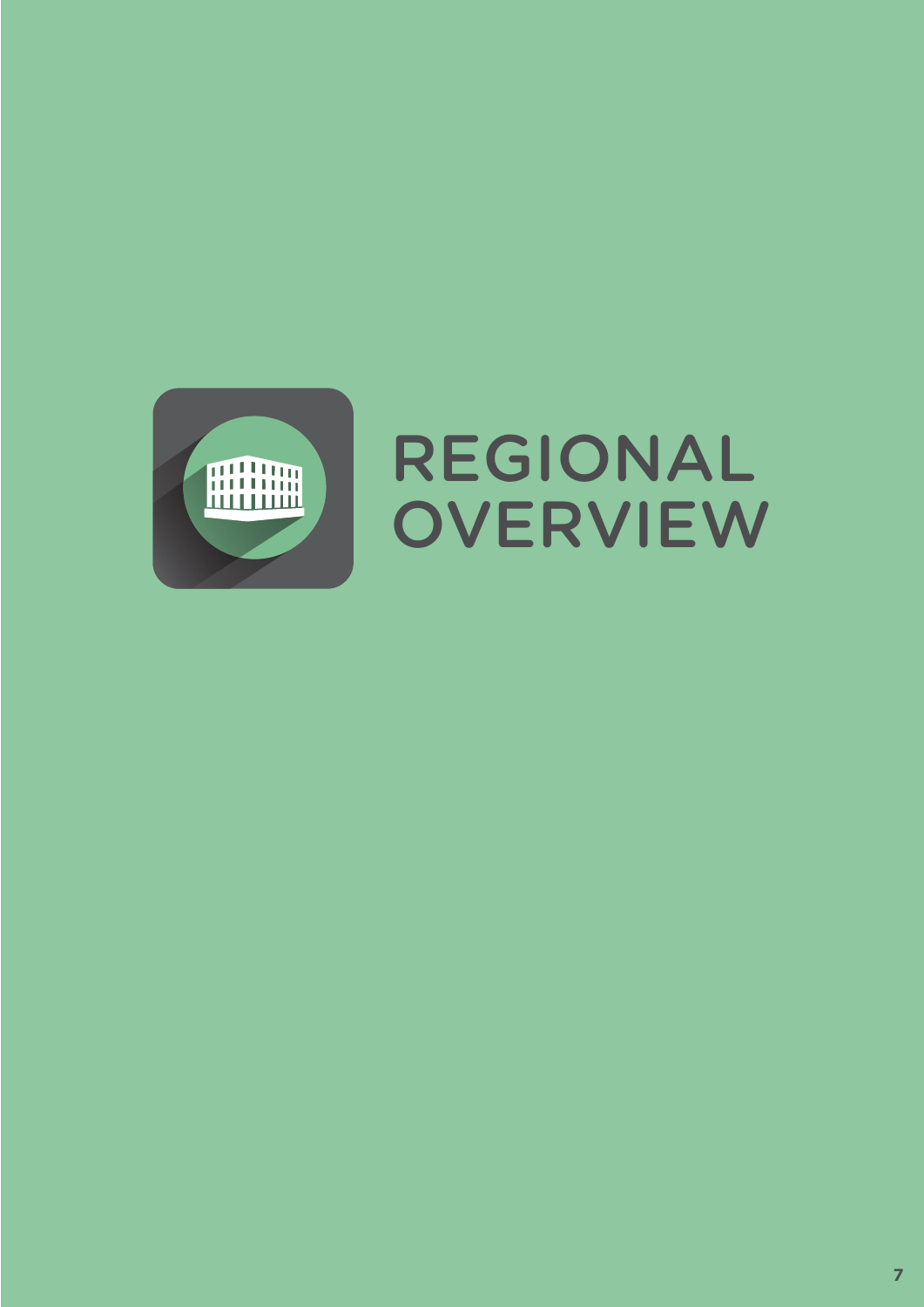

# REGIONAL **OVERVIEW**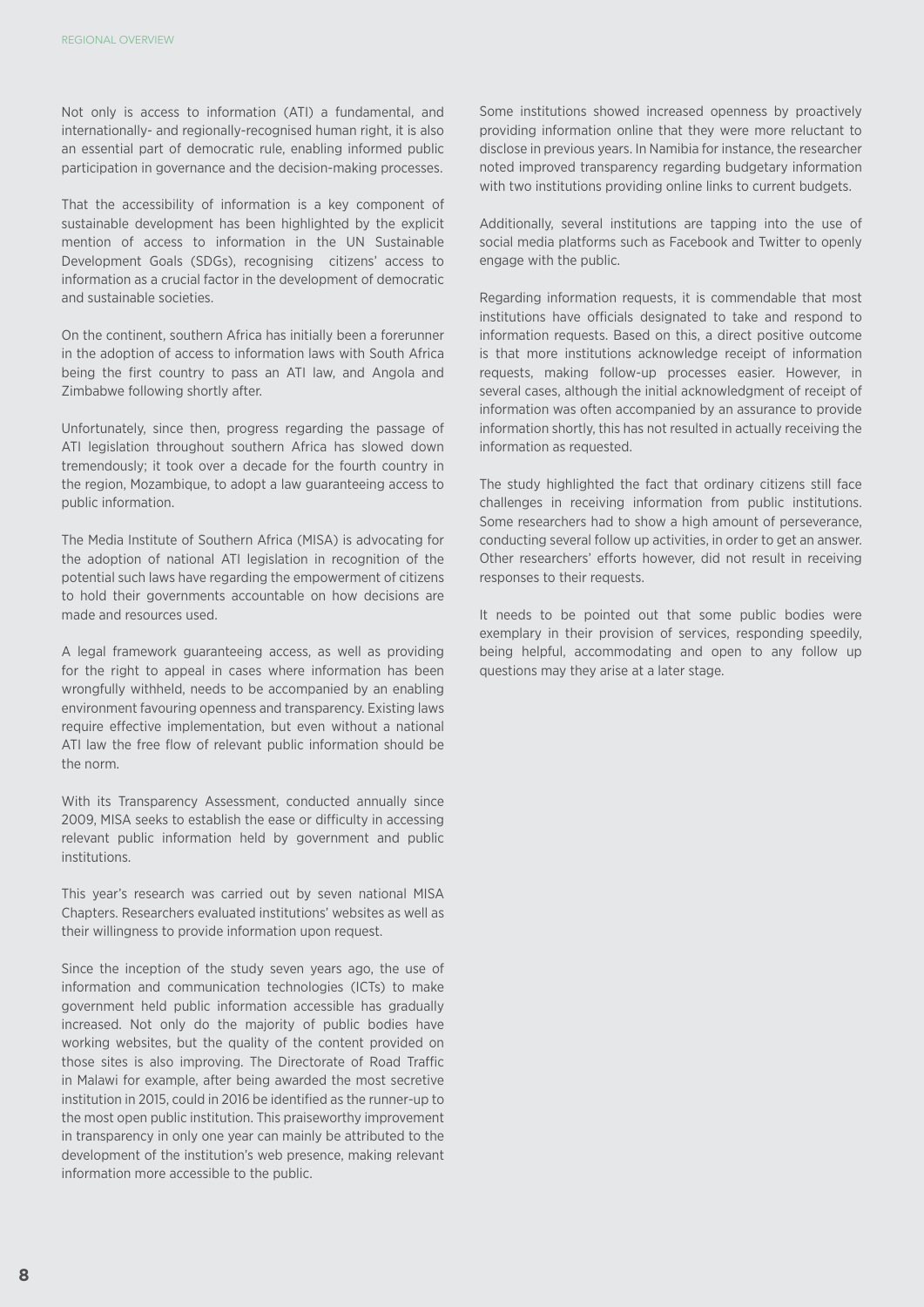Not only is access to information (ATI) a fundamental, and internationally- and regionally-recognised human right, it is also an essential part of democratic rule, enabling informed public participation in governance and the decision-making processes.

That the accessibility of information is a key component of sustainable development has been highlighted by the explicit mention of access to information in the UN Sustainable Development Goals (SDGs), recognising citizens' access to information as a crucial factor in the development of democratic and sustainable societies.

On the continent, southern Africa has initially been a forerunner in the adoption of access to information laws with South Africa being the first country to pass an ATI law, and Angola and Zimbabwe following shortly after.

Unfortunately, since then, progress regarding the passage of ATI legislation throughout southern Africa has slowed down tremendously; it took over a decade for the fourth country in the region, Mozambique, to adopt a law guaranteeing access to public information.

The Media Institute of Southern Africa (MISA) is advocating for the adoption of national ATI legislation in recognition of the potential such laws have regarding the empowerment of citizens to hold their governments accountable on how decisions are made and resources used.

A legal framework guaranteeing access, as well as providing for the right to appeal in cases where information has been wrongfully withheld, needs to be accompanied by an enabling environment favouring openness and transparency. Existing laws require effective implementation, but even without a national ATI law the free flow of relevant public information should be the norm.

With its Transparency Assessment, conducted annually since 2009, MISA seeks to establish the ease or difficulty in accessing relevant public information held by government and public institutions.

This year's research was carried out by seven national MISA Chapters. Researchers evaluated institutions' websites as well as their willingness to provide information upon request.

Since the inception of the study seven years ago, the use of information and communication technologies (ICTs) to make government held public information accessible has gradually increased. Not only do the majority of public bodies have working websites, but the quality of the content provided on those sites is also improving. The Directorate of Road Traffic in Malawi for example, after being awarded the most secretive institution in 2015, could in 2016 be identified as the runner-up to the most open public institution. This praiseworthy improvement in transparency in only one year can mainly be attributed to the development of the institution's web presence, making relevant information more accessible to the public.

Some institutions showed increased openness by proactively providing information online that they were more reluctant to disclose in previous years. In Namibia for instance, the researcher noted improved transparency regarding budgetary information with two institutions providing online links to current budgets.

Additionally, several institutions are tapping into the use of social media platforms such as Facebook and Twitter to openly engage with the public.

Regarding information requests, it is commendable that most institutions have officials designated to take and respond to information requests. Based on this, a direct positive outcome is that more institutions acknowledge receipt of information requests, making follow-up processes easier. However, in several cases, although the initial acknowledgment of receipt of information was often accompanied by an assurance to provide information shortly, this has not resulted in actually receiving the information as requested.

The study highlighted the fact that ordinary citizens still face challenges in receiving information from public institutions. Some researchers had to show a high amount of perseverance, conducting several follow up activities, in order to get an answer. Other researchers' efforts however, did not result in receiving responses to their requests.

It needs to be pointed out that some public bodies were exemplary in their provision of services, responding speedily, being helpful, accommodating and open to any follow up questions may they arise at a later stage.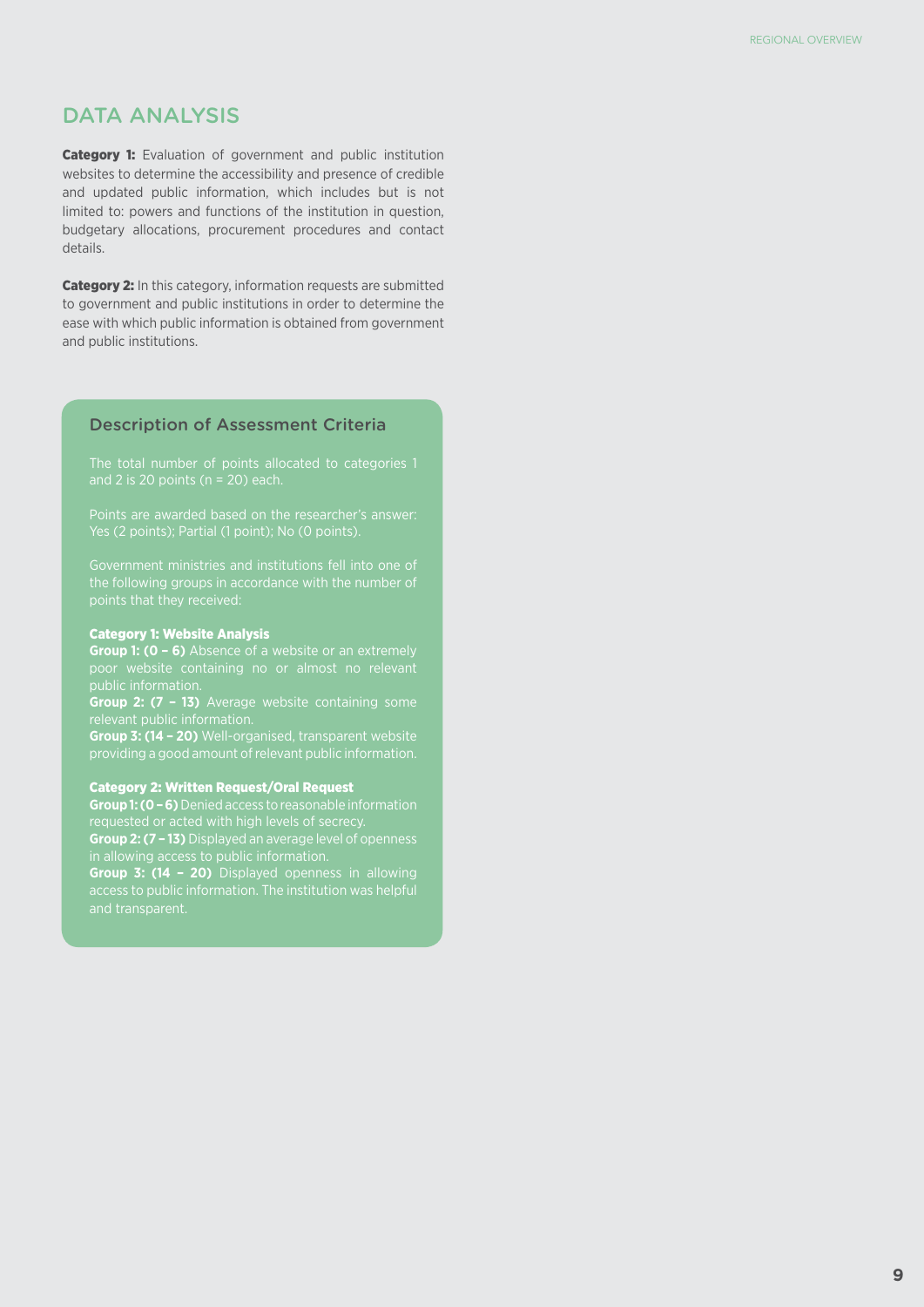# DATA ANALYSIS

**Category 1:** Evaluation of government and public institution websites to determine the accessibility and presence of credible and updated public information, which includes but is not limited to: powers and functions of the institution in question, budgetary allocations, procurement procedures and contact details.

Category 2: In this category, information requests are submitted to government and public institutions in order to determine the ease with which public information is obtained from government and public institutions.

#### Description of Assessment Criteria

the following groups in accordance with the number of points that they received:

#### Category 1: Website Analysis

**Group 1: (0 – 6)** Absence of a website or an extremely

**Group 2: (7 – 13)** Average website containing some

**Group 3: (14 – 20)** Well-organised, transparent website

#### Category 2: Written Request/Oral Request

**Group 1: (0 – 6)** Denied access to reasonable information

**Group 2: (7 – 13)** Displayed an average level of openness

**Group 3: (14 – 20)** Displayed openness in allowing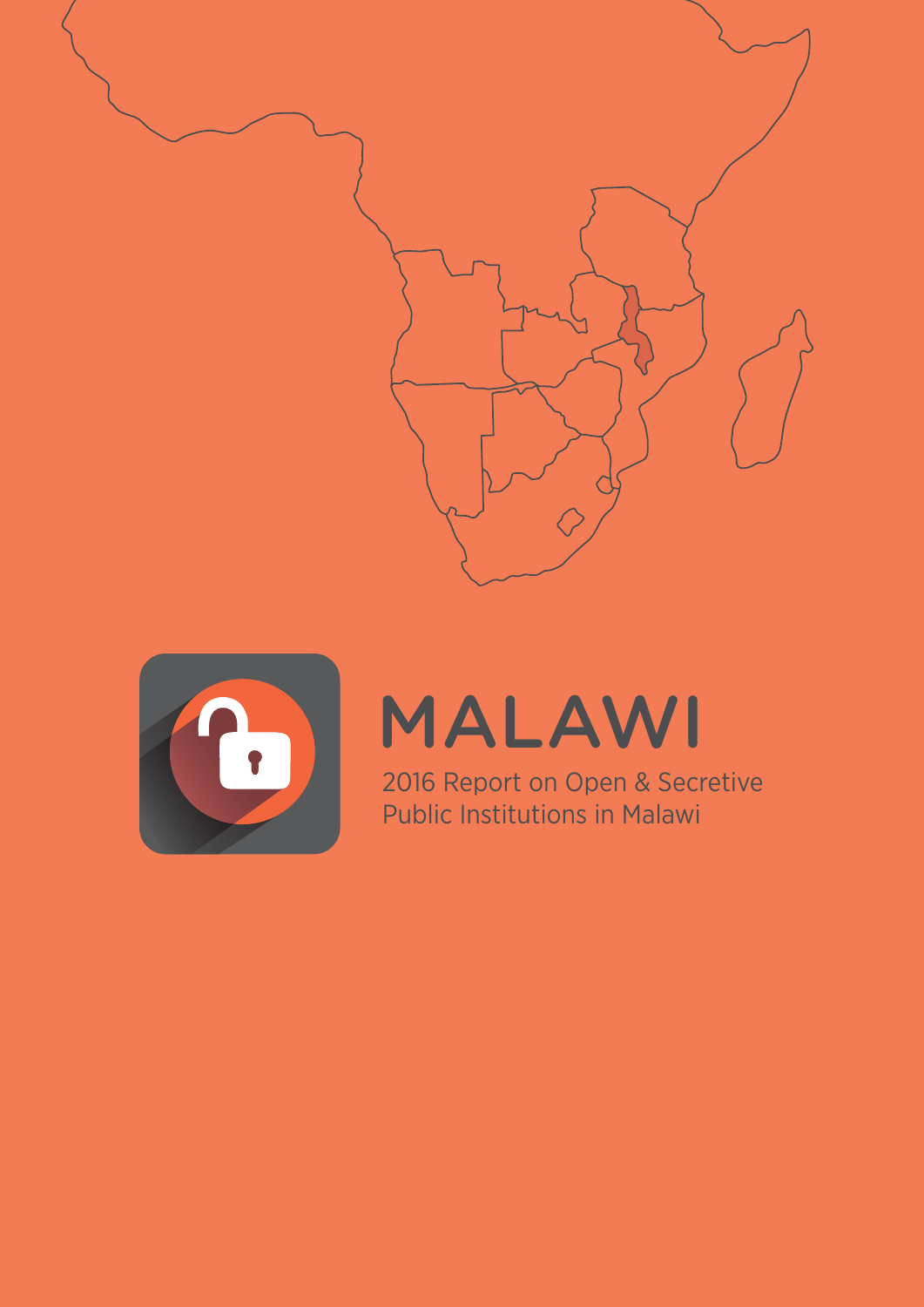



# MALAWI

2016 Report on Open & Secretive Public Institutions in Malawi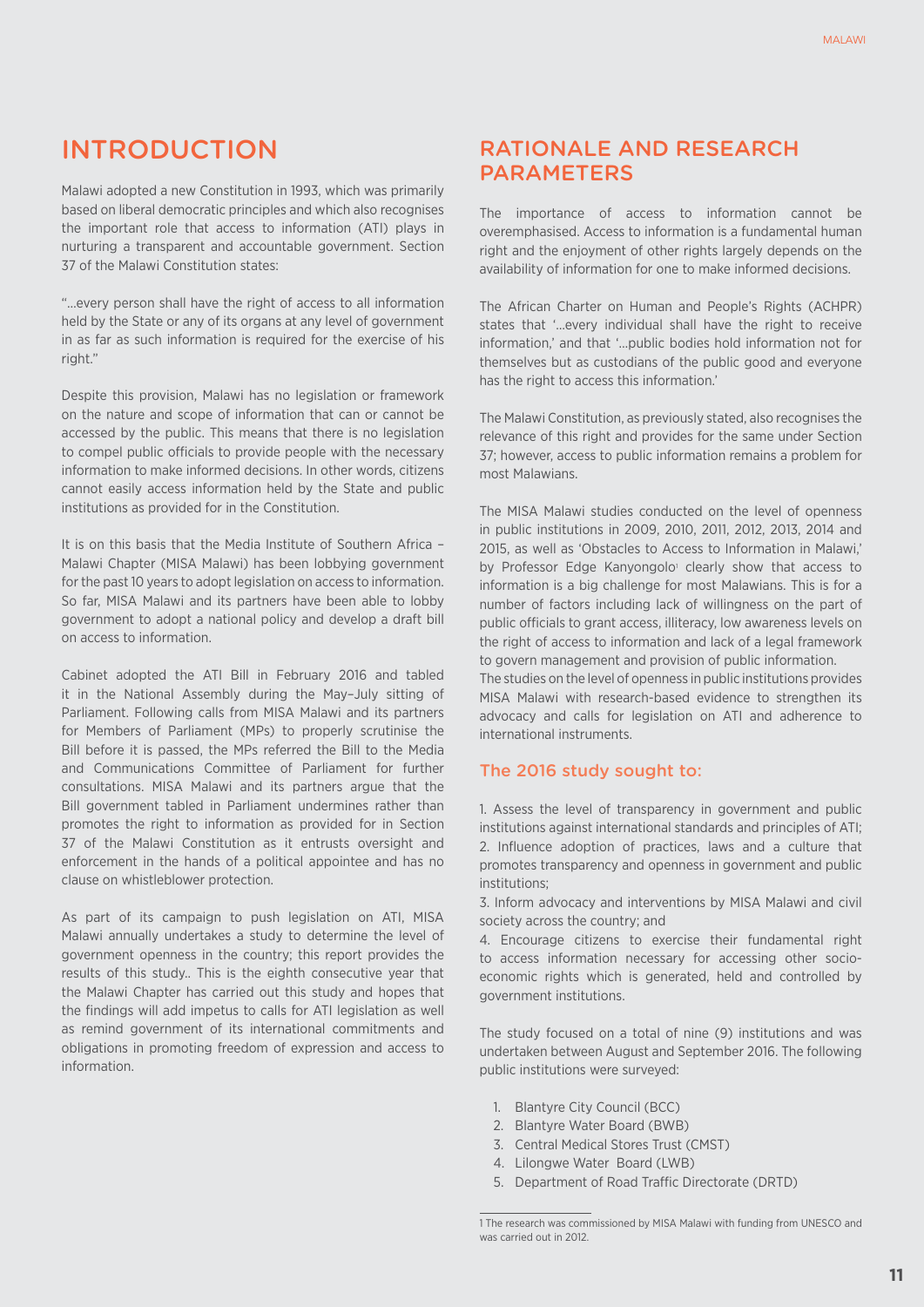# INTRODUCTION

Malawi adopted a new Constitution in 1993, which was primarily based on liberal democratic principles and which also recognises the important role that access to information (ATI) plays in nurturing a transparent and accountable government. Section 37 of the Malawi Constitution states:

"…every person shall have the right of access to all information held by the State or any of its organs at any level of government in as far as such information is required for the exercise of his right."

Despite this provision, Malawi has no legislation or framework on the nature and scope of information that can or cannot be accessed by the public. This means that there is no legislation to compel public officials to provide people with the necessary information to make informed decisions. In other words, citizens cannot easily access information held by the State and public institutions as provided for in the Constitution.

It is on this basis that the Media Institute of Southern Africa – Malawi Chapter (MISA Malawi) has been lobbying government for the past 10 years to adopt legislation on access to information. So far, MISA Malawi and its partners have been able to lobby government to adopt a national policy and develop a draft bill on access to information.

Cabinet adopted the ATI Bill in February 2016 and tabled it in the National Assembly during the May–July sitting of Parliament. Following calls from MISA Malawi and its partners for Members of Parliament (MPs) to properly scrutinise the Bill before it is passed, the MPs referred the Bill to the Media and Communications Committee of Parliament for further consultations. MISA Malawi and its partners argue that the Bill government tabled in Parliament undermines rather than promotes the right to information as provided for in Section 37 of the Malawi Constitution as it entrusts oversight and enforcement in the hands of a political appointee and has no clause on whistleblower protection.

As part of its campaign to push legislation on ATI, MISA Malawi annually undertakes a study to determine the level of government openness in the country; this report provides the results of this study.. This is the eighth consecutive year that the Malawi Chapter has carried out this study and hopes that the findings will add impetus to calls for ATI legislation as well as remind government of its international commitments and obligations in promoting freedom of expression and access to information.

# Rationale and ReseaRch **PARAMETERS**

The importance of access to information cannot be overemphasised. Access to information is a fundamental human right and the enjoyment of other rights largely depends on the availability of information for one to make informed decisions.

The African Charter on Human and People's Rights (ACHPR) states that '…every individual shall have the right to receive information,' and that '…public bodies hold information not for themselves but as custodians of the public good and everyone has the right to access this information.'

The Malawi Constitution, as previously stated, also recognises the relevance of this right and provides for the same under Section 37; however, access to public information remains a problem for most Malawians.

The MISA Malawi studies conducted on the level of openness in public institutions in 2009, 2010, 2011, 2012, 2013, 2014 and 2015, as well as 'Obstacles to Access to Information in Malawi,' by Professor Edge Kanyongolo<sup>1</sup> clearly show that access to information is a big challenge for most Malawians. This is for a number of factors including lack of willingness on the part of public officials to grant access, illiteracy, low awareness levels on the right of access to information and lack of a legal framework to govern management and provision of public information.

The studies on the level of openness in public institutions provides MISA Malawi with research-based evidence to strengthen its advocacy and calls for legislation on ATI and adherence to international instruments.

## The 2016 study sought to:

1. Assess the level of transparency in government and public institutions against international standards and principles of ATI; 2. Influence adoption of practices, laws and a culture that promotes transparency and openness in government and public institutions;

3. Inform advocacy and interventions by MISA Malawi and civil society across the country; and

4. Encourage citizens to exercise their fundamental right to access information necessary for accessing other socioeconomic rights which is generated, held and controlled by government institutions.

The study focused on a total of nine (9) institutions and was undertaken between August and September 2016. The following public institutions were surveyed:

- 1. Blantyre City Council (BCC)
- 2. Blantyre Water Board (BWB)
- 3. Central Medical Stores Trust (CMST)
- 4. Lilongwe Water Board (LWB)
- 5. Department of Road Traffic Directorate (DRTD)

<sup>1</sup> The research was commissioned by MISA Malawi with funding from UNESCO and was carried out in 2012.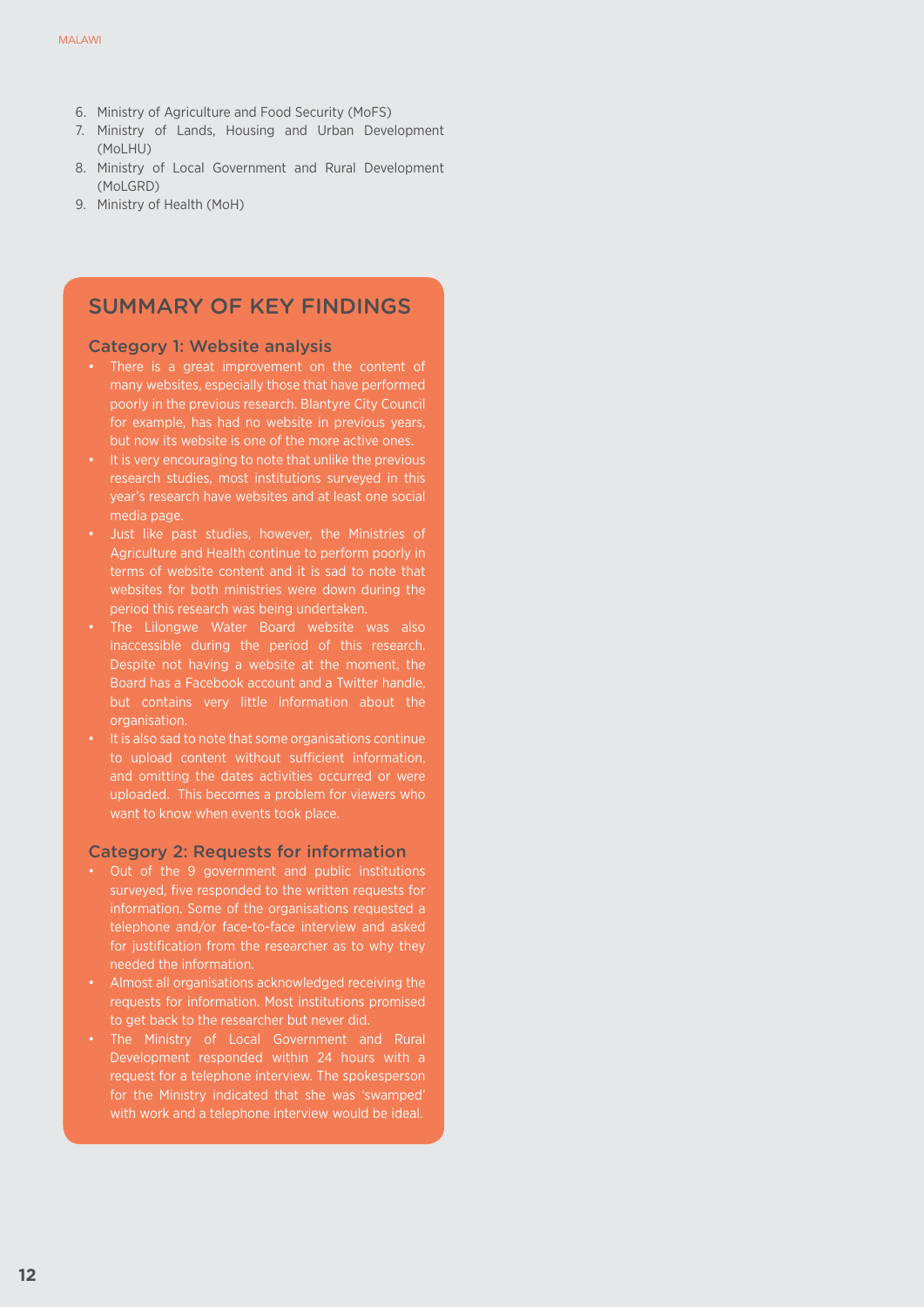- 6. Ministry of Agriculture and Food Security (MoFS)
- 7. Ministry of Lands, Housing and Urban Development (MoLHU)
- 8. Ministry of Local Government and Rural Development (MoLGRD)
- 9. Ministry of Health (MoH)

# SUMMARY OF KEY FINDINGS

#### Category 1: Website analysis

- • There is a great improvement on the content of many websites, especially those that have performed poorly in the previous research. Blantyre City Council for example, has had no website in previous years, but now its website is one of the more active ones.
- It is very encouraging to note that unlike the previous research studies, most institutions surveyed in this year's research have websites and at least one social media page.
- Agriculture and Health continue to perform poorly in terms of website content and it is sad to note that websites for both ministries were down during the period this research was being undertaken.
- The Lilongwe Water Board website was also inaccessible during the period of this research. Despite not having a website at the moment, the Board has a Facebook account and a Twitter handle, but contains very little information about the organisation.
- It is also sad to note that some organisations continue to upload content without sufficient information, and omitting the dates activities occurred or were uploaded. This becomes a problem for viewers who want to know when events took place.

#### Category 2: Requests for information

- Out of the 9 government and public institutions surveyed, five responded to the written requests for information. Some of the organisations requested a telephone and/or face-to-face interview and asked for justification from the researcher as to why they needed the information.
- • Almost all organisations acknowledged receiving the requests for information. Most institutions promised to get back to the researcher but never did.
- The Ministry of Local Government and Rural Development responded within 24 hours with a request for a telephone interview. The spokesperson for the Ministry indicated that she was 'swamped' with work and a telephone interview would be ideal.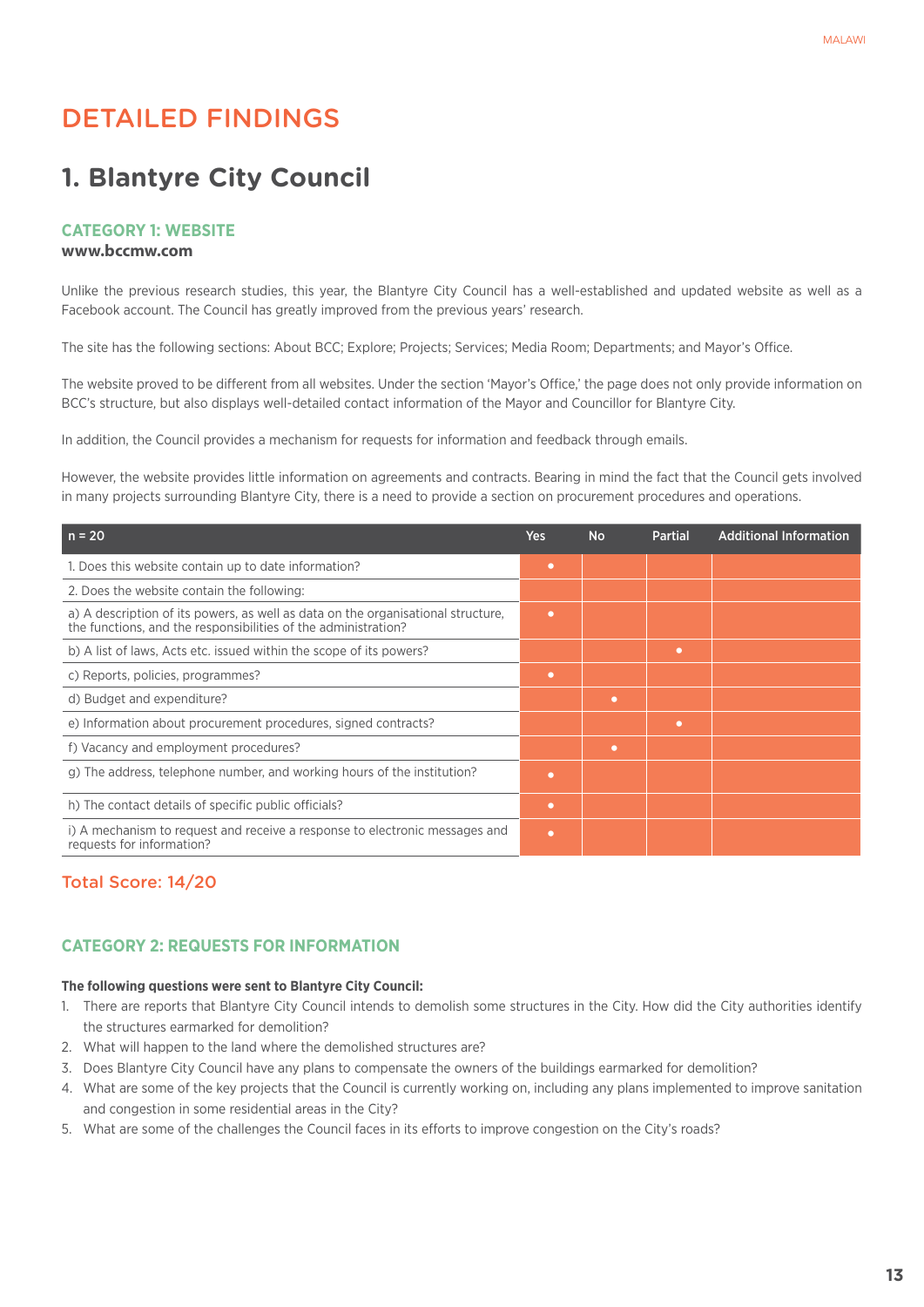# Detailed Findings

# **1. Blantyre City Council**

#### **Category 1: Website**

#### **www.bccmw.com**

Unlike the previous research studies, this year, the Blantyre City Council has a well-established and updated website as well as a Facebook account. The Council has greatly improved from the previous years' research.

The site has the following sections: About BCC; Explore; Projects; Services; Media Room; Departments; and Mayor's Office.

The website proved to be different from all websites. Under the section 'Mayor's Office,' the page does not only provide information on BCC's structure, but also displays well-detailed contact information of the Mayor and Councillor for Blantyre City.

In addition, the Council provides a mechanism for requests for information and feedback through emails.

However, the website provides little information on agreements and contracts. Bearing in mind the fact that the Council gets involved in many projects surrounding Blantyre City, there is a need to provide a section on procurement procedures and operations.

| $n = 20$                                                                                                                                           | <b>Yes</b> | <b>No</b> | <b>Partial</b> | <b>Additional Information</b> |
|----------------------------------------------------------------------------------------------------------------------------------------------------|------------|-----------|----------------|-------------------------------|
| 1. Does this website contain up to date information?                                                                                               | $\bullet$  |           |                |                               |
| 2. Does the website contain the following:                                                                                                         |            |           |                |                               |
| a) A description of its powers, as well as data on the organisational structure,<br>the functions, and the responsibilities of the administration? | ٠          |           |                |                               |
| b) A list of laws, Acts etc. issued within the scope of its powers?                                                                                |            |           | $\bullet$      |                               |
| c) Reports, policies, programmes?                                                                                                                  | $\bullet$  |           |                |                               |
| d) Budget and expenditure?                                                                                                                         |            | $\bullet$ |                |                               |
| e) Information about procurement procedures, signed contracts?                                                                                     |            |           | ۰              |                               |
| f) Vacancy and employment procedures?                                                                                                              |            | $\bullet$ |                |                               |
| g) The address, telephone number, and working hours of the institution?                                                                            | $\bullet$  |           |                |                               |
| h) The contact details of specific public officials?                                                                                               | $\bullet$  |           |                |                               |
| i) A mechanism to request and receive a response to electronic messages and<br>requests for information?                                           | $\bullet$  |           |                |                               |

## Total Score: 14/20

#### **CATEGORY 2: REQUESTS FOR INFORMATION**

#### **The following questions were sent to Blantyre City Council:**

- 1. There are reports that Blantyre City Council intends to demolish some structures in the City. How did the City authorities identify the structures earmarked for demolition?
- 2. What will happen to the land where the demolished structures are?
- 3. Does Blantyre City Council have any plans to compensate the owners of the buildings earmarked for demolition?
- 4. What are some of the key projects that the Council is currently working on, including any plans implemented to improve sanitation and congestion in some residential areas in the City?
- 5. What are some of the challenges the Council faces in its efforts to improve congestion on the City's roads?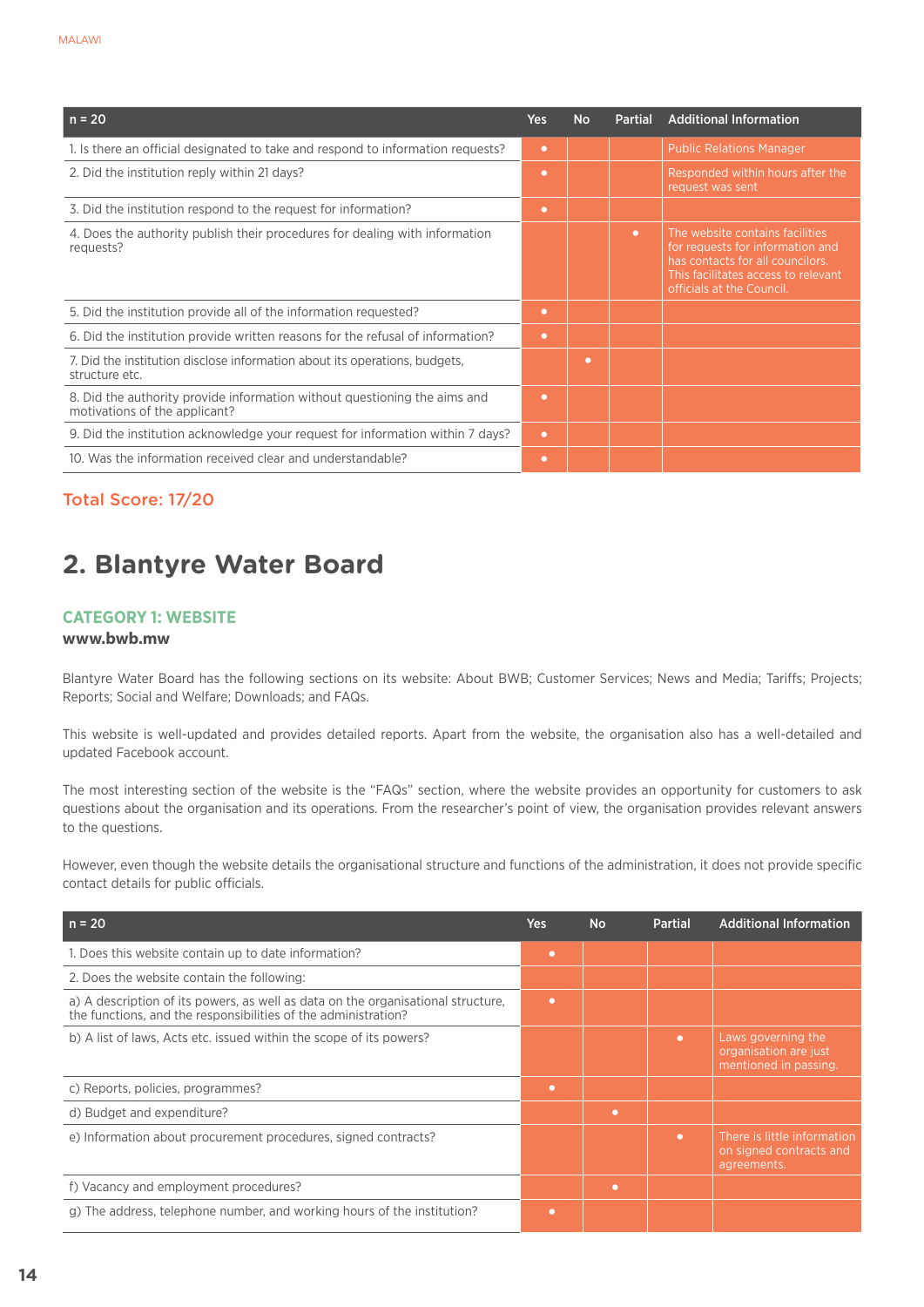| $n = 20$                                                                                                   | Yes       | <b>No</b> | <b>Partial</b> | <b>Additional Information</b>                                                                                                                                               |
|------------------------------------------------------------------------------------------------------------|-----------|-----------|----------------|-----------------------------------------------------------------------------------------------------------------------------------------------------------------------------|
| 1. Is there an official designated to take and respond to information requests?                            | $\bullet$ |           |                | <b>Public Relations Manager</b>                                                                                                                                             |
| 2. Did the institution reply within 21 days?                                                               | $\bullet$ |           |                | Responded within hours after the<br>request was sent                                                                                                                        |
| 3. Did the institution respond to the request for information?                                             | $\bullet$ |           |                |                                                                                                                                                                             |
| 4. Does the authority publish their procedures for dealing with information<br>requests?                   |           |           | $\bullet$      | The website contains facilities<br>for requests for information and<br>has contacts for all councilors.<br>This facilitates access to relevant<br>officials at the Council. |
| 5. Did the institution provide all of the information requested?                                           | $\bullet$ |           |                |                                                                                                                                                                             |
| 6. Did the institution provide written reasons for the refusal of information?                             | $\bullet$ |           |                |                                                                                                                                                                             |
| 7. Did the institution disclose information about its operations, budgets,<br>structure etc.               |           | $\bullet$ |                |                                                                                                                                                                             |
| 8. Did the authority provide information without questioning the aims and<br>motivations of the applicant? | $\bullet$ |           |                |                                                                                                                                                                             |
| 9. Did the institution acknowledge your request for information within 7 days?                             | $\bullet$ |           |                |                                                                                                                                                                             |
| 10. Was the information received clear and understandable?                                                 | $\bullet$ |           |                |                                                                                                                                                                             |

# Total Score: 17/20

# **2. Blantyre Water Board**

## **Category 1: Website**

# **www.bwb.mw**

Blantyre Water Board has the following sections on its website: About BWB; Customer Services; News and Media; Tariffs; Projects; Reports; Social and Welfare; Downloads; and FAQs.

This website is well-updated and provides detailed reports. Apart from the website, the organisation also has a well-detailed and updated Facebook account.

The most interesting section of the website is the "FAQs" section, where the website provides an opportunity for customers to ask questions about the organisation and its operations. From the researcher's point of view, the organisation provides relevant answers to the questions.

However, even though the website details the organisational structure and functions of the administration, it does not provide specific contact details for public officials.

| $n = 20$                                                                                                                                           | <b>Yes</b> | <b>No</b> | <b>Partial</b> | <b>Additional Information</b>                                         |
|----------------------------------------------------------------------------------------------------------------------------------------------------|------------|-----------|----------------|-----------------------------------------------------------------------|
| 1. Does this website contain up to date information?                                                                                               | ۰          |           |                |                                                                       |
| 2. Does the website contain the following:                                                                                                         |            |           |                |                                                                       |
| a) A description of its powers, as well as data on the organisational structure,<br>the functions, and the responsibilities of the administration? | ۰          |           |                |                                                                       |
| b) A list of laws, Acts etc. issued within the scope of its powers?                                                                                |            |           | $\bullet$      | Laws governing the<br>organisation are just<br>mentioned in passing.  |
| c) Reports, policies, programmes?                                                                                                                  | ۰          |           |                |                                                                       |
| d) Budget and expenditure?                                                                                                                         |            | ٠         |                |                                                                       |
| e) Information about procurement procedures, signed contracts?                                                                                     |            |           | $\bullet$      | There is little information<br>on signed contracts and<br>agreements. |
| f) Vacancy and employment procedures?                                                                                                              |            | ٠         |                |                                                                       |
| g) The address, telephone number, and working hours of the institution?                                                                            | ۰          |           |                |                                                                       |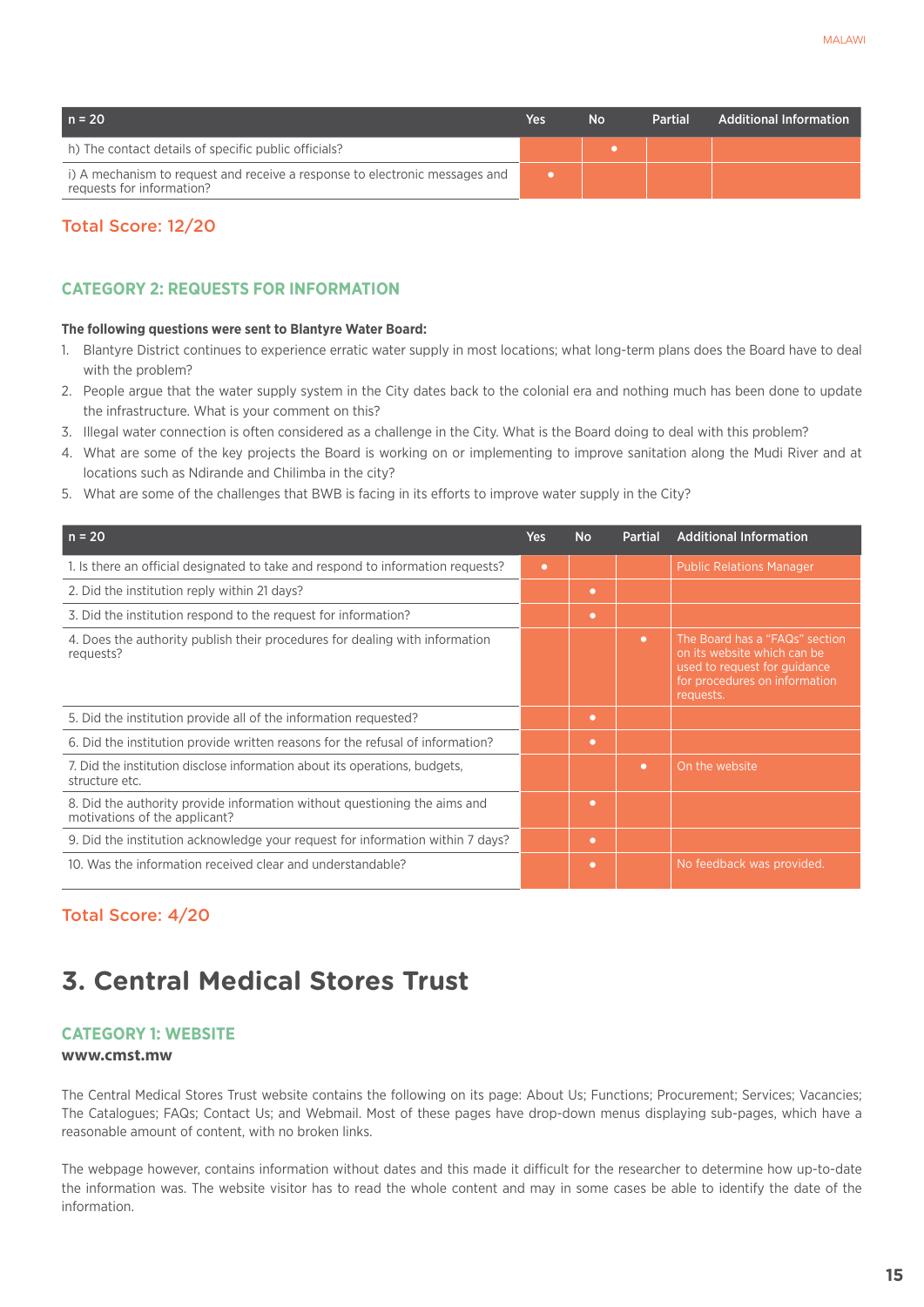| $n = 20$                                                                                                 | <b>Yes</b> | <b>No</b> | Partial | <b>Additional Information</b> |
|----------------------------------------------------------------------------------------------------------|------------|-----------|---------|-------------------------------|
| h) The contact details of specific public officials?                                                     |            |           |         |                               |
| i) A mechanism to request and receive a response to electronic messages and<br>requests for information? |            |           |         |                               |

## Total Score: 12/20

## **CATEGORY 2: REQUESTS FOR INFORMATION**

#### **The following questions were sent to Blantyre Water Board:**

- 1. Blantyre District continues to experience erratic water supply in most locations; what long-term plans does the Board have to deal with the problem?
- 2. People argue that the water supply system in the City dates back to the colonial era and nothing much has been done to update the infrastructure. What is your comment on this?
- 3. Illegal water connection is often considered as a challenge in the City. What is the Board doing to deal with this problem?
- 4. What are some of the key projects the Board is working on or implementing to improve sanitation along the Mudi River and at locations such as Ndirande and Chilimba in the city?
- 5. What are some of the challenges that BWB is facing in its efforts to improve water supply in the City?

| $n = 20$                                                                                                   | Yes       | <b>No</b> | <b>Partial</b> | <b>Additional Information</b>                                                                                                               |
|------------------------------------------------------------------------------------------------------------|-----------|-----------|----------------|---------------------------------------------------------------------------------------------------------------------------------------------|
| 1. Is there an official designated to take and respond to information requests?                            | $\bullet$ |           |                | <b>Public Relations Manager</b>                                                                                                             |
| 2. Did the institution reply within 21 days?                                                               |           | ۰         |                |                                                                                                                                             |
| 3. Did the institution respond to the request for information?                                             |           | $\bullet$ |                |                                                                                                                                             |
| 4. Does the authority publish their procedures for dealing with information<br>requests?                   |           |           | $\bullet$      | The Board has a "FAQs" section<br>on its website which can be<br>used to request for quidance<br>for procedures on information<br>requests. |
| 5. Did the institution provide all of the information requested?                                           |           | ۰         |                |                                                                                                                                             |
| 6. Did the institution provide written reasons for the refusal of information?                             |           | ۰         |                |                                                                                                                                             |
| 7. Did the institution disclose information about its operations, budgets,<br>structure etc.               |           |           | $\bullet$      | On the website                                                                                                                              |
| 8. Did the authority provide information without questioning the aims and<br>motivations of the applicant? |           | $\bullet$ |                |                                                                                                                                             |
| 9. Did the institution acknowledge your request for information within 7 days?                             |           | $\bullet$ |                |                                                                                                                                             |
| 10. Was the information received clear and understandable?                                                 |           | $\bullet$ |                | No feedback was provided.                                                                                                                   |

# Total Score: 4/20

# **3. Central Medical Stores Trust**

## **Category 1: Website**

#### **www.cmst.mw**

The Central Medical Stores Trust website contains the following on its page: About Us; Functions; Procurement; Services; Vacancies; The Catalogues; FAQs; Contact Us; and Webmail. Most of these pages have drop-down menus displaying sub-pages, which have a reasonable amount of content, with no broken links.

The webpage however, contains information without dates and this made it difficult for the researcher to determine how up-to-date the information was. The website visitor has to read the whole content and may in some cases be able to identify the date of the information.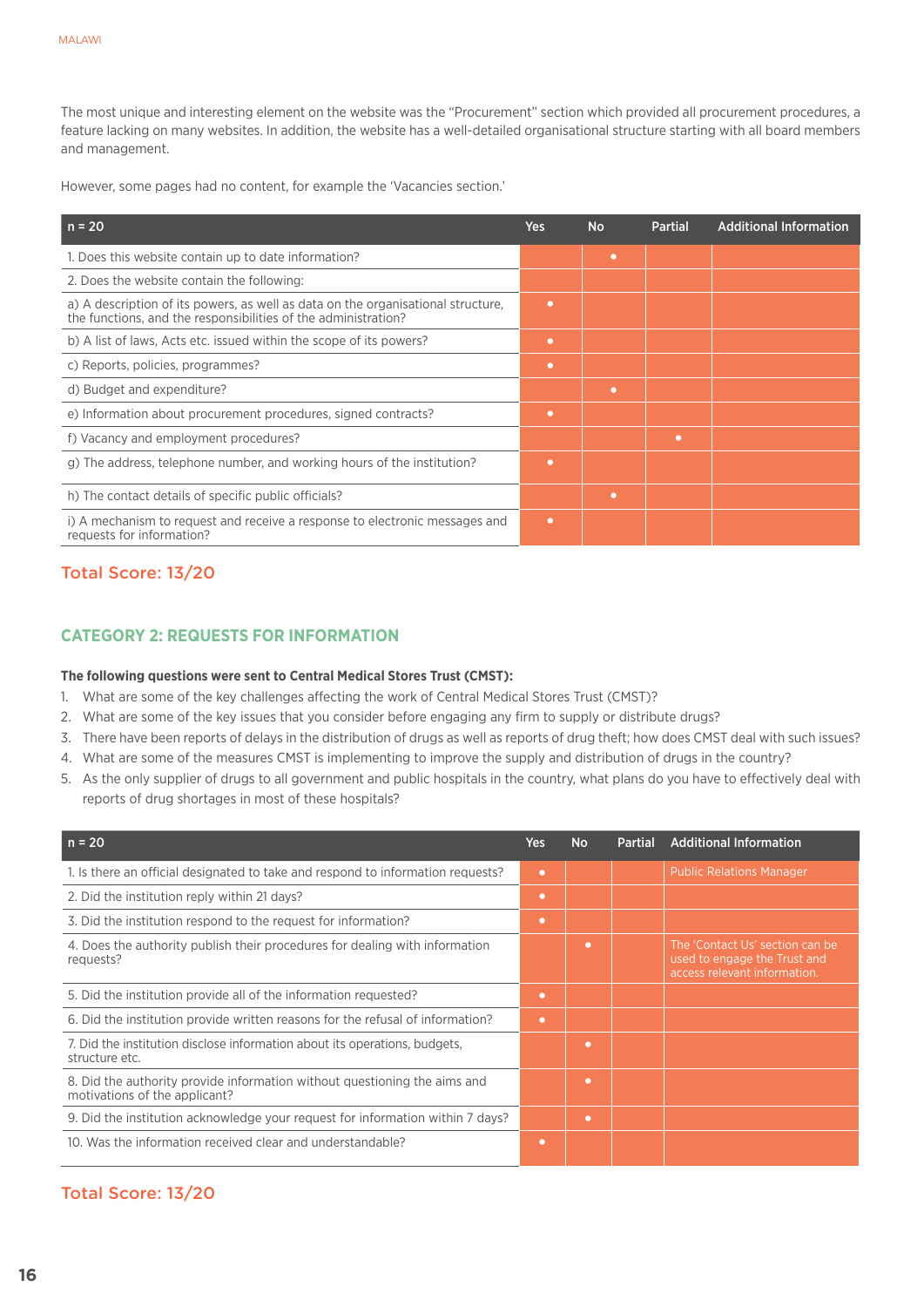The most unique and interesting element on the website was the "Procurement" section which provided all procurement procedures, a feature lacking on many websites. In addition, the website has a well-detailed organisational structure starting with all board members and management.

However, some pages had no content, for example the 'Vacancies section.'

| $n = 20$                                                                                                                                           | Yes       | <b>No</b> | <b>Partial</b> | <b>Additional Information</b> |
|----------------------------------------------------------------------------------------------------------------------------------------------------|-----------|-----------|----------------|-------------------------------|
| 1. Does this website contain up to date information?                                                                                               |           | ٠         |                |                               |
| 2. Does the website contain the following:                                                                                                         |           |           |                |                               |
| a) A description of its powers, as well as data on the organisational structure,<br>the functions, and the responsibilities of the administration? | ۰         |           |                |                               |
| b) A list of laws, Acts etc. issued within the scope of its powers?                                                                                | ۰         |           |                |                               |
| c) Reports, policies, programmes?                                                                                                                  | ۰         |           |                |                               |
| d) Budget and expenditure?                                                                                                                         |           | ٠         |                |                               |
| e) Information about procurement procedures, signed contracts?                                                                                     | $\bullet$ |           |                |                               |
| f) Vacancy and employment procedures?                                                                                                              |           |           | ۰              |                               |
| g) The address, telephone number, and working hours of the institution?                                                                            | $\bullet$ |           |                |                               |
| h) The contact details of specific public officials?                                                                                               |           | ٠         |                |                               |
| i) A mechanism to request and receive a response to electronic messages and<br>requests for information?                                           | $\bullet$ |           |                |                               |

# Total Score: 13/20

# **CATEGORY 2: REQUESTS FOR INFORMATION**

#### **The following questions were sent to Central Medical Stores Trust (CMST):**

- 1. What are some of the key challenges affecting the work of Central Medical Stores Trust (CMST)?
- 2. What are some of the key issues that you consider before engaging any firm to supply or distribute drugs?
- 3. There have been reports of delays in the distribution of drugs as well as reports of drug theft; how does CMST deal with such issues?
- 4. What are some of the measures CMST is implementing to improve the supply and distribution of drugs in the country?
- 5. As the only supplier of drugs to all government and public hospitals in the country, what plans do you have to effectively deal with reports of drug shortages in most of these hospitals?

| $n = 20$                                                                                                   | Yes       | <b>No</b> | <b>Partial</b> | <b>Additional Information</b>                                                                   |
|------------------------------------------------------------------------------------------------------------|-----------|-----------|----------------|-------------------------------------------------------------------------------------------------|
| 1. Is there an official designated to take and respond to information requests?                            | $\bullet$ |           |                | <b>Public Relations Manager</b>                                                                 |
| 2. Did the institution reply within 21 days?                                                               | ۰         |           |                |                                                                                                 |
| 3. Did the institution respond to the request for information?                                             | ۰         |           |                |                                                                                                 |
| 4. Does the authority publish their procedures for dealing with information<br>requests?                   |           | $\bullet$ |                | The 'Contact Us' section can be<br>used to engage the Trust and<br>access relevant information. |
| 5. Did the institution provide all of the information requested?                                           | ۰         |           |                |                                                                                                 |
| 6. Did the institution provide written reasons for the refusal of information?                             | ۰         |           |                |                                                                                                 |
| 7. Did the institution disclose information about its operations, budgets,<br>structure etc.               |           | ٠         |                |                                                                                                 |
| 8. Did the authority provide information without questioning the aims and<br>motivations of the applicant? |           | $\bullet$ |                |                                                                                                 |
| 9. Did the institution acknowledge your request for information within 7 days?                             |           | ٠         |                |                                                                                                 |
| 10. Was the information received clear and understandable?                                                 | ۰         |           |                |                                                                                                 |

# Total Score: 13/20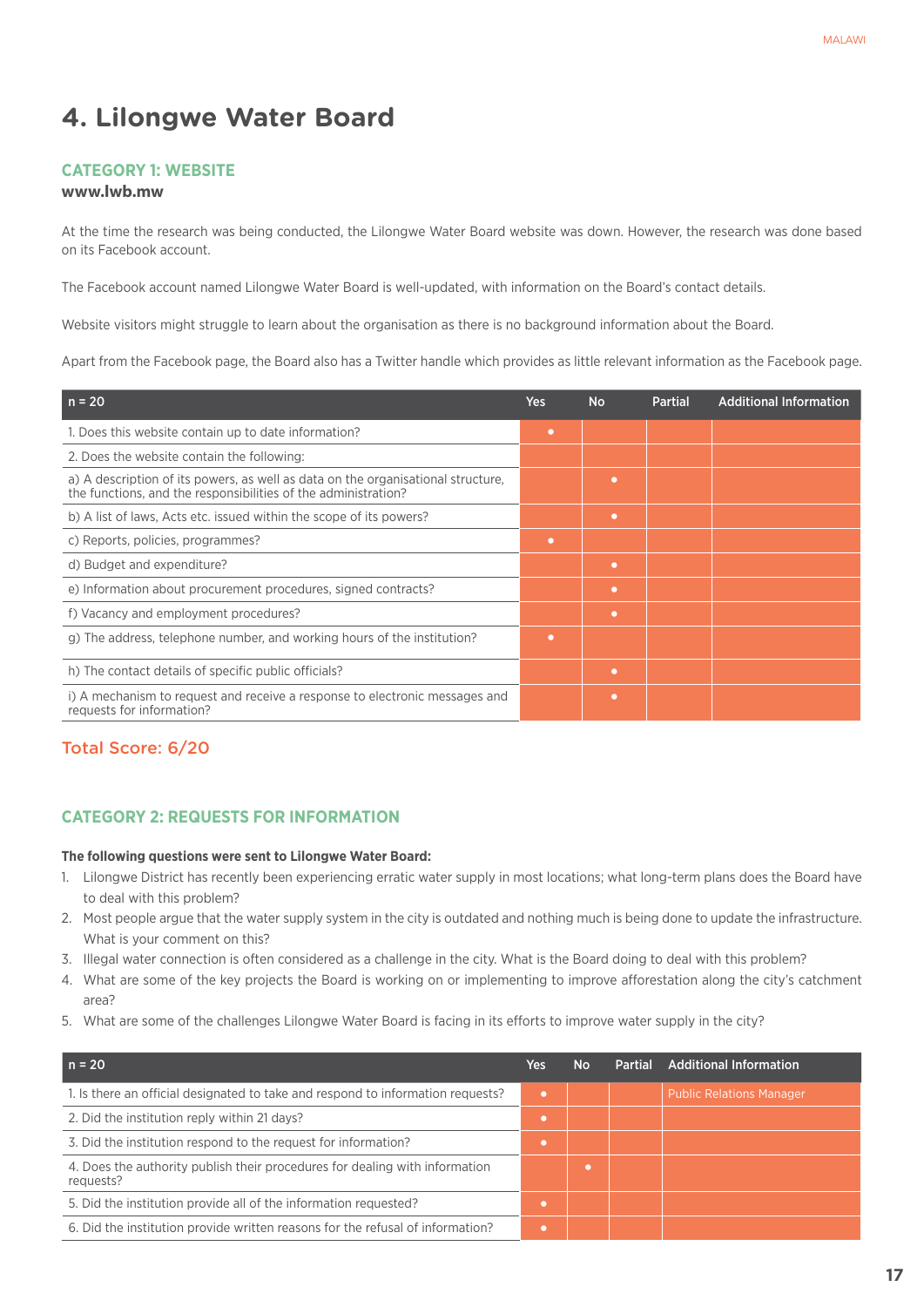# **4. Lilongwe Water Board**

#### **Category 1: Website**

#### **www.lwb.mw**

At the time the research was being conducted, the Lilongwe Water Board website was down. However, the research was done based on its Facebook account.

The Facebook account named Lilongwe Water Board is well-updated, with information on the Board's contact details.

Website visitors might struggle to learn about the organisation as there is no background information about the Board.

Apart from the Facebook page, the Board also has a Twitter handle which provides as little relevant information as the Facebook page.

| $n = 20$                                                                                                                                           | <b>Yes</b> | <b>No</b> | <b>Partial</b> | <b>Additional Information</b> |
|----------------------------------------------------------------------------------------------------------------------------------------------------|------------|-----------|----------------|-------------------------------|
| 1. Does this website contain up to date information?                                                                                               | $\bullet$  |           |                |                               |
| 2. Does the website contain the following:                                                                                                         |            |           |                |                               |
| a) A description of its powers, as well as data on the organisational structure,<br>the functions, and the responsibilities of the administration? |            | ٠         |                |                               |
| b) A list of laws, Acts etc. issued within the scope of its powers?                                                                                |            | $\bullet$ |                |                               |
| c) Reports, policies, programmes?                                                                                                                  | $\bullet$  |           |                |                               |
| d) Budget and expenditure?                                                                                                                         |            | $\bullet$ |                |                               |
| e) Information about procurement procedures, signed contracts?                                                                                     |            | $\bullet$ |                |                               |
| f) Vacancy and employment procedures?                                                                                                              |            | $\bullet$ |                |                               |
| g) The address, telephone number, and working hours of the institution?                                                                            | ٠          |           |                |                               |
| h) The contact details of specific public officials?                                                                                               |            | $\bullet$ |                |                               |
| i) A mechanism to request and receive a response to electronic messages and<br>requests for information?                                           |            | ٠         |                |                               |

# Total Score: 6/20

#### **CATEGORY 2: REQUESTS FOR INFORMATION**

#### **The following questions were sent to Lilongwe Water Board:**

- 1. Lilongwe District has recently been experiencing erratic water supply in most locations; what long-term plans does the Board have to deal with this problem?
- 2. Most people argue that the water supply system in the city is outdated and nothing much is being done to update the infrastructure. What is your comment on this?
- 3. Illegal water connection is often considered as a challenge in the city. What is the Board doing to deal with this problem?
- 4. What are some of the key projects the Board is working on or implementing to improve afforestation along the city's catchment area?
- 5. What are some of the challenges Lilongwe Water Board is facing in its efforts to improve water supply in the city?

| $n = 20$                                                                                 | Yes | <b>No</b> | <b>Partial</b> | <b>Additional Information</b>   |
|------------------------------------------------------------------------------------------|-----|-----------|----------------|---------------------------------|
| 1. Is there an official designated to take and respond to information requests?          | ٠   |           |                | <b>Public Relations Manager</b> |
| 2. Did the institution reply within 21 days?                                             |     |           |                |                                 |
| 3. Did the institution respond to the request for information?                           |     |           |                |                                 |
| 4. Does the authority publish their procedures for dealing with information<br>requests? |     |           |                |                                 |
| 5. Did the institution provide all of the information requested?                         |     |           |                |                                 |
| 6. Did the institution provide written reasons for the refusal of information?           |     |           |                |                                 |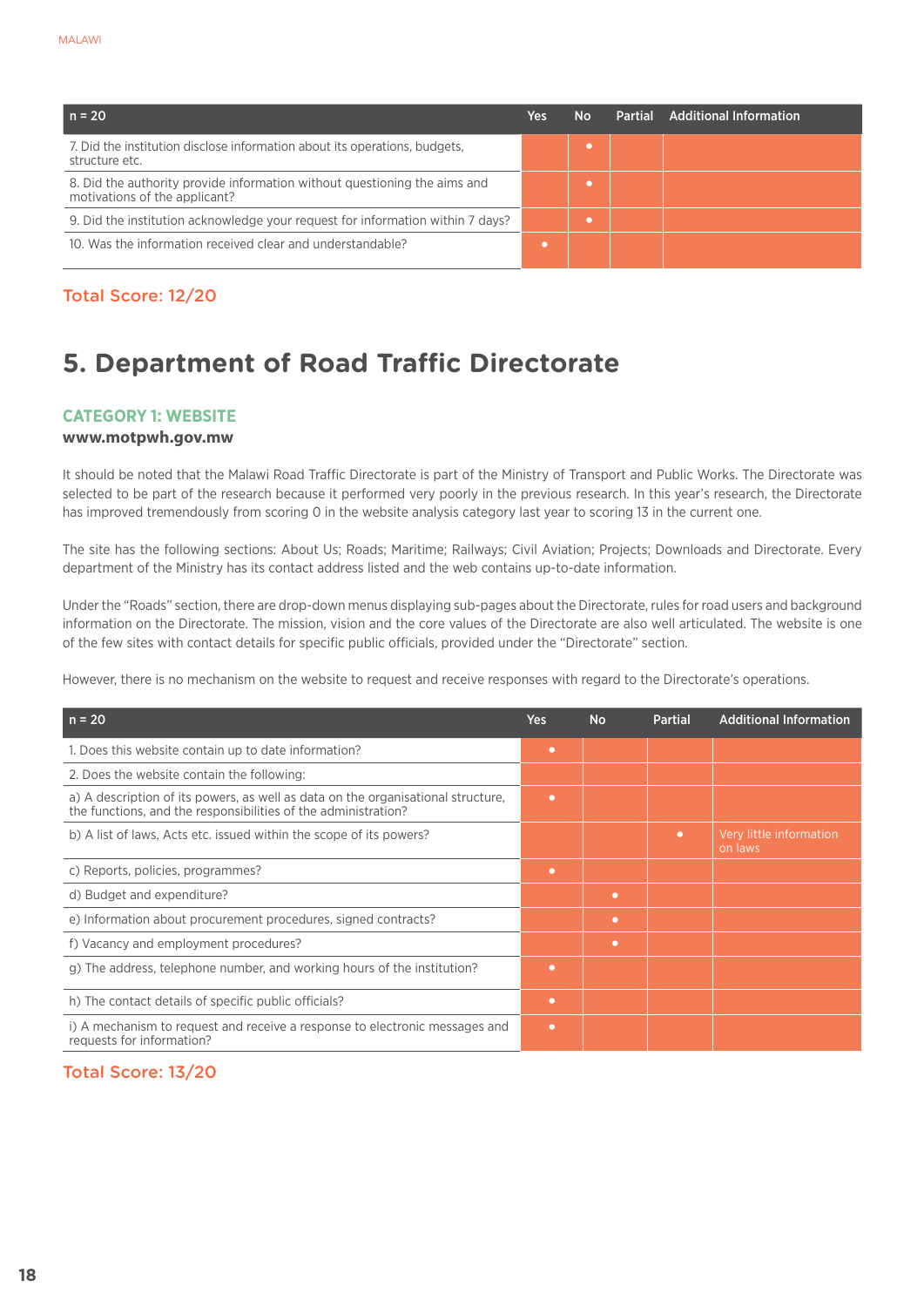| $n = 20$                                                                                                   | Yes | No | <b>Partial</b> | <b>Additional Information</b> |
|------------------------------------------------------------------------------------------------------------|-----|----|----------------|-------------------------------|
| 7. Did the institution disclose information about its operations, budgets,<br>structure etc.               |     |    |                |                               |
| 8. Did the authority provide information without questioning the aims and<br>motivations of the applicant? |     |    |                |                               |
| 9. Did the institution acknowledge your request for information within 7 days?                             |     |    |                |                               |
| 10. Was the information received clear and understandable?                                                 |     |    |                |                               |

# Total Score: 12/20

# **5. Department of Road Traffic Directorate**

## **Category 1: Website**

#### **www.motpwh.gov.mw**

It should be noted that the Malawi Road Traffic Directorate is part of the Ministry of Transport and Public Works. The Directorate was selected to be part of the research because it performed very poorly in the previous research. In this year's research, the Directorate has improved tremendously from scoring 0 in the website analysis category last year to scoring 13 in the current one.

The site has the following sections: About Us; Roads; Maritime; Railways; Civil Aviation; Projects; Downloads and Directorate. Every department of the Ministry has its contact address listed and the web contains up-to-date information.

Under the "Roads" section, there are drop-down menus displaying sub-pages about the Directorate, rules for road users and background information on the Directorate. The mission, vision and the core values of the Directorate are also well articulated. The website is one of the few sites with contact details for specific public officials, provided under the "Directorate" section.

However, there is no mechanism on the website to request and receive responses with regard to the Directorate's operations.

| $n = 20$                                                                                                                                           | <b>Yes</b> | <b>No</b> | <b>Partial</b> | <b>Additional Information</b>      |
|----------------------------------------------------------------------------------------------------------------------------------------------------|------------|-----------|----------------|------------------------------------|
| 1. Does this website contain up to date information?                                                                                               | ۰          |           |                |                                    |
| 2. Does the website contain the following:                                                                                                         |            |           |                |                                    |
| a) A description of its powers, as well as data on the organisational structure,<br>the functions, and the responsibilities of the administration? | ٠          |           |                |                                    |
| b) A list of laws, Acts etc. issued within the scope of its powers?                                                                                |            |           | $\bullet$      | Very little information<br>on laws |
| c) Reports, policies, programmes?                                                                                                                  | ٠          |           |                |                                    |
| d) Budget and expenditure?                                                                                                                         |            | $\bullet$ |                |                                    |
| e) Information about procurement procedures, signed contracts?                                                                                     |            | ۰         |                |                                    |
| f) Vacancy and employment procedures?                                                                                                              |            | $\bullet$ |                |                                    |
| g) The address, telephone number, and working hours of the institution?                                                                            | ۰          |           |                |                                    |
| h) The contact details of specific public officials?                                                                                               | ۰          |           |                |                                    |
| i) A mechanism to request and receive a response to electronic messages and<br>requests for information?                                           | $\bullet$  |           |                |                                    |

# Total Score: 13/20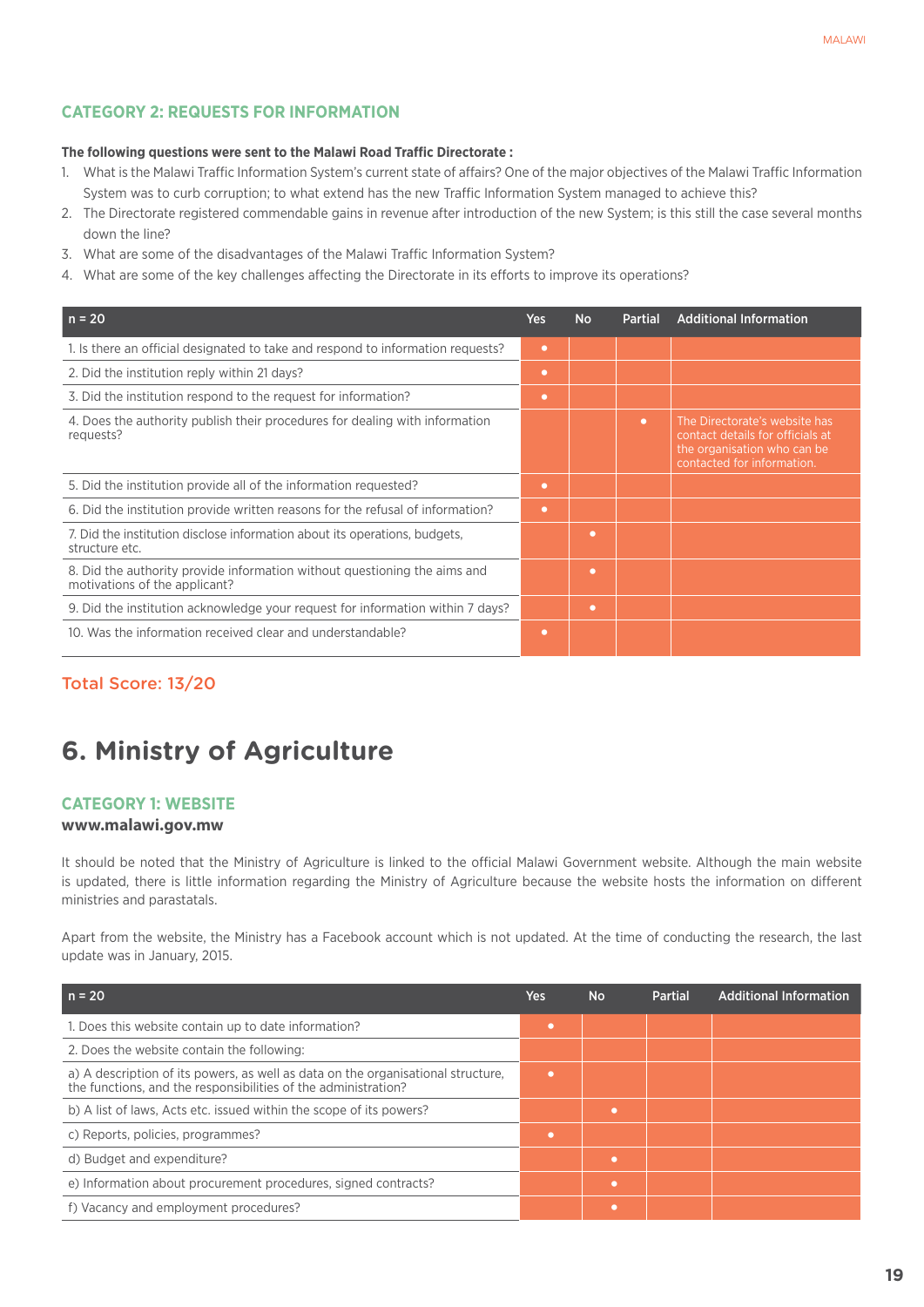# **CATEGORY 2: REQUESTS FOR INFORMATION**

#### **The following questions were sent to the Malawi Road Traffic Directorate :**

- 1. What is the Malawi Traffic Information System's current state of affairs? One of the major objectives of the Malawi Traffic Information System was to curb corruption; to what extend has the new Traffic Information System managed to achieve this?
- 2. The Directorate registered commendable gains in revenue after introduction of the new System; is this still the case several months down the line?
- 3. What are some of the disadvantages of the Malawi Traffic Information System?
- 4. What are some of the key challenges affecting the Directorate in its efforts to improve its operations?

| $n = 20$                                                                                                   | Yes       | <b>No</b> | <b>Partial</b> | <b>Additional Information</b>                                                                                                  |
|------------------------------------------------------------------------------------------------------------|-----------|-----------|----------------|--------------------------------------------------------------------------------------------------------------------------------|
| 1. Is there an official designated to take and respond to information requests?                            | $\bullet$ |           |                |                                                                                                                                |
| 2. Did the institution reply within 21 days?                                                               | $\bullet$ |           |                |                                                                                                                                |
| 3. Did the institution respond to the request for information?                                             | $\bullet$ |           |                |                                                                                                                                |
| 4. Does the authority publish their procedures for dealing with information<br>requests?                   |           |           | $\bullet$      | The Directorate's website has<br>contact details for officials at<br>the organisation who can be<br>contacted for information. |
| 5. Did the institution provide all of the information requested?                                           | $\bullet$ |           |                |                                                                                                                                |
| 6. Did the institution provide written reasons for the refusal of information?                             | $\bullet$ |           |                |                                                                                                                                |
| 7. Did the institution disclose information about its operations, budgets,<br>structure etc.               |           | $\bullet$ |                |                                                                                                                                |
| 8. Did the authority provide information without questioning the aims and<br>motivations of the applicant? |           | ٠         |                |                                                                                                                                |
| 9. Did the institution acknowledge your request for information within 7 days?                             |           | $\bullet$ |                |                                                                                                                                |
| 10. Was the information received clear and understandable?                                                 | $\bullet$ |           |                |                                                                                                                                |

## Total Score: 13/20

# **6. Ministry of Agriculture**

#### **Category 1: Website**

#### **www.malawi.gov.mw**

It should be noted that the Ministry of Agriculture is linked to the official Malawi Government website. Although the main website is updated, there is little information regarding the Ministry of Agriculture because the website hosts the information on different ministries and parastatals.

Apart from the website, the Ministry has a Facebook account which is not updated. At the time of conducting the research, the last update was in January, 2015.

| $n = 20$                                                                                                                                           | Yes       | <b>No</b> | <b>Partial</b> | <b>Additional Information</b> |
|----------------------------------------------------------------------------------------------------------------------------------------------------|-----------|-----------|----------------|-------------------------------|
| 1. Does this website contain up to date information?                                                                                               | $\bullet$ |           |                |                               |
| 2. Does the website contain the following:                                                                                                         |           |           |                |                               |
| a) A description of its powers, as well as data on the organisational structure,<br>the functions, and the responsibilities of the administration? | ٠         |           |                |                               |
| b) A list of laws, Acts etc. issued within the scope of its powers?                                                                                |           | ٠         |                |                               |
| c) Reports, policies, programmes?                                                                                                                  | $\bullet$ |           |                |                               |
| d) Budget and expenditure?                                                                                                                         |           | ٠         |                |                               |
| e) Information about procurement procedures, signed contracts?                                                                                     |           | ٠         |                |                               |
| f) Vacancy and employment procedures?                                                                                                              |           | ٠         |                |                               |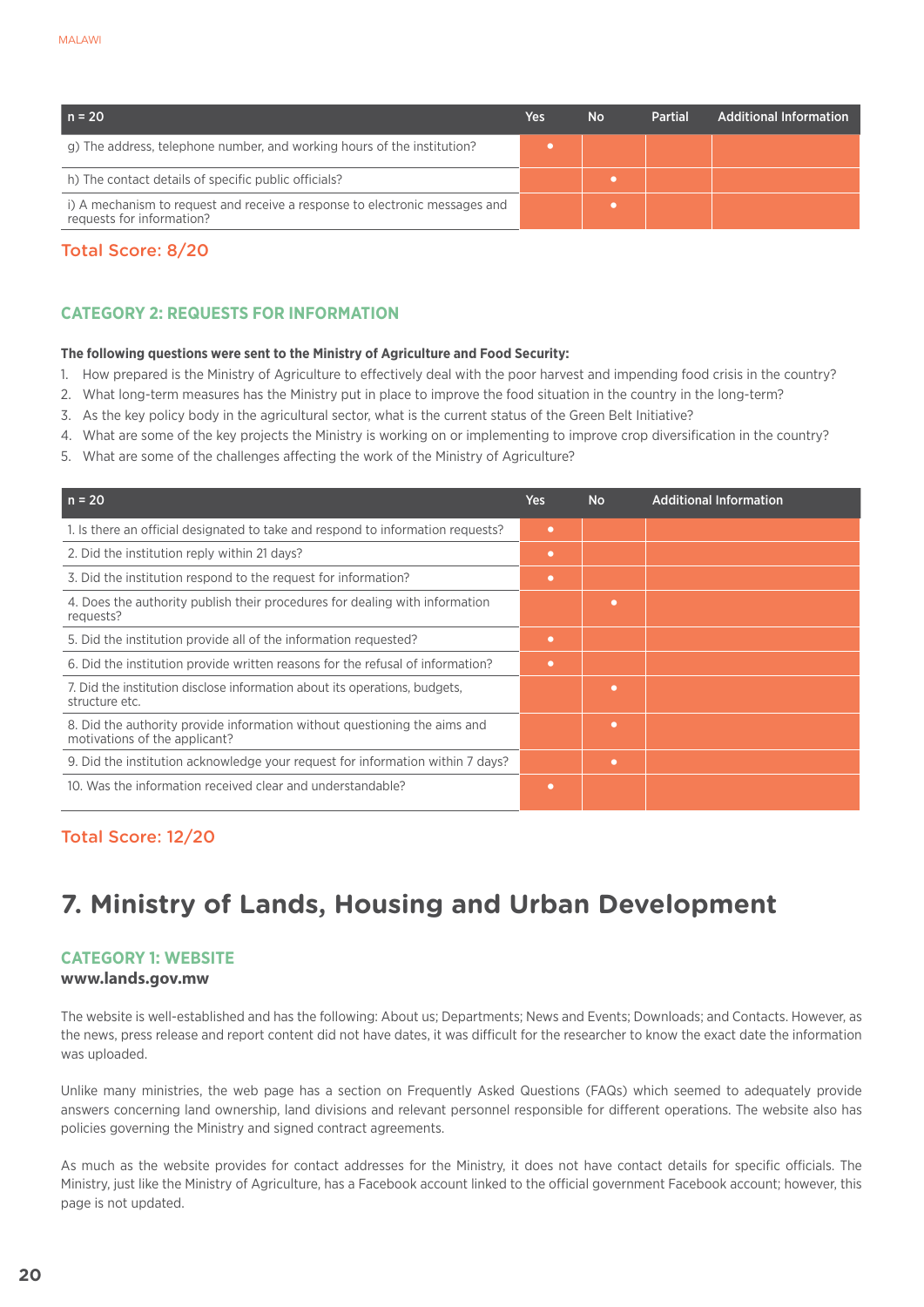| $n = 20$                                                                                                 | Yes | <b>No</b> | <b>Partial</b> | Additional Information |
|----------------------------------------------------------------------------------------------------------|-----|-----------|----------------|------------------------|
| g) The address, telephone number, and working hours of the institution?                                  |     |           |                |                        |
| h) The contact details of specific public officials?                                                     |     |           |                |                        |
| i) A mechanism to request and receive a response to electronic messages and<br>requests for information? |     |           |                |                        |

# Total Score: 8/20

# **CATEGORY 2: REQUESTS FOR INFORMATION**

#### **The following questions were sent to the Ministry of Agriculture and Food Security:**

- 1. How prepared is the Ministry of Agriculture to effectively deal with the poor harvest and impending food crisis in the country?
- 2. What long-term measures has the Ministry put in place to improve the food situation in the country in the long-term?
- 3. As the key policy body in the agricultural sector, what is the current status of the Green Belt Initiative?
- 4. What are some of the key projects the Ministry is working on or implementing to improve crop diversification in the country?
- 5. What are some of the challenges affecting the work of the Ministry of Agriculture?

| $n = 20$                                                                                                   | Yes       | <b>No</b> | <b>Additional Information</b> |
|------------------------------------------------------------------------------------------------------------|-----------|-----------|-------------------------------|
| 1. Is there an official designated to take and respond to information requests?                            | ۰         |           |                               |
| 2. Did the institution reply within 21 days?                                                               | $\bullet$ |           |                               |
| 3. Did the institution respond to the request for information?                                             | ٠         |           |                               |
| 4. Does the authority publish their procedures for dealing with information<br>requests?                   |           | ٠         |                               |
| 5. Did the institution provide all of the information requested?                                           | $\bullet$ |           |                               |
| 6. Did the institution provide written reasons for the refusal of information?                             | ۰         |           |                               |
| 7. Did the institution disclose information about its operations, budgets,<br>structure etc.               |           | ٠         |                               |
| 8. Did the authority provide information without questioning the aims and<br>motivations of the applicant? |           | ٠         |                               |
| 9. Did the institution acknowledge your request for information within 7 days?                             |           | ٠         |                               |
| 10. Was the information received clear and understandable?                                                 | ۰         |           |                               |

# Total Score: 12/20

# **7. Ministry of Lands, Housing and Urban Development**

#### **Category 1: Website**

#### **www.lands.gov.mw**

The website is well-established and has the following: About us; Departments; News and Events; Downloads; and Contacts. However, as the news, press release and report content did not have dates, it was difficult for the researcher to know the exact date the information was uploaded.

Unlike many ministries, the web page has a section on Frequently Asked Questions (FAQs) which seemed to adequately provide answers concerning land ownership, land divisions and relevant personnel responsible for different operations. The website also has policies governing the Ministry and signed contract agreements.

As much as the website provides for contact addresses for the Ministry, it does not have contact details for specific officials. The Ministry, just like the Ministry of Agriculture, has a Facebook account linked to the official government Facebook account; however, this page is not updated.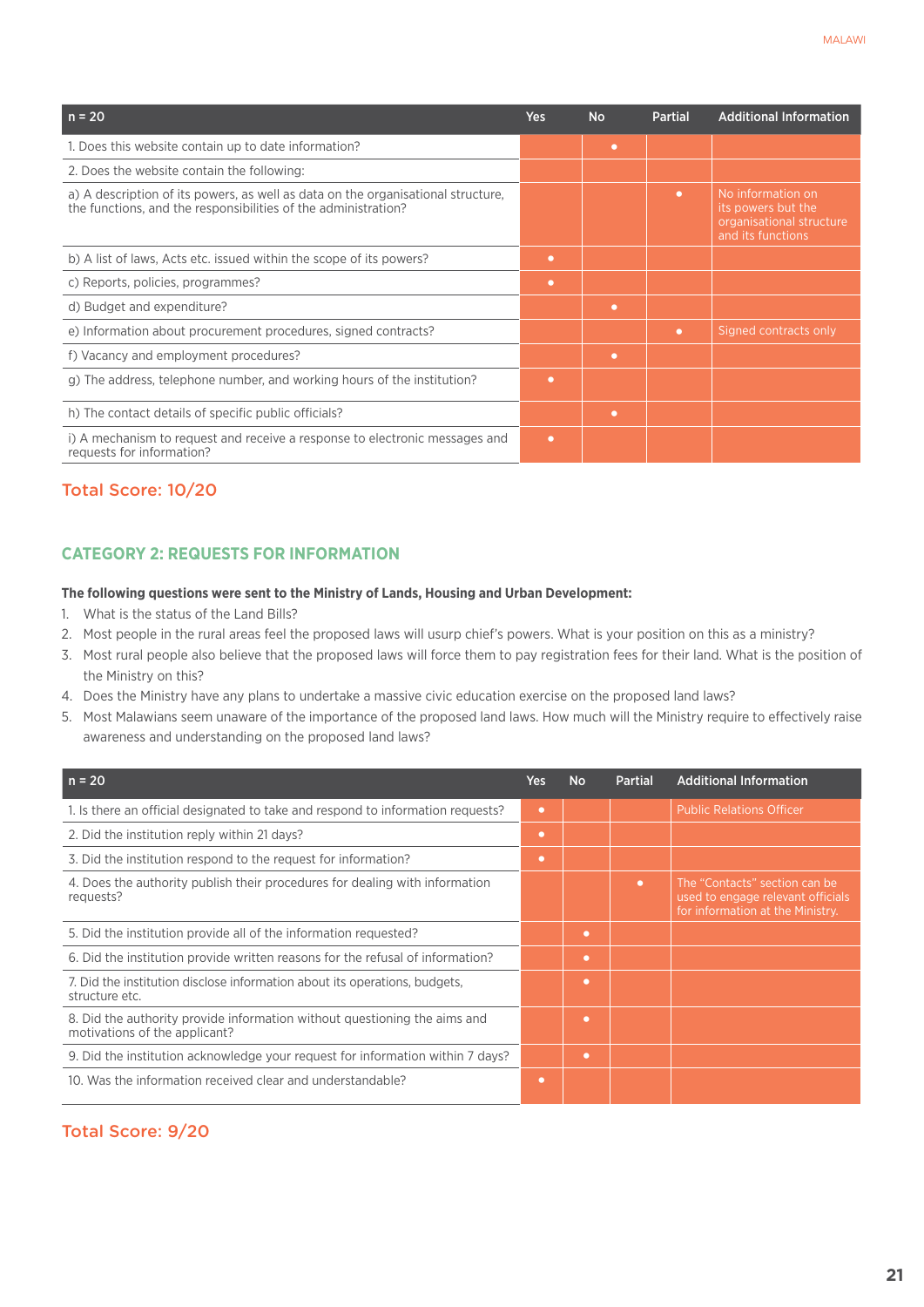| $n = 20$                                                                                                                                           | <b>Yes</b> | <b>No</b> | <b>Partial</b> | <b>Additional Information</b>                                                            |
|----------------------------------------------------------------------------------------------------------------------------------------------------|------------|-----------|----------------|------------------------------------------------------------------------------------------|
| 1. Does this website contain up to date information?                                                                                               |            | ٠         |                |                                                                                          |
| 2. Does the website contain the following:                                                                                                         |            |           |                |                                                                                          |
| a) A description of its powers, as well as data on the organisational structure,<br>the functions, and the responsibilities of the administration? |            |           | $\bullet$      | No information on<br>its powers but the<br>organisational structure<br>and its functions |
| b) A list of laws, Acts etc. issued within the scope of its powers?                                                                                | ٠          |           |                |                                                                                          |
| c) Reports, policies, programmes?                                                                                                                  | ٠          |           |                |                                                                                          |
| d) Budget and expenditure?                                                                                                                         |            | ٠         |                |                                                                                          |
| e) Information about procurement procedures, signed contracts?                                                                                     |            |           | $\bullet$      | Signed contracts only                                                                    |
| f) Vacancy and employment procedures?                                                                                                              |            | ٠         |                |                                                                                          |
| g) The address, telephone number, and working hours of the institution?                                                                            | ٠          |           |                |                                                                                          |
| h) The contact details of specific public officials?                                                                                               |            | $\bullet$ |                |                                                                                          |
| i) A mechanism to request and receive a response to electronic messages and<br>requests for information?                                           | ٠          |           |                |                                                                                          |

## Total Score: 10/20

#### **CATEGORY 2: REQUESTS FOR INFORMATION**

#### **The following questions were sent to the Ministry of Lands, Housing and Urban Development:**

- 1. What is the status of the Land Bills?
- 2. Most people in the rural areas feel the proposed laws will usurp chief's powers. What is your position on this as a ministry?
- 3. Most rural people also believe that the proposed laws will force them to pay registration fees for their land. What is the position of the Ministry on this?
- 4. Does the Ministry have any plans to undertake a massive civic education exercise on the proposed land laws?
- 5. Most Malawians seem unaware of the importance of the proposed land laws. How much will the Ministry require to effectively raise awareness and understanding on the proposed land laws?

| $n = 20$                                                                                                   | Yes: | <b>No</b> | Partial   | <b>Additional Information</b>                                                                          |
|------------------------------------------------------------------------------------------------------------|------|-----------|-----------|--------------------------------------------------------------------------------------------------------|
| 1. Is there an official designated to take and respond to information requests?                            | ۰    |           |           | <b>Public Relations Officer</b>                                                                        |
| 2. Did the institution reply within 21 days?                                                               | ۰    |           |           |                                                                                                        |
| 3. Did the institution respond to the request for information?                                             | ۰    |           |           |                                                                                                        |
| 4. Does the authority publish their procedures for dealing with information<br>requests?                   |      |           | $\bullet$ | The "Contacts" section can be<br>used to engage relevant officials<br>for information at the Ministry. |
| 5. Did the institution provide all of the information requested?                                           |      | $\bullet$ |           |                                                                                                        |
| 6. Did the institution provide written reasons for the refusal of information?                             |      | $\bullet$ |           |                                                                                                        |
| 7. Did the institution disclose information about its operations, budgets,<br>structure etc.               |      | $\bullet$ |           |                                                                                                        |
| 8. Did the authority provide information without questioning the aims and<br>motivations of the applicant? |      | $\bullet$ |           |                                                                                                        |
| 9. Did the institution acknowledge your request for information within 7 days?                             |      | $\bullet$ |           |                                                                                                        |
| 10. Was the information received clear and understandable?                                                 | ۰    |           |           |                                                                                                        |

## Total Score: 9/20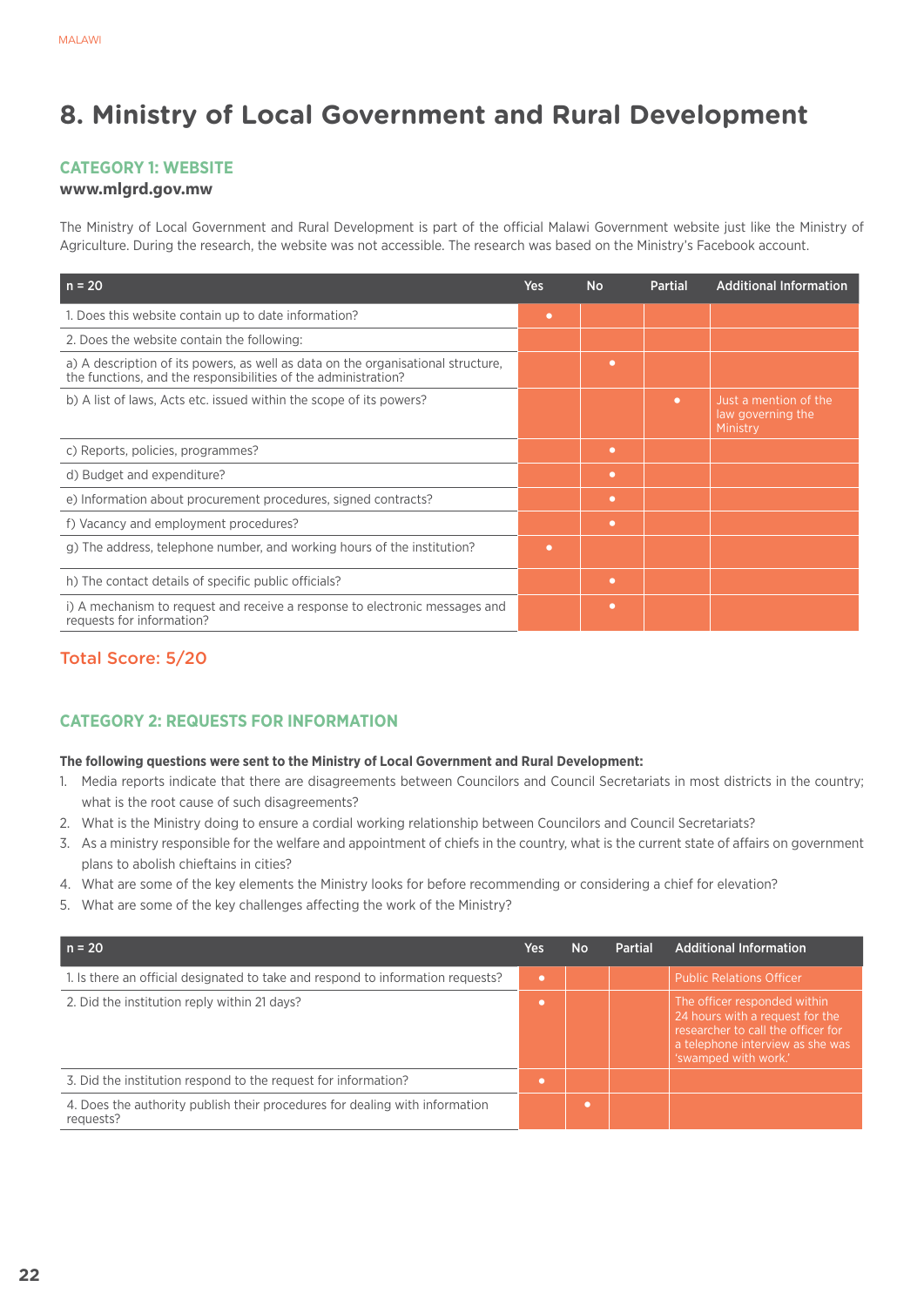# **8. Ministry of Local Government and Rural Development**

# **Category 1: Website**

### **www.mlgrd.gov.mw**

The Ministry of Local Government and Rural Development is part of the official Malawi Government website just like the Ministry of Agriculture. During the research, the website was not accessible. The research was based on the Ministry's Facebook account.

| $n = 20$                                                                                                                                           | <b>Yes</b> | <b>No</b> | <b>Partial</b> | <b>Additional Information</b>                          |
|----------------------------------------------------------------------------------------------------------------------------------------------------|------------|-----------|----------------|--------------------------------------------------------|
| 1. Does this website contain up to date information?                                                                                               | $\bullet$  |           |                |                                                        |
| 2. Does the website contain the following:                                                                                                         |            |           |                |                                                        |
| a) A description of its powers, as well as data on the organisational structure,<br>the functions, and the responsibilities of the administration? |            | ۰         |                |                                                        |
| b) A list of laws, Acts etc. issued within the scope of its powers?                                                                                |            |           | $\bullet$      | Just a mention of the<br>law governing the<br>Ministry |
| c) Reports, policies, programmes?                                                                                                                  |            | $\bullet$ |                |                                                        |
| d) Budget and expenditure?                                                                                                                         |            | $\bullet$ |                |                                                        |
| e) Information about procurement procedures, signed contracts?                                                                                     |            | $\bullet$ |                |                                                        |
| f) Vacancy and employment procedures?                                                                                                              |            | ۰         |                |                                                        |
| g) The address, telephone number, and working hours of the institution?                                                                            | ٠          |           |                |                                                        |
| h) The contact details of specific public officials?                                                                                               |            | ۰         |                |                                                        |
| i) A mechanism to request and receive a response to electronic messages and<br>requests for information?                                           |            | $\bullet$ |                |                                                        |

# Total Score: 5/20

# **CATEGORY 2: REQUESTS FOR INFORMATION**

#### **The following questions were sent to the Ministry of Local Government and Rural Development:**

- 1. Media reports indicate that there are disagreements between Councilors and Council Secretariats in most districts in the country; what is the root cause of such disagreements?
- 2. What is the Ministry doing to ensure a cordial working relationship between Councilors and Council Secretariats?
- 3. As a ministry responsible for the welfare and appointment of chiefs in the country, what is the current state of affairs on government plans to abolish chieftains in cities?
- 4. What are some of the key elements the Ministry looks for before recommending or considering a chief for elevation?
- 5. What are some of the key challenges affecting the work of the Ministry?

| $n = 20$                                                                                 | Yes | No | Partial | <b>Additional Information</b>                                                                                                                                     |
|------------------------------------------------------------------------------------------|-----|----|---------|-------------------------------------------------------------------------------------------------------------------------------------------------------------------|
| 1. Is there an official designated to take and respond to information requests?          | o   |    |         | <b>Public Relations Officer</b>                                                                                                                                   |
| 2. Did the institution reply within 21 days?                                             | ٠   |    |         | The officer responded within<br>24 hours with a request for the<br>researcher to call the officer for<br>a telephone interview as she was<br>'swamped with work.' |
| 3. Did the institution respond to the request for information?                           | ٠   |    |         |                                                                                                                                                                   |
| 4. Does the authority publish their procedures for dealing with information<br>requests? |     |    |         |                                                                                                                                                                   |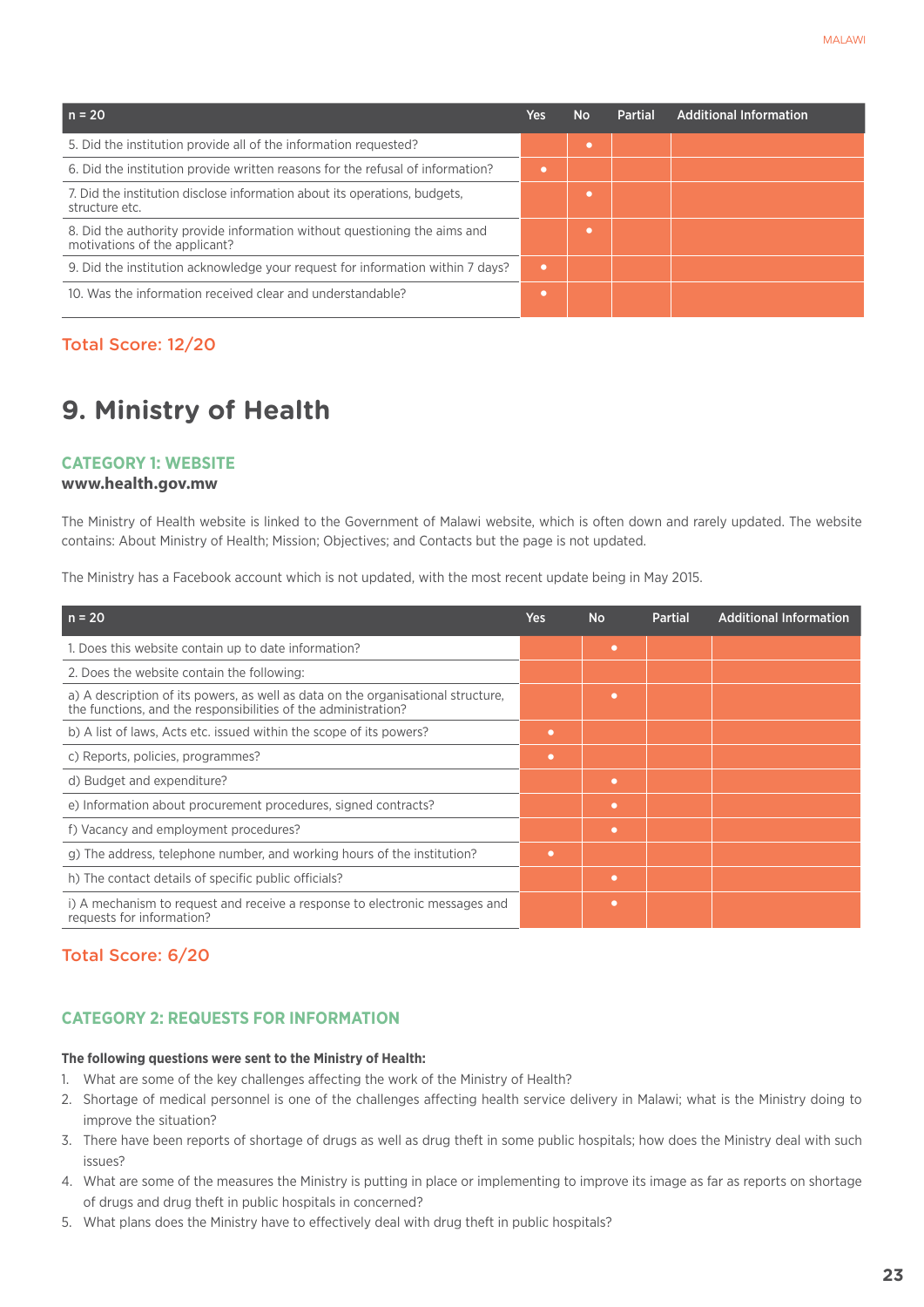| $n = 20$                                                                                                   | Yes | <b>No</b> | <b>Partial</b> | <b>Additional Information</b> |
|------------------------------------------------------------------------------------------------------------|-----|-----------|----------------|-------------------------------|
| 5. Did the institution provide all of the information requested?                                           |     |           |                |                               |
| 6. Did the institution provide written reasons for the refusal of information?                             |     |           |                |                               |
| 7. Did the institution disclose information about its operations, budgets,<br>structure etc.               |     |           |                |                               |
| 8. Did the authority provide information without questioning the aims and<br>motivations of the applicant? |     |           |                |                               |
| 9. Did the institution acknowledge your request for information within 7 days?                             |     |           |                |                               |
| 10. Was the information received clear and understandable?                                                 |     |           |                |                               |

## Total Score: 12/20

# **9. Ministry of Health**

#### **Category 1: Website**

#### **www.health.gov.mw**

The Ministry of Health website is linked to the Government of Malawi website, which is often down and rarely updated. The website contains: About Ministry of Health; Mission; Objectives; and Contacts but the page is not updated.

The Ministry has a Facebook account which is not updated, with the most recent update being in May 2015.

| $n = 20$                                                                                                                                           | <b>Yes</b> | <b>No</b> | <b>Partial</b> | <b>Additional Information</b> |
|----------------------------------------------------------------------------------------------------------------------------------------------------|------------|-----------|----------------|-------------------------------|
| 1. Does this website contain up to date information?                                                                                               |            | $\bullet$ |                |                               |
| 2. Does the website contain the following:                                                                                                         |            |           |                |                               |
| a) A description of its powers, as well as data on the organisational structure,<br>the functions, and the responsibilities of the administration? |            | ٠         |                |                               |
| b) A list of laws, Acts etc. issued within the scope of its powers?                                                                                | ۰          |           |                |                               |
| c) Reports, policies, programmes?                                                                                                                  | ٠          |           |                |                               |
| d) Budget and expenditure?                                                                                                                         |            | $\bullet$ |                |                               |
| e) Information about procurement procedures, signed contracts?                                                                                     |            | ٠         |                |                               |
| f) Vacancy and employment procedures?                                                                                                              |            | ٠         |                |                               |
| g) The address, telephone number, and working hours of the institution?                                                                            | $\bullet$  |           |                |                               |
| h) The contact details of specific public officials?                                                                                               |            | ٠         |                |                               |
| i) A mechanism to request and receive a response to electronic messages and<br>requests for information?                                           |            | $\bullet$ |                |                               |

### Total Score: 6/20

# **CATEGORY 2: REQUESTS FOR INFORMATION**

#### **The following questions were sent to the Ministry of Health:**

- 1. What are some of the key challenges affecting the work of the Ministry of Health?
- 2. Shortage of medical personnel is one of the challenges affecting health service delivery in Malawi; what is the Ministry doing to improve the situation?
- 3. There have been reports of shortage of drugs as well as drug theft in some public hospitals; how does the Ministry deal with such issues?
- 4. What are some of the measures the Ministry is putting in place or implementing to improve its image as far as reports on shortage of drugs and drug theft in public hospitals in concerned?
- 5. What plans does the Ministry have to effectively deal with drug theft in public hospitals?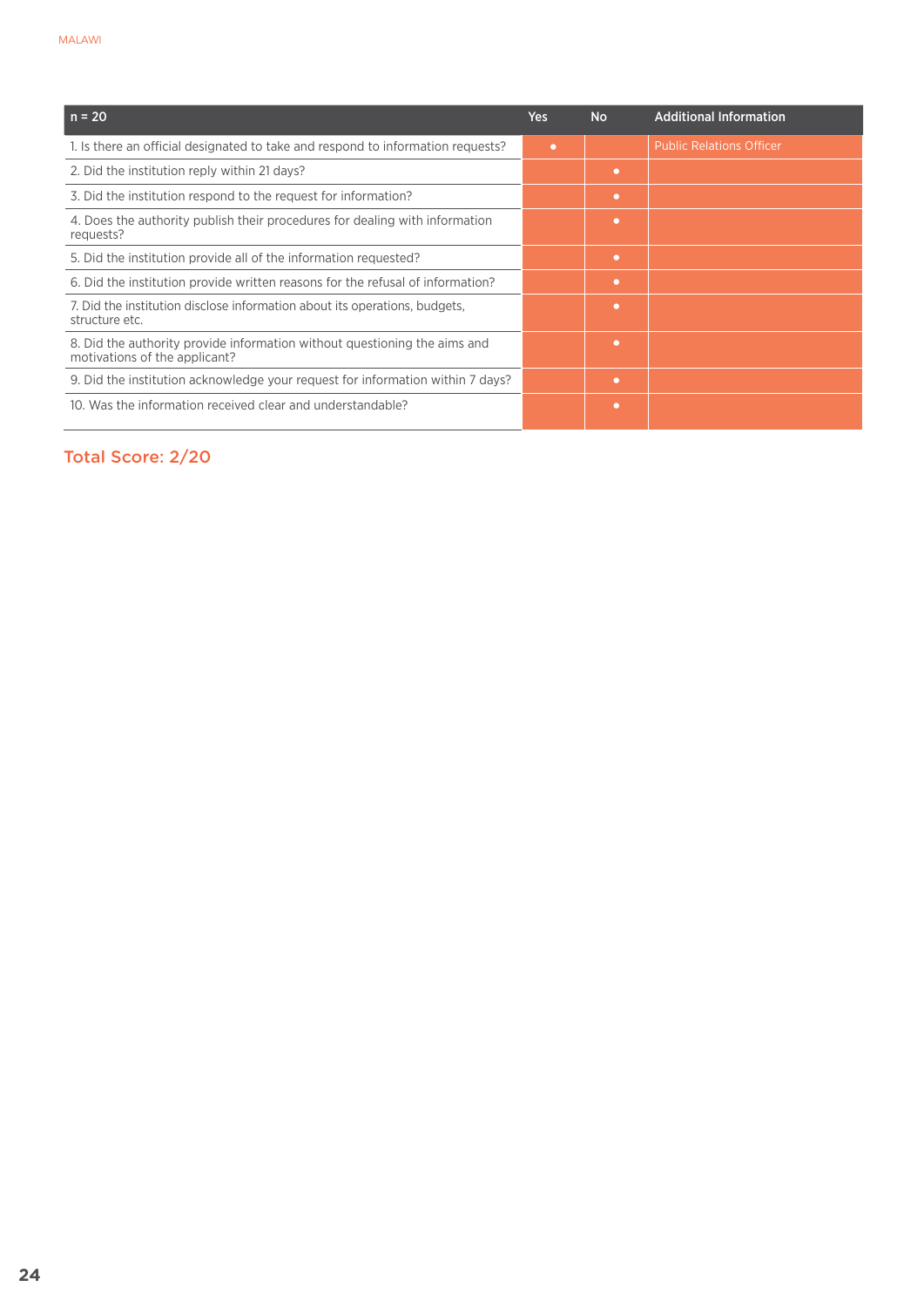| $n = 20$                                                                                                   | <b>Yes</b> | <b>No</b> | <b>Additional Information</b>   |
|------------------------------------------------------------------------------------------------------------|------------|-----------|---------------------------------|
| 1. Is there an official designated to take and respond to information requests?                            | ۰          |           | <b>Public Relations Officer</b> |
| 2. Did the institution reply within 21 days?                                                               |            | $\bullet$ |                                 |
| 3. Did the institution respond to the request for information?                                             |            | ٠         |                                 |
| 4. Does the authority publish their procedures for dealing with information<br>requests?                   |            | ٠         |                                 |
| 5. Did the institution provide all of the information requested?                                           |            | $\bullet$ |                                 |
| 6. Did the institution provide written reasons for the refusal of information?                             |            | ٠         |                                 |
| 7. Did the institution disclose information about its operations, budgets,<br>structure etc.               |            | ٠         |                                 |
| 8. Did the authority provide information without questioning the aims and<br>motivations of the applicant? |            | ٠         |                                 |
| 9. Did the institution acknowledge your request for information within 7 days?                             |            | ٠         |                                 |
| 10. Was the information received clear and understandable?                                                 |            | ٠         |                                 |

# Total Score: 2/20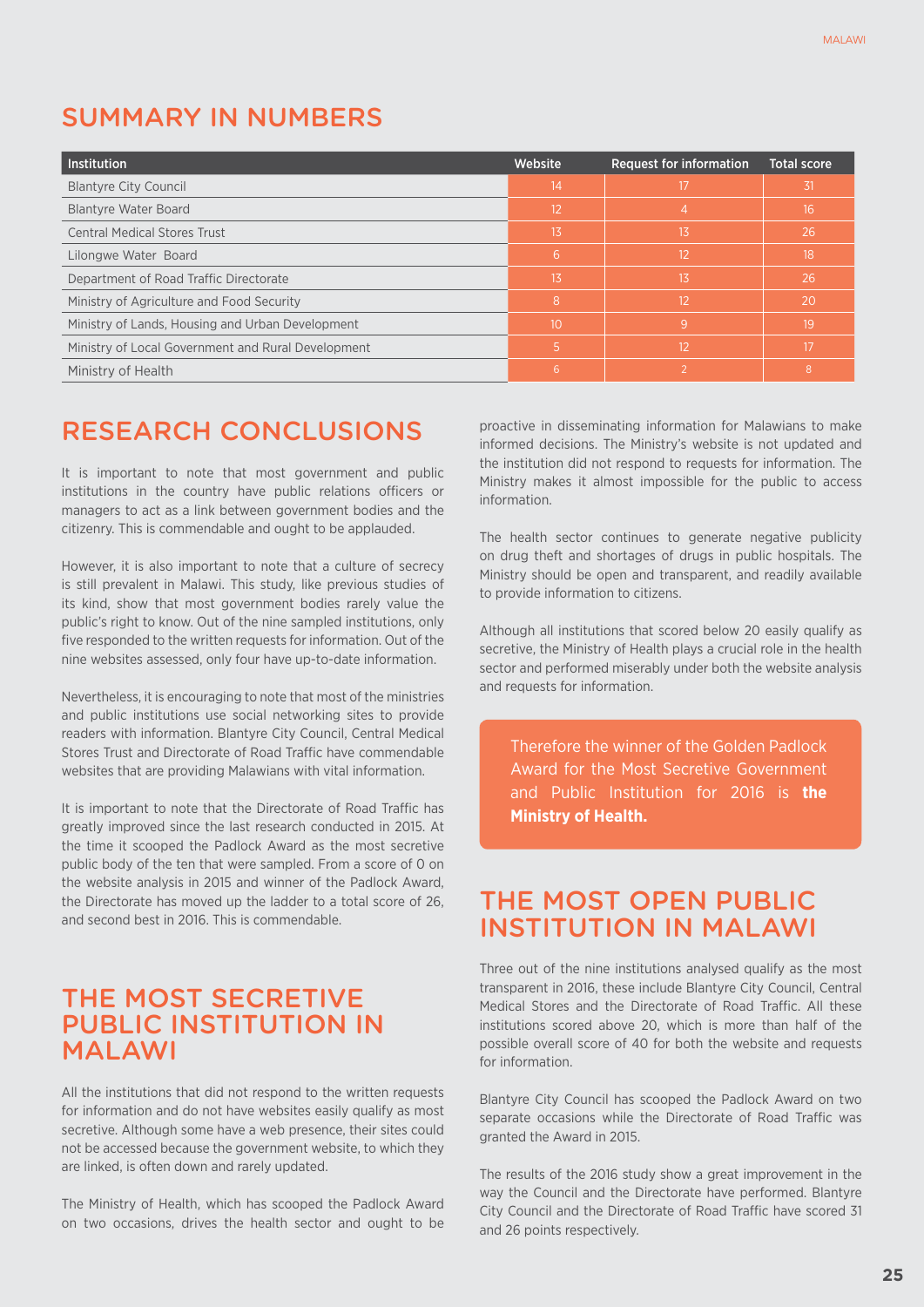# SUMMARY in NUMBERS

| <b>Institution</b>                                 | Website | <b>Request for information</b> | <b>Total score</b> |
|----------------------------------------------------|---------|--------------------------------|--------------------|
| <b>Blantyre City Council</b>                       | \14     | 17                             | 31                 |
| <b>Blantyre Water Board</b>                        | 12      | 4                              | 16                 |
| <b>Central Medical Stores Trust</b>                | 13      | 13                             | 26                 |
| Lilongwe Water Board                               | 6       | 12                             | 18                 |
| Department of Road Traffic Directorate             | 13      | 13                             | 26                 |
| Ministry of Agriculture and Food Security          | 8       | 12                             | 20                 |
| Ministry of Lands, Housing and Urban Development   | 10      | 9                              | 19                 |
| Ministry of Local Government and Rural Development | 5       | 12                             | 17                 |
| Ministry of Health                                 | 6       |                                | 8                  |

# RESEARCH CONCLUSIONS

It is important to note that most government and public institutions in the country have public relations officers or managers to act as a link between government bodies and the citizenry. This is commendable and ought to be applauded.

However, it is also important to note that a culture of secrecy is still prevalent in Malawi. This study, like previous studies of its kind, show that most government bodies rarely value the public's right to know. Out of the nine sampled institutions, only five responded to the written requests for information. Out of the nine websites assessed, only four have up-to-date information.

Nevertheless, it is encouraging to note that most of the ministries and public institutions use social networking sites to provide readers with information. Blantyre City Council, Central Medical Stores Trust and Directorate of Road Traffic have commendable websites that are providing Malawians with vital information.

It is important to note that the Directorate of Road Traffic has greatly improved since the last research conducted in 2015. At the time it scooped the Padlock Award as the most secretive public body of the ten that were sampled. From a score of 0 on the website analysis in 2015 and winner of the Padlock Award, the Directorate has moved up the ladder to a total score of 26, and second best in 2016. This is commendable.

# THE MOST SECRETIVE PUBLIC INSTITUTION IN MALAWI

All the institutions that did not respond to the written requests for information and do not have websites easily qualify as most secretive. Although some have a web presence, their sites could not be accessed because the government website, to which they are linked, is often down and rarely updated.

The Ministry of Health, which has scooped the Padlock Award on two occasions, drives the health sector and ought to be proactive in disseminating information for Malawians to make informed decisions. The Ministry's website is not updated and the institution did not respond to requests for information. The Ministry makes it almost impossible for the public to access information.

The health sector continues to generate negative publicity on drug theft and shortages of drugs in public hospitals. The Ministry should be open and transparent, and readily available to provide information to citizens.

Although all institutions that scored below 20 easily qualify as secretive, the Ministry of Health plays a crucial role in the health sector and performed miserably under both the website analysis and requests for information.

Therefore the winner of the Golden Padlock Award for the Most Secretive Government and Public Institution for 2016 is **the Ministry of Health.**

# THE MOST OPEN PUBLIC INSTITUTION IN MALAWI

Three out of the nine institutions analysed qualify as the most transparent in 2016, these include Blantyre City Council, Central Medical Stores and the Directorate of Road Traffic. All these institutions scored above 20, which is more than half of the possible overall score of 40 for both the website and requests for information.

Blantyre City Council has scooped the Padlock Award on two separate occasions while the Directorate of Road Traffic was granted the Award in 2015.

The results of the 2016 study show a great improvement in the way the Council and the Directorate have performed. Blantyre City Council and the Directorate of Road Traffic have scored 31 and 26 points respectively.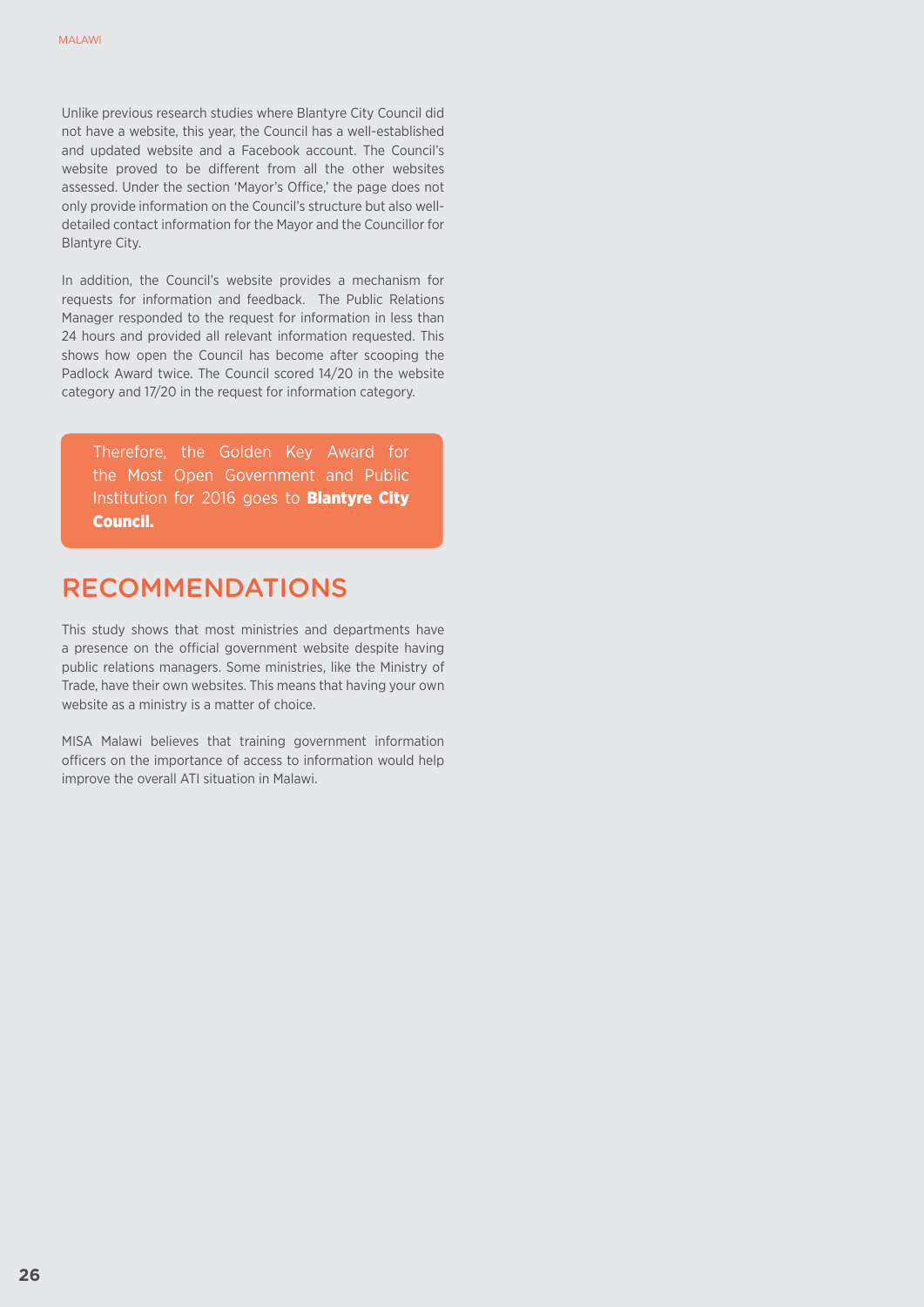Unlike previous research studies where Blantyre City Council did not have a website, this year, the Council has a well-established and updated website and a Facebook account. The Council's website proved to be different from all the other websites assessed. Under the section 'Mayor's Office,' the page does not only provide information on the Council's structure but also welldetailed contact information for the Mayor and the Councillor for Blantyre City.

In addition, the Council's website provides a mechanism for requests for information and feedback. The Public Relations Manager responded to the request for information in less than 24 hours and provided all relevant information requested. This shows how open the Council has become after scooping the Padlock Award twice. The Council scored 14/20 in the website category and 17/20 in the request for information category.

Therefore, the Golden Key Award for the Most Open Government and Public Institution for 2016 goes to **Blantyre City** Council.

# RECOMMENDATIONS

This study shows that most ministries and departments have a presence on the official government website despite having public relations managers. Some ministries, like the Ministry of Trade, have their own websites. This means that having your own website as a ministry is a matter of choice.

MISA Malawi believes that training government information officers on the importance of access to information would help improve the overall ATI situation in Malawi.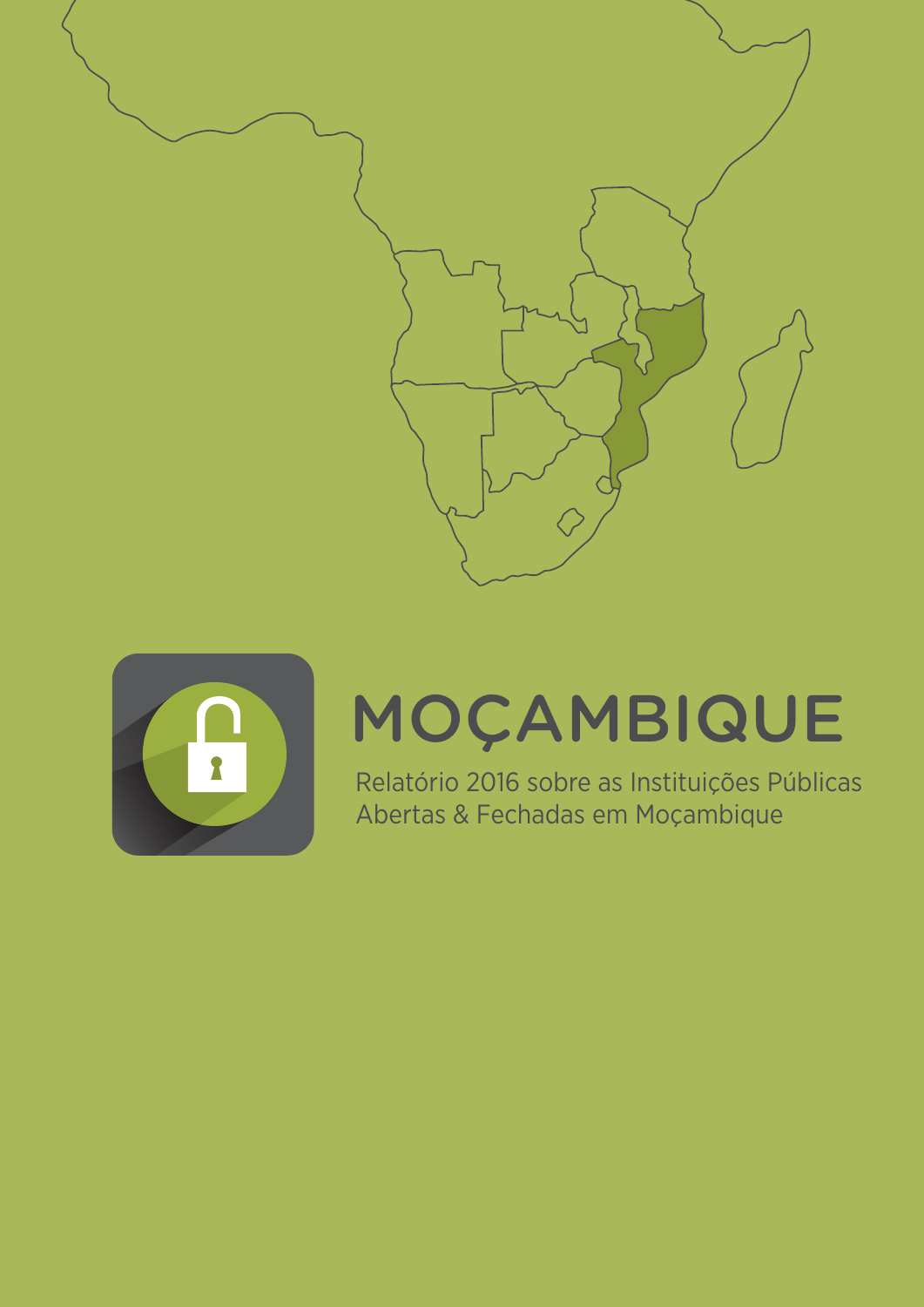



# MOÇAMBIQUE

Relatório 2016 sobre as Instituições Públicas Abertas & Fechadas em Moçambique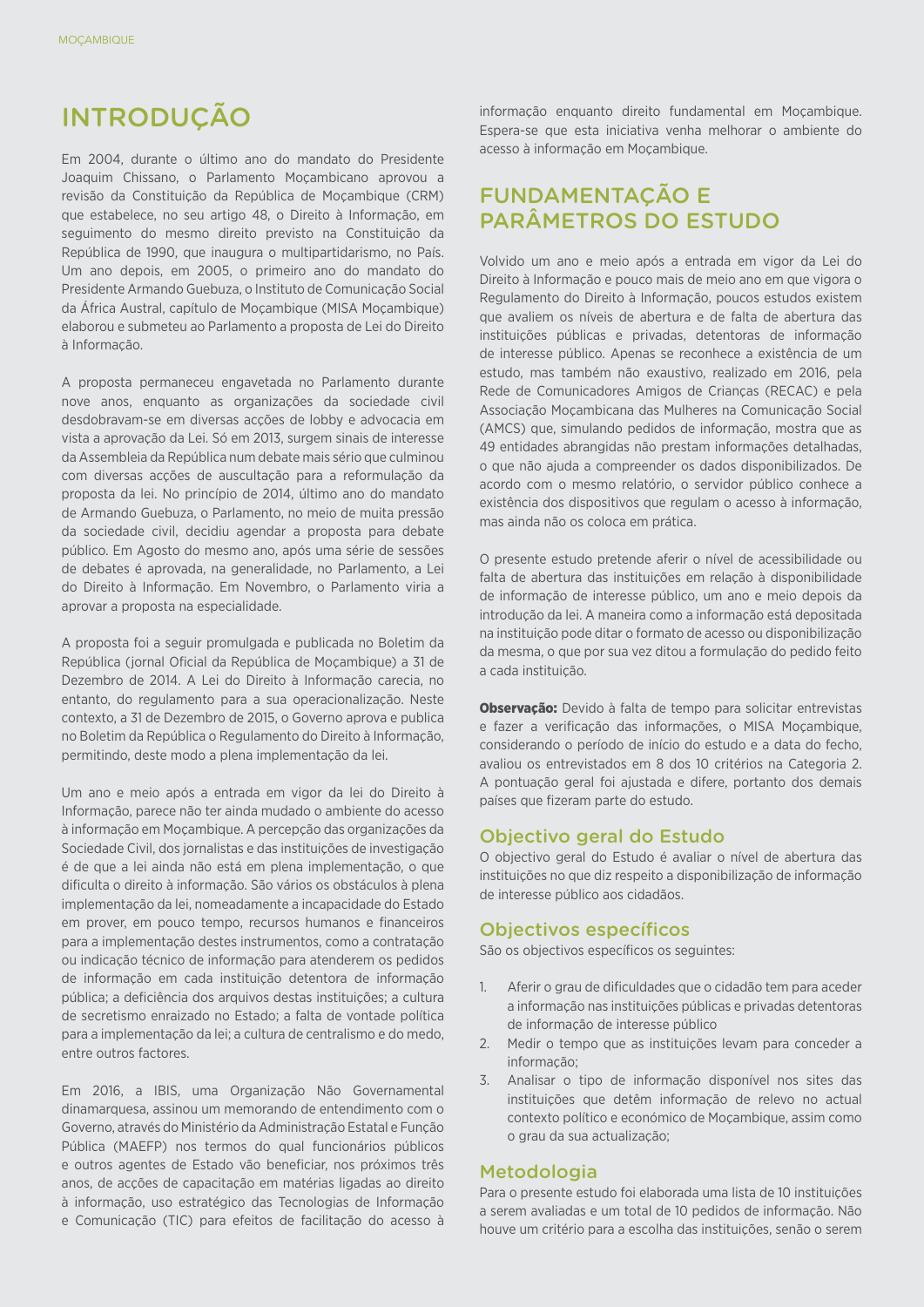# INTRODUÇÃO

Em 2004, durante o último ano do mandato do Presidente Joaquim Chissano, o Parlamento Moçambicano aprovou a revisão da Constituição da República de Moçambique (CRM) que estabelece, no seu artigo 48, o Direito à Informação, em seguimento do mesmo direito previsto na Constituição da República de 1990, que inaugura o multipartidarismo, no País. Um ano depois, em 2005, o primeiro ano do mandato do Presidente Armando Guebuza, o Instituto de Comunicação Social da África Austral, capítulo de Moçambique (MISA Moçambique) elaborou e submeteu ao Parlamento a proposta de Lei do Direito à Informação.

A proposta permaneceu engavetada no Parlamento durante nove anos, enquanto as organizações da sociedade civil desdobravam-se em diversas acções de lobby e advocacia em vista a aprovação da Lei. Só em 2013, surgem sinais de interesse da Assembleia da República num debate mais sério que culminou com diversas acções de auscultação para a reformulação da proposta da lei. No princípio de 2014, último ano do mandato de Armando Guebuza, o Parlamento, no meio de muita pressão da sociedade civil, decidiu agendar a proposta para debate público. Em Agosto do mesmo ano, após uma série de sessões de debates é aprovada, na generalidade, no Parlamento, a Lei do Direito à Informação. Em Novembro, o Parlamento viria a aprovar a proposta na especialidade.

A proposta foi a seguir promulgada e publicada no Boletim da República (jornal Oficial da República de Moçambique) a 31 de Dezembro de 2014. A Lei do Direito à Informação carecia, no entanto, do regulamento para a sua operacionalização. Neste contexto, a 31 de Dezembro de 2015, o Governo aprova e publica no Boletim da República o Regulamento do Direito à Informação, permitindo, deste modo a plena implementação da lei.

Um ano e meio após a entrada em vigor da lei do Direito à Informação, parece não ter ainda mudado o ambiente do acesso à informação em Moçambique. A percepção das organizações da Sociedade Civil, dos jornalistas e das instituições de investigação é de que a lei ainda não está em plena implementação, o que dificulta o direito à informação. São vários os obstáculos à plena implementação da lei, nomeadamente a incapacidade do Estado em prover, em pouco tempo, recursos humanos e financeiros para a implementação destes instrumentos, como a contratação ou indicação técnico de informação para atenderem os pedidos de informação em cada instituição detentora de informação pública; a deficiência dos arquivos destas instituições; a cultura de secretismo enraizado no Estado; a falta de vontade política para a implementação da lei; a cultura de centralismo e do medo, entre outros factores.

Em 2016, a IBIS, uma Organização Não Governamental dinamarquesa, assinou um memorando de entendimento com o Governo, através do Ministério da Administração Estatal e Função Pública (MAEFP) nos termos do qual funcionários públicos e outros agentes de Estado vão beneficiar, nos próximos três anos, de acções de capacitação em matérias ligadas ao direito à informação, uso estratégico das Tecnologias de Informação e Comunicação (TIC) para efeitos de facilitação do acesso à

informação enquanto direito fundamental em Moçambique. Espera-se que esta iniciativa venha melhorar o ambiente do acesso à informação em Moçambique.

# FUNDAMENTAÇÃO E PARÂMETROS DO ESTUDO

Volvido um ano e meio após a entrada em vigor da Lei do Direito à Informação e pouco mais de meio ano em que vigora o Regulamento do Direito à Informação, poucos estudos existem que avaliem os níveis de abertura e de falta de abertura das instituições públicas e privadas, detentoras de informação de interesse público. Apenas se reconhece a existência de um estudo, mas também não exaustivo, realizado em 2016, pela Rede de Comunicadores Amigos de Crianças (RECAC) e pela Associação Moçambicana das Mulheres na Comunicação Social (AMCS) que, simulando pedidos de informação, mostra que as 49 entidades abrangidas não prestam informações detalhadas, o que não ajuda a compreender os dados disponibilizados. De acordo com o mesmo relatório, o servidor público conhece a existência dos dispositivos que regulam o acesso à informação, mas ainda não os coloca em prática.

O presente estudo pretende aferir o nível de acessibilidade ou falta de abertura das instituições em relação à disponibilidade de informação de interesse público, um ano e meio depois da introdução da lei. A maneira como a informação está depositada na instituição pode ditar o formato de acesso ou disponibilização da mesma, o que por sua vez ditou a formulação do pedido feito a cada instituição.

Observação: Devido à falta de tempo para solicitar entrevistas e fazer a verificação das informações, o MISA Moçambique, considerando o período de início do estudo e a data do fecho, avaliou os entrevistados em 8 dos 10 critérios na Categoria 2. A pontuação geral foi ajustada e difere, portanto dos demais países que fizeram parte do estudo.

#### Objectivo geral do Estudo

O objectivo geral do Estudo é avaliar o nível de abertura das instituições no que diz respeito a disponibilização de informação de interesse público aos cidadãos.

#### Objectivos específicos

São os objectivos específicos os seguintes:

- 1. Aferir o grau de dificuldades que o cidadão tem para aceder a informação nas instituições públicas e privadas detentoras de informação de interesse público
- 2. Medir o tempo que as instituições levam para conceder a informação;
- 3. Analisar o tipo de informação disponível nos sites das instituições que detêm informação de relevo no actual contexto político e económico de Moçambique, assim como o grau da sua actualização;

#### Metodologia

Para o presente estudo foi elaborada uma lista de 10 instituições a serem avaliadas e um total de 10 pedidos de informação. Não houve um critério para a escolha das instituições, senão o serem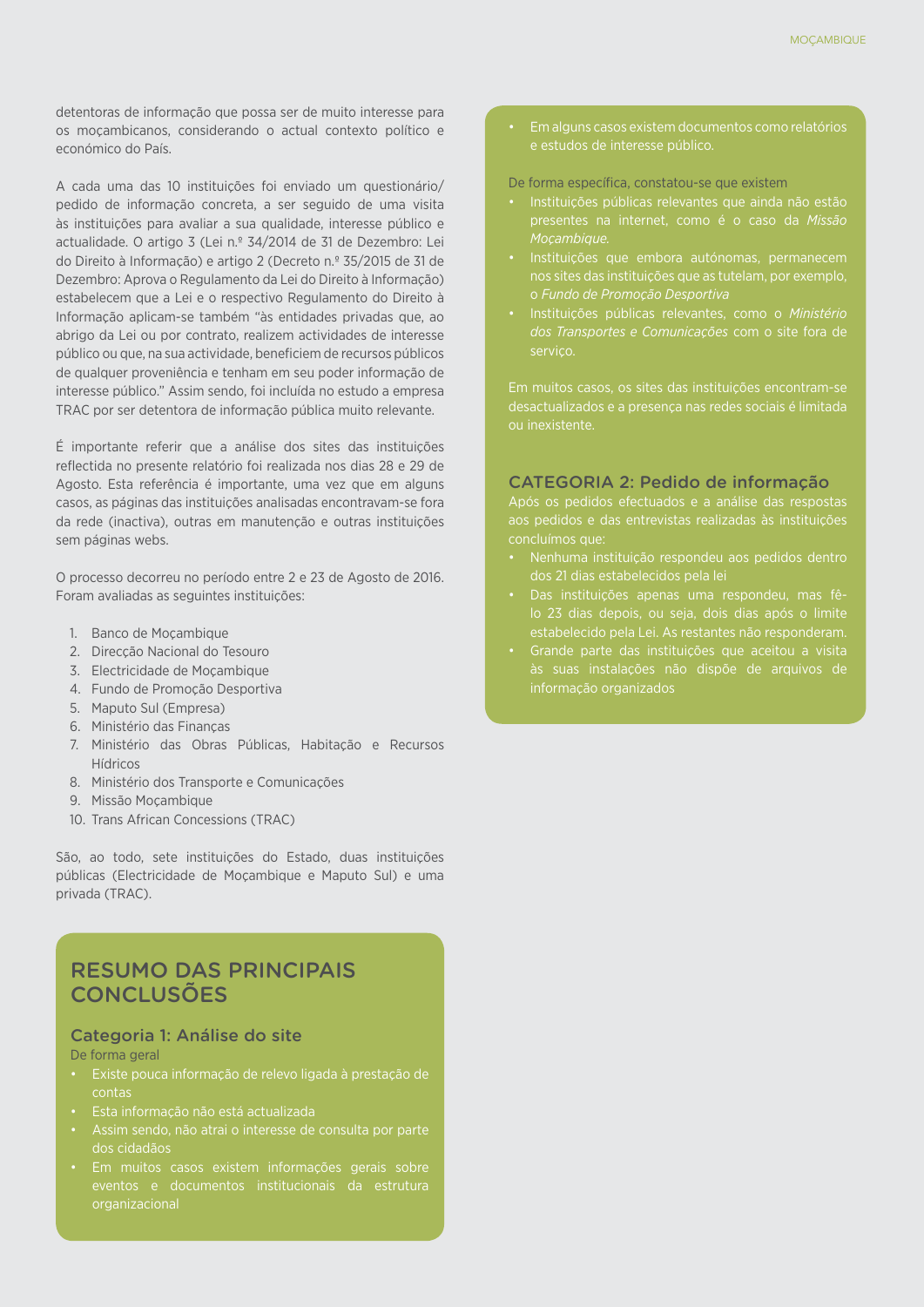detentoras de informação que possa ser de muito interesse para os moçambicanos, considerando o actual contexto político e económico do País.

A cada uma das 10 instituições foi enviado um questionário/ pedido de informação concreta, a ser seguido de uma visita às instituições para avaliar a sua qualidade, interesse público e actualidade. O artigo 3 (Lei n.º 34/2014 de 31 de Dezembro: Lei do Direito à Informação) e artigo 2 (Decreto n.º 35/2015 de 31 de Dezembro: Aprova o Regulamento da Lei do Direito à Informação) estabelecem que a Lei e o respectivo Regulamento do Direito à Informação aplicam-se também "às entidades privadas que, ao abrigo da Lei ou por contrato, realizem actividades de interesse público ou que, na sua actividade, beneficiem de recursos públicos de qualquer proveniência e tenham em seu poder informação de interesse público." Assim sendo, foi incluída no estudo a empresa TRAC por ser detentora de informação pública muito relevante.

É importante referir que a análise dos sites das instituições reflectida no presente relatório foi realizada nos dias 28 e 29 de Agosto. Esta referência é importante, uma vez que em alguns casos, as páginas das instituições analisadas encontravam-se fora da rede (inactiva), outras em manutenção e outras instituições sem páginas webs.

O processo decorreu no período entre 2 e 23 de Agosto de 2016. Foram avaliadas as seguintes instituições:

- 1. Banco de Moçambique
- 2. Direcção Nacional do Tesouro
- 3. Electricidade de Moçambique
- 4. Fundo de Promoção Desportiva
- 5. Maputo Sul (Empresa)
- 6. Ministério das Finanças
- 7. Ministério das Obras Públicas, Habitação e Recursos **Hídricos**
- 8. Ministério dos Transporte e Comunicações
- 9. Missão Moçambique
- 10. Trans African Concessions (TRAC)

São, ao todo, sete instituições do Estado, duas instituições públicas (Electricidade de Moçambique e Maputo Sul) e uma privada (TRAC).

# RESUMO DAS PRINCIPAIS **CONCLUSÕES**

#### Categoria 1: Análise do site

#### De forma geral

- • Existe pouca informação de relevo ligada à prestação de contas
- Esta informação não está actualizada
- 
- organizacional
- • Em alguns casos existem documentos como relatórios
- De forma específica, constatou-se que existem
- Instituições públicas relevantes que ainda não estão *Moçambique.*
- Instituições que embora autónomas, permanecem nos sites das instituições que as tutelam, por exemplo,
- Instituições públicas relevantes, como o Ministério *dos Transportes e Comunicações* com o site fora de serviço.

Em muitos casos, os sites das instituições encontram-se ou inexistente.

#### CATEGORIA 2: Pedido de informação

Após os pedidos efectuados e a análise das respostas aos pedidos e das entrevistas realizadas às instituições

- Nenhuma instituição respondeu aos pedidos dentro
- • Das instituições apenas uma respondeu, mas fêestabelecido pela Lei. As restantes não responderam.
- • Grande parte das instituições que aceitou a visita às suas instalações não dispõe de arquivos de informação organizados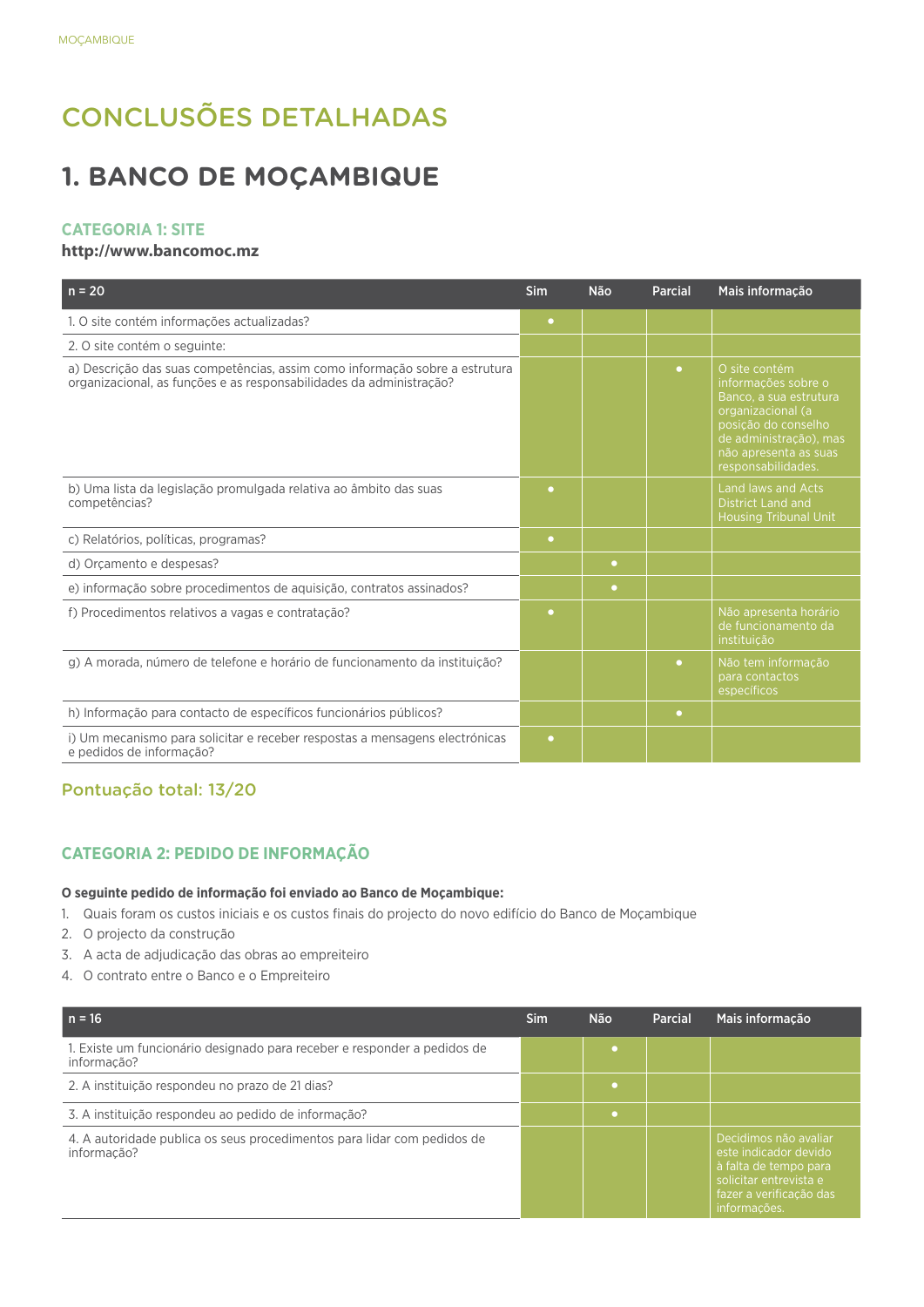# CONCLUSÕES DETALHADAS

# **1. BANCO DE MOÇAMBIQUE**

#### **CATEGORIA 1: SITE**

#### **http://www.bancomoc.mz**

| $n = 20$                                                                                                                                           | <b>Sim</b> | <b>Não</b> | <b>Parcial</b> | Mais informação                                                                                                                                                                     |
|----------------------------------------------------------------------------------------------------------------------------------------------------|------------|------------|----------------|-------------------------------------------------------------------------------------------------------------------------------------------------------------------------------------|
| 1. O site contém informações actualizadas?                                                                                                         | $\bullet$  |            |                |                                                                                                                                                                                     |
| 2. O site contém o seguinte:                                                                                                                       |            |            |                |                                                                                                                                                                                     |
| a) Descrição das suas competências, assim como informação sobre a estrutura<br>organizacional, as funções e as responsabilidades da administração? |            |            | $\bullet$      | O site contém<br>informações sobre o<br>Banco, a sua estrutura<br>organizacional (a<br>posição do conselho<br>de administração), mas<br>não apresenta as suas<br>responsabilidades. |
| b) Uma lista da legislação promulgada relativa ao âmbito das suas<br>competências?                                                                 | $\bullet$  |            |                | Land laws and Acts<br><b>District Land and</b><br><b>Housing Tribunal Unit</b>                                                                                                      |
| c) Relatórios, políticas, programas?                                                                                                               | $\bullet$  |            |                |                                                                                                                                                                                     |
| d) Orcamento e despesas?                                                                                                                           |            | $\bullet$  |                |                                                                                                                                                                                     |
| e) informação sobre procedimentos de aquisição, contratos assinados?                                                                               |            | $\bullet$  |                |                                                                                                                                                                                     |
| f) Procedimentos relativos a vagas e contratação?                                                                                                  | ۰          |            |                | Não apresenta horário<br>de funcionamento da<br>instituição                                                                                                                         |
| g) A morada, número de telefone e horário de funcionamento da instituição?                                                                         |            |            | $\bullet$      | Não tem informação<br>para contactos<br>específicos                                                                                                                                 |
| h) Informação para contacto de específicos funcionários públicos?                                                                                  |            |            | $\bullet$      |                                                                                                                                                                                     |
| i) Um mecanismo para solicitar e receber respostas a mensagens electrónicas<br>e pedidos de informação?                                            | $\bullet$  |            |                |                                                                                                                                                                                     |

# Pontuação total: 13/20

# **CATEGORIA 2: PEDIDO DE INFORMAÇÃO**

#### **O seguinte pedido de informação foi enviado ao Banco de Moçambique:**

- 1. Quais foram os custos iniciais e os custos finais do projecto do novo edifício do Banco de Moçambique
- 2. O projecto da construção
- 3. A acta de adjudicação das obras ao empreiteiro
- 4. O contrato entre o Banco e o Empreiteiro

| $n = 16$                                                                                | Sim | <b>Não</b> | <b>Parcial</b> | Mais informação                                                                                                                              |
|-----------------------------------------------------------------------------------------|-----|------------|----------------|----------------------------------------------------------------------------------------------------------------------------------------------|
| 1. Existe um funcionário designado para receber e responder a pedidos de<br>informação? |     |            |                |                                                                                                                                              |
| 2. A instituição respondeu no prazo de 21 dias?                                         |     |            |                |                                                                                                                                              |
| 3. A instituição respondeu ao pedido de informação?                                     |     |            |                |                                                                                                                                              |
| 4. A autoridade publica os seus procedimentos para lidar com pedidos de<br>informação?  |     |            |                | Decidimos não avaliar<br>este indicador devido<br>à falta de tempo para<br>solicitar entrevista e<br>fazer a verificação das<br>informações. |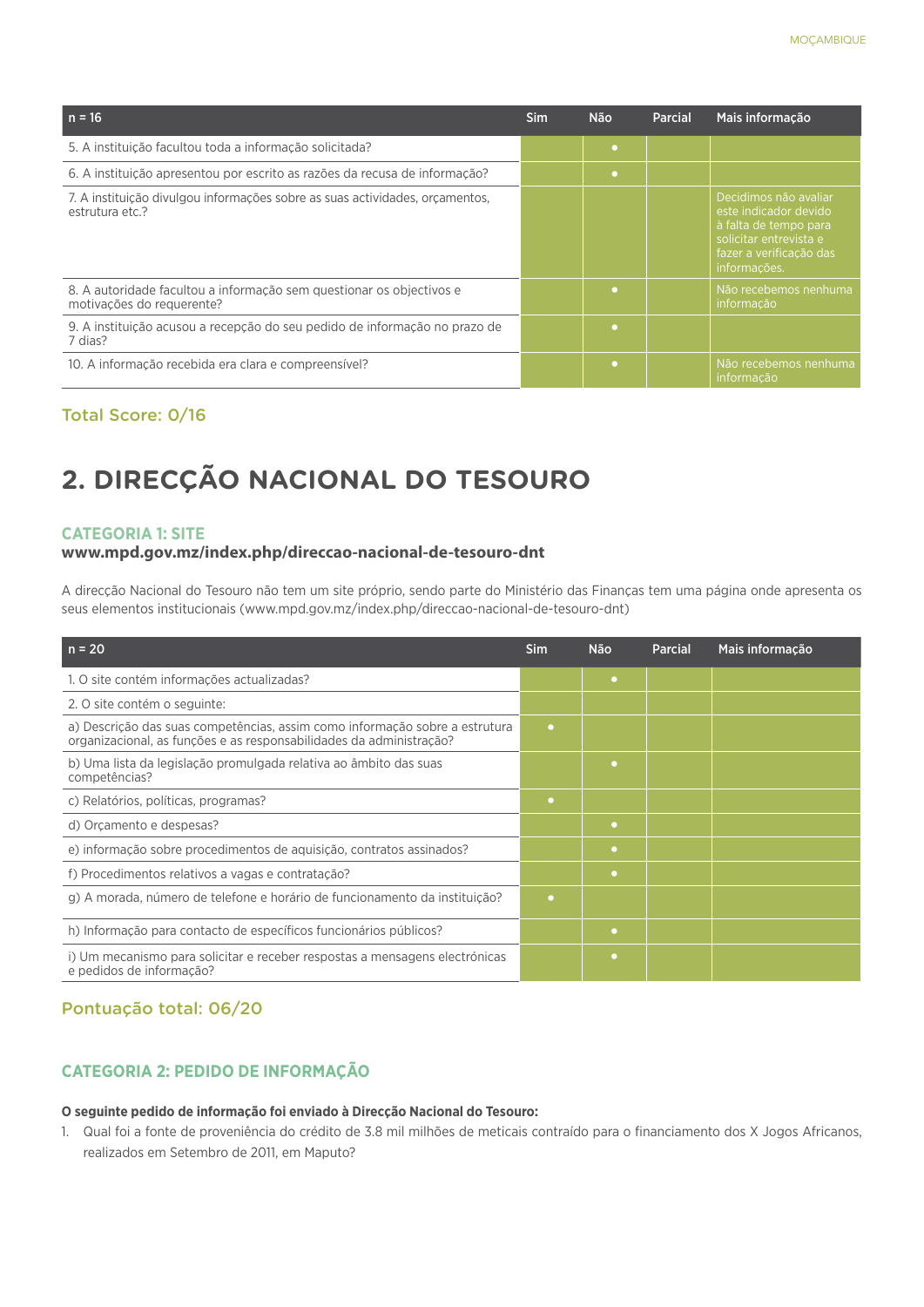| $n = 16$                                                                                          | <b>Sim</b> | <b>Não</b> | Parcial | Mais informação                                                                                                                              |
|---------------------------------------------------------------------------------------------------|------------|------------|---------|----------------------------------------------------------------------------------------------------------------------------------------------|
| 5. A instituição facultou toda a informação solicitada?                                           |            | $\bullet$  |         |                                                                                                                                              |
| 6. A instituição apresentou por escrito as razões da recusa de informação?                        |            | $\bullet$  |         |                                                                                                                                              |
| 7. A instituição divulgou informações sobre as suas actividades, or camentos,<br>estrutura etc.?  |            |            |         | Decidimos não avaliar<br>este indicador devido<br>à falta de tempo para<br>solicitar entrevista e<br>fazer a verificação das<br>informações. |
| 8. A autoridade facultou a informação sem questionar os objectivos e<br>motivações do requerente? |            | ٠          |         | Não recebemos nenhuma<br>informação                                                                                                          |
| 9. A instituição acusou a recepção do seu pedido de informação no prazo de<br>7 dias?             |            | ٠          |         |                                                                                                                                              |
| 10. A informação recebida era clara e compreensível?                                              |            | ٠          |         | Não recebemos nenhuma<br>informação                                                                                                          |

#### Total Score: 0/16

# **2. DIRECÇÃO NACIONAL DO TESOURO**

#### **CATEGORIA 1: SITE**

#### **www.mpd.gov.mz/index.php/direccao-nacional-de-tesouro-dnt**

A direcção Nacional do Tesouro não tem um site próprio, sendo parte do Ministério das Finanças tem uma página onde apresenta os seus elementos institucionais (www.mpd.gov.mz/index.php/direccao-nacional-de-tesouro-dnt)

| $n = 20$                                                                                                                                           | Sim       | <b>Não</b> | <b>Parcial</b> | Mais informação |
|----------------------------------------------------------------------------------------------------------------------------------------------------|-----------|------------|----------------|-----------------|
| 1. O site contém informações actualizadas?                                                                                                         |           | ۰          |                |                 |
| 2. O site contém o seguinte:                                                                                                                       |           |            |                |                 |
| a) Descrição das suas competências, assim como informação sobre a estrutura<br>organizacional, as funções e as responsabilidades da administração? | $\bullet$ |            |                |                 |
| b) Uma lista da legislação promulgada relativa ao âmbito das suas<br>competências?                                                                 |           | ٠          |                |                 |
| c) Relatórios, políticas, programas?                                                                                                               | $\bullet$ |            |                |                 |
| d) Orcamento e despesas?                                                                                                                           |           | ٠          |                |                 |
| e) informação sobre procedimentos de aquisição, contratos assinados?                                                                               |           | ۰          |                |                 |
| f) Procedimentos relativos a vagas e contratação?                                                                                                  |           | $\bullet$  |                |                 |
| g) A morada, número de telefone e horário de funcionamento da instituição?                                                                         | ٠         |            |                |                 |
| h) Informação para contacto de específicos funcionários públicos?                                                                                  |           | $\bullet$  |                |                 |
| i) Um mecanismo para solicitar e receber respostas a mensagens electrónicas<br>e pedidos de informação?                                            |           | ۰          |                |                 |

# Pontuação total: 06/20

## **CATEGORIA 2: PEDIDO DE INFORMAÇÃO**

#### **O seguinte pedido de informação foi enviado à Direcção Nacional do Tesouro:**

1. Qual foi a fonte de proveniência do crédito de 3.8 mil milhões de meticais contraído para o financiamento dos X Jogos Africanos, realizados em Setembro de 2011, em Maputo?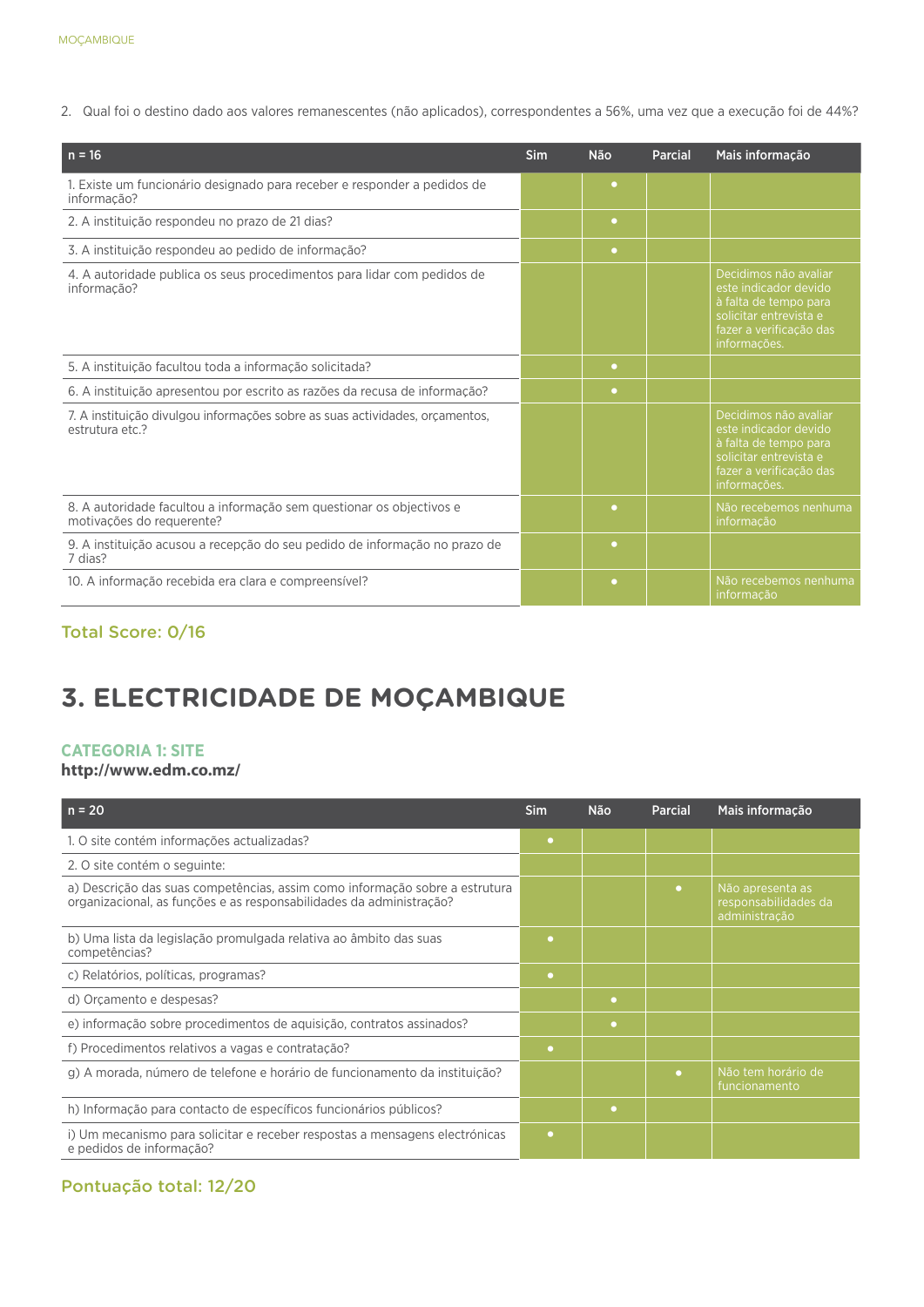2. Qual foi o destino dado aos valores remanescentes (não aplicados), correspondentes a 56%, uma vez que a execução foi de 44%?

| $n = 16$                                                                                          | <b>Sim</b> | <b>Não</b> | <b>Parcial</b> | Mais informação                                                                                                                              |
|---------------------------------------------------------------------------------------------------|------------|------------|----------------|----------------------------------------------------------------------------------------------------------------------------------------------|
| 1. Existe um funcionário designado para receber e responder a pedidos de<br>informação?           |            | $\bullet$  |                |                                                                                                                                              |
| 2. A instituição respondeu no prazo de 21 dias?                                                   |            | $\bullet$  |                |                                                                                                                                              |
| 3. A instituição respondeu ao pedido de informação?                                               |            | $\bullet$  |                |                                                                                                                                              |
| 4. A autoridade publica os seus procedimentos para lidar com pedidos de<br>informação?            |            |            |                | Decidimos não avaliar<br>este indicador devido<br>à falta de tempo para<br>solicitar entrevista e<br>fazer a verificação das<br>informações. |
| 5. A instituição facultou toda a informação solicitada?                                           |            | $\bullet$  |                |                                                                                                                                              |
| 6. A instituição apresentou por escrito as razões da recusa de informação?                        |            | $\bullet$  |                |                                                                                                                                              |
| 7. A instituição divulgou informações sobre as suas actividades, orgamentos,<br>estrutura etc.?   |            |            |                | Decidimos não avaliar<br>este indicador devido<br>à falta de tempo para<br>solicitar entrevista e<br>fazer a verificação das<br>informações. |
| 8. A autoridade facultou a informação sem questionar os objectivos e<br>motivações do requerente? |            | ۰          |                | Não recebemos nenhuma<br>informação                                                                                                          |
| 9. A instituição acusou a recepção do seu pedido de informação no prazo de<br>7 dias?             |            | $\bullet$  |                |                                                                                                                                              |
| 10. A informação recebida era clara e compreensível?                                              |            | $\bullet$  |                | Não recebemos nenhuma<br>informação                                                                                                          |

# Total Score: 0/16

# **3. ELECTRICIDADE DE MOÇAMBIQUE**

### **CATEGORIA 1: SITE**

## **http://www.edm.co.mz/**

| $n = 20$                                                                                                                                           | <b>Sim</b> | <b>Não</b> | <b>Parcial</b> | Mais informação                                           |
|----------------------------------------------------------------------------------------------------------------------------------------------------|------------|------------|----------------|-----------------------------------------------------------|
| 1. O site contém informações actualizadas?                                                                                                         | ۰          |            |                |                                                           |
| 2. O site contém o seguinte:                                                                                                                       |            |            |                |                                                           |
| a) Descrição das suas competências, assim como informação sobre a estrutura<br>organizacional, as funções e as responsabilidades da administração? |            |            | $\bullet$      | Não apresenta as<br>responsabilidades da<br>administração |
| b) Uma lista da legislação promulgada relativa ao âmbito das suas<br>competências?                                                                 | ٠          |            |                |                                                           |
| c) Relatórios, políticas, programas?                                                                                                               | $\bullet$  |            |                |                                                           |
| d) Orcamento e despesas?                                                                                                                           |            | $\bullet$  |                |                                                           |
| e) informação sobre procedimentos de aquisição, contratos assinados?                                                                               |            | ۰          |                |                                                           |
| f) Procedimentos relativos a vagas e contratação?                                                                                                  | $\bullet$  |            |                |                                                           |
| g) A morada, número de telefone e horário de funcionamento da instituição?                                                                         |            |            | $\bullet$      | Não tem horário de<br>funcionamento                       |
| h) Informação para contacto de específicos funcionários públicos?                                                                                  |            | $\bullet$  |                |                                                           |
| i) Um mecanismo para solicitar e receber respostas a mensagens electrónicas<br>e pedidos de informação?                                            | ٠          |            |                |                                                           |

# Pontuação total: 12/20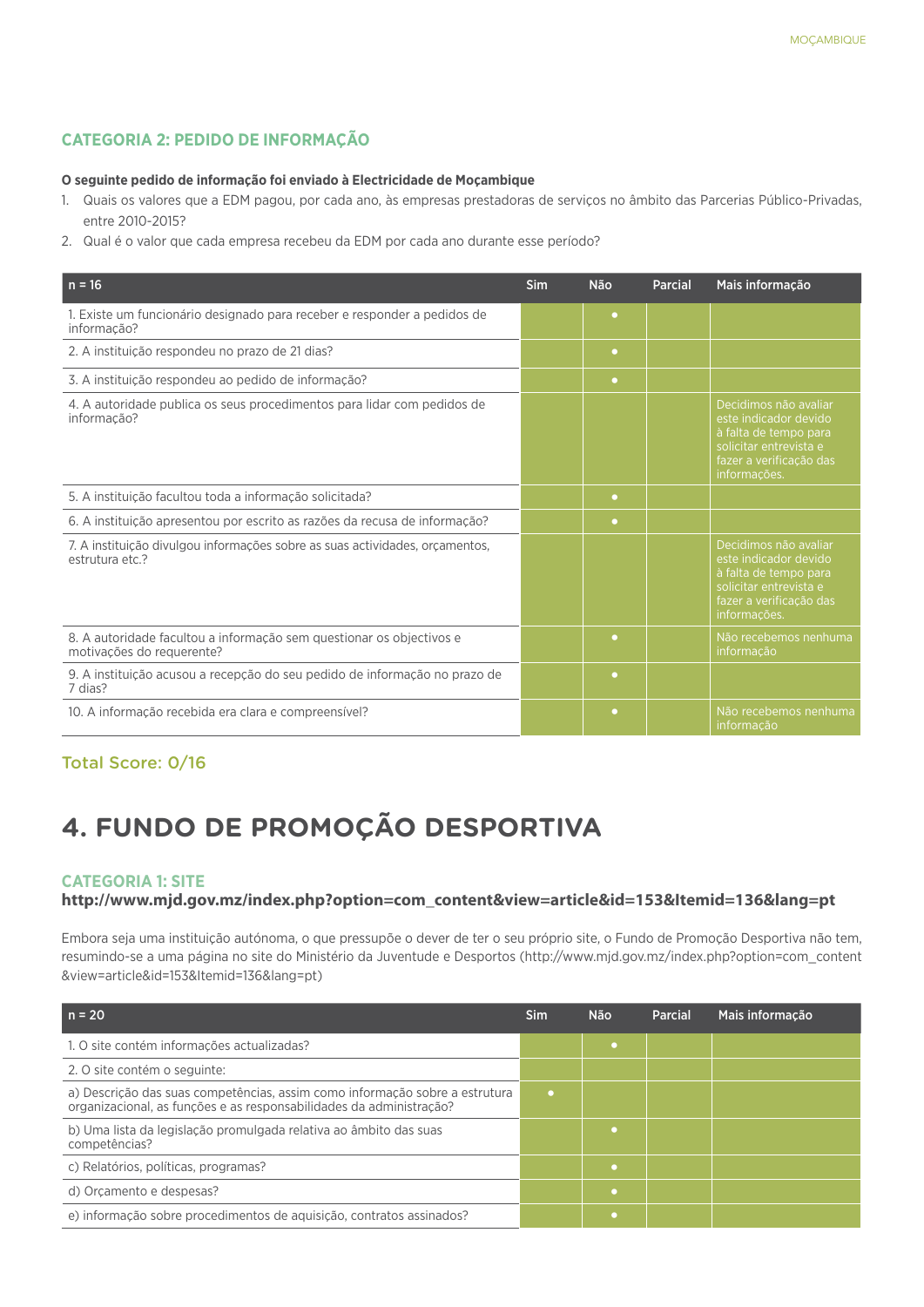# **CATEGORIA 2: PEDIDO DE INFORMAÇÃO**

#### **O seguinte pedido de informação foi enviado à Electricidade de Moçambique**

- 1. Quais os valores que a EDM pagou, por cada ano, às empresas prestadoras de serviços no âmbito das Parcerias Público-Privadas, entre 2010-2015?
- 2. Qual é o valor que cada empresa recebeu da EDM por cada ano durante esse período?

| $n = 16$                                                                                          | <b>Sim</b> | <b>Não</b> | Parcial | Mais informação                                                                                                                              |
|---------------------------------------------------------------------------------------------------|------------|------------|---------|----------------------------------------------------------------------------------------------------------------------------------------------|
| 1. Existe um funcionário designado para receber e responder a pedidos de<br>informação?           |            | $\bullet$  |         |                                                                                                                                              |
| 2. A instituição respondeu no prazo de 21 dias?                                                   |            | $\bullet$  |         |                                                                                                                                              |
| 3. A instituição respondeu ao pedido de informação?                                               |            | $\bullet$  |         |                                                                                                                                              |
| 4. A autoridade publica os seus procedimentos para lidar com pedidos de<br>informação?            |            |            |         | Decidimos não avaliar<br>este indicador devido<br>à falta de tempo para<br>solicitar entrevista e<br>fazer a verificação das<br>informações. |
| 5. A instituição facultou toda a informação solicitada?                                           |            | $\bullet$  |         |                                                                                                                                              |
| 6. A instituição apresentou por escrito as razões da recusa de informação?                        |            | $\bullet$  |         |                                                                                                                                              |
| 7. A instituição divulgou informações sobre as suas actividades, orcamentos,<br>estrutura etc.?   |            |            |         | Decidimos não avaliar<br>este indicador devido<br>à falta de tempo para<br>solicitar entrevista e<br>fazer a verificação das<br>informações. |
| 8. A autoridade facultou a informação sem questionar os objectivos e<br>motivações do requerente? |            | $\bullet$  |         | Não recebemos nenhuma<br>informação                                                                                                          |
| 9. A instituição acusou a recepção do seu pedido de informação no prazo de<br>7 dias?             |            | $\bullet$  |         |                                                                                                                                              |
| 10. A informação recebida era clara e compreensível?                                              |            | ۰          |         | Não recebemos nenhuma<br>informação                                                                                                          |

## Total Score: 0/16

# **4. FUNDO DE PROMOÇÃO DESPORTIVA**

#### **CATEGORIA 1: SITE**

#### **http://www.mjd.gov.mz/index.php?option=com\_content&view=article&id=153&Itemid=136&lang=pt**

Embora seja uma instituição autónoma, o que pressupõe o dever de ter o seu próprio site, o Fundo de Promoção Desportiva não tem, resumindo-se a uma página no site do Ministério da Juventude e Desportos (http://www.mjd.gov.mz/index.php?option=com\_content &view=article&id=153&Itemid=136&lang=pt)

| $n = 20$                                                                                                                                           | Sim | Não       | <b>Parcial</b> | Mais informação |
|----------------------------------------------------------------------------------------------------------------------------------------------------|-----|-----------|----------------|-----------------|
| 1. O site contém informações actualizadas?                                                                                                         |     | $\bullet$ |                |                 |
| 2. O site contém o seguinte:                                                                                                                       |     |           |                |                 |
| a) Descrição das suas competências, assim como informação sobre a estrutura<br>organizacional, as funções e as responsabilidades da administração? | ٠   |           |                |                 |
| b) Uma lista da legislação promulgada relativa ao âmbito das suas<br>competências?                                                                 |     |           |                |                 |
| c) Relatórios, políticas, programas?                                                                                                               |     | $\bullet$ |                |                 |
| d) Orcamento e despesas?                                                                                                                           |     | ٠         |                |                 |
| e) informação sobre procedimentos de aquisição, contratos assinados?                                                                               |     |           |                |                 |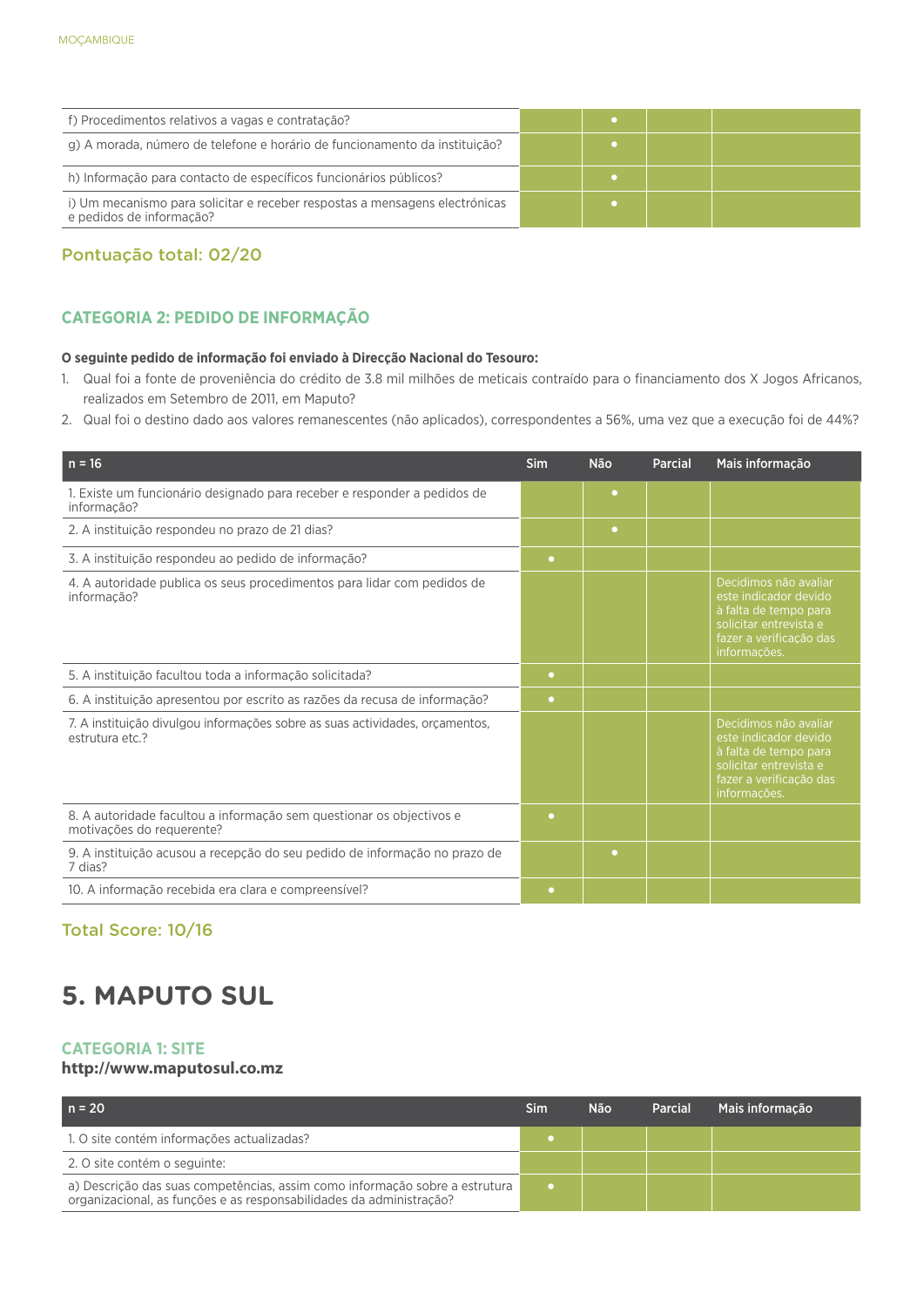| f) Procedimentos relativos a vagas e contratação?                                                       |  |  |
|---------------------------------------------------------------------------------------------------------|--|--|
| g) A morada, número de telefone e horário de funcionamento da instituição?                              |  |  |
| h) Informação para contacto de específicos funcionários públicos?                                       |  |  |
| i) Um mecanismo para solicitar e receber respostas a mensagens electrónicas<br>e pedidos de informação? |  |  |

# Pontuação total: 02/20

# **CATEGORIA 2: PEDIDO DE INFORMAÇÃO**

#### **O seguinte pedido de informação foi enviado à Direcção Nacional do Tesouro:**

- 1. Qual foi a fonte de proveniência do crédito de 3.8 mil milhões de meticais contraído para o financiamento dos X Jogos Africanos, realizados em Setembro de 2011, em Maputo?
- 2. Qual foi o destino dado aos valores remanescentes (não aplicados), correspondentes a 56%, uma vez que a execução foi de 44%?

| $n = 16$                                                                                          | Sim       | <b>Não</b> | Parcial | Mais informação                                                                                                                              |
|---------------------------------------------------------------------------------------------------|-----------|------------|---------|----------------------------------------------------------------------------------------------------------------------------------------------|
| 1. Existe um funcionário designado para receber e responder a pedidos de<br>informação?           |           | ٠          |         |                                                                                                                                              |
| 2. A instituição respondeu no prazo de 21 dias?                                                   |           | $\bullet$  |         |                                                                                                                                              |
| 3. A instituição respondeu ao pedido de informação?                                               | $\bullet$ |            |         |                                                                                                                                              |
| 4. A autoridade publica os seus procedimentos para lidar com pedidos de<br>informação?            |           |            |         | Decidimos não avaliar<br>este indicador devido<br>à falta de tempo para<br>solicitar entrevista e<br>fazer a verificação das<br>informações. |
| 5. A instituição facultou toda a informação solicitada?                                           | $\bullet$ |            |         |                                                                                                                                              |
| 6. A instituição apresentou por escrito as razões da recusa de informação?                        | $\bullet$ |            |         |                                                                                                                                              |
| 7. A instituição divulgou informações sobre as suas actividades, orçamentos,<br>estrutura etc.?   |           |            |         | Decidimos não avaliar<br>este indicador devido<br>à falta de tempo para<br>solicitar entrevista e<br>fazer a verificação das<br>informações. |
| 8. A autoridade facultou a informação sem questionar os objectivos e<br>motivações do requerente? | ۰         |            |         |                                                                                                                                              |
| 9. A instituição acusou a recepção do seu pedido de informação no prazo de<br>7 dias?             |           | ٠          |         |                                                                                                                                              |
| 10. A informação recebida era clara e compreensível?                                              | ٠         |            |         |                                                                                                                                              |

# Total Score: 10/16

# **5. MAPUTO SUL**

## **CATEGORIA 1: SITE**

## **http://www.maputosul.co.mz**

| $n = 20$                                                                                                                                           | Sim | Não | Parcial | Mais informação |
|----------------------------------------------------------------------------------------------------------------------------------------------------|-----|-----|---------|-----------------|
| 1. O site contém informações actualizadas?                                                                                                         |     |     |         |                 |
| 2. O site contém o seguinte:                                                                                                                       |     |     |         |                 |
| a) Descrição das suas competências, assim como informação sobre a estrutura<br>organizacional, as funções e as responsabilidades da administração? |     |     |         |                 |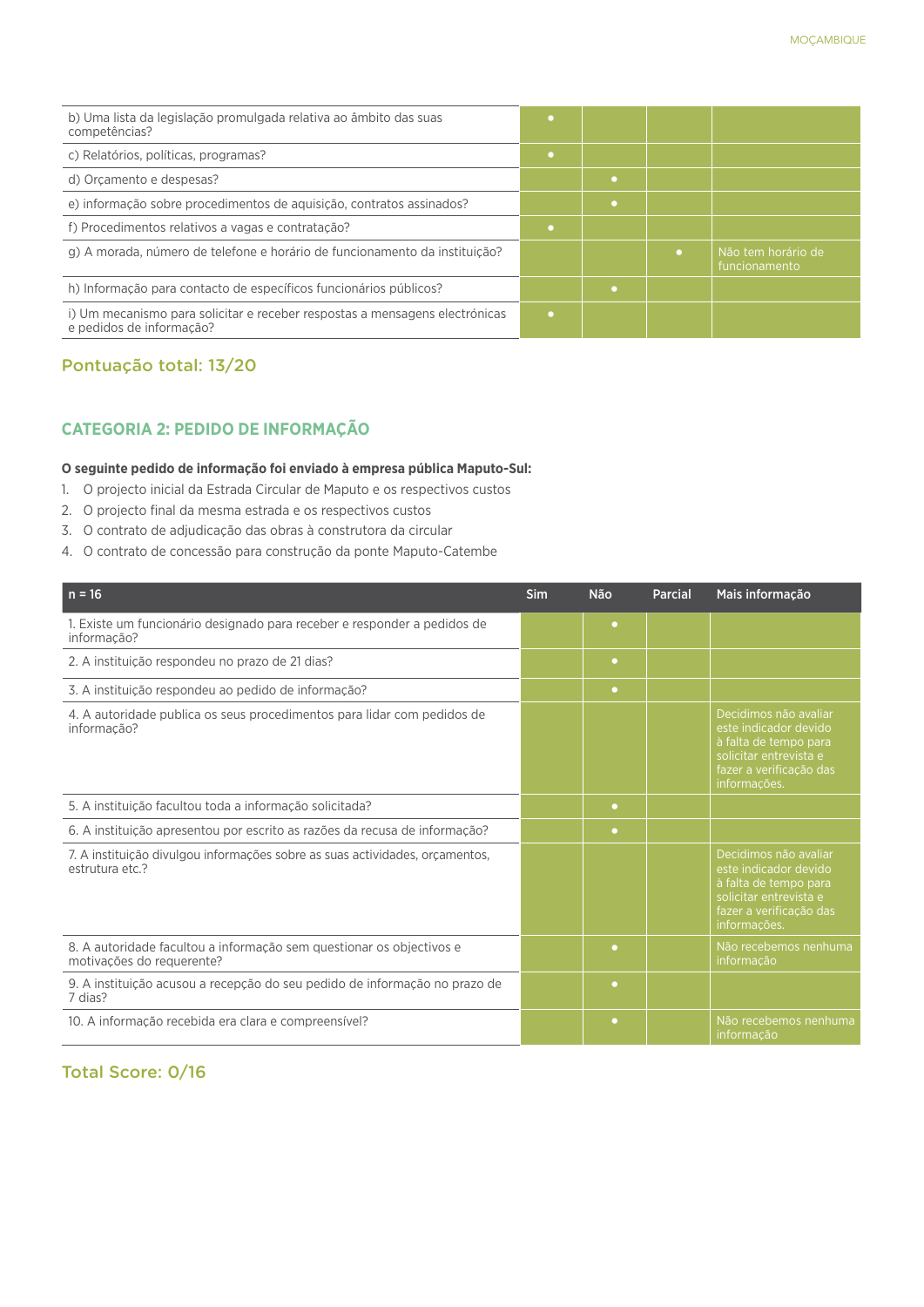| b) Uma lista da legislação promulgada relativa ao âmbito das suas<br>competências?                      |   |           |                                     |
|---------------------------------------------------------------------------------------------------------|---|-----------|-------------------------------------|
| c) Relatórios, políticas, programas?                                                                    | ٠ |           |                                     |
| d) Orcamento e despesas?                                                                                |   | $\bullet$ |                                     |
| e) informação sobre procedimentos de aquisição, contratos assinados?                                    |   |           |                                     |
| f) Procedimentos relativos a vagas e contratação?                                                       |   |           |                                     |
| g) A morada, número de telefone e horário de funcionamento da instituição?                              |   |           | Não tem horário de<br>funcionamento |
| h) Informação para contacto de específicos funcionários públicos?                                       |   |           |                                     |
| i) Um mecanismo para solicitar e receber respostas a mensagens electrónicas<br>e pedidos de informação? |   |           |                                     |

## Pontuação total: 13/20

# **CATEGORIA 2: PEDIDO DE INFORMAÇÃO**

#### **O seguinte pedido de informação foi enviado à empresa pública Maputo-Sul:**

- 1. O projecto inicial da Estrada Circular de Maputo e os respectivos custos
- 2. O projecto final da mesma estrada e os respectivos custos
- 3. O contrato de adjudicação das obras à construtora da circular
- 4. O contrato de concessão para construção da ponte Maputo-Catembe

| $n = 16$                                                                                          | <b>Sim</b> | <b>Não</b> | <b>Parcial</b> | Mais informação                                                                                                                              |
|---------------------------------------------------------------------------------------------------|------------|------------|----------------|----------------------------------------------------------------------------------------------------------------------------------------------|
| 1. Existe um funcionário designado para receber e responder a pedidos de<br>informação?           |            | $\bullet$  |                |                                                                                                                                              |
| 2. A instituição respondeu no prazo de 21 dias?                                                   |            | $\bullet$  |                |                                                                                                                                              |
| 3. A instituição respondeu ao pedido de informação?                                               |            | $\bullet$  |                |                                                                                                                                              |
| 4. A autoridade publica os seus procedimentos para lidar com pedidos de<br>informação?            |            |            |                | Decidimos não avaliar<br>este indicador devido<br>à falta de tempo para<br>solicitar entrevista e<br>fazer a verificação das<br>informações. |
| 5. A instituição facultou toda a informação solicitada?                                           |            | $\bullet$  |                |                                                                                                                                              |
| 6. A instituição apresentou por escrito as razões da recusa de informação?                        |            | $\bullet$  |                |                                                                                                                                              |
| 7. A instituição divulgou informações sobre as suas actividades, orçamentos,<br>estrutura etc.?   |            |            |                | Decidimos não avaliar<br>este indicador devido<br>à falta de tempo para<br>solicitar entrevista e<br>fazer a verificação das<br>informações. |
| 8. A autoridade facultou a informação sem questionar os objectivos e<br>motivações do requerente? |            | ۰          |                | Não recebemos nenhuma<br>informação                                                                                                          |
| 9. A instituição acusou a recepção do seu pedido de informação no prazo de<br>7 dias?             |            | $\bullet$  |                |                                                                                                                                              |
| 10. A informação recebida era clara e compreensível?                                              |            | $\bullet$  |                | Não recebemos nenhuma<br>informação                                                                                                          |

# Total Score: 0/16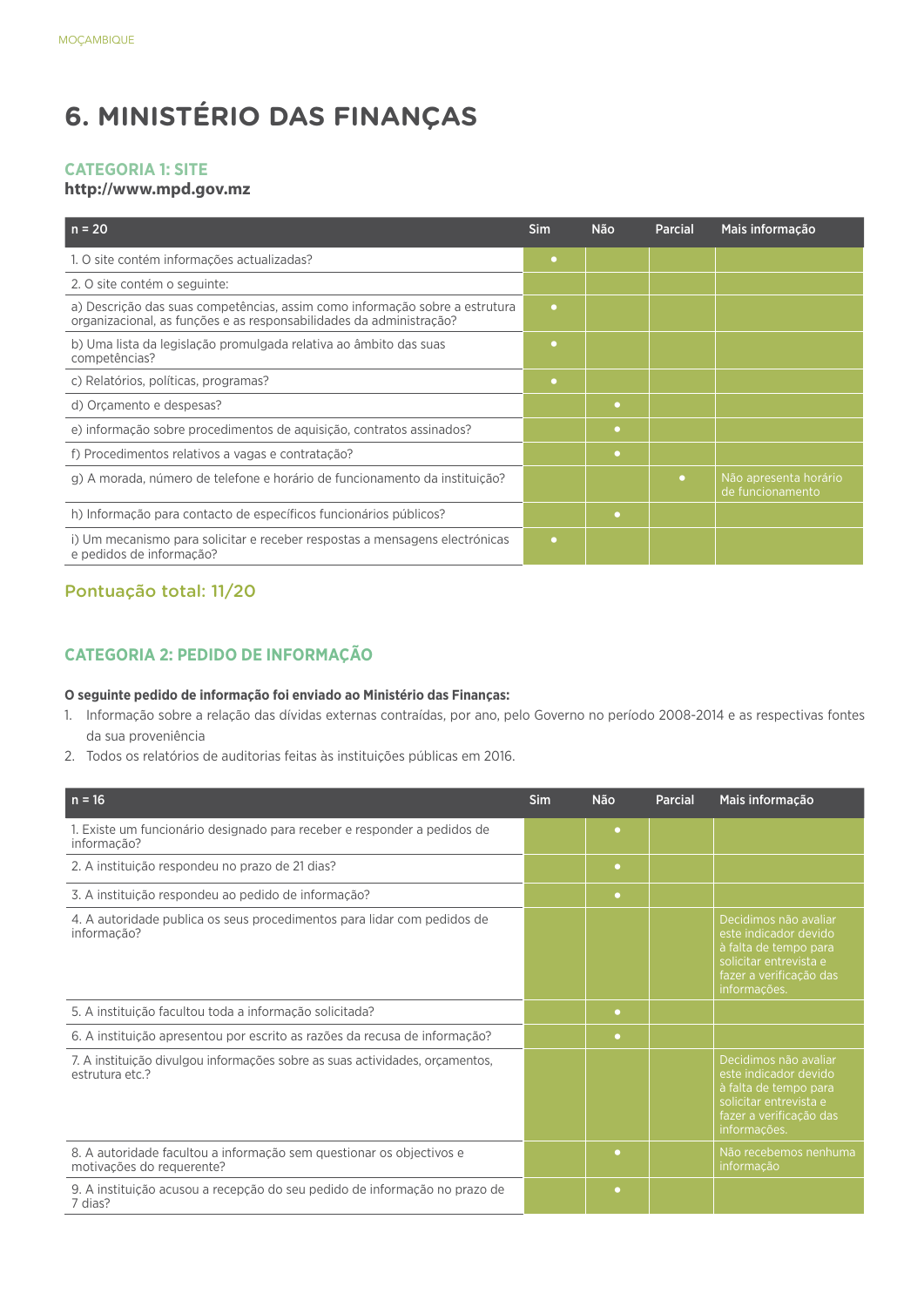# **6. MINISTÉRIO DAS FINANÇAS**

### **CATEGORIA 1: SITE**

#### **http://www.mpd.gov.mz**

| $n = 20$                                                                                                                                           | <b>Sim</b> | <b>Não</b> | Parcial   | Mais informação                           |
|----------------------------------------------------------------------------------------------------------------------------------------------------|------------|------------|-----------|-------------------------------------------|
| 1. O site contém informações actualizadas?                                                                                                         | $\bullet$  |            |           |                                           |
| 2. O site contém o seguinte:                                                                                                                       |            |            |           |                                           |
| a) Descrição das suas competências, assim como informação sobre a estrutura<br>organizacional, as funções e as responsabilidades da administração? | $\bullet$  |            |           |                                           |
| b) Uma lista da legislação promulgada relativa ao âmbito das suas<br>competências?                                                                 | ۰          |            |           |                                           |
| c) Relatórios, políticas, programas?                                                                                                               | $\bullet$  |            |           |                                           |
| d) Orçamento e despesas?                                                                                                                           |            | ۰          |           |                                           |
| e) informação sobre procedimentos de aquisição, contratos assinados?                                                                               |            | ۰          |           |                                           |
| f) Procedimentos relativos a vagas e contratação?                                                                                                  |            | ۰          |           |                                           |
| g) A morada, número de telefone e horário de funcionamento da instituição?                                                                         |            |            | $\bullet$ | Não apresenta horário<br>de funcionamento |
| h) Informação para contacto de específicos funcionários públicos?                                                                                  |            | $\bullet$  |           |                                           |
| i) Um mecanismo para solicitar e receber respostas a mensagens electrónicas<br>e pedidos de informação?                                            | $\bullet$  |            |           |                                           |

# Pontuação total: 11/20

# **CATEGORIA 2: PEDIDO DE INFORMAÇÃO**

#### **O seguinte pedido de informação foi enviado ao Ministério das Finanças:**

- 1. Informação sobre a relação das dívidas externas contraídas, por ano, pelo Governo no período 2008-2014 e as respectivas fontes da sua proveniência
- 2. Todos os relatórios de auditorias feitas às instituições públicas em 2016.

| $n = 16$                                                                                          | Sim | <b>Não</b> | <b>Parcial</b> | Mais informação                                                                                                                              |
|---------------------------------------------------------------------------------------------------|-----|------------|----------------|----------------------------------------------------------------------------------------------------------------------------------------------|
| 1. Existe um funcionário designado para receber e responder a pedidos de<br>informação?           |     | $\bullet$  |                |                                                                                                                                              |
| 2. A instituição respondeu no prazo de 21 dias?                                                   |     | $\bullet$  |                |                                                                                                                                              |
| 3. A instituição respondeu ao pedido de informação?                                               |     | $\bullet$  |                |                                                                                                                                              |
| 4. A autoridade publica os seus procedimentos para lidar com pedidos de<br>informação?            |     |            |                | Decidimos não avaliar<br>este indicador devido<br>à falta de tempo para<br>solicitar entrevista e<br>fazer a verificação das<br>informações. |
| 5. A instituição facultou toda a informação solicitada?                                           |     | $\bullet$  |                |                                                                                                                                              |
| 6. A instituição apresentou por escrito as razões da recusa de informação?                        |     | $\bullet$  |                |                                                                                                                                              |
| 7. A instituição divulgou informações sobre as suas actividades, orcamentos,<br>estrutura etc.?   |     |            |                | Decidimos não avaliar<br>este indicador devido<br>à falta de tempo para<br>solicitar entrevista e<br>fazer a verificação das<br>informações. |
| 8. A autoridade facultou a informação sem questionar os objectivos e<br>motivações do requerente? |     | ۰          |                | Não recebemos nenhuma<br>informação                                                                                                          |
| 9. A instituição acusou a recepção do seu pedido de informação no prazo de<br>7 dias?             |     | ۰          |                |                                                                                                                                              |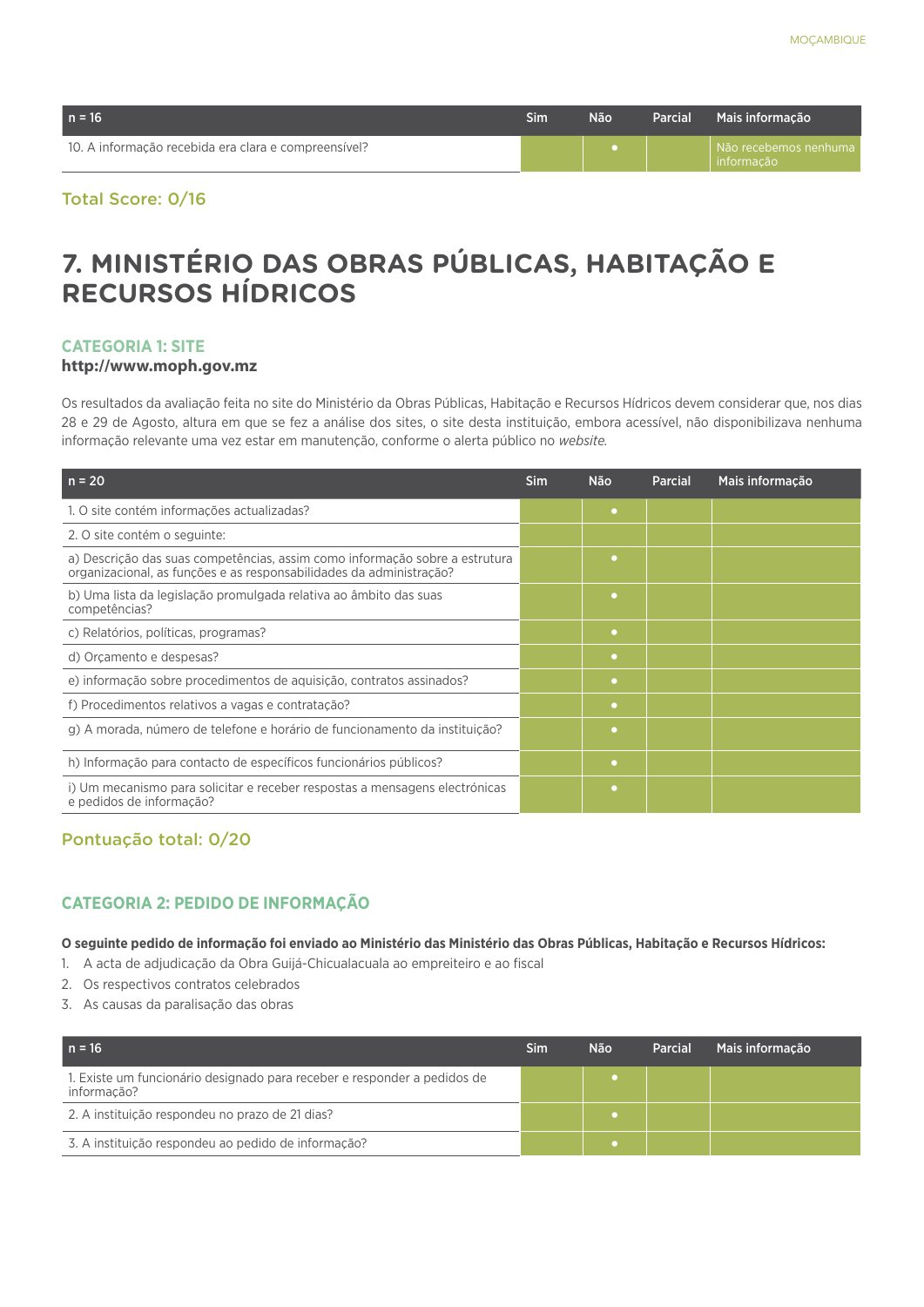| $n = 16$                                             | Sim | Não | Parcial | Mais informação                       |
|------------------------------------------------------|-----|-----|---------|---------------------------------------|
| 10. A informação recebida era clara e compreensível? |     |     |         | Não recebemos nenhuma  <br>informação |

## **7. MINISTÉRIO DAS OBRAS PÚBLICAS, HABITAÇÃO E RECURSOS HÍDRICOS**

#### **CATEGORIA 1: SITE**

#### **http://www.moph.gov.mz**

Os resultados da avaliação feita no site do Ministério da Obras Públicas, Habitação e Recursos Hídricos devem considerar que, nos dias 28 e 29 de Agosto, altura em que se fez a análise dos sites, o site desta instituição, embora acessível, não disponibilizava nenhuma informação relevante uma vez estar em manutenção, conforme o alerta público no *website.*

| $n = 20$                                                                                                                                           | <b>Sim</b> | <b>Não</b> | <b>Parcial</b> | Mais informação |
|----------------------------------------------------------------------------------------------------------------------------------------------------|------------|------------|----------------|-----------------|
| 1. O site contém informações actualizadas?                                                                                                         |            | $\bullet$  |                |                 |
| 2. O site contém o seguinte:                                                                                                                       |            |            |                |                 |
| a) Descrição das suas competências, assim como informação sobre a estrutura<br>organizacional, as funções e as responsabilidades da administração? |            | ٠          |                |                 |
| b) Uma lista da legislação promulgada relativa ao âmbito das suas<br>competências?                                                                 |            | ٠          |                |                 |
| c) Relatórios, políticas, programas?                                                                                                               |            | ٠          |                |                 |
| d) Orcamento e despesas?                                                                                                                           |            | ۰          |                |                 |
| e) informação sobre procedimentos de aquisição, contratos assinados?                                                                               |            | $\bullet$  |                |                 |
| f) Procedimentos relativos a vagas e contratação?                                                                                                  |            | ٠          |                |                 |
| g) A morada, número de telefone e horário de funcionamento da instituição?                                                                         |            | ٠          |                |                 |
| h) Informação para contacto de específicos funcionários públicos?                                                                                  |            | $\bullet$  |                |                 |
| i) Um mecanismo para solicitar e receber respostas a mensagens electrónicas<br>e pedidos de informação?                                            |            | ٠          |                |                 |

#### Pontuação total: 0/20

#### **CATEGORIA 2: PEDIDO DE INFORMAÇÃO**

**O seguinte pedido de informação foi enviado ao Ministério das Ministério das Obras Públicas, Habitação e Recursos Hídricos:**

- 1. A acta de adjudicação da Obra Guijá-Chicualacuala ao empreiteiro e ao fiscal
- 2. Os respectivos contratos celebrados
- 3. As causas da paralisação das obras

| $n = 16$                                                                                | Sim | <b>Não</b> | <b>Parcial</b> | Mais informação |
|-----------------------------------------------------------------------------------------|-----|------------|----------------|-----------------|
| 1. Existe um funcionário designado para receber e responder a pedidos de<br>informação? |     |            |                |                 |
| 2. A instituição respondeu no prazo de 21 dias?                                         |     |            |                |                 |
| 3. A instituição respondeu ao pedido de informação?                                     |     |            |                |                 |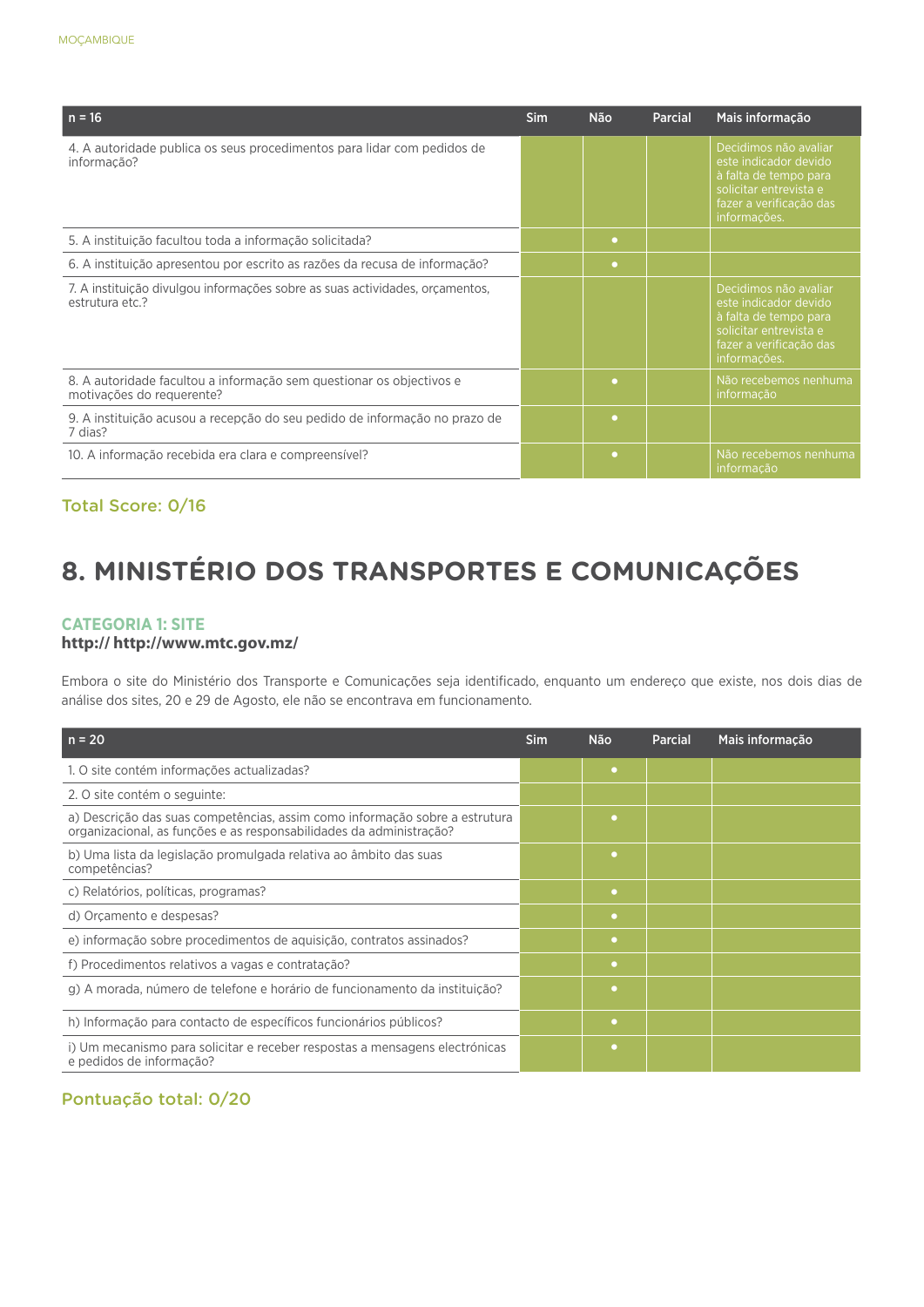| $n = 16$                                                                                          | <b>Sim</b> | <b>Não</b> | <b>Parcial</b> | Mais informação                                                                                                                              |
|---------------------------------------------------------------------------------------------------|------------|------------|----------------|----------------------------------------------------------------------------------------------------------------------------------------------|
| 4. A autoridade publica os seus procedimentos para lidar com pedidos de<br>informação?            |            |            |                | Decidimos não avaliar<br>este indicador devido<br>à falta de tempo para<br>solicitar entrevista e<br>fazer a verificação das<br>informações. |
| 5. A instituição facultou toda a informação solicitada?                                           |            | $\bullet$  |                |                                                                                                                                              |
| 6. A instituição apresentou por escrito as razões da recusa de informação?                        |            | $\bullet$  |                |                                                                                                                                              |
| 7. A instituição divulgou informações sobre as suas actividades, orcamentos,<br>estrutura etc.?   |            |            |                | Decidimos não avaliar<br>este indicador devido<br>à falta de tempo para<br>solicitar entrevista e<br>fazer a verificação das<br>informações. |
| 8. A autoridade facultou a informação sem questionar os objectivos e<br>motivações do requerente? |            | ۰          |                | Não recebemos nenhuma<br>informação                                                                                                          |
| 9. A instituição acusou a recepção do seu pedido de informação no prazo de<br>7 dias?             |            | $\bullet$  |                |                                                                                                                                              |
| 10. A informação recebida era clara e compreensível?                                              |            | $\bullet$  |                | Não recebemos nenhuma<br>informação                                                                                                          |

## **8. MINISTÉRIO DOS TRANSPORTES E COMUNICAÇÕES**

#### **CATEGORIA 1: SITE**

#### **http:// http://www.mtc.gov.mz/**

Embora o site do Ministério dos Transporte e Comunicações seja identificado, enquanto um endereço que existe, nos dois dias de análise dos sites, 20 e 29 de Agosto, ele não se encontrava em funcionamento.

| $n = 20$                                                                                                                                           | <b>Sim</b> | <b>Não</b> | Parcial | Mais informação |
|----------------------------------------------------------------------------------------------------------------------------------------------------|------------|------------|---------|-----------------|
| 1. O site contém informações actualizadas?                                                                                                         |            | ٠          |         |                 |
| 2. O site contém o seguinte:                                                                                                                       |            |            |         |                 |
| a) Descrição das suas competências, assim como informação sobre a estrutura<br>organizacional, as funções e as responsabilidades da administração? |            |            |         |                 |
| b) Uma lista da legislação promulgada relativa ao âmbito das suas<br>competências?                                                                 |            | ٠          |         |                 |
| c) Relatórios, políticas, programas?                                                                                                               |            | $\bullet$  |         |                 |
| d) Orcamento e despesas?                                                                                                                           |            | ۰          |         |                 |
| e) informação sobre procedimentos de aquisição, contratos assinados?                                                                               |            | ۰          |         |                 |
| f) Procedimentos relativos a vagas e contratação?                                                                                                  |            | $\bullet$  |         |                 |
| g) A morada, número de telefone e horário de funcionamento da instituição?                                                                         |            | ۰          |         |                 |
| h) Informação para contacto de específicos funcionários públicos?                                                                                  |            | ۰          |         |                 |
| i) Um mecanismo para solicitar e receber respostas a mensagens electrónicas<br>e pedidos de informação?                                            |            | ۰          |         |                 |

#### Pontuação total: 0/20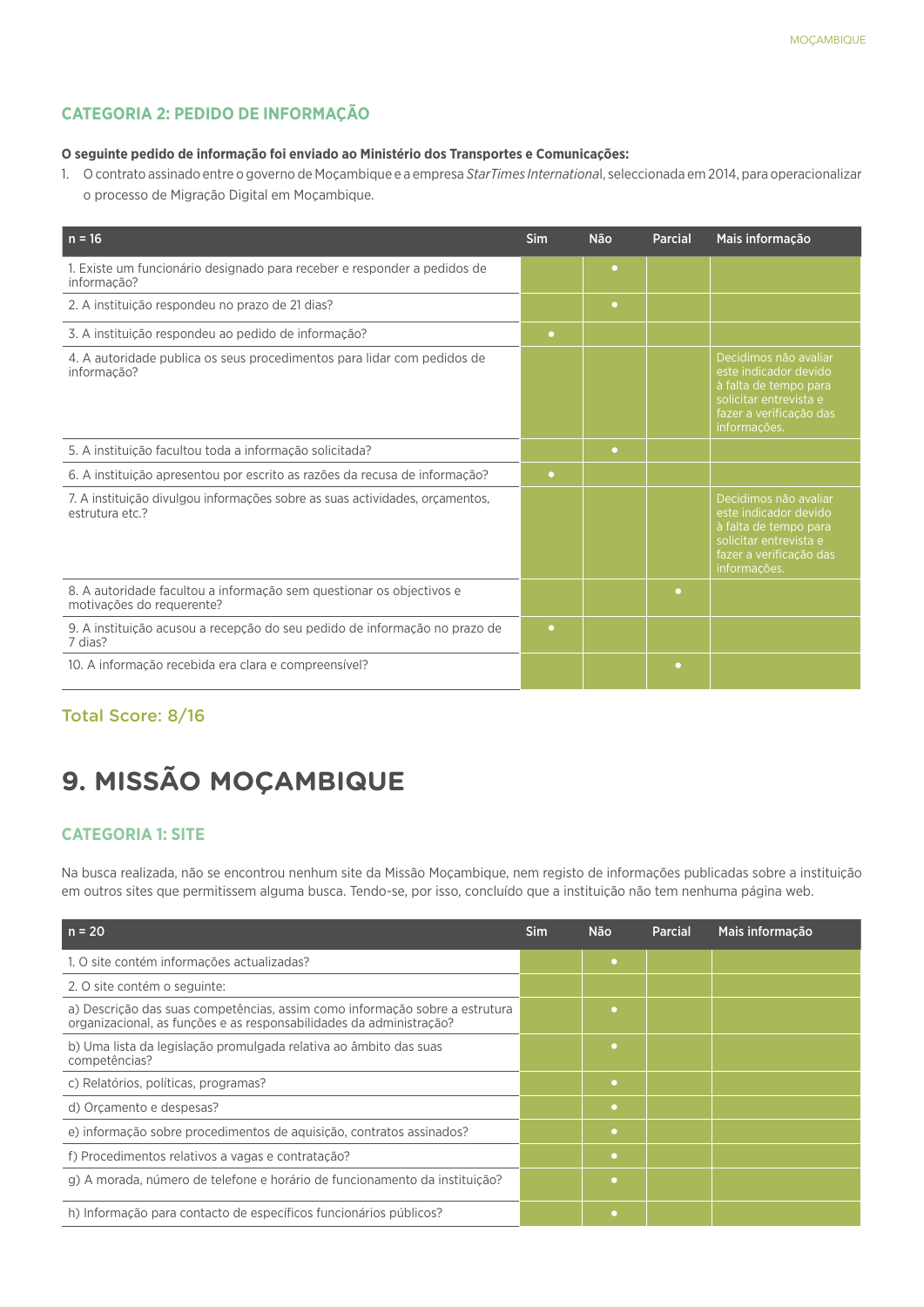#### **CATEGORIA 2: PEDIDO DE INFORMAÇÃO**

#### **O seguinte pedido de informação foi enviado ao Ministério dos Transportes e Comunicações:**

1. O contrato assinado entre o governo de Moçambique e a empresa *StarTimes Internationa*l, seleccionada em 2014, para operacionalizar o processo de Migração Digital em Moçambique.

| $n = 16$                                                                                          | Sim       | <b>Não</b> | Parcial   | Mais informação                                                                                                                              |
|---------------------------------------------------------------------------------------------------|-----------|------------|-----------|----------------------------------------------------------------------------------------------------------------------------------------------|
| 1. Existe um funcionário designado para receber e responder a pedidos de<br>informação?           |           | ٠          |           |                                                                                                                                              |
| 2. A instituição respondeu no prazo de 21 dias?                                                   |           | $\bullet$  |           |                                                                                                                                              |
| 3. A instituição respondeu ao pedido de informação?                                               | $\bullet$ |            |           |                                                                                                                                              |
| 4. A autoridade publica os seus procedimentos para lidar com pedidos de<br>informação?            |           |            |           | Decidimos não avaliar<br>este indicador devido<br>à falta de tempo para<br>solicitar entrevista e<br>fazer a verificação das<br>informações. |
| 5. A instituição facultou toda a informação solicitada?                                           |           | ٠          |           |                                                                                                                                              |
| 6. A instituição apresentou por escrito as razões da recusa de informação?                        | $\bullet$ |            |           |                                                                                                                                              |
| 7. A instituição divulgou informações sobre as suas actividades, orçamentos,<br>estrutura etc.?   |           |            |           | Decidimos não avaliar<br>este indicador devido<br>à falta de tempo para<br>solicitar entrevista e<br>fazer a verificação das<br>informações. |
| 8. A autoridade facultou a informação sem questionar os objectivos e<br>motivações do requerente? |           |            | $\bullet$ |                                                                                                                                              |
| 9. A instituição acusou a recepção do seu pedido de informação no prazo de<br>7 dias?             | $\bullet$ |            |           |                                                                                                                                              |
| 10. A informação recebida era clara e compreensível?                                              |           |            | ۰         |                                                                                                                                              |

#### Total Score: 8/16

## **9. MISSÃO MOÇAMBIQUE**

#### **CATEGORIA 1: SITE**

Na busca realizada, não se encontrou nenhum site da Missão Moçambique, nem registo de informações publicadas sobre a instituição em outros sites que permitissem alguma busca. Tendo-se, por isso, concluído que a instituição não tem nenhuma página web.

| $n = 20$                                                                                                                                           | Sim | Não       | <b>Parcial</b> | Mais informação |
|----------------------------------------------------------------------------------------------------------------------------------------------------|-----|-----------|----------------|-----------------|
| 1. O site contém informações actualizadas?                                                                                                         |     | ٠         |                |                 |
| 2. O site contém o seguinte:                                                                                                                       |     |           |                |                 |
| a) Descrição das suas competências, assim como informação sobre a estrutura<br>organizacional, as funções e as responsabilidades da administração? |     | ٠         |                |                 |
| b) Uma lista da legislação promulgada relativa ao âmbito das suas<br>competências?                                                                 |     | ٠         |                |                 |
| c) Relatórios, políticas, programas?                                                                                                               |     | $\bullet$ |                |                 |
| d) Orcamento e despesas?                                                                                                                           |     | $\bullet$ |                |                 |
| e) informação sobre procedimentos de aquisição, contratos assinados?                                                                               |     | ۰         |                |                 |
| f) Procedimentos relativos a vagas e contratação?                                                                                                  |     | ۰         |                |                 |
| g) A morada, número de telefone e horário de funcionamento da instituição?                                                                         |     | ٠         |                |                 |
| h) Informação para contacto de específicos funcionários públicos?                                                                                  |     | ٠         |                |                 |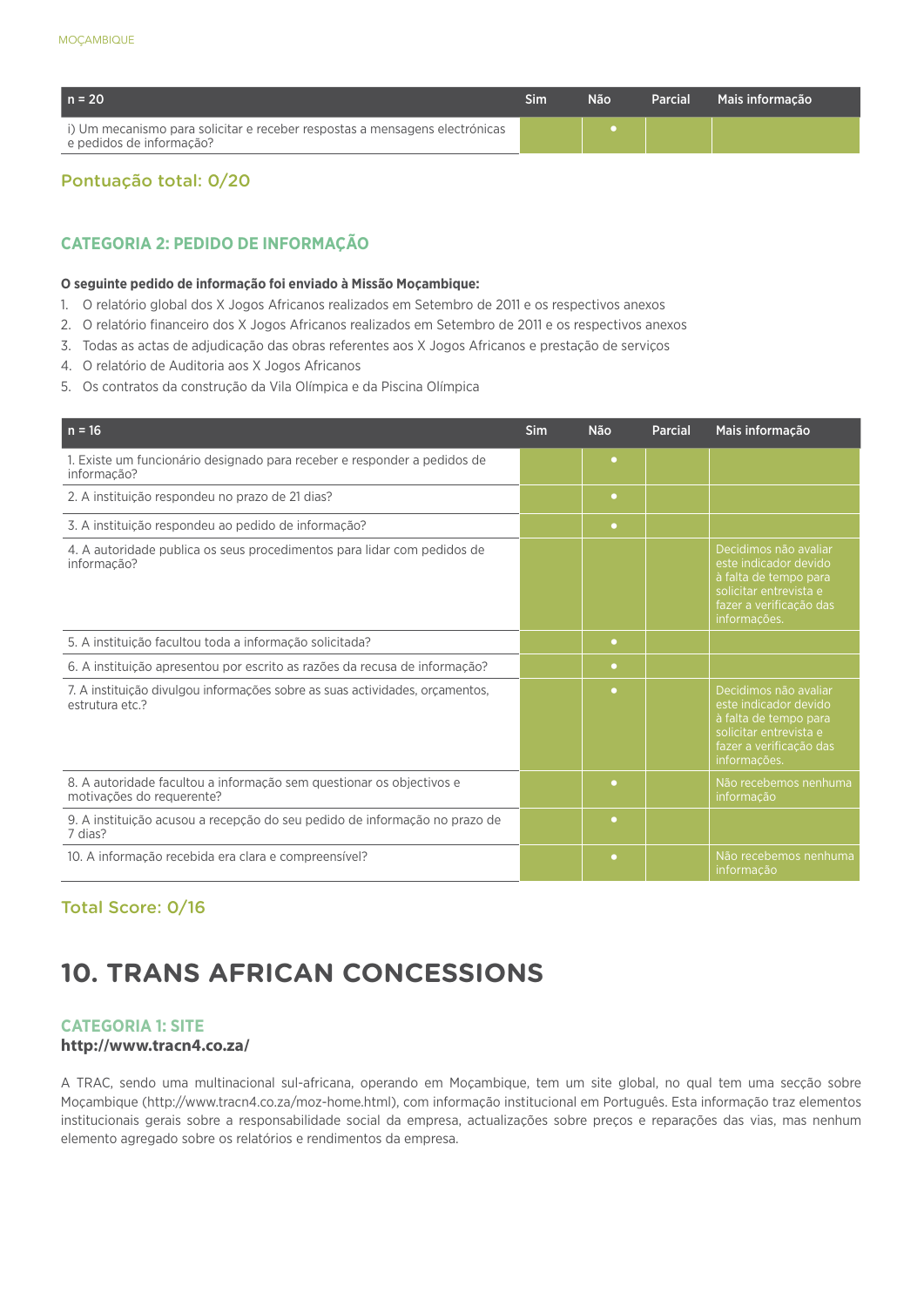| $n = 20$                                                                                                | Sim | Não | <b>Parcial</b> | Mais informacão |
|---------------------------------------------------------------------------------------------------------|-----|-----|----------------|-----------------|
| i) Um mecanismo para solicitar e receber respostas a mensagens electrónicas<br>e pedidos de informação? |     |     |                |                 |

#### Pontuação total: 0/20

#### **CATEGORIA 2: PEDIDO DE INFORMAÇÃO**

#### **O seguinte pedido de informação foi enviado à Missão Moçambique:**

- 1. O relatório global dos X Jogos Africanos realizados em Setembro de 2011 e os respectivos anexos
- 2. O relatório financeiro dos X Jogos Africanos realizados em Setembro de 2011 e os respectivos anexos
- 3. Todas as actas de adjudicação das obras referentes aos X Jogos Africanos e prestação de serviços
- 4. O relatório de Auditoria aos X Jogos Africanos
- 5. Os contratos da construção da Vila Olímpica e da Piscina Olímpica

| $n = 16$                                                                                          | Sim | <b>Não</b> | <b>Parcial</b> | Mais informação                                                                                                                              |
|---------------------------------------------------------------------------------------------------|-----|------------|----------------|----------------------------------------------------------------------------------------------------------------------------------------------|
| 1. Existe um funcionário designado para receber e responder a pedidos de<br>informação?           |     | $\bullet$  |                |                                                                                                                                              |
| 2. A instituição respondeu no prazo de 21 dias?                                                   |     | $\bullet$  |                |                                                                                                                                              |
| 3. A instituição respondeu ao pedido de informação?                                               |     | $\bullet$  |                |                                                                                                                                              |
| 4. A autoridade publica os seus procedimentos para lidar com pedidos de<br>informação?            |     |            |                | Decidimos não avaliar<br>este indicador devido<br>à falta de tempo para<br>solicitar entrevista e<br>fazer a verificação das<br>informações. |
| 5. A instituição facultou toda a informação solicitada?                                           |     | $\bullet$  |                |                                                                                                                                              |
| 6. A instituição apresentou por escrito as razões da recusa de informação?                        |     | $\bullet$  |                |                                                                                                                                              |
| 7. A instituição divulgou informações sobre as suas actividades, orgamentos,<br>estrutura etc.?   |     | $\bullet$  |                | Decidimos não avaliar<br>este indicador devido<br>à falta de tempo para<br>solicitar entrevista e<br>fazer a verificação das<br>informações. |
| 8. A autoridade facultou a informação sem questionar os objectivos e<br>motivações do requerente? |     | $\bullet$  |                | Não recebemos nenhuma<br>informação                                                                                                          |
| 9. A instituição acusou a recepção do seu pedido de informação no prazo de<br>7 dias?             |     | $\bullet$  |                |                                                                                                                                              |
| 10. A informação recebida era clara e compreensível?                                              |     | $\bullet$  |                | Não recebemos nenhuma<br>informação                                                                                                          |

#### Total Score: 0/16

## **10. TRANS AFRICAN CONCESSIONS**

#### **CATEGORIA 1: SITE**

#### **http://www.tracn4.co.za/**

A TRAC, sendo uma multinacional sul-africana, operando em Moçambique, tem um site global, no qual tem uma secção sobre Moçambique (http://www.tracn4.co.za/moz-home.html), com informação institucional em Português. Esta informação traz elementos institucionais gerais sobre a responsabilidade social da empresa, actualizações sobre preços e reparações das vias, mas nenhum elemento agregado sobre os relatórios e rendimentos da empresa.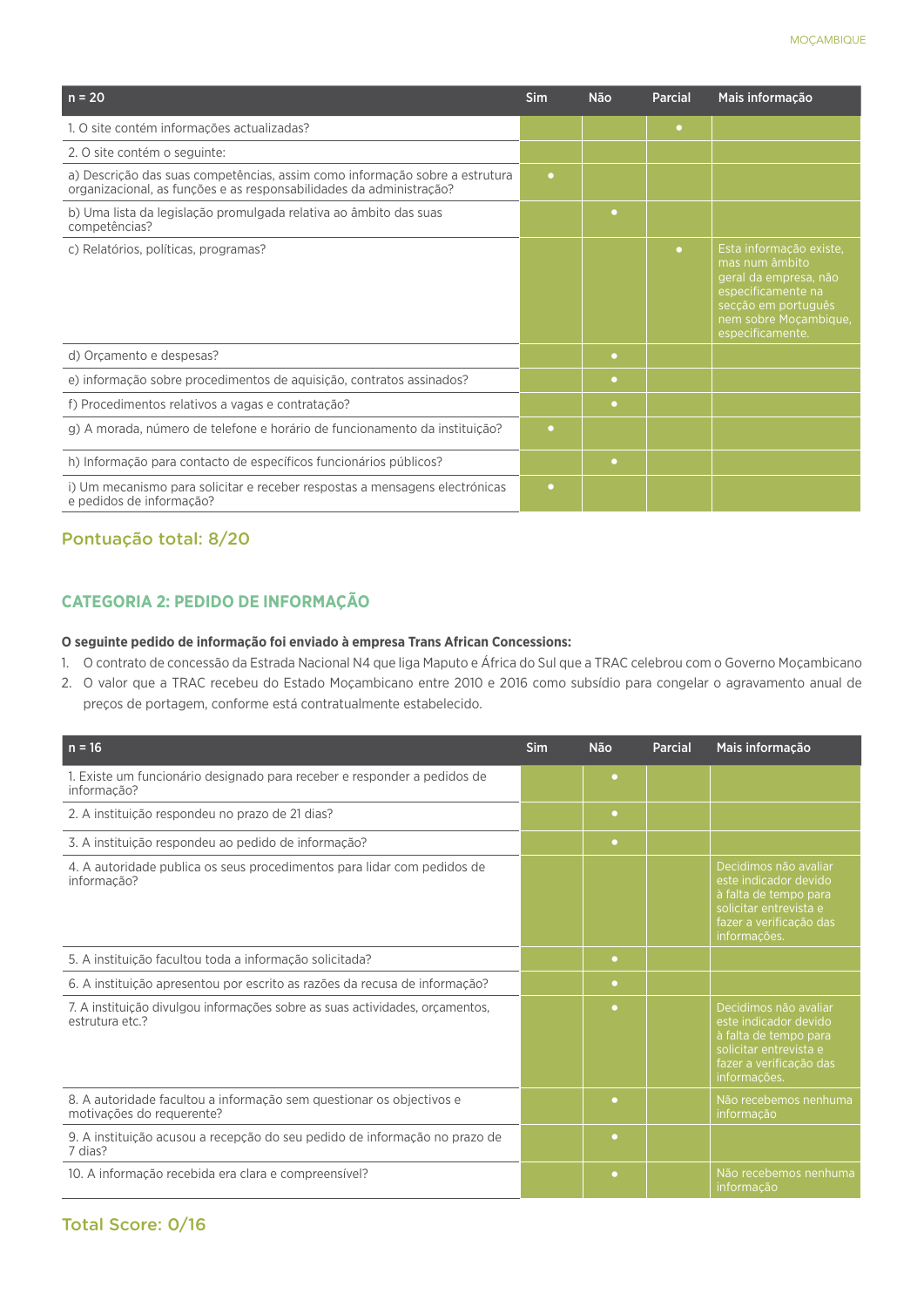| $n = 20$                                                                                                                                           | <b>Sim</b> | <b>Não</b> | Parcial   | Mais informação                                                                                                                                              |
|----------------------------------------------------------------------------------------------------------------------------------------------------|------------|------------|-----------|--------------------------------------------------------------------------------------------------------------------------------------------------------------|
| 1. O site contém informações actualizadas?                                                                                                         |            |            | $\bullet$ |                                                                                                                                                              |
| 2. O site contém o seguinte:                                                                                                                       |            |            |           |                                                                                                                                                              |
| a) Descrição das suas competências, assim como informação sobre a estrutura<br>organizacional, as funções e as responsabilidades da administração? | $\bullet$  |            |           |                                                                                                                                                              |
| b) Uma lista da legislação promulgada relativa ao âmbito das suas<br>competências?                                                                 |            | $\bullet$  |           |                                                                                                                                                              |
| c) Relatórios, políticas, programas?                                                                                                               |            |            | $\bullet$ | Esta informação existe.<br>mas num âmbito<br>geral da empresa, não<br>especificamente na<br>secção em português<br>nem sobre Moçambique,<br>especificamente. |
| d) Orçamento e despesas?                                                                                                                           |            | $\bullet$  |           |                                                                                                                                                              |
| e) informação sobre procedimentos de aquisição, contratos assinados?                                                                               |            | $\bullet$  |           |                                                                                                                                                              |
| f) Procedimentos relativos a vagas e contratação?                                                                                                  |            | $\bullet$  |           |                                                                                                                                                              |
| g) A morada, número de telefone e horário de funcionamento da instituição?                                                                         | $\bullet$  |            |           |                                                                                                                                                              |
| h) Informação para contacto de específicos funcionários públicos?                                                                                  |            | $\bullet$  |           |                                                                                                                                                              |
| i) Um mecanismo para solicitar e receber respostas a mensagens electrónicas<br>e pedidos de informação?                                            | $\bullet$  |            |           |                                                                                                                                                              |

#### Pontuação total: 8/20

#### **CATEGORIA 2: PEDIDO DE INFORMAÇÃO**

#### **O seguinte pedido de informação foi enviado à empresa Trans African Concessions:**

- 1. O contrato de concessão da Estrada Nacional N4 que liga Maputo e África do Sul que a TRAC celebrou com o Governo Moçambicano
- 2. O valor que a TRAC recebeu do Estado Moçambicano entre 2010 e 2016 como subsídio para congelar o agravamento anual de preços de portagem, conforme está contratualmente estabelecido.

| $n = 16$                                                                                          | <b>Sim</b> | <b>Não</b> | Parcial | Mais informação                                                                                                                              |
|---------------------------------------------------------------------------------------------------|------------|------------|---------|----------------------------------------------------------------------------------------------------------------------------------------------|
| 1. Existe um funcionário designado para receber e responder a pedidos de<br>informação?           |            | $\bullet$  |         |                                                                                                                                              |
| 2. A instituição respondeu no prazo de 21 dias?                                                   |            | $\bullet$  |         |                                                                                                                                              |
| 3. A instituição respondeu ao pedido de informação?                                               |            | $\bullet$  |         |                                                                                                                                              |
| 4. A autoridade publica os seus procedimentos para lidar com pedidos de<br>informação?            |            |            |         | Decidimos não avaliar<br>este indicador devido<br>à falta de tempo para<br>solicitar entrevista e<br>fazer a verificação das<br>informações. |
| 5. A instituição facultou toda a informação solicitada?                                           |            | $\bullet$  |         |                                                                                                                                              |
| 6. A instituição apresentou por escrito as razões da recusa de informação?                        |            | $\bullet$  |         |                                                                                                                                              |
| 7. A instituição divulgou informações sobre as suas actividades, or camentos,<br>estrutura etc.?  |            | ٠          |         | Decidimos não avaliar<br>este indicador devido<br>à falta de tempo para<br>solicitar entrevista e<br>fazer a verificação das<br>informações. |
| 8. A autoridade facultou a informação sem questionar os objectivos e<br>motivações do requerente? |            | ٠          |         | Não recebemos nenhuma<br>informação                                                                                                          |
| 9. A instituição acusou a recepção do seu pedido de informação no prazo de<br>7 dias?             |            | $\bullet$  |         |                                                                                                                                              |
| 10. A informação recebida era clara e compreensível?                                              |            | $\bullet$  |         | Não recebemos nenhuma<br>informação                                                                                                          |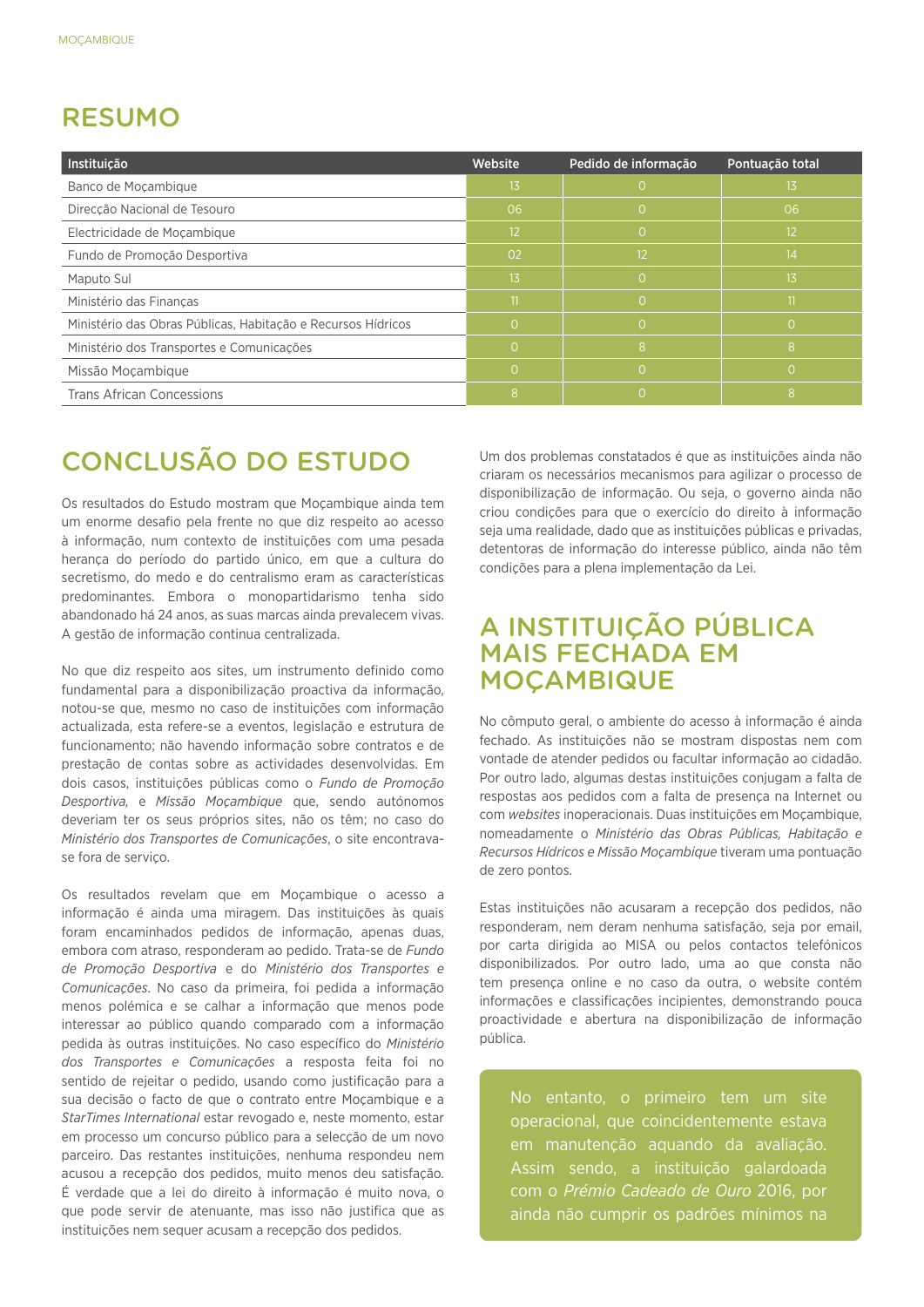## RESUMO

| Instituição                                                  | Website         | Pedido de informação | Pontuação total |
|--------------------------------------------------------------|-----------------|----------------------|-----------------|
| Banco de Moçambique                                          | 13              | $\Omega$             | 13              |
| Direcção Nacional de Tesouro                                 | 06              | $\Omega$             | 06              |
| Electricidade de Moçambique                                  | 12 <sup>2</sup> | $\Omega$             | 12              |
| Fundo de Promoção Desportiva                                 | 02              | 12                   | 14              |
| Maputo Sul                                                   | 13              | $\Omega$             | 13              |
| Ministério das Finanças                                      | 11              | $\Omega$             | 11              |
| Ministério das Obras Públicas, Habitação e Recursos Hídricos | Ю,              | $\Omega$             | $\Omega$        |
| Ministério dos Transportes e Comunicações                    | $\Omega$        | 8                    | 8               |
| Missão Mocambique                                            | $\Omega$        | $\overline{0}$       | $\Omega$        |
| <b>Trans African Concessions</b>                             | 8               | $\Omega$             | 8               |

## CONCLUSÃO DO ESTUDO

Os resultados do Estudo mostram que Moçambique ainda tem um enorme desafio pela frente no que diz respeito ao acesso à informação, num contexto de instituições com uma pesada herança do período do partido único, em que a cultura do secretismo, do medo e do centralismo eram as características predominantes. Embora o monopartidarismo tenha sido abandonado há 24 anos, as suas marcas ainda prevalecem vivas. A gestão de informação continua centralizada.

No que diz respeito aos sites, um instrumento definido como fundamental para a disponibilização proactiva da informação, notou-se que, mesmo no caso de instituições com informação actualizada, esta refere-se a eventos, legislação e estrutura de funcionamento; não havendo informação sobre contratos e de prestação de contas sobre as actividades desenvolvidas. Em dois casos, instituições públicas como o *Fundo de Promoção Desportiva,* e *Missão Moçambique* que, sendo autónomos deveriam ter os seus próprios sites, não os têm; no caso do *Ministério dos Transportes de Comunicações*, o site encontravase fora de serviço.

Os resultados revelam que em Moçambique o acesso a informação é ainda uma miragem. Das instituições às quais foram encaminhados pedidos de informação, apenas duas, embora com atraso, responderam ao pedido. Trata-se de *Fundo de Promoção Desportiva* e do *Ministério dos Transportes e Comunicações*. No caso da primeira, foi pedida a informação menos polémica e se calhar a informação que menos pode interessar ao público quando comparado com a informação pedida às outras instituições. No caso específico do *Ministério dos Transportes e Comunicações* a resposta feita foi no sentido de rejeitar o pedido, usando como justificação para a sua decisão o facto de que o contrato entre Moçambique e a *StarTimes International* estar revogado e, neste momento, estar em processo um concurso público para a selecção de um novo parceiro. Das restantes instituições, nenhuma respondeu nem acusou a recepção dos pedidos, muito menos deu satisfação. É verdade que a lei do direito à informação é muito nova, o que pode servir de atenuante, mas isso não justifica que as instituições nem sequer acusam a recepção dos pedidos.

Um dos problemas constatados é que as instituições ainda não criaram os necessários mecanismos para agilizar o processo de disponibilização de informação. Ou seja, o governo ainda não criou condições para que o exercício do direito à informação seja uma realidade, dado que as instituições públicas e privadas, detentoras de informação do interesse público, ainda não têm condições para a plena implementação da Lei.

## A INSTITUIÇÃO PÚBLICA MAIS FECHADA EM **MOCAMBIQUE**

No cômputo geral, o ambiente do acesso à informação é ainda fechado. As instituições não se mostram dispostas nem com vontade de atender pedidos ou facultar informação ao cidadão. Por outro lado, algumas destas instituições conjugam a falta de respostas aos pedidos com a falta de presença na Internet ou com *websites* inoperacionais. Duas instituições em Moçambique, nomeadamente o *Ministério das Obras Públicas, Habitação e Recursos Hídricos e Missão Moçambique* tiveram uma pontuação de zero pontos.

Estas instituições não acusaram a recepção dos pedidos, não responderam, nem deram nenhuma satisfação, seja por email, por carta dirigida ao MISA ou pelos contactos telefónicos disponibilizados. Por outro lado, uma ao que consta não tem presença online e no caso da outra, o website contém informações e classificações incipientes, demonstrando pouca proactividade e abertura na disponibilização de informação pública.

No entanto, o primeiro tem um site operacional, que coincidentemente estava em manutenção aquando da avaliação. Assim sendo, a instituição galardoada com o *Prémio Cadeado de Ouro* 2016, por ainda não cumprir os padrões mínimos na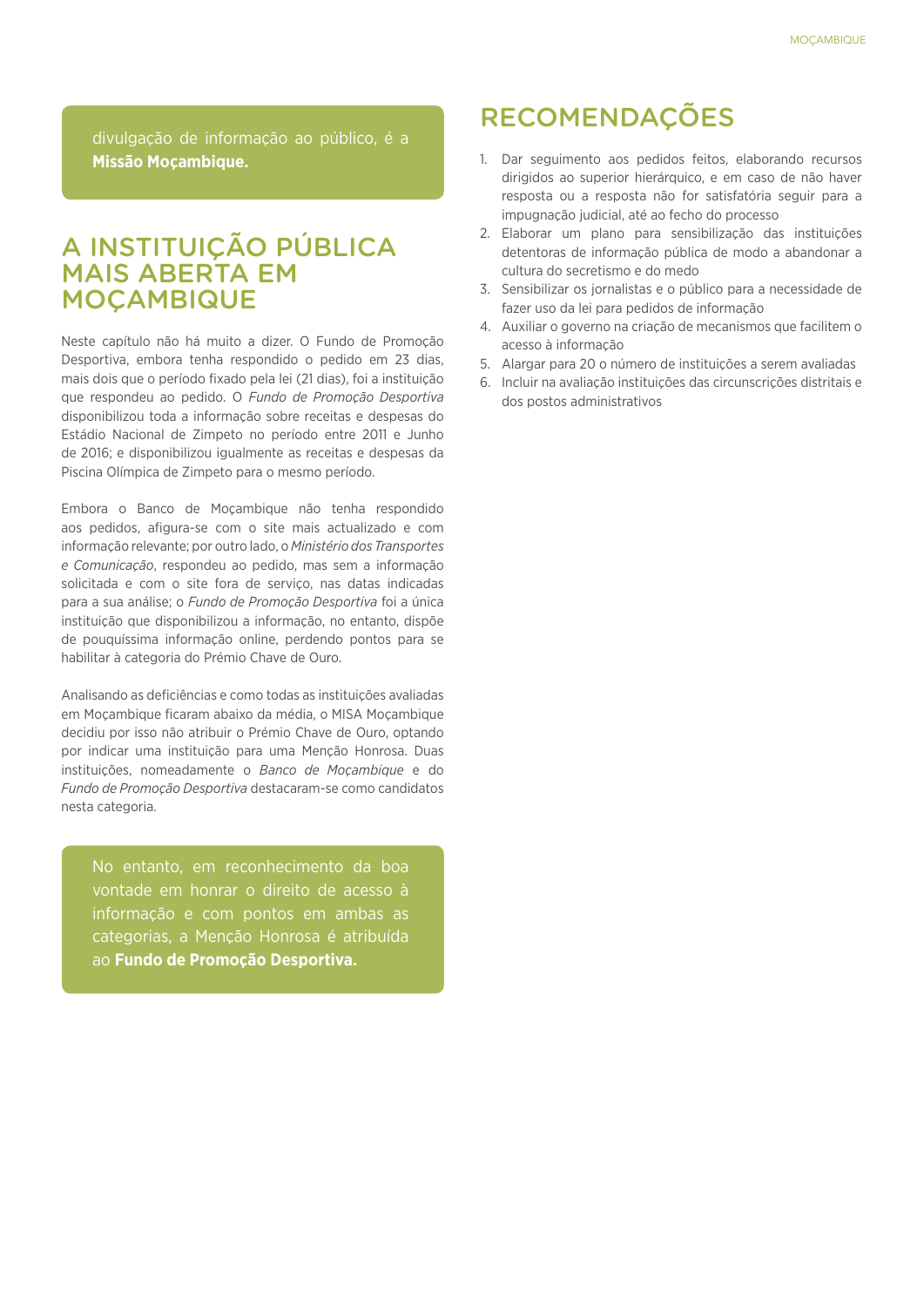divulgação de informação ao público, é a **Missão Moçambique.**

## A INSTITUIÇÃO PÚBLICA MAIS ABERTA EM **MOCAMBIQUE**

Neste capítulo não há muito a dizer. O Fundo de Promoção Desportiva, embora tenha respondido o pedido em 23 dias, mais dois que o período fixado pela lei (21 dias), foi a instituição que respondeu ao pedido. O *Fundo de Promoção Desportiva*  disponibilizou toda a informação sobre receitas e despesas do Estádio Nacional de Zimpeto no período entre 2011 e Junho de 2016; e disponibilizou igualmente as receitas e despesas da Piscina Olímpica de Zimpeto para o mesmo período.

Embora o Banco de Moçambique não tenha respondido aos pedidos, afigura-se com o site mais actualizado e com informação relevante; por outro lado, o *Ministério dos Transportes e Comunicação*, respondeu ao pedido, mas sem a informação solicitada e com o site fora de serviço, nas datas indicadas para a sua análise; o *Fundo de Promoção Desportiva* foi a única instituição que disponibilizou a informação, no entanto, dispõe de pouquíssima informação online, perdendo pontos para se habilitar à categoria do Prémio Chave de Ouro.

Analisando as deficiências e como todas as instituições avaliadas em Moçambique ficaram abaixo da média, o MISA Moçambique decidiu por isso não atribuir o Prémio Chave de Ouro, optando por indicar uma instituição para uma Menção Honrosa. Duas instituições, nomeadamente o *Banco de Moçambique* e do *Fundo de Promoção Desportiva* destacaram-se como candidatos nesta categoria.

No entanto, em reconhecimento da boa vontade em honrar o direito de acesso à informação e com pontos em ambas as categorias, a Menção Honrosa é atribuída ao **Fundo de Promoção Desportiva.**

## RECOMENDAÇÕES

- 1. Dar seguimento aos pedidos feitos, elaborando recursos dirigidos ao superior hierárquico, e em caso de não haver resposta ou a resposta não for satisfatória seguir para a impugnação judicial, até ao fecho do processo
- 2. Elaborar um plano para sensibilização das instituições detentoras de informação pública de modo a abandonar a cultura do secretismo e do medo
- 3. Sensibilizar os jornalistas e o público para a necessidade de fazer uso da lei para pedidos de informação
- 4. Auxiliar o governo na criação de mecanismos que facilitem o acesso à informação
- 5. Alargar para 20 o número de instituições a serem avaliadas
- 6. Incluir na avaliação instituições das circunscrições distritais e dos postos administrativos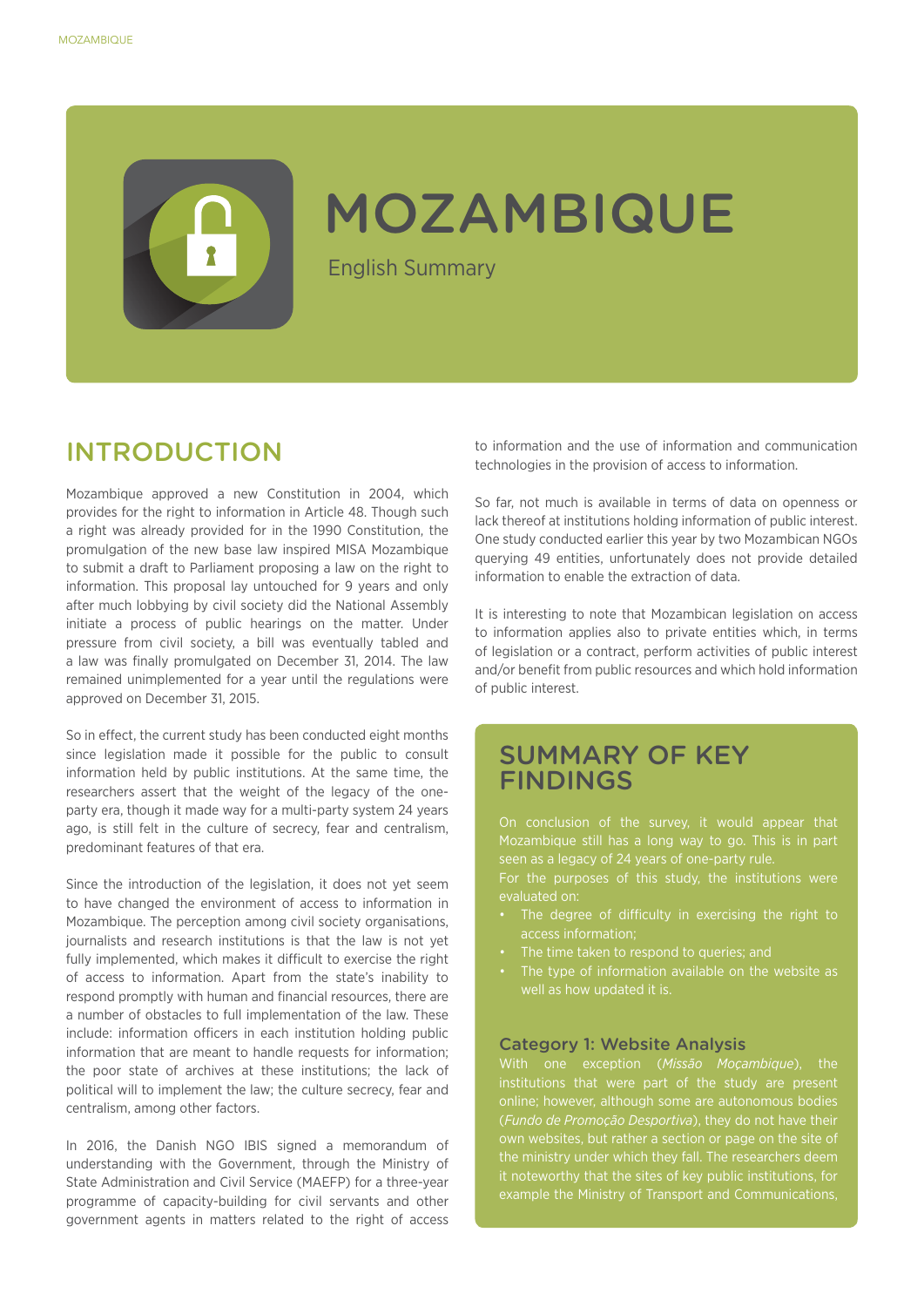## MOZAMBIQUE

English Summary

## INTRODUCTION

Mozambique approved a new Constitution in 2004, which provides for the right to information in Article 48. Though such a right was already provided for in the 1990 Constitution, the promulgation of the new base law inspired MISA Mozambique to submit a draft to Parliament proposing a law on the right to information. This proposal lay untouched for 9 years and only after much lobbying by civil society did the National Assembly initiate a process of public hearings on the matter. Under pressure from civil society, a bill was eventually tabled and a law was finally promulgated on December 31, 2014. The law remained unimplemented for a year until the regulations were approved on December 31, 2015.

So in effect, the current study has been conducted eight months since legislation made it possible for the public to consult information held by public institutions. At the same time, the researchers assert that the weight of the legacy of the oneparty era, though it made way for a multi-party system 24 years ago, is still felt in the culture of secrecy, fear and centralism, predominant features of that era.

Since the introduction of the legislation, it does not yet seem to have changed the environment of access to information in Mozambique. The perception among civil society organisations, journalists and research institutions is that the law is not yet fully implemented, which makes it difficult to exercise the right of access to information. Apart from the state's inability to respond promptly with human and financial resources, there are a number of obstacles to full implementation of the law. These include: information officers in each institution holding public information that are meant to handle requests for information: the poor state of archives at these institutions; the lack of political will to implement the law; the culture secrecy, fear and centralism, among other factors.

In 2016, the Danish NGO IBIS signed a memorandum of understanding with the Government, through the Ministry of State Administration and Civil Service (MAEFP) for a three-year programme of capacity-building for civil servants and other government agents in matters related to the right of access

to information and the use of information and communication technologies in the provision of access to information.

So far, not much is available in terms of data on openness or lack thereof at institutions holding information of public interest. One study conducted earlier this year by two Mozambican NGOs querying 49 entities, unfortunately does not provide detailed information to enable the extraction of data.

It is interesting to note that Mozambican legislation on access to information applies also to private entities which, in terms of legislation or a contract, perform activities of public interest and/or benefit from public resources and which hold information of public interest.

### SUMMARY OF KEY FINDINGS

On conclusion of the survey, it would appear that seen as a legacy of 24 years of one-party rule.

evaluated on:

- The degree of difficulty in exercising the right to access information;
- The time taken to respond to queries; and
- The type of information available on the website as well as how updated it is.

#### Category 1: Website Analysis

online; however, although some are autonomous bodies (*Fundo de Promoção Desportiva*), they do not have their own websites, but rather a section or page on the site of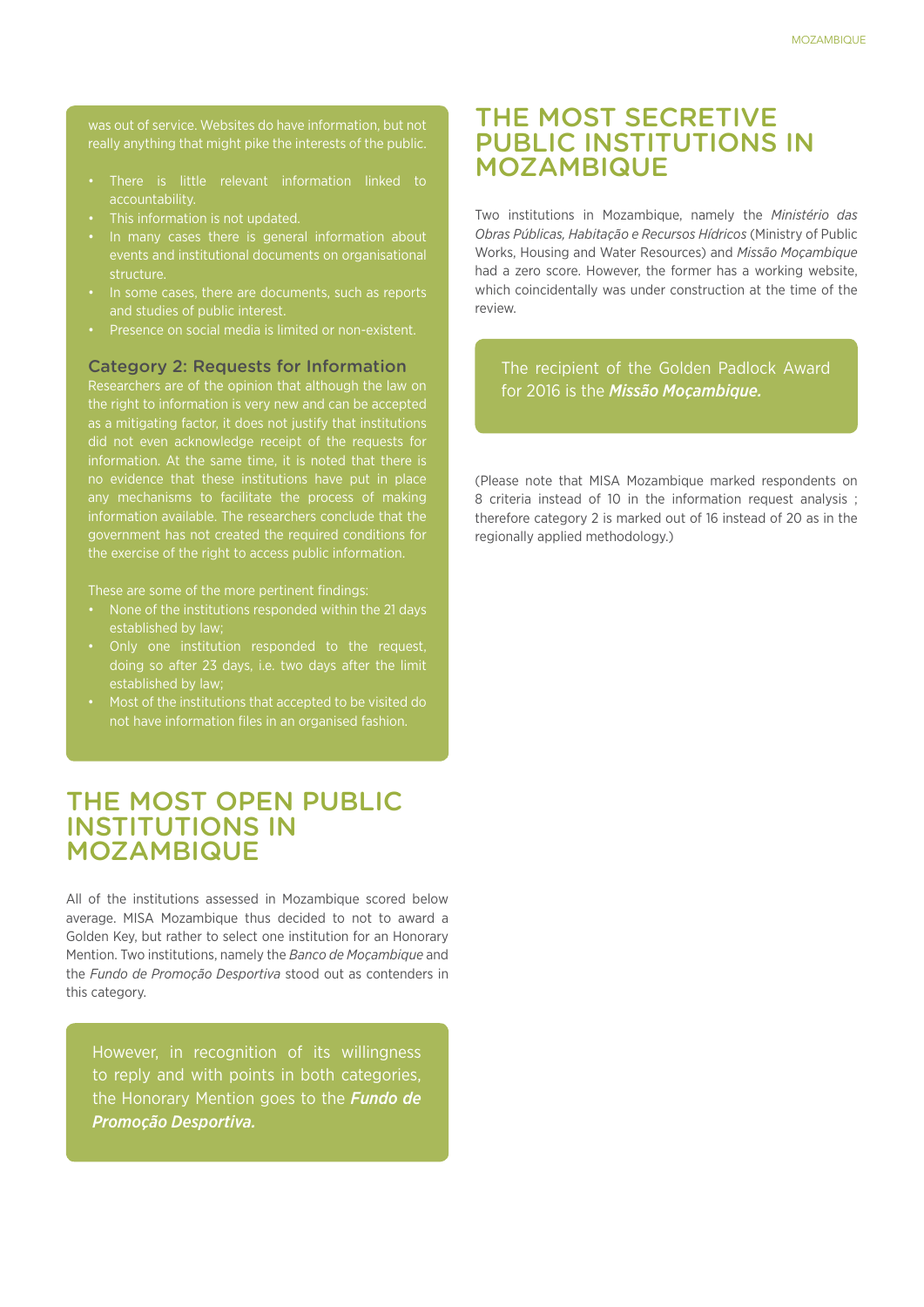was out of service. Websites do have information, but not really anything that might pike the interests of the public.

- • There is little relevant information linked to accountability.
- 
- In many cases there is general information about events and institutional documents on organisational structure.
- In some cases, there are documents, such as reports and studies of public interest.
- 

#### Category 2: Requests for Information

Researchers are of the opinion that although the law on the right to information is very new and can be accepted as a mitigating factor, it does not justify that institutions did not even acknowledge receipt of the requests for government has not created the required conditions for the exercise of the right to access public information.

These are some of the more pertinent findings:

- None of the institutions responded within the 21 days
- doing so after 23 days, i.e. two days after the limit
- not have information files in an organised fashion.

### THE MOST OPEN PUBLIC INSTITUTIONS IN MOZAMBIQUE

All of the institutions assessed in Mozambique scored below average. MISA Mozambique thus decided to not to award a Golden Key, but rather to select one institution for an Honorary Mention. Two institutions, namely the *Banco de Moçambique* and the *Fundo de Promoção Desportiva* stood out as contenders in this category.

However, in recognition of its willingness to reply and with points in both categories, the Honorary Mention goes to the *Fundo de Promoção Desportiva.*

### THE MOST SECRETIVE PUBLIC INSTITUTIONS IN MOZAMBIQUE

Two institutions in Mozambique, namely the *Ministério das Obras Públicas, Habitação e Recursos Hídricos* (Ministry of Public Works, Housing and Water Resources) and *Missão Moçambique*  had a zero score. However, the former has a working website, which coincidentally was under construction at the time of the review.

The recipient of the Golden Padlock Award for 2016 is the *Missão Moçambique.*

(Please note that MISA Mozambique marked respondents on 8 criteria instead of 10 in the information request analysis ; therefore category 2 is marked out of 16 instead of 20 as in the regionally applied methodology.)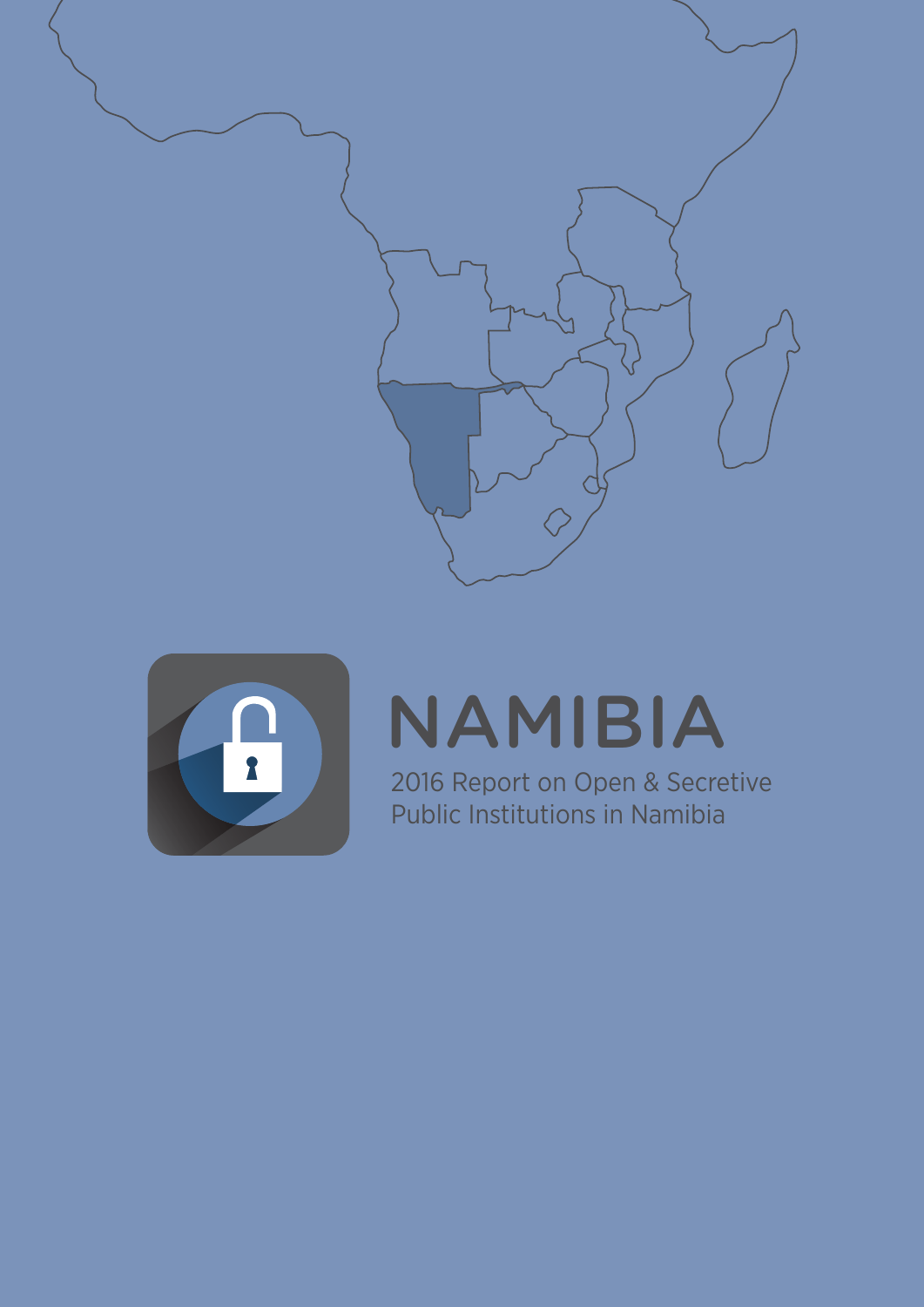



# NAMIBIA

2016 Report on Open & Secretive Public Institutions in Namibia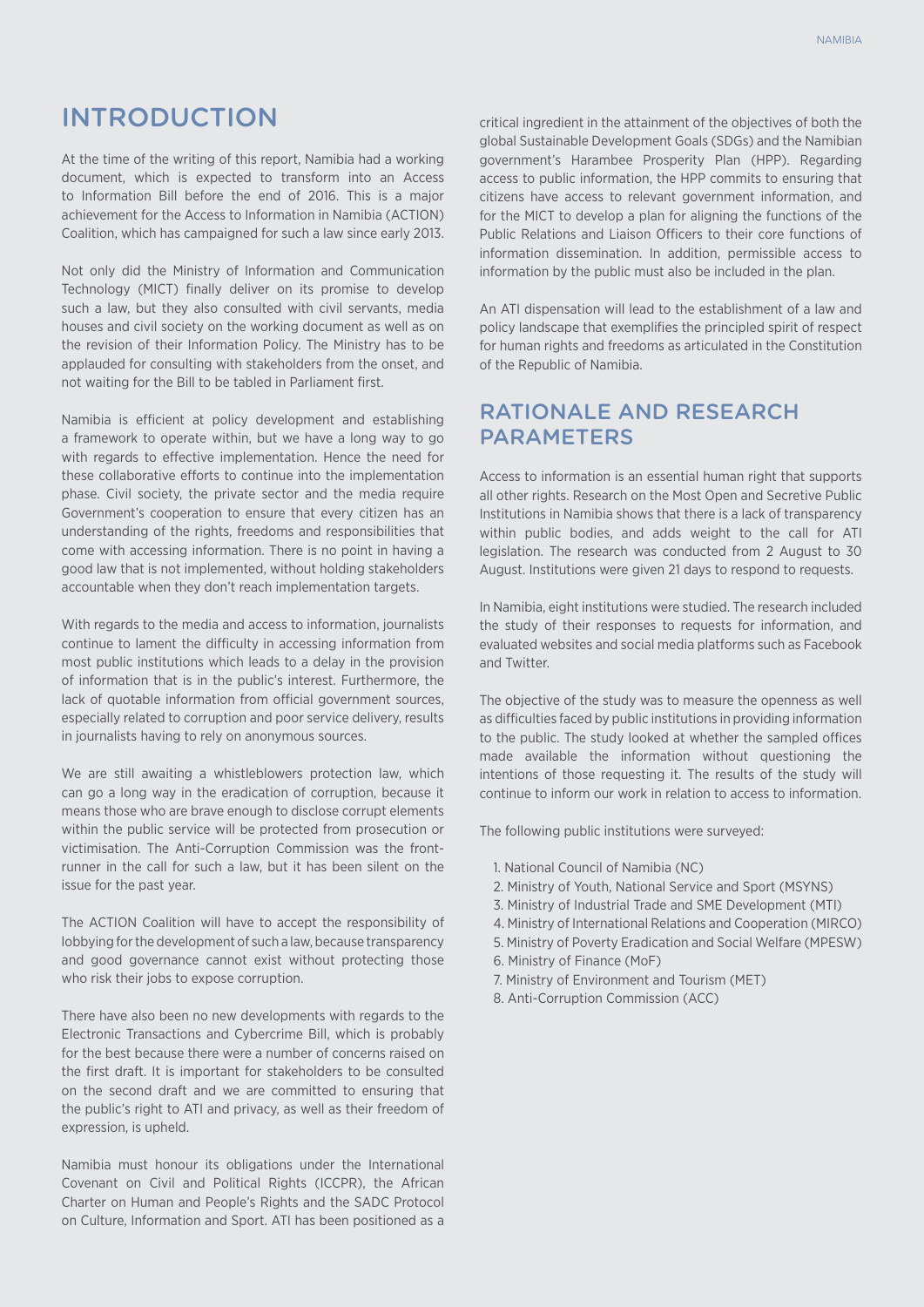## INTRODUCTION

At the time of the writing of this report, Namibia had a working document, which is expected to transform into an Access to Information Bill before the end of 2016. This is a major achievement for the Access to Information in Namibia (ACTION) Coalition, which has campaigned for such a law since early 2013.

Not only did the Ministry of Information and Communication Technology (MICT) finally deliver on its promise to develop such a law, but they also consulted with civil servants, media houses and civil society on the working document as well as on the revision of their Information Policy. The Ministry has to be applauded for consulting with stakeholders from the onset, and not waiting for the Bill to be tabled in Parliament first.

Namibia is efficient at policy development and establishing a framework to operate within, but we have a long way to go with regards to effective implementation. Hence the need for these collaborative efforts to continue into the implementation phase. Civil society, the private sector and the media require Government's cooperation to ensure that every citizen has an understanding of the rights, freedoms and responsibilities that come with accessing information. There is no point in having a good law that is not implemented, without holding stakeholders accountable when they don't reach implementation targets.

With regards to the media and access to information, journalists continue to lament the difficulty in accessing information from most public institutions which leads to a delay in the provision of information that is in the public's interest. Furthermore, the lack of quotable information from official government sources, especially related to corruption and poor service delivery, results in journalists having to rely on anonymous sources.

We are still awaiting a whistleblowers protection law, which can go a long way in the eradication of corruption, because it means those who are brave enough to disclose corrupt elements within the public service will be protected from prosecution or victimisation. The Anti-Corruption Commission was the frontrunner in the call for such a law, but it has been silent on the issue for the past year.

The ACTION Coalition will have to accept the responsibility of lobbying for the development of such a law, because transparency and good governance cannot exist without protecting those who risk their jobs to expose corruption.

There have also been no new developments with regards to the Electronic Transactions and Cybercrime Bill, which is probably for the best because there were a number of concerns raised on the first draft. It is important for stakeholders to be consulted on the second draft and we are committed to ensuring that the public's right to ATI and privacy, as well as their freedom of expression, is upheld.

Namibia must honour its obligations under the International Covenant on Civil and Political Rights (ICCPR), the African Charter on Human and People's Rights and the SADC Protocol on Culture, Information and Sport. ATI has been positioned as a

critical ingredient in the attainment of the objectives of both the global Sustainable Development Goals (SDGs) and the Namibian government's Harambee Prosperity Plan (HPP). Regarding access to public information, the HPP commits to ensuring that citizens have access to relevant government information, and for the MICT to develop a plan for aligning the functions of the Public Relations and Liaison Officers to their core functions of information dissemination. In addition, permissible access to information by the public must also be included in the plan.

An ATI dispensation will lead to the establishment of a law and policy landscape that exemplifies the principled spirit of respect for human rights and freedoms as articulated in the Constitution of the Republic of Namibia.

#### Rationale and ReseaRch **PARAMETERS**

Access to information is an essential human right that supports all other rights. Research on the Most Open and Secretive Public Institutions in Namibia shows that there is a lack of transparency within public bodies, and adds weight to the call for ATI legislation. The research was conducted from 2 August to 30 August. Institutions were given 21 days to respond to requests.

In Namibia, eight institutions were studied. The research included the study of their responses to requests for information, and evaluated websites and social media platforms such as Facebook and Twitter.

The objective of the study was to measure the openness as well as difficulties faced by public institutions in providing information to the public. The study looked at whether the sampled offices made available the information without questioning the intentions of those requesting it. The results of the study will continue to inform our work in relation to access to information.

The following public institutions were surveyed:

- 1. National Council of Namibia (NC)
- 2. Ministry of Youth, National Service and Sport (MSYNS)
- 3. Ministry of Industrial Trade and SME Development (MTI)
- 4. Ministry of International Relations and Cooperation (MIRCO)
- 5. Ministry of Poverty Eradication and Social Welfare (MPESW)
- 6. Ministry of Finance (MoF)
- 7. Ministry of Environment and Tourism (MET)
- 8. Anti-Corruption Commission (ACC)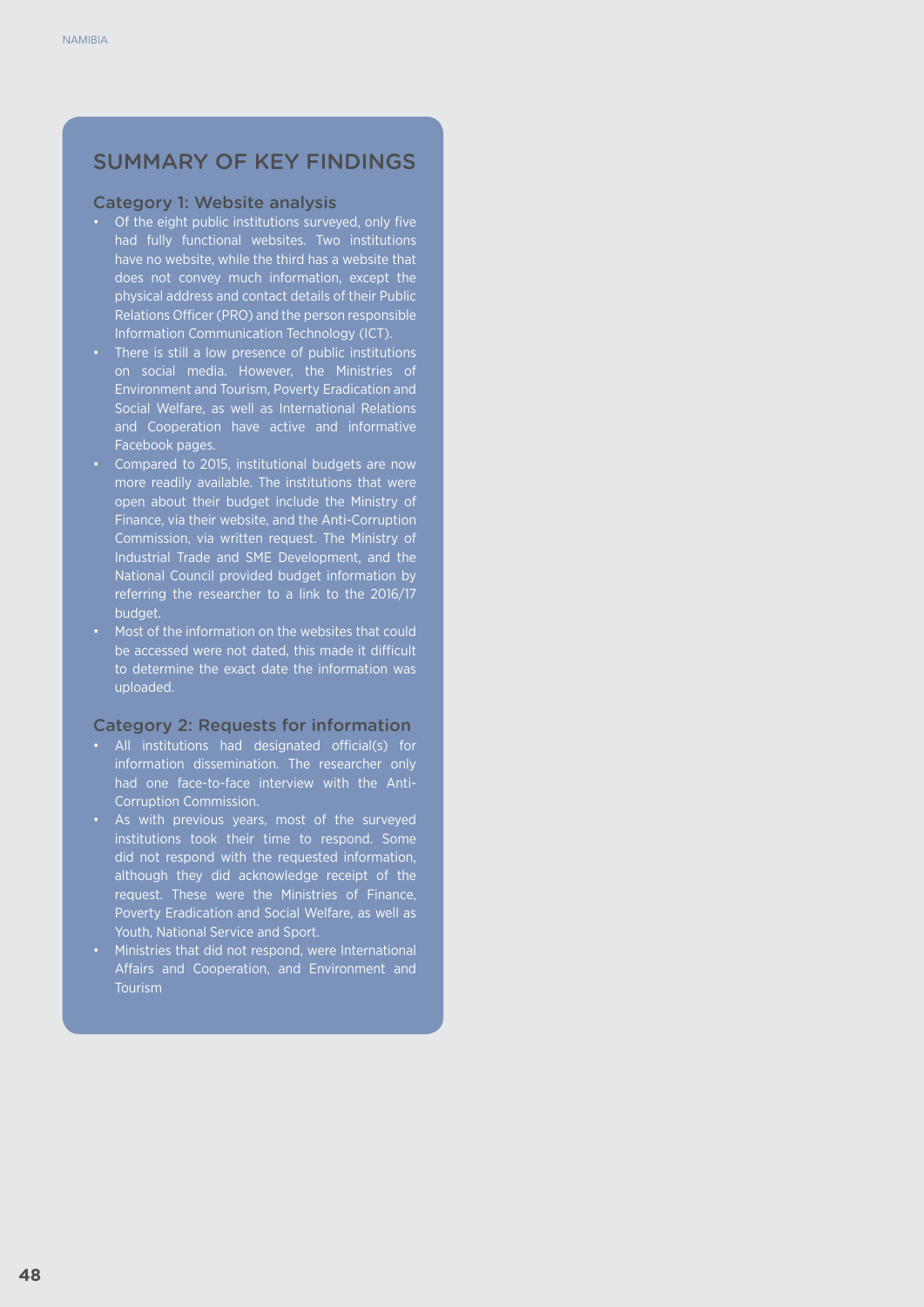#### SUMMARY OF KEY FINDINGS

#### Category 1: Website analysis

- • Of the eight public institutions surveyed, only five had fully functional websites. Two institutions have no website, while the third has a website that does not convey much information, except the physical address and contact details of their Public Relations Officer (PRO) and the person responsible Information Communication Technology (ICT).
- There is still a low presence of public institutions on social media. However, the Ministries of Environment and Tourism, Poverty Eradication and Social Welfare, as well as International Relations and Cooperation have active and informative Facebook pages.
- • Compared to 2015, institutional budgets are now more readily available. The institutions that were open about their budget include the Ministry of Finance, via their website, and the Anti-Corruption Commission, via written request. The Ministry of Industrial Trade and SME Development, and the National Council provided budget information by referring the researcher to a link to the 2016/17 budget.
- • Most of the information on the websites that could be accessed were not dated, this made it difficult to determine the exact date the information was uploaded.

#### Category 2: Requests for information

- • All institutions had designated official(s) for information dissemination. The researcher only had one face-to-face interview with the Anti-Corruption Commission.
- • As with previous years, most of the surveyed institutions took their time to respond. Some did not respond with the requested information, although they did acknowledge receipt of the request. These were the Ministries of Finance, Poverty Eradication and Social Welfare, as well as Youth, National Service and Sport.
- • Ministries that did not respond, were International Affairs and Cooperation, and Environment and Tourism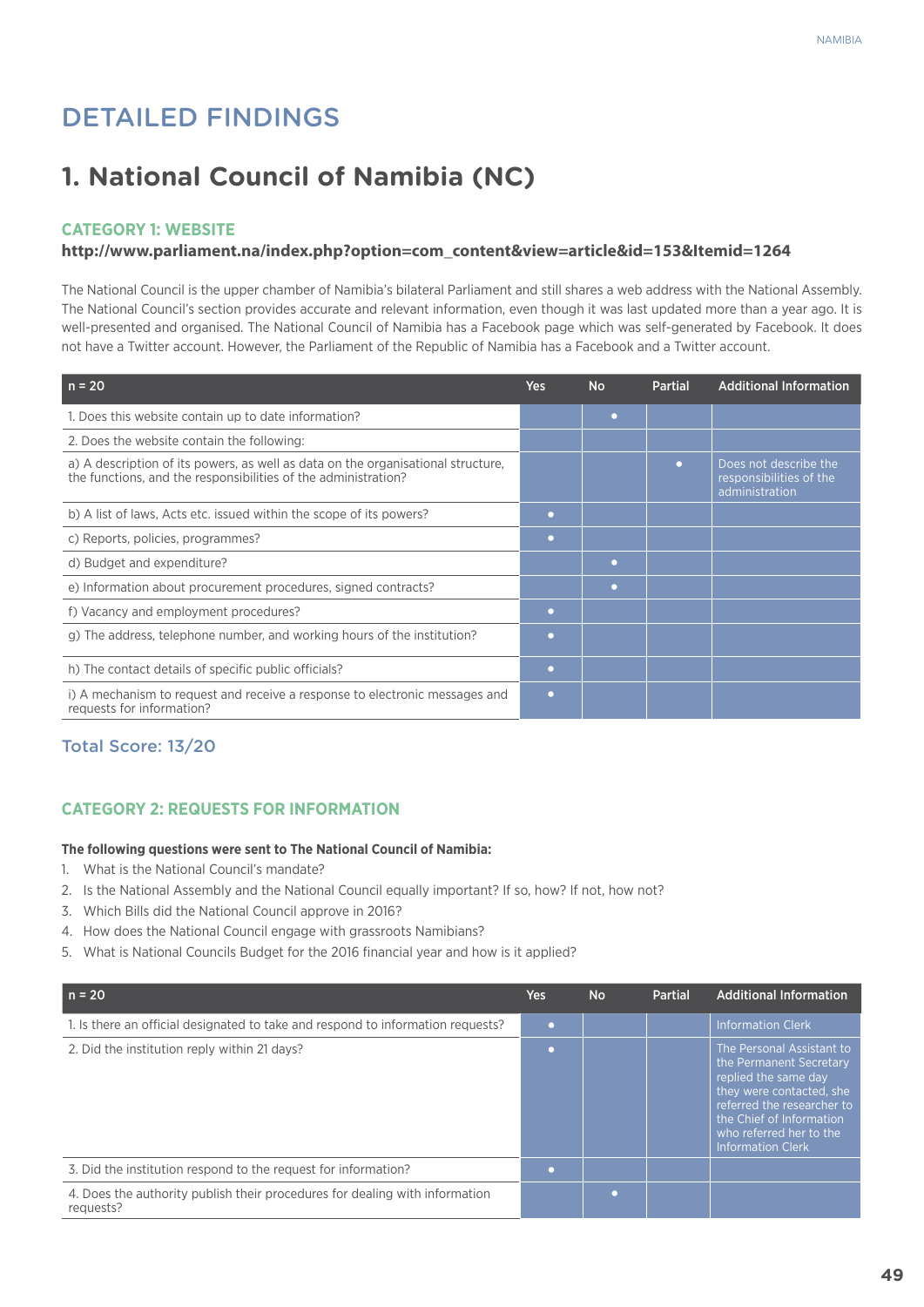## Detailed Findings

## **1. National Council of Namibia (NC)**

#### **Category 1: Website**

#### **http://www.parliament.na/index.php?option=com\_content&view=article&id=153&Itemid=1264**

The National Council is the upper chamber of Namibia's bilateral Parliament and still shares a web address with the National Assembly. The National Council's section provides accurate and relevant information, even though it was last updated more than a year ago. It is well-presented and organised. The National Council of Namibia has a Facebook page which was self-generated by Facebook. It does not have a Twitter account. However, the Parliament of the Republic of Namibia has a Facebook and a Twitter account.

| $n = 20$                                                                                                                                           | <b>Yes</b> | <b>No</b> | <b>Partial</b> | <b>Additional Information</b>                                      |
|----------------------------------------------------------------------------------------------------------------------------------------------------|------------|-----------|----------------|--------------------------------------------------------------------|
| 1. Does this website contain up to date information?                                                                                               |            | n         |                |                                                                    |
| 2. Does the website contain the following:                                                                                                         |            |           |                |                                                                    |
| a) A description of its powers, as well as data on the organisational structure,<br>the functions, and the responsibilities of the administration? |            |           | o              | Does not describe the<br>responsibilities of the<br>administration |
| b) A list of laws, Acts etc. issued within the scope of its powers?                                                                                | ٠          |           |                |                                                                    |
| c) Reports, policies, programmes?                                                                                                                  | ۰          |           |                |                                                                    |
| d) Budget and expenditure?                                                                                                                         |            | o         |                |                                                                    |
| e) Information about procurement procedures, signed contracts?                                                                                     |            | n         |                |                                                                    |
| f) Vacancy and employment procedures?                                                                                                              | ۰          |           |                |                                                                    |
| g) The address, telephone number, and working hours of the institution?                                                                            | $\bullet$  |           |                |                                                                    |
| h) The contact details of specific public officials?                                                                                               | $\bullet$  |           |                |                                                                    |
| i) A mechanism to request and receive a response to electronic messages and<br>requests for information?                                           | ٠          |           |                |                                                                    |

#### Total Score: 13/20

#### **CATEGORY 2: REQUESTS FOR INFORMATION**

#### **The following questions were sent to The National Council of Namibia:**

- 1. What is the National Council's mandate?
- 2. Is the National Assembly and the National Council equally important? If so, how? If not, how not?
- 3. Which Bills did the National Council approve in 2016?
- 4. How does the National Council engage with grassroots Namibians?
- 5. What is National Councils Budget for the 2016 financial year and how is it applied?

| $n = 20$                                                                                 | Yes:           | <b>No</b> | <b>Partial</b> | <b>Additional Information</b>                                                                                                                                                                                             |
|------------------------------------------------------------------------------------------|----------------|-----------|----------------|---------------------------------------------------------------------------------------------------------------------------------------------------------------------------------------------------------------------------|
| 1. Is there an official designated to take and respond to information requests?          | $\blacksquare$ |           |                | <b>Information Clerk</b>                                                                                                                                                                                                  |
| 2. Did the institution reply within 21 days?                                             |                |           |                | The Personal Assistant to<br>the Permanent Secretary<br>replied the same day<br>they were contacted, she<br>referred the researcher to<br>the Chief of Information<br>who referred her to the<br><b>Information Clerk</b> |
| 3. Did the institution respond to the request for information?                           |                |           |                |                                                                                                                                                                                                                           |
| 4. Does the authority publish their procedures for dealing with information<br>requests? |                |           |                |                                                                                                                                                                                                                           |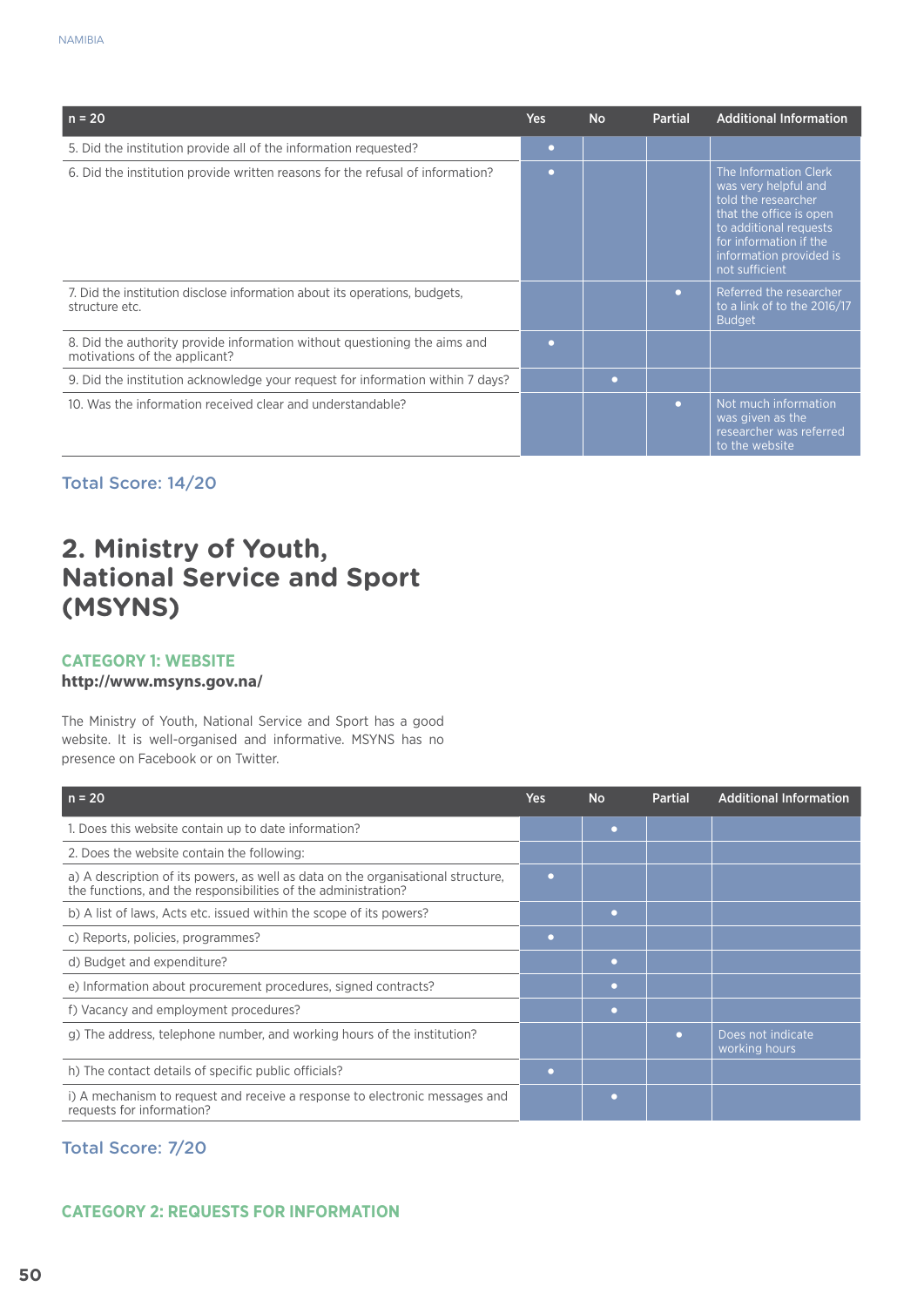| $n = 20$                                                                                                   | <b>Yes</b>               | <b>No</b> | <b>Partial</b> | <b>Additional Information</b>                                                                                                                                                                    |
|------------------------------------------------------------------------------------------------------------|--------------------------|-----------|----------------|--------------------------------------------------------------------------------------------------------------------------------------------------------------------------------------------------|
| 5. Did the institution provide all of the information requested?                                           | $\bullet$                |           |                |                                                                                                                                                                                                  |
| 6. Did the institution provide written reasons for the refusal of information?                             | $\overline{\phantom{a}}$ |           |                | The Information Clerk<br>was very helpful and<br>told the researcher<br>that the office is open<br>to additional requests<br>for information if the<br>information provided is<br>not sufficient |
| 7. Did the institution disclose information about its operations, budgets,<br>structure etc.               |                          |           | o              | Referred the researcher<br>to a link of to the 2016/17<br><b>Budget</b>                                                                                                                          |
| 8. Did the authority provide information without questioning the aims and<br>motivations of the applicant? |                          |           |                |                                                                                                                                                                                                  |
| 9. Did the institution acknowledge your request for information within 7 days?                             |                          | o         |                |                                                                                                                                                                                                  |
| 10. Was the information received clear and understandable?                                                 |                          |           | $\bullet$      | Not much information<br>was given as the<br>researcher was referred<br>to the website                                                                                                            |

## **2. Ministry of Youth, National Service and Sport (MSYNS)**

#### **Category 1: Website**

#### **http://www.msyns.gov.na/**

The Ministry of Youth, National Service and Sport has a good website. It is well-organised and informative. MSYNS has no presence on Facebook or on Twitter.

| $n = 20$                                                                                                                                           | Yes | <b>No</b> | <b>Partial</b> | <b>Additional Information</b>      |
|----------------------------------------------------------------------------------------------------------------------------------------------------|-----|-----------|----------------|------------------------------------|
| 1. Does this website contain up to date information?                                                                                               |     | $\bullet$ |                |                                    |
| 2. Does the website contain the following:                                                                                                         |     |           |                |                                    |
| a) A description of its powers, as well as data on the organisational structure,<br>the functions, and the responsibilities of the administration? |     |           |                |                                    |
| b) A list of laws, Acts etc. issued within the scope of its powers?                                                                                |     | ٠         |                |                                    |
| c) Reports, policies, programmes?                                                                                                                  | o   |           |                |                                    |
| d) Budget and expenditure?                                                                                                                         |     | ٠         |                |                                    |
| e) Information about procurement procedures, signed contracts?                                                                                     |     | $\bullet$ |                |                                    |
| f) Vacancy and employment procedures?                                                                                                              |     | $\bullet$ |                |                                    |
| g) The address, telephone number, and working hours of the institution?                                                                            |     |           | o              | Does not indicate<br>working hours |
| h) The contact details of specific public officials?                                                                                               | o   |           |                |                                    |
| i) A mechanism to request and receive a response to electronic messages and<br>requests for information?                                           |     | $\bullet$ |                |                                    |

Total Score: 7/20

#### **CATEGORY 2: REQUESTS FOR INFORMATION**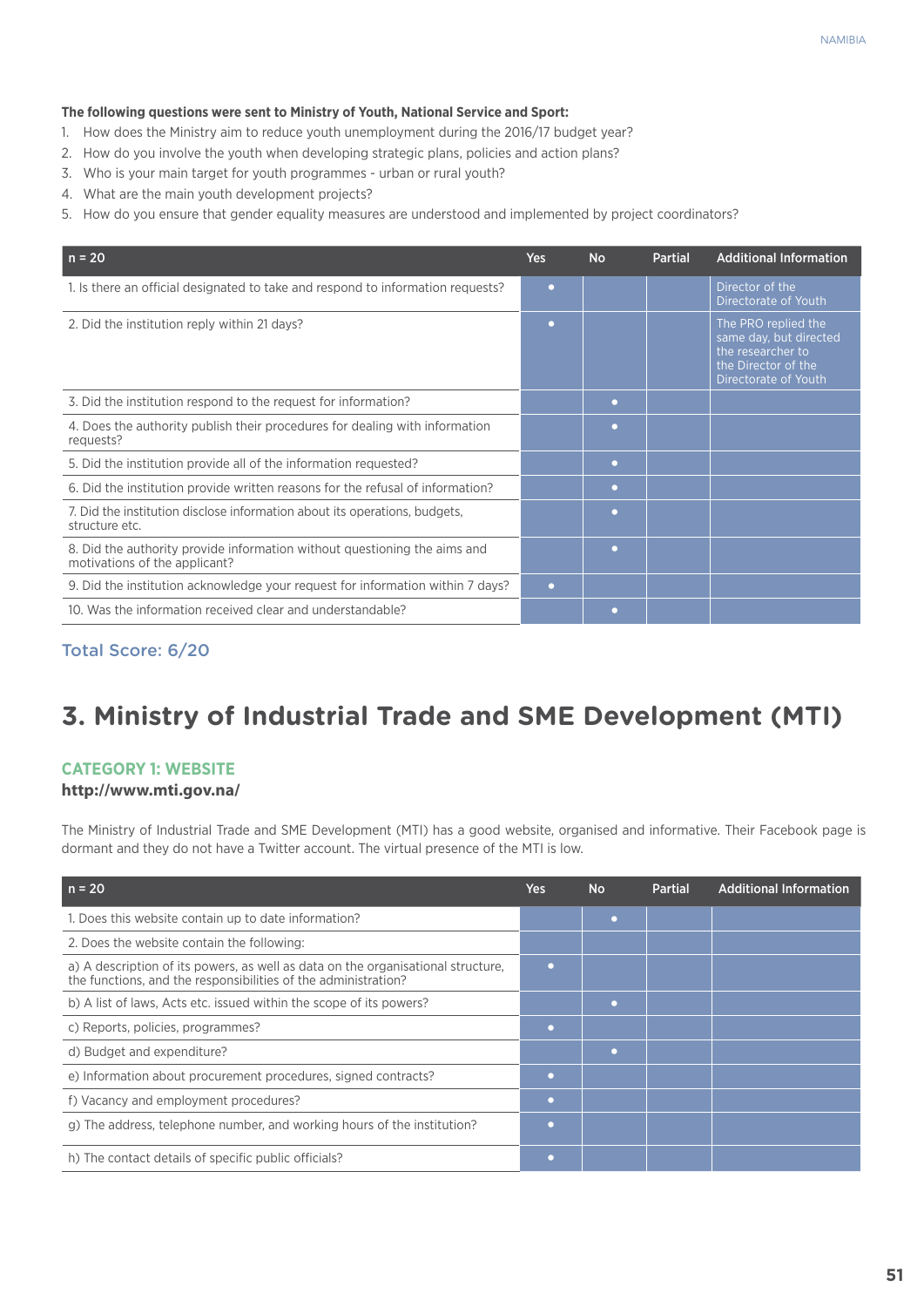#### **The following questions were sent to Ministry of Youth, National Service and Sport:**

- 1. How does the Ministry aim to reduce youth unemployment during the 2016/17 budget year?
- 2. How do you involve the youth when developing strategic plans, policies and action plans?
- 3. Who is your main target for youth programmes urban or rural youth?
- 4. What are the main youth development projects?
- 5. How do you ensure that gender equality measures are understood and implemented by project coordinators?

| $n = 20$                                                                                                   | <b>Yes</b> | <b>No</b> | <b>Partial</b> | <b>Additional Information</b>                                                                                     |
|------------------------------------------------------------------------------------------------------------|------------|-----------|----------------|-------------------------------------------------------------------------------------------------------------------|
| 1. Is there an official designated to take and respond to information requests?                            | $\bullet$  |           |                | Director of the<br>Directorate of Youth                                                                           |
| 2. Did the institution reply within 21 days?                                                               | ۰          |           |                | The PRO replied the<br>same day, but directed<br>the researcher to<br>the Director of the<br>Directorate of Youth |
| 3. Did the institution respond to the request for information?                                             |            |           |                |                                                                                                                   |
| 4. Does the authority publish their procedures for dealing with information<br>requests?                   |            | o         |                |                                                                                                                   |
| 5. Did the institution provide all of the information requested?                                           |            | $\bullet$ |                |                                                                                                                   |
| 6. Did the institution provide written reasons for the refusal of information?                             |            | $\bullet$ |                |                                                                                                                   |
| 7. Did the institution disclose information about its operations, budgets,<br>structure etc.               |            | ٠         |                |                                                                                                                   |
| 8. Did the authority provide information without questioning the aims and<br>motivations of the applicant? |            | $\bullet$ |                |                                                                                                                   |
| 9. Did the institution acknowledge your request for information within 7 days?                             | $\bullet$  |           |                |                                                                                                                   |
| 10. Was the information received clear and understandable?                                                 |            | n         |                |                                                                                                                   |

#### Total Score: 6/20

## **3. Ministry of Industrial Trade and SME Development (MTI)**

#### **Category 1: Website**

#### **http://www.mti.gov.na/**

The Ministry of Industrial Trade and SME Development (MTI) has a good website, organised and informative. Their Facebook page is dormant and they do not have a Twitter account. The virtual presence of the MTI is low.

| $n = 20$                                                                                                                                           | Yes       | <b>No</b> | Partial | <b>Additional Information</b> |
|----------------------------------------------------------------------------------------------------------------------------------------------------|-----------|-----------|---------|-------------------------------|
| 1. Does this website contain up to date information?                                                                                               |           | ٠         |         |                               |
| 2. Does the website contain the following:                                                                                                         |           |           |         |                               |
| a) A description of its powers, as well as data on the organisational structure,<br>the functions, and the responsibilities of the administration? |           |           |         |                               |
| b) A list of laws, Acts etc. issued within the scope of its powers?                                                                                |           | ٠         |         |                               |
| c) Reports, policies, programmes?                                                                                                                  | $\bullet$ |           |         |                               |
| d) Budget and expenditure?                                                                                                                         |           |           |         |                               |
| e) Information about procurement procedures, signed contracts?                                                                                     |           |           |         |                               |
| f) Vacancy and employment procedures?                                                                                                              |           |           |         |                               |
| g) The address, telephone number, and working hours of the institution?                                                                            |           |           |         |                               |
| h) The contact details of specific public officials?                                                                                               |           |           |         |                               |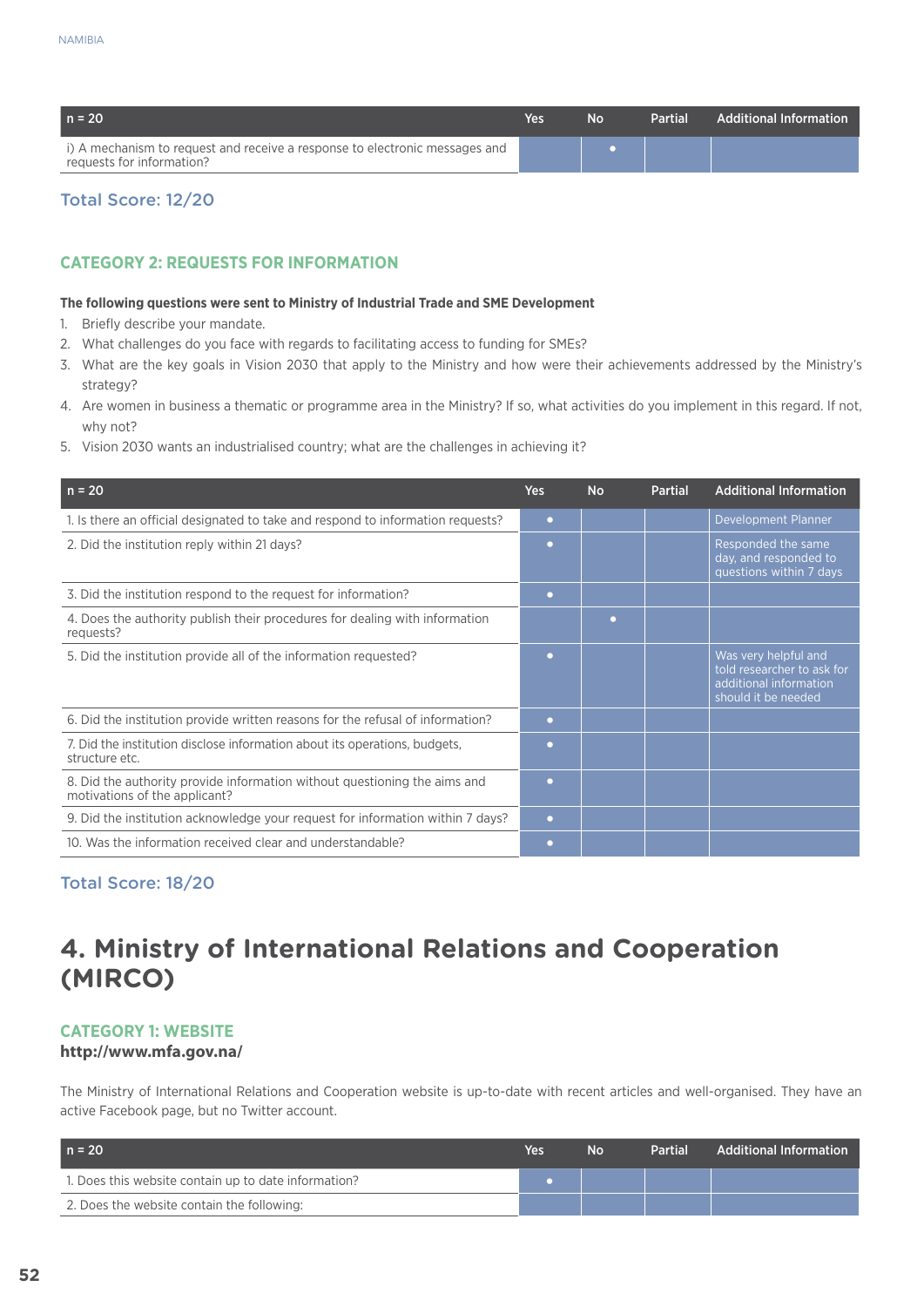| $n = 20$                                                                                                 | Yes | Nο | Partial | <b>Additional Information</b> |
|----------------------------------------------------------------------------------------------------------|-----|----|---------|-------------------------------|
| i) A mechanism to request and receive a response to electronic messages and<br>requests for information? |     |    |         |                               |

#### **CATEGORY 2: REQUESTS FOR INFORMATION**

#### **The following questions were sent to Ministry of Industrial Trade and SME Development**

- 1. Briefly describe your mandate.
- 2. What challenges do you face with regards to facilitating access to funding for SMEs?
- 3. What are the key goals in Vision 2030 that apply to the Ministry and how were their achievements addressed by the Ministry's strategy?
- 4. Are women in business a thematic or programme area in the Ministry? If so, what activities do you implement in this regard. If not, why not?
- 5. Vision 2030 wants an industrialised country; what are the challenges in achieving it?

| $n = 20$                                                                                                   | <b>Yes</b> | <b>No</b> | <b>Partial</b> | <b>Additional Information</b>                                                                       |
|------------------------------------------------------------------------------------------------------------|------------|-----------|----------------|-----------------------------------------------------------------------------------------------------|
| 1. Is there an official designated to take and respond to information requests?                            | $\bullet$  |           |                | Development Planner                                                                                 |
| 2. Did the institution reply within 21 days?                                                               | $\Box$     |           |                | Responded the same<br>day, and responded to<br>questions within 7 days                              |
| 3. Did the institution respond to the request for information?                                             | ٠          |           |                |                                                                                                     |
| 4. Does the authority publish their procedures for dealing with information<br>requests?                   |            | $\Box$    |                |                                                                                                     |
| 5. Did the institution provide all of the information requested?                                           |            |           |                | Was very helpful and<br>told researcher to ask for<br>additional information<br>should it be needed |
| 6. Did the institution provide written reasons for the refusal of information?                             | $\bullet$  |           |                |                                                                                                     |
| 7. Did the institution disclose information about its operations, budgets,<br>structure etc.               | o          |           |                |                                                                                                     |
| 8. Did the authority provide information without questioning the aims and<br>motivations of the applicant? | n          |           |                |                                                                                                     |
| 9. Did the institution acknowledge your request for information within 7 days?                             | $\bullet$  |           |                |                                                                                                     |
| 10. Was the information received clear and understandable?                                                 |            |           |                |                                                                                                     |

#### Total Score: 18/20

## **4. Ministry of International Relations and Cooperation (MIRCO)**

#### **Category 1: Website**

#### **http://www.mfa.gov.na/**

The Ministry of International Relations and Cooperation website is up-to-date with recent articles and well-organised. They have an active Facebook page, but no Twitter account.

| $n = 20$                                             | Yes | No | <b>Partial</b> | <b>Additional Information</b> |
|------------------------------------------------------|-----|----|----------------|-------------------------------|
| 1. Does this website contain up to date information? |     |    |                |                               |
| 2. Does the website contain the following:           |     |    |                |                               |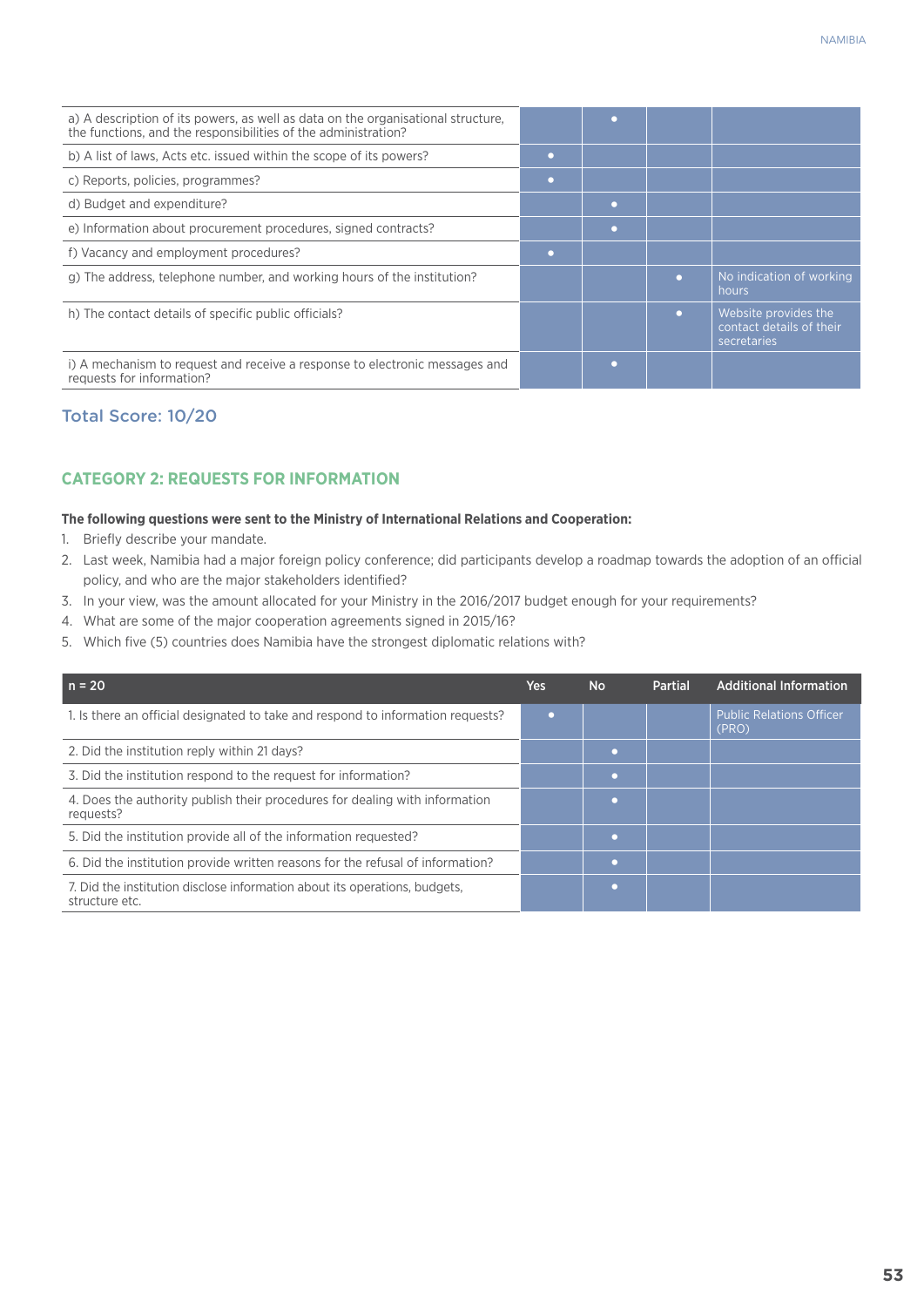| a) A description of its powers, as well as data on the organisational structure,<br>the functions, and the responsibilities of the administration? |        |        |   |                                                                 |
|----------------------------------------------------------------------------------------------------------------------------------------------------|--------|--------|---|-----------------------------------------------------------------|
| b) A list of laws, Acts etc. issued within the scope of its powers?                                                                                | o      |        |   |                                                                 |
| c) Reports, policies, programmes?                                                                                                                  | $\Box$ |        |   |                                                                 |
| d) Budget and expenditure?                                                                                                                         |        | o      |   |                                                                 |
| e) Information about procurement procedures, signed contracts?                                                                                     |        | O      |   |                                                                 |
| f) Vacancy and employment procedures?                                                                                                              | o      |        |   |                                                                 |
| g) The address, telephone number, and working hours of the institution?                                                                            |        |        |   | No indication of working<br>hours.                              |
| h) The contact details of specific public officials?                                                                                               |        |        | n | Website provides the<br>contact details of their<br>secretaries |
| i) A mechanism to request and receive a response to electronic messages and<br>requests for information?                                           |        | $\Box$ |   |                                                                 |

#### **CATEGORY 2: REQUESTS FOR INFORMATION**

#### **The following questions were sent to the Ministry of International Relations and Cooperation:**

- 1. Briefly describe your mandate.
- 2. Last week, Namibia had a major foreign policy conference; did participants develop a roadmap towards the adoption of an official policy, and who are the major stakeholders identified?
- 3. In your view, was the amount allocated for your Ministry in the 2016/2017 budget enough for your requirements?
- 4. What are some of the major cooperation agreements signed in 2015/16?
- 5. Which five (5) countries does Namibia have the strongest diplomatic relations with?

| $n = 20$                                                                                     | <b>Yes</b> | <b>No</b> | <b>Partial</b> | <b>Additional Information</b>            |
|----------------------------------------------------------------------------------------------|------------|-----------|----------------|------------------------------------------|
| 1. Is there an official designated to take and respond to information requests?              |            |           |                | <b>Public Relations Officer</b><br>(PRO) |
| 2. Did the institution reply within 21 days?                                                 |            |           |                |                                          |
| 3. Did the institution respond to the request for information?                               |            |           |                |                                          |
| 4. Does the authority publish their procedures for dealing with information<br>requests?     |            |           |                |                                          |
| 5. Did the institution provide all of the information requested?                             |            |           |                |                                          |
| 6. Did the institution provide written reasons for the refusal of information?               |            |           |                |                                          |
| 7. Did the institution disclose information about its operations, budgets,<br>structure etc. |            |           |                |                                          |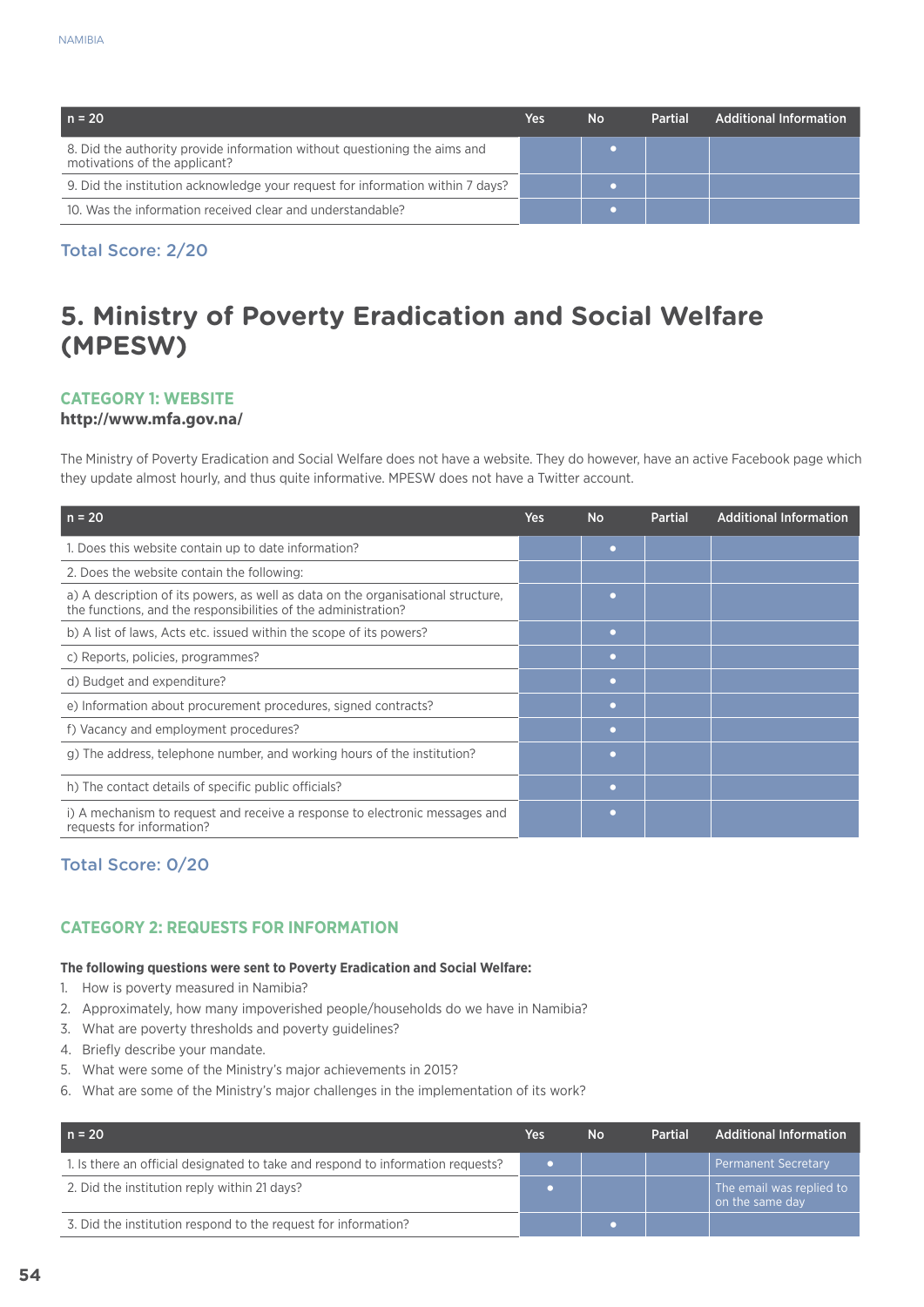| $n = 20$                                                                                                   | Yes | No | <b>Partial</b> | <b>Additional Information</b> |
|------------------------------------------------------------------------------------------------------------|-----|----|----------------|-------------------------------|
| 8. Did the authority provide information without questioning the aims and<br>motivations of the applicant? |     |    |                |                               |
| 9. Did the institution acknowledge your request for information within 7 days?                             |     |    |                |                               |
| 10. Was the information received clear and understandable?                                                 |     |    |                |                               |

## **5. Ministry of Poverty Eradication and Social Welfare (MPESW)**

#### **Category 1: Website**

#### **http://www.mfa.gov.na/**

The Ministry of Poverty Eradication and Social Welfare does not have a website. They do however, have an active Facebook page which they update almost hourly, and thus quite informative. MPESW does not have a Twitter account.

| $n = 20$                                                                                                                                           | Yes | <b>No</b> | <b>Partial</b> | <b>Additional Information</b> |
|----------------------------------------------------------------------------------------------------------------------------------------------------|-----|-----------|----------------|-------------------------------|
| 1. Does this website contain up to date information?                                                                                               |     |           |                |                               |
| 2. Does the website contain the following:                                                                                                         |     |           |                |                               |
| a) A description of its powers, as well as data on the organisational structure,<br>the functions, and the responsibilities of the administration? |     | $\bullet$ |                |                               |
| b) A list of laws, Acts etc. issued within the scope of its powers?                                                                                |     | $\bullet$ |                |                               |
| c) Reports, policies, programmes?                                                                                                                  |     | $\bullet$ |                |                               |
| d) Budget and expenditure?                                                                                                                         |     | $\sim$    |                |                               |
| e) Information about procurement procedures, signed contracts?                                                                                     |     | ◠         |                |                               |
| f) Vacancy and employment procedures?                                                                                                              |     | $\bullet$ |                |                               |
| g) The address, telephone number, and working hours of the institution?                                                                            |     | o         |                |                               |
| h) The contact details of specific public officials?                                                                                               |     | $\bullet$ |                |                               |
| i) A mechanism to request and receive a response to electronic messages and<br>requests for information?                                           |     |           |                |                               |

#### Total Score: 0/20

#### **CATEGORY 2: REQUESTS FOR INFORMATION**

#### **The following questions were sent to Poverty Eradication and Social Welfare:**

- 1. How is poverty measured in Namibia?
- 2. Approximately, how many impoverished people/households do we have in Namibia?
- 3. What are poverty thresholds and poverty guidelines?
- 4. Briefly describe your mandate.
- 5. What were some of the Ministry's major achievements in 2015?
- 6. What are some of the Ministry's major challenges in the implementation of its work?

| $n = 20$                                                                        | Yes | No | <b>Partial</b> | <b>Additional Information</b>               |
|---------------------------------------------------------------------------------|-----|----|----------------|---------------------------------------------|
| 1. Is there an official designated to take and respond to information requests? |     |    |                | <b>Permanent Secretary</b>                  |
| 2. Did the institution reply within 21 days?                                    |     |    |                | The email was replied to<br>on the same day |
| 3. Did the institution respond to the request for information?                  |     |    |                |                                             |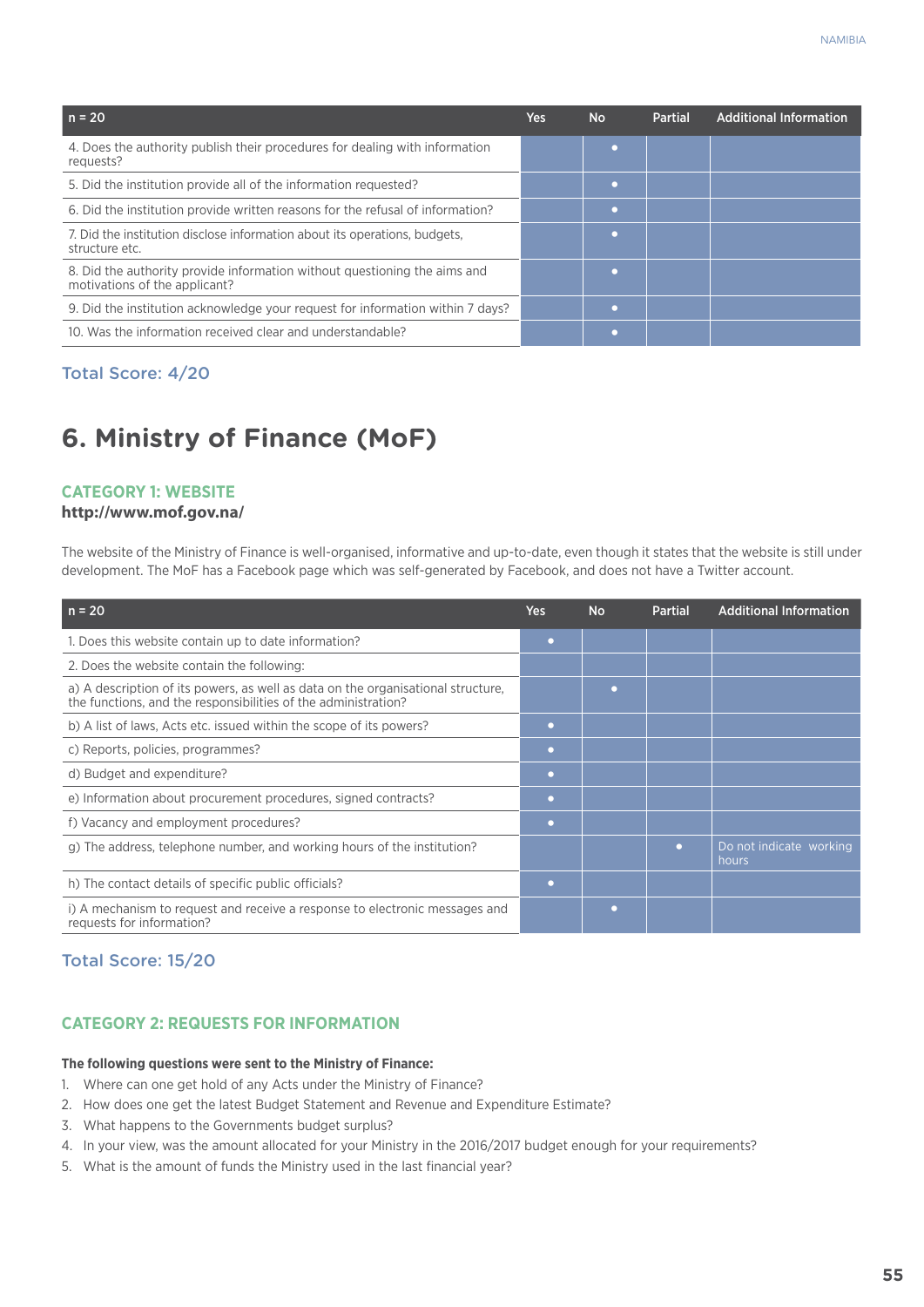| $n = 20$                                                                                                   | Yes | <b>No</b> | <b>Partial</b> | <b>Additional Information</b> |
|------------------------------------------------------------------------------------------------------------|-----|-----------|----------------|-------------------------------|
| 4. Does the authority publish their procedures for dealing with information<br>requests?                   |     |           |                |                               |
| 5. Did the institution provide all of the information requested?                                           |     | n         |                |                               |
| 6. Did the institution provide written reasons for the refusal of information?                             |     | o         |                |                               |
| 7. Did the institution disclose information about its operations, budgets.<br>structure etc.               |     | o         |                |                               |
| 8. Did the authority provide information without questioning the aims and<br>motivations of the applicant? |     |           |                |                               |
| 9. Did the institution acknowledge your request for information within 7 days?                             |     |           |                |                               |
| 10. Was the information received clear and understandable?                                                 |     |           |                |                               |

## **6. Ministry of Finance (MoF)**

#### **Category 1: Website**

#### **http://www.mof.gov.na/**

The website of the Ministry of Finance is well-organised, informative and up-to-date, even though it states that the website is still under development. The MoF has a Facebook page which was self-generated by Facebook, and does not have a Twitter account.

| $n = 20$                                                                                                                                           | <b>Yes</b> | <b>No</b> | <b>Partial</b> | <b>Additional Information</b>    |
|----------------------------------------------------------------------------------------------------------------------------------------------------|------------|-----------|----------------|----------------------------------|
| 1. Does this website contain up to date information?                                                                                               | ٠          |           |                |                                  |
| 2. Does the website contain the following:                                                                                                         |            |           |                |                                  |
| a) A description of its powers, as well as data on the organisational structure,<br>the functions, and the responsibilities of the administration? |            | ٠         |                |                                  |
| b) A list of laws, Acts etc. issued within the scope of its powers?                                                                                | ٠          |           |                |                                  |
| c) Reports, policies, programmes?                                                                                                                  | $\bullet$  |           |                |                                  |
| d) Budget and expenditure?                                                                                                                         | o          |           |                |                                  |
| e) Information about procurement procedures, signed contracts?                                                                                     | o          |           |                |                                  |
| f) Vacancy and employment procedures?                                                                                                              | ۰          |           |                |                                  |
| g) The address, telephone number, and working hours of the institution?                                                                            |            |           | $\bullet$      | Do not indicate working<br>hours |
| h) The contact details of specific public officials?                                                                                               | o          |           |                |                                  |
| i) A mechanism to request and receive a response to electronic messages and<br>requests for information?                                           |            | ٠         |                |                                  |

#### Total Score: 15/20

#### **CATEGORY 2: REQUESTS FOR INFORMATION**

#### **The following questions were sent to the Ministry of Finance:**

- 1. Where can one get hold of any Acts under the Ministry of Finance?
- 2. How does one get the latest Budget Statement and Revenue and Expenditure Estimate?
- 3. What happens to the Governments budget surplus?
- 4. In your view, was the amount allocated for your Ministry in the 2016/2017 budget enough for your requirements?
- 5. What is the amount of funds the Ministry used in the last financial year?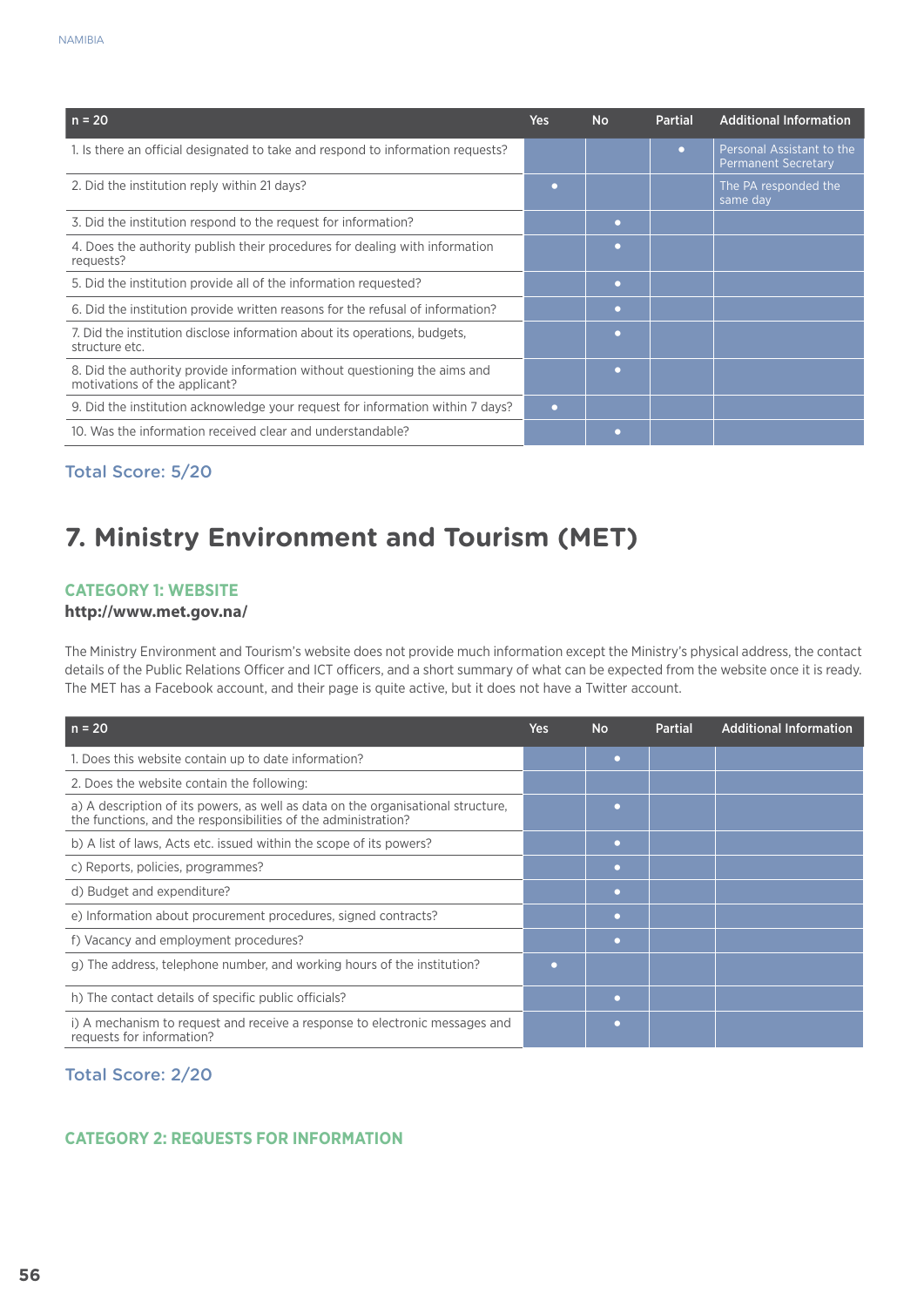| $n = 20$                                                                                                   | Yes | No.              | <b>Partial</b> | <b>Additional Information</b>                           |
|------------------------------------------------------------------------------------------------------------|-----|------------------|----------------|---------------------------------------------------------|
| 1. Is there an official designated to take and respond to information requests?                            |     |                  | $\bullet$      | Personal Assistant to the<br><b>Permanent Secretary</b> |
| 2. Did the institution reply within 21 days?                                                               |     |                  |                | The PA responded the<br>same day                        |
| 3. Did the institution respond to the request for information?                                             |     | o                |                |                                                         |
| 4. Does the authority publish their procedures for dealing with information<br>requests?                   |     | o                |                |                                                         |
| 5. Did the institution provide all of the information requested?                                           |     | $\mathbf \Omega$ |                |                                                         |
| 6. Did the institution provide written reasons for the refusal of information?                             |     | o                |                |                                                         |
| 7. Did the institution disclose information about its operations, budgets,<br>structure etc.               |     | o                |                |                                                         |
| 8. Did the authority provide information without questioning the aims and<br>motivations of the applicant? |     | $\mathbf \Omega$ |                |                                                         |
| 9. Did the institution acknowledge your request for information within 7 days?                             | o   |                  |                |                                                         |
| 10. Was the information received clear and understandable?                                                 |     |                  |                |                                                         |

## **7. Ministry Environment and Tourism (MET)**

#### **Category 1: Website**

#### **http://www.met.gov.na/**

The Ministry Environment and Tourism's website does not provide much information except the Ministry's physical address, the contact details of the Public Relations Officer and ICT officers, and a short summary of what can be expected from the website once it is ready. The MET has a Facebook account, and their page is quite active, but it does not have a Twitter account.

| $n = 20$                                                                                                                                           | Yes | <b>No</b>    | <b>Partial</b> | <b>Additional Information</b> |
|----------------------------------------------------------------------------------------------------------------------------------------------------|-----|--------------|----------------|-------------------------------|
| 1. Does this website contain up to date information?                                                                                               |     | $\bullet$    |                |                               |
| 2. Does the website contain the following:                                                                                                         |     |              |                |                               |
| a) A description of its powers, as well as data on the organisational structure,<br>the functions, and the responsibilities of the administration? |     |              |                |                               |
| b) A list of laws, Acts etc. issued within the scope of its powers?                                                                                |     | ۰            |                |                               |
| c) Reports, policies, programmes?                                                                                                                  |     | $\bullet$    |                |                               |
| d) Budget and expenditure?                                                                                                                         |     | $\mathbf{C}$ |                |                               |
| e) Information about procurement procedures, signed contracts?                                                                                     |     | $\bullet$    |                |                               |
| f) Vacancy and employment procedures?                                                                                                              |     | $\bullet$    |                |                               |
| g) The address, telephone number, and working hours of the institution?                                                                            |     |              |                |                               |
| h) The contact details of specific public officials?                                                                                               |     |              |                |                               |
| i) A mechanism to request and receive a response to electronic messages and<br>requests for information?                                           |     | $\bullet$    |                |                               |

#### Total Score: 2/20

#### **CATEGORY 2: REQUESTS FOR INFORMATION**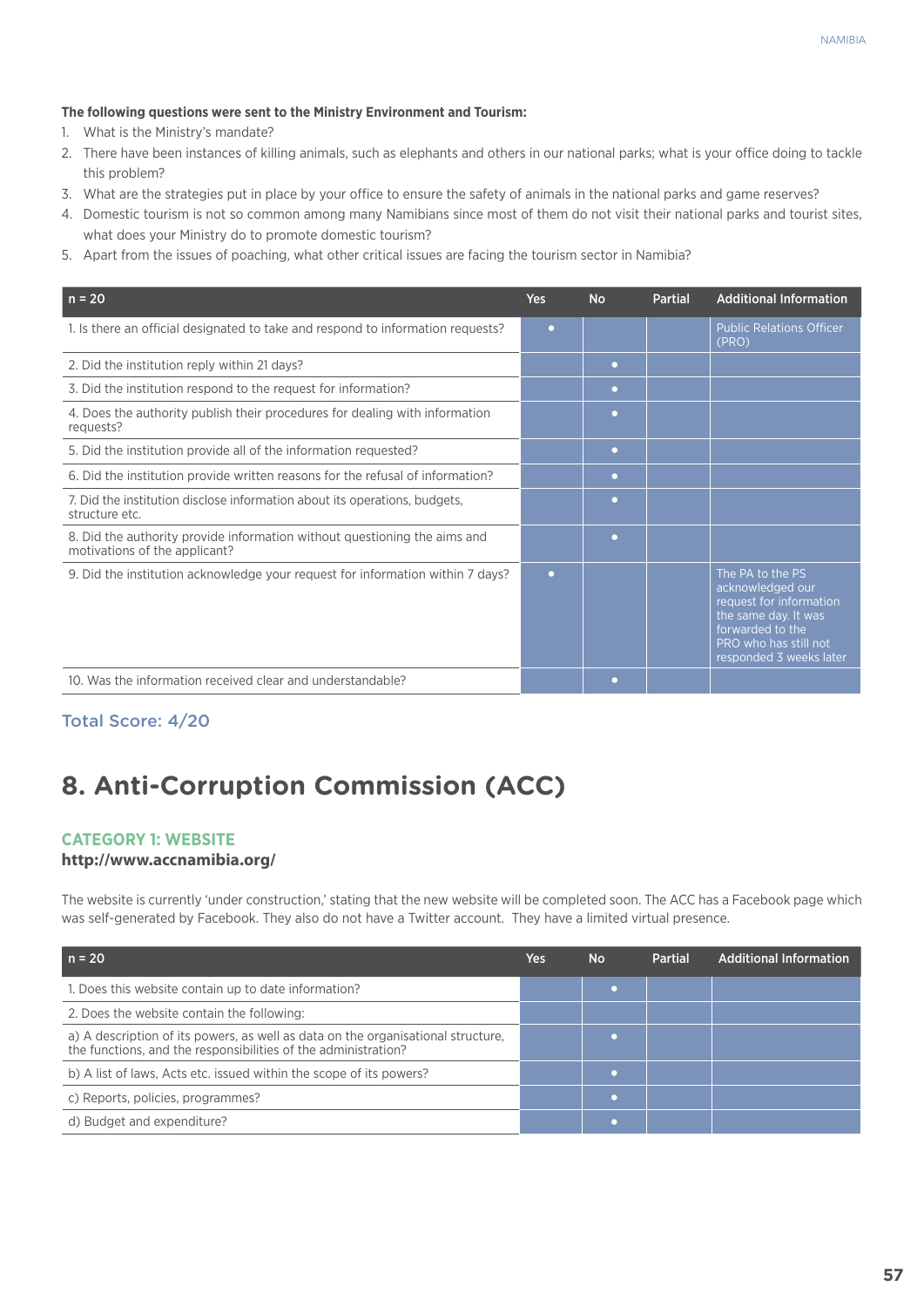#### **The following questions were sent to the Ministry Environment and Tourism:**

- 1. What is the Ministry's mandate?
- 2. There have been instances of killing animals, such as elephants and others in our national parks; what is your office doing to tackle this problem?
- 3. What are the strategies put in place by your office to ensure the safety of animals in the national parks and game reserves?
- 4. Domestic tourism is not so common among many Namibians since most of them do not visit their national parks and tourist sites, what does your Ministry do to promote domestic tourism?
- 5. Apart from the issues of poaching, what other critical issues are facing the tourism sector in Namibia?

| $n = 20$                                                                                                   | <b>Yes</b> | <b>No</b> | <b>Partial</b> | <b>Additional Information</b>                                                                                                                                   |
|------------------------------------------------------------------------------------------------------------|------------|-----------|----------------|-----------------------------------------------------------------------------------------------------------------------------------------------------------------|
| 1. Is there an official designated to take and respond to information requests?                            | $\bullet$  |           |                | <b>Public Relations Officer</b><br>(PRO)                                                                                                                        |
| 2. Did the institution reply within 21 days?                                                               |            | $\bullet$ |                |                                                                                                                                                                 |
| 3. Did the institution respond to the request for information?                                             |            | $\bullet$ |                |                                                                                                                                                                 |
| 4. Does the authority publish their procedures for dealing with information<br>requests?                   |            | $\Box$    |                |                                                                                                                                                                 |
| 5. Did the institution provide all of the information requested?                                           |            | $\bullet$ |                |                                                                                                                                                                 |
| 6. Did the institution provide written reasons for the refusal of information?                             |            | $\bullet$ |                |                                                                                                                                                                 |
| 7. Did the institution disclose information about its operations, budgets,<br>structure etc.               |            | ٠         |                |                                                                                                                                                                 |
| 8. Did the authority provide information without questioning the aims and<br>motivations of the applicant? |            | $\bullet$ |                |                                                                                                                                                                 |
| 9. Did the institution acknowledge your request for information within 7 days?                             | $\bullet$  |           |                | The PA to the PS<br>acknowledged our<br>request for information<br>the same day. It was<br>forwarded to the<br>PRO who has still not<br>responded 3 weeks later |
| 10. Was the information received clear and understandable?                                                 |            | $\bullet$ |                |                                                                                                                                                                 |

Total Score: 4/20

## **8. Anti-Corruption Commission (ACC)**

#### **Category 1: Website**

#### **http://www.accnamibia.org/**

The website is currently 'under construction,' stating that the new website will be completed soon. The ACC has a Facebook page which was self-generated by Facebook. They also do not have a Twitter account. They have a limited virtual presence.

| $n = 20$                                                                                                                                           | Yes | <b>No</b> | <b>Partial</b> | <b>Additional Information</b> |
|----------------------------------------------------------------------------------------------------------------------------------------------------|-----|-----------|----------------|-------------------------------|
| 1. Does this website contain up to date information?                                                                                               |     |           |                |                               |
| 2. Does the website contain the following:                                                                                                         |     |           |                |                               |
| a) A description of its powers, as well as data on the organisational structure,<br>the functions, and the responsibilities of the administration? |     |           |                |                               |
| b) A list of laws, Acts etc. issued within the scope of its powers?                                                                                |     |           |                |                               |
| c) Reports, policies, programmes?                                                                                                                  |     |           |                |                               |
| d) Budget and expenditure?                                                                                                                         |     |           |                |                               |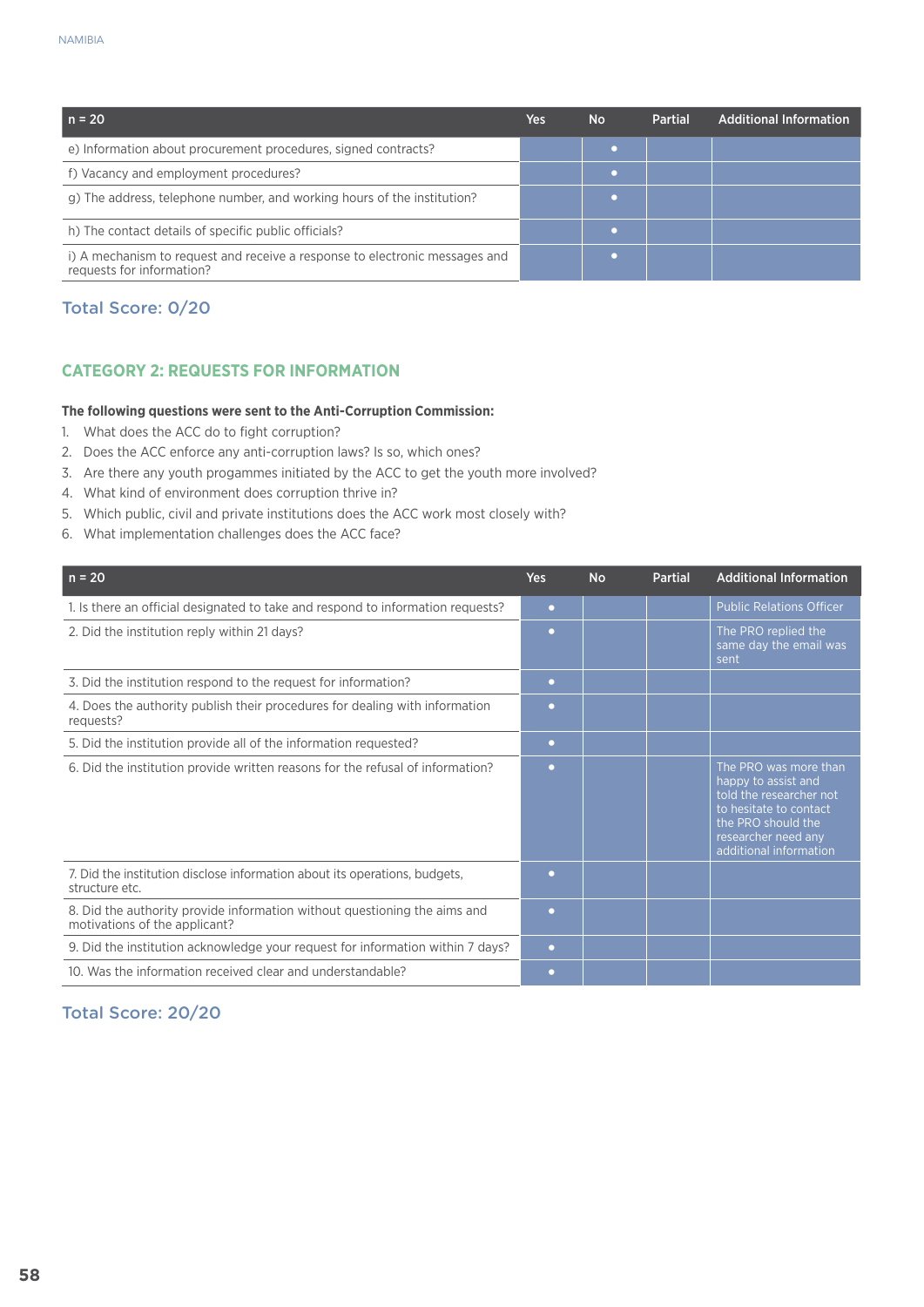| $n = 20$                                                                                                 | Yes | <b>No</b> | <b>Partial</b> | Additional Information |
|----------------------------------------------------------------------------------------------------------|-----|-----------|----------------|------------------------|
| e) Information about procurement procedures, signed contracts?                                           |     |           |                |                        |
| f) Vacancy and employment procedures?                                                                    |     |           |                |                        |
| g) The address, telephone number, and working hours of the institution?                                  |     |           |                |                        |
| h) The contact details of specific public officials?                                                     |     |           |                |                        |
| i) A mechanism to request and receive a response to electronic messages and<br>requests for information? |     |           |                |                        |

#### **CATEGORY 2: REQUESTS FOR INFORMATION**

#### **The following questions were sent to the Anti-Corruption Commission:**

- 1. What does the ACC do to fight corruption?
- 2. Does the ACC enforce any anti-corruption laws? Is so, which ones?
- 3. Are there any youth progammes initiated by the ACC to get the youth more involved?
- 4. What kind of environment does corruption thrive in?
- 5. Which public, civil and private institutions does the ACC work most closely with?
- 6. What implementation challenges does the ACC face?

| $n = 20$                                                                                                   | <b>Yes</b>        | <b>No</b> | <b>Partial</b> | <b>Additional Information</b>                                                                                                                                            |
|------------------------------------------------------------------------------------------------------------|-------------------|-----------|----------------|--------------------------------------------------------------------------------------------------------------------------------------------------------------------------|
| 1. Is there an official designated to take and respond to information requests?                            | $\bullet$         |           |                | <b>Public Relations Officer</b>                                                                                                                                          |
| 2. Did the institution reply within 21 days?                                                               | $\mathbf{\Omega}$ |           |                | The PRO replied the<br>same day the email was<br>sent                                                                                                                    |
| 3. Did the institution respond to the request for information?                                             | $\Box$            |           |                |                                                                                                                                                                          |
| 4. Does the authority publish their procedures for dealing with information<br>requests?                   | $\Box$            |           |                |                                                                                                                                                                          |
| 5. Did the institution provide all of the information requested?                                           | $\bullet$         |           |                |                                                                                                                                                                          |
| 6. Did the institution provide written reasons for the refusal of information?                             | o                 |           |                | The PRO was more than<br>happy to assist and<br>told the researcher not<br>to hesitate to contact<br>the PRO should the<br>researcher need any<br>additional information |
| 7. Did the institution disclose information about its operations, budgets,<br>structure etc.               | $\mathbf{\Omega}$ |           |                |                                                                                                                                                                          |
| 8. Did the authority provide information without questioning the aims and<br>motivations of the applicant? | $\Box$            |           |                |                                                                                                                                                                          |
| 9. Did the institution acknowledge your request for information within 7 days?                             | $\bullet$         |           |                |                                                                                                                                                                          |
| 10. Was the information received clear and understandable?                                                 | $\Box$            |           |                |                                                                                                                                                                          |

#### Total Score: 20/20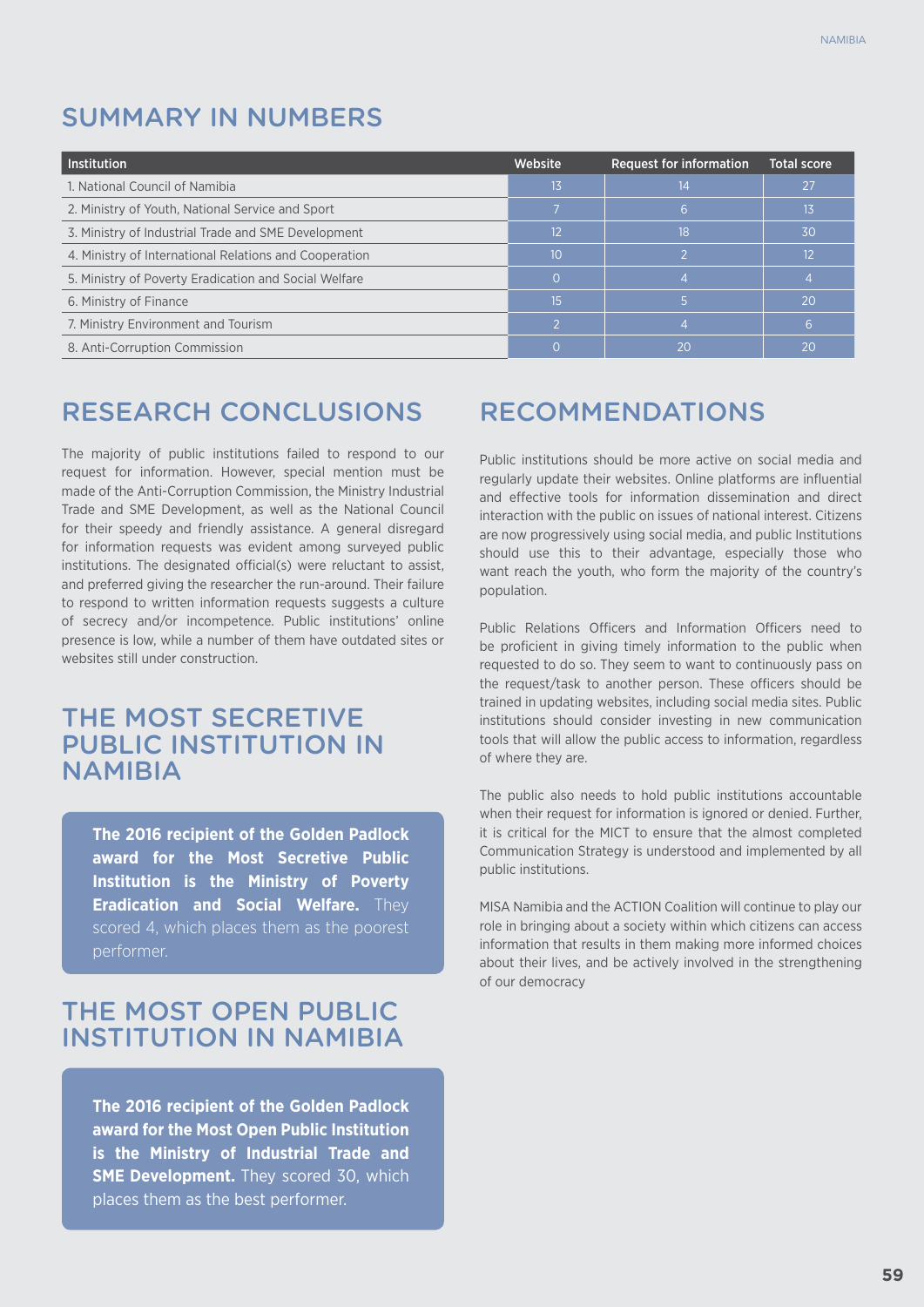## SUMMARY in NUMBERS

| l Institution                                          | Website | <b>Request for information</b> | <b>Total score</b> |
|--------------------------------------------------------|---------|--------------------------------|--------------------|
| 1. National Council of Namibia                         | 13      | 14                             | 27                 |
| 2. Ministry of Youth, National Service and Sport       |         |                                | 13                 |
| 3. Ministry of Industrial Trade and SME Development    | 12      | 18                             | 30                 |
| 4. Ministry of International Relations and Cooperation | 10      |                                | 12                 |
| 5. Ministry of Poverty Eradication and Social Welfare  |         |                                |                    |
| 6. Ministry of Finance                                 | 15      |                                | 20                 |
| 7. Ministry Environment and Tourism                    |         |                                |                    |
| 8. Anti-Corruption Commission                          |         | 20                             | 20                 |

## RESEARCH CONCLUSIONS

The majority of public institutions failed to respond to our request for information. However, special mention must be made of the Anti-Corruption Commission, the Ministry Industrial Trade and SME Development, as well as the National Council for their speedy and friendly assistance. A general disregard for information requests was evident among surveyed public institutions. The designated official(s) were reluctant to assist, and preferred giving the researcher the run-around. Their failure to respond to written information requests suggests a culture of secrecy and/or incompetence. Public institutions' online presence is low, while a number of them have outdated sites or websites still under construction.

## THE MOST SECRETIVE PUBLIC INSTITUTION IN **NAMIBIA**

**The 2016 recipient of the Golden Padlock award for the Most Secretive Public Institution is the Ministry of Poverty Eradication and Social Welfare.** They scored 4, which places them as the poorest performer.

## THE MOST OPEN PUBLIC INSTITUTION IN namibia

**The 2016 recipient of the Golden Padlock award for the Most Open Public Institution is the Ministry of Industrial Trade and SME Development.** They scored 30, which places them as the best performer.

## RECOMMENDATIONS

Public institutions should be more active on social media and regularly update their websites. Online platforms are influential and effective tools for information dissemination and direct interaction with the public on issues of national interest. Citizens are now progressively using social media, and public Institutions should use this to their advantage, especially those who want reach the youth, who form the majority of the country's population.

Public Relations Officers and Information Officers need to be proficient in giving timely information to the public when requested to do so. They seem to want to continuously pass on the request/task to another person. These officers should be trained in updating websites, including social media sites. Public institutions should consider investing in new communication tools that will allow the public access to information, regardless of where they are.

The public also needs to hold public institutions accountable when their request for information is ignored or denied. Further, it is critical for the MICT to ensure that the almost completed Communication Strategy is understood and implemented by all public institutions.

MISA Namibia and the ACTION Coalition will continue to play our role in bringing about a society within which citizens can access information that results in them making more informed choices about their lives, and be actively involved in the strengthening of our democracy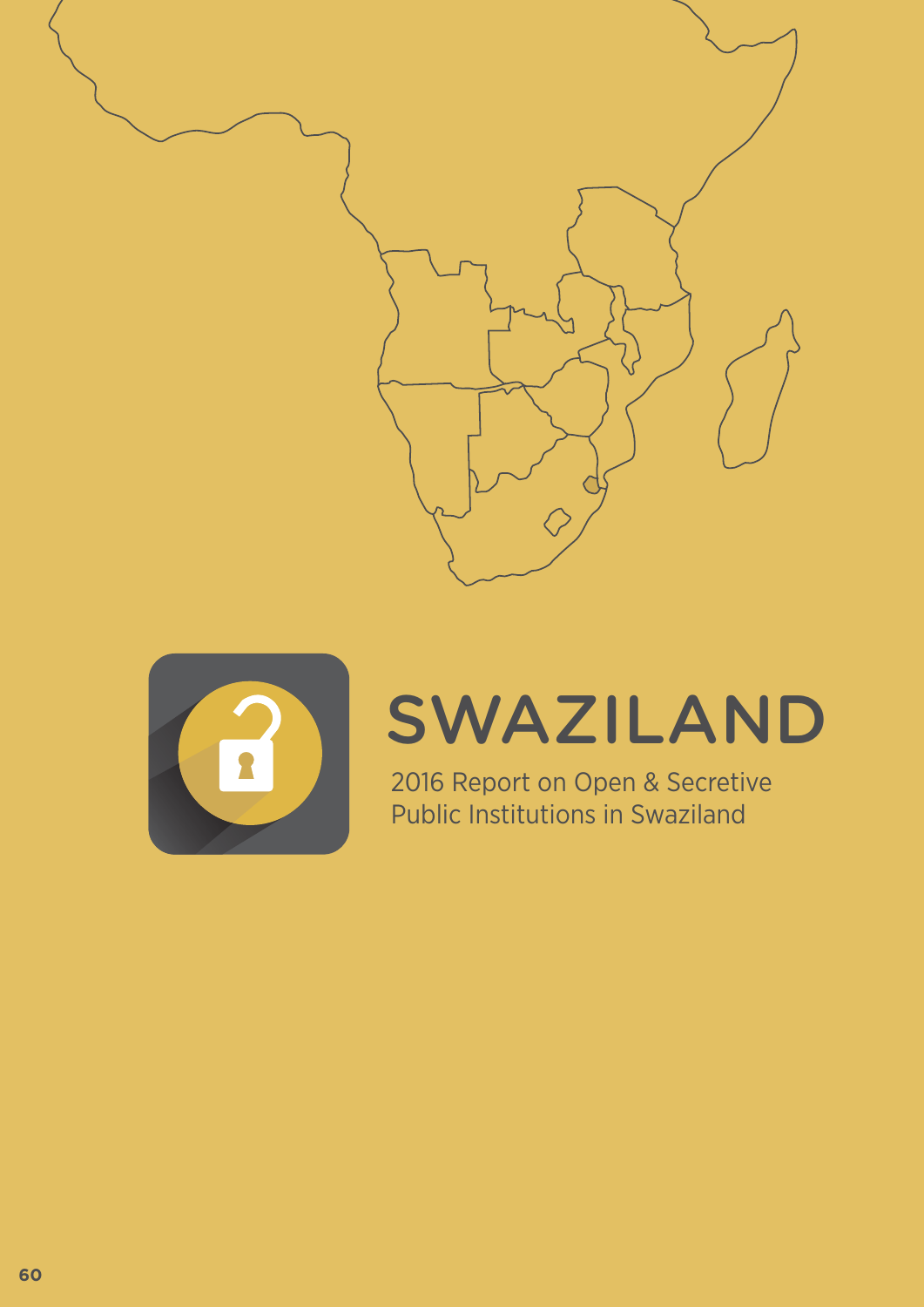



## SWAZILAND

2016 Report on Open & Secretive Public Institutions in Swaziland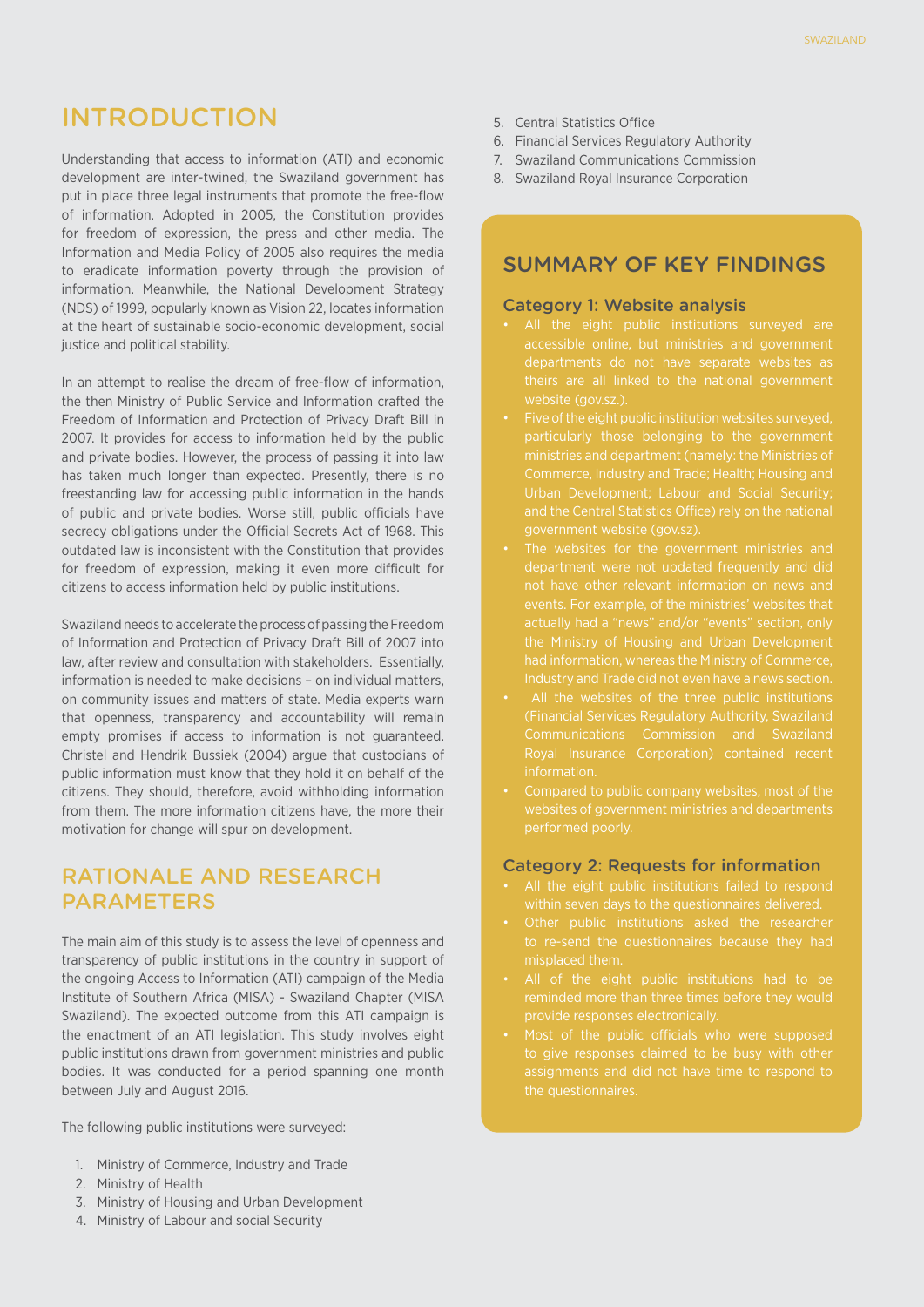## INTRODUCTION

Understanding that access to information (ATI) and economic development are inter-twined, the Swaziland government has put in place three legal instruments that promote the free-flow of information. Adopted in 2005, the Constitution provides for freedom of expression, the press and other media. The Information and Media Policy of 2005 also requires the media to eradicate information poverty through the provision of information. Meanwhile, the National Development Strategy (NDS) of 1999, popularly known as Vision 22, locates information at the heart of sustainable socio-economic development, social justice and political stability.

In an attempt to realise the dream of free-flow of information, the then Ministry of Public Service and Information crafted the Freedom of Information and Protection of Privacy Draft Bill in 2007. It provides for access to information held by the public and private bodies. However, the process of passing it into law has taken much longer than expected. Presently, there is no freestanding law for accessing public information in the hands of public and private bodies. Worse still, public officials have secrecy obligations under the Official Secrets Act of 1968. This outdated law is inconsistent with the Constitution that provides for freedom of expression, making it even more difficult for citizens to access information held by public institutions.

Swaziland needs to accelerate the process of passing the Freedom of Information and Protection of Privacy Draft Bill of 2007 into law, after review and consultation with stakeholders. Essentially, information is needed to make decisions – on individual matters, on community issues and matters of state. Media experts warn that openness, transparency and accountability will remain empty promises if access to information is not guaranteed. Christel and Hendrik Bussiek (2004) argue that custodians of public information must know that they hold it on behalf of the citizens. They should, therefore, avoid withholding information from them. The more information citizens have, the more their motivation for change will spur on development.

#### Rationale and ReseaRch **PARAMETERS**

The main aim of this study is to assess the level of openness and transparency of public institutions in the country in support of the ongoing Access to Information (ATI) campaign of the Media Institute of Southern Africa (MISA) - Swaziland Chapter (MISA Swaziland). The expected outcome from this ATI campaign is the enactment of an ATI legislation. This study involves eight public institutions drawn from government ministries and public bodies. It was conducted for a period spanning one month between July and August 2016.

The following public institutions were surveyed:

- 1. Ministry of Commerce, Industry and Trade
- 2. Ministry of Health
- 3. Ministry of Housing and Urban Development
- 4. Ministry of Labour and social Security
- 5. Central Statistics Office
- 6. Financial Services Regulatory Authority
- 7. Swaziland Communications Commission
- 8. Swaziland Royal Insurance Corporation

#### SUMMARY OF KEY FINDINGS

#### Category 1: Website analysis

- departments do not have separate websites as
- Five of the eight public institution websites surveyed, Commerce, Industry and Trade; Health; Housing and Urban Development; Labour and Social Security;
- events. For example, of the ministries' websites that actually had a "news" and/or "events" section, only had information, whereas the Ministry of Commerce,
- 
- Compared to public company websites, most of the websites of government ministries and departments performed poorly.

#### Category 2: Requests for information

- All the eight public institutions failed to respond
- Other public institutions asked the researcher
- All of the eight public institutions had to be reminded more than three times before they would provide responses electronically.
- to give responses claimed to be busy with other assignments and did not have time to respond to the questionnaires.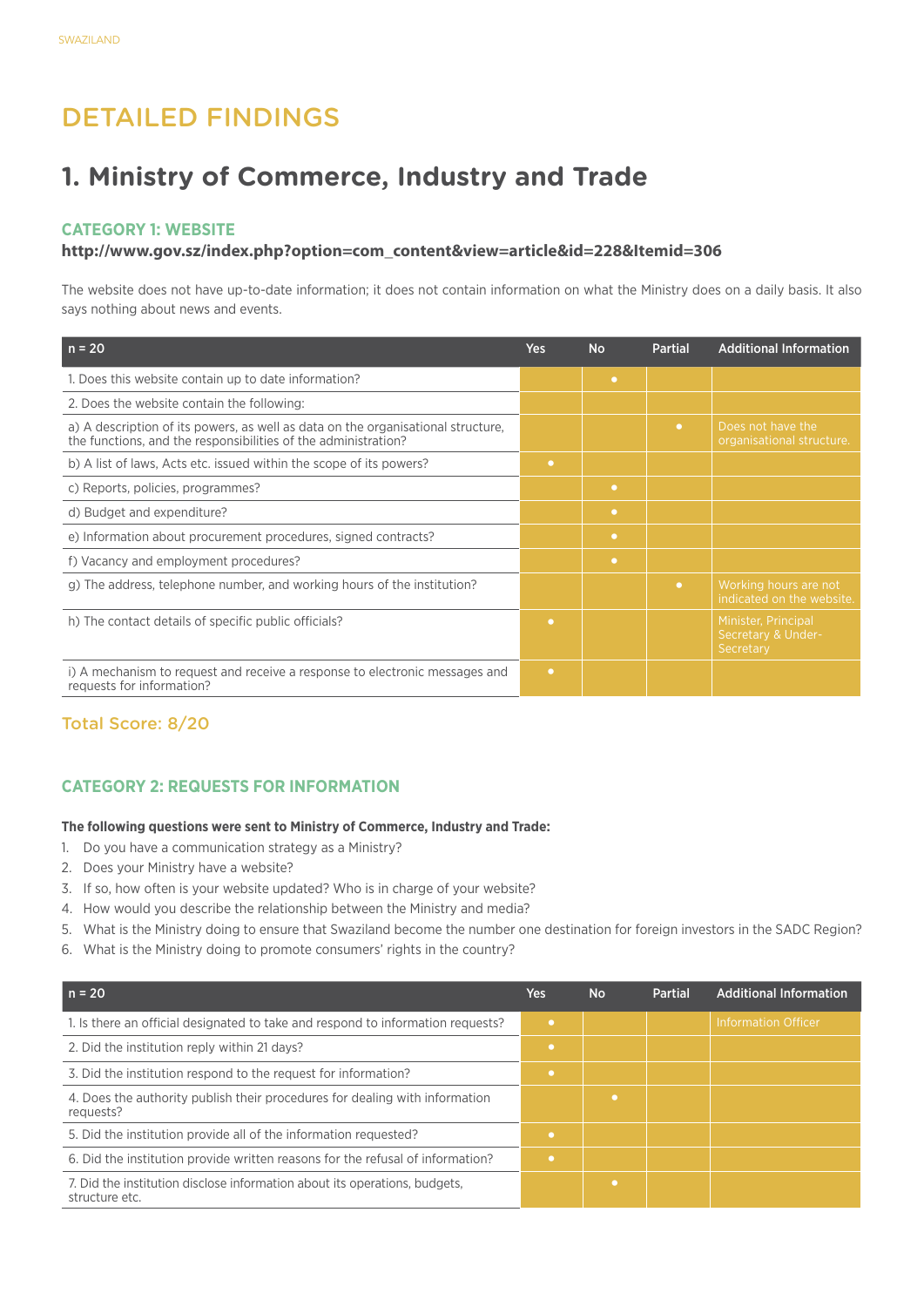## Detailed Findings

## **1. Ministry of Commerce, Industry and Trade**

#### **Category 1: Website**

#### **http://www.gov.sz/index.php?option=com\_content&view=article&id=228&Itemid=306**

The website does not have up-to-date information; it does not contain information on what the Ministry does on a daily basis. It also says nothing about news and events.

| $n = 20$                                                                                                                                           | <b>Yes</b> | <b>No</b> | <b>Partial</b> | <b>Additional Information</b>                          |
|----------------------------------------------------------------------------------------------------------------------------------------------------|------------|-----------|----------------|--------------------------------------------------------|
| 1. Does this website contain up to date information?                                                                                               |            | $\bullet$ |                |                                                        |
| 2. Does the website contain the following:                                                                                                         |            |           |                |                                                        |
| a) A description of its powers, as well as data on the organisational structure,<br>the functions, and the responsibilities of the administration? |            |           | $\bullet$      | Does not have the<br>organisational structure.         |
| b) A list of laws, Acts etc. issued within the scope of its powers?                                                                                | $\bullet$  |           |                |                                                        |
| c) Reports, policies, programmes?                                                                                                                  |            | $\bullet$ |                |                                                        |
| d) Budget and expenditure?                                                                                                                         |            | $\bullet$ |                |                                                        |
| e) Information about procurement procedures, signed contracts?                                                                                     |            | $\bullet$ |                |                                                        |
| f) Vacancy and employment procedures?                                                                                                              |            | $\bullet$ |                |                                                        |
| g) The address, telephone number, and working hours of the institution?                                                                            |            |           | $\bullet$      | Working hours are not<br>indicated on the website.     |
| h) The contact details of specific public officials?                                                                                               | $\bullet$  |           |                | Minister, Principal<br>Secretary & Under-<br>Secretary |
| i) A mechanism to request and receive a response to electronic messages and<br>requests for information?                                           | $\bullet$  |           |                |                                                        |

#### Total Score: 8/20

#### **CATEGORY 2: REQUESTS FOR INFORMATION**

#### **The following questions were sent to Ministry of Commerce, Industry and Trade:**

- 1. Do you have a communication strategy as a Ministry?
- 2. Does your Ministry have a website?
- 3. If so, how often is your website updated? Who is in charge of your website?
- 4. How would you describe the relationship between the Ministry and media?
- 5. What is the Ministry doing to ensure that Swaziland become the number one destination for foreign investors in the SADC Region?
- 6. What is the Ministry doing to promote consumers' rights in the country?

| $n = 20$                                                                                     | <b>Yes</b> | <b>No</b> | <b>Partial</b> | <b>Additional Information</b> |
|----------------------------------------------------------------------------------------------|------------|-----------|----------------|-------------------------------|
| 1. Is there an official designated to take and respond to information requests?              | $\bullet$  |           |                | <b>Information Officer</b>    |
| 2. Did the institution reply within 21 days?                                                 | ۰          |           |                |                               |
| 3. Did the institution respond to the request for information?                               | ۰          |           |                |                               |
| 4. Does the authority publish their procedures for dealing with information<br>requests?     |            |           |                |                               |
| 5. Did the institution provide all of the information requested?                             | ۰          |           |                |                               |
| 6. Did the institution provide written reasons for the refusal of information?               | $\bullet$  |           |                |                               |
| 7. Did the institution disclose information about its operations, budgets,<br>structure etc. |            |           |                |                               |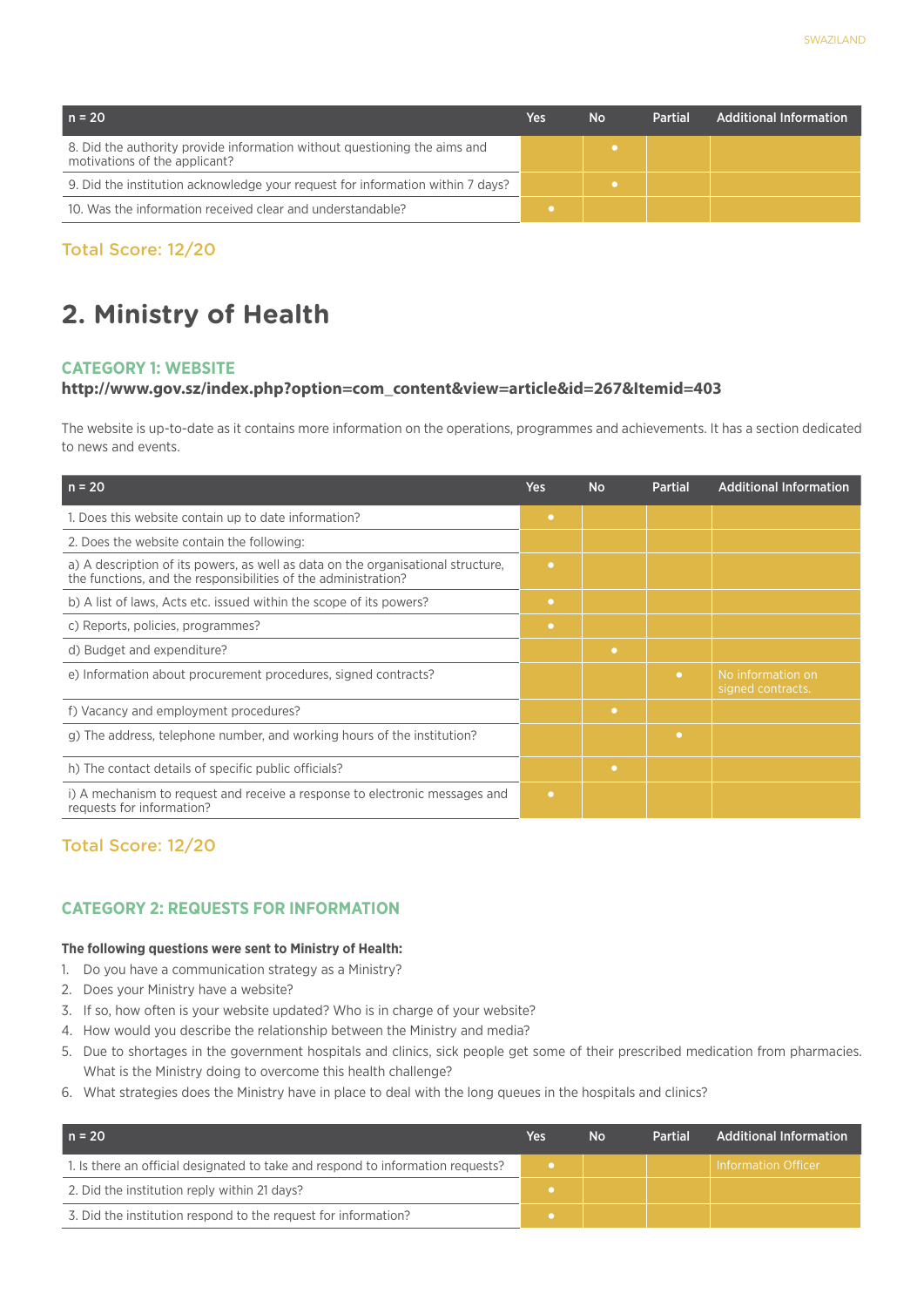| $n = 20$                                                                                                   | Yes | <b>No</b> | <b>Partial</b> | <b>Additional Information</b> |
|------------------------------------------------------------------------------------------------------------|-----|-----------|----------------|-------------------------------|
| 8. Did the authority provide information without questioning the aims and<br>motivations of the applicant? |     |           |                |                               |
| 9. Did the institution acknowledge your request for information within 7 days?                             |     |           |                |                               |
| 10. Was the information received clear and understandable?                                                 |     |           |                |                               |

## **2. Ministry of Health**

#### **Category 1: Website**

#### **http://www.gov.sz/index.php?option=com\_content&view=article&id=267&Itemid=403**

The website is up-to-date as it contains more information on the operations, programmes and achievements. It has a section dedicated to news and events.

| $n = 20$                                                                                                                                           | <b>Yes</b> | <b>No</b> | <b>Partial</b> | <b>Additional Information</b>          |
|----------------------------------------------------------------------------------------------------------------------------------------------------|------------|-----------|----------------|----------------------------------------|
| 1. Does this website contain up to date information?                                                                                               | ۰          |           |                |                                        |
| 2. Does the website contain the following:                                                                                                         |            |           |                |                                        |
| a) A description of its powers, as well as data on the organisational structure,<br>the functions, and the responsibilities of the administration? | $\bullet$  |           |                |                                        |
| b) A list of laws, Acts etc. issued within the scope of its powers?                                                                                | $\bullet$  |           |                |                                        |
| c) Reports, policies, programmes?                                                                                                                  | $\bullet$  |           |                |                                        |
| d) Budget and expenditure?                                                                                                                         |            | $\bullet$ |                |                                        |
| e) Information about procurement procedures, signed contracts?                                                                                     |            |           | $\bullet$      | No information on<br>signed contracts. |
| f) Vacancy and employment procedures?                                                                                                              |            | ۰         |                |                                        |
| g) The address, telephone number, and working hours of the institution?                                                                            |            |           | ۰              |                                        |
| h) The contact details of specific public officials?                                                                                               |            | $\bullet$ |                |                                        |
| i) A mechanism to request and receive a response to electronic messages and<br>requests for information?                                           | $\bullet$  |           |                |                                        |

#### Total Score: 12/20

#### **CATEGORY 2: REQUESTS FOR INFORMATION**

#### **The following questions were sent to Ministry of Health:**

- 1. Do you have a communication strategy as a Ministry?
- 2. Does your Ministry have a website?
- 3. If so, how often is your website updated? Who is in charge of your website?
- 4. How would you describe the relationship between the Ministry and media?
- 5. Due to shortages in the government hospitals and clinics, sick people get some of their prescribed medication from pharmacies. What is the Ministry doing to overcome this health challenge?
- 6. What strategies does the Ministry have in place to deal with the long queues in the hospitals and clinics?

| $n = 20$                                                                        | Yes | No | <b>Partial</b> | <b>Additional Information</b> |
|---------------------------------------------------------------------------------|-----|----|----------------|-------------------------------|
| 1. Is there an official designated to take and respond to information requests? |     |    |                | Information Officer           |
| 2. Did the institution reply within 21 days?                                    |     |    |                |                               |
| 3. Did the institution respond to the request for information?                  |     |    |                |                               |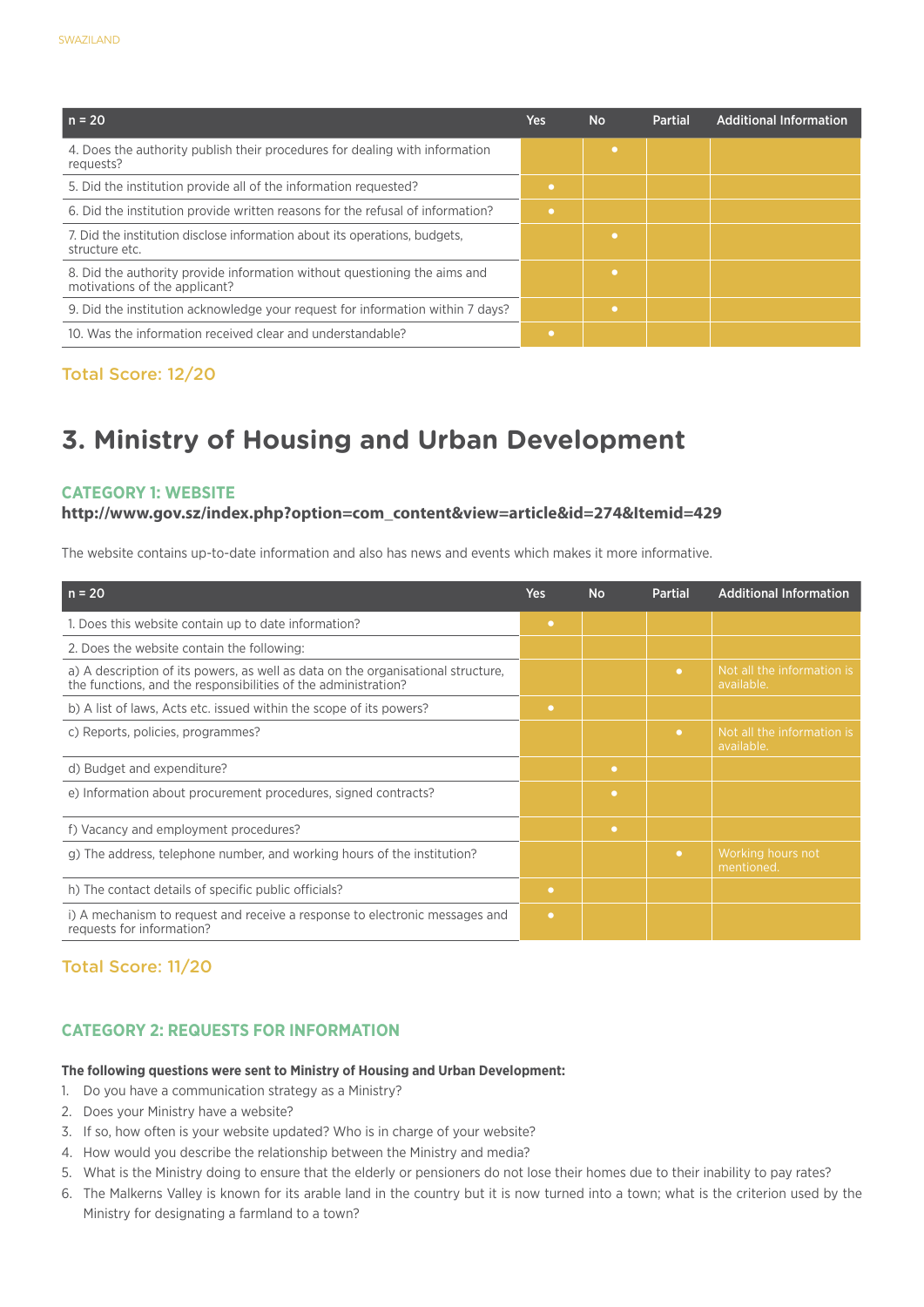| $n = 20$                                                                                                   | Yes | <b>No</b> | <b>Partial</b> | <b>Additional Information</b> |
|------------------------------------------------------------------------------------------------------------|-----|-----------|----------------|-------------------------------|
| 4. Does the authority publish their procedures for dealing with information<br>requests?                   |     |           |                |                               |
| 5. Did the institution provide all of the information requested?                                           |     |           |                |                               |
| 6. Did the institution provide written reasons for the refusal of information?                             |     |           |                |                               |
| 7. Did the institution disclose information about its operations, budgets.<br>structure etc.               |     |           |                |                               |
| 8. Did the authority provide information without questioning the aims and<br>motivations of the applicant? |     |           |                |                               |
| 9. Did the institution acknowledge your request for information within 7 days?                             |     |           |                |                               |
| 10. Was the information received clear and understandable?                                                 |     |           |                |                               |

## **3. Ministry of Housing and Urban Development**

#### **Category 1: Website**

#### **http://www.gov.sz/index.php?option=com\_content&view=article&id=274&Itemid=429**

The website contains up-to-date information and also has news and events which makes it more informative.

| $n = 20$                                                                                                                                           | <b>Yes</b> | <b>No</b> | <b>Partial</b> | <b>Additional Information</b>            |
|----------------------------------------------------------------------------------------------------------------------------------------------------|------------|-----------|----------------|------------------------------------------|
| 1. Does this website contain up to date information?                                                                                               | $\bullet$  |           |                |                                          |
| 2. Does the website contain the following:                                                                                                         |            |           |                |                                          |
| a) A description of its powers, as well as data on the organisational structure,<br>the functions, and the responsibilities of the administration? |            |           | $\bullet$      | Not all the information is<br>available. |
| b) A list of laws, Acts etc. issued within the scope of its powers?                                                                                | $\bullet$  |           |                |                                          |
| c) Reports, policies, programmes?                                                                                                                  |            |           | $\bullet$      | Not all the information is<br>available. |
| d) Budget and expenditure?                                                                                                                         |            | $\bullet$ |                |                                          |
| e) Information about procurement procedures, signed contracts?                                                                                     |            | $\bullet$ |                |                                          |
| f) Vacancy and employment procedures?                                                                                                              |            | $\bullet$ |                |                                          |
| g) The address, telephone number, and working hours of the institution?                                                                            |            |           | $\bullet$      | Working hours not<br>mentioned.          |
| h) The contact details of specific public officials?                                                                                               | $\bullet$  |           |                |                                          |
| i) A mechanism to request and receive a response to electronic messages and<br>requests for information?                                           | $\bullet$  |           |                |                                          |

#### Total Score: 11/20

#### **CATEGORY 2: REQUESTS FOR INFORMATION**

#### **The following questions were sent to Ministry of Housing and Urban Development:**

- 1. Do you have a communication strategy as a Ministry?
- 2. Does your Ministry have a website?
- 3. If so, how often is your website updated? Who is in charge of your website?
- 4. How would you describe the relationship between the Ministry and media?
- 5. What is the Ministry doing to ensure that the elderly or pensioners do not lose their homes due to their inability to pay rates?
- 6. The Malkerns Valley is known for its arable land in the country but it is now turned into a town; what is the criterion used by the Ministry for designating a farmland to a town?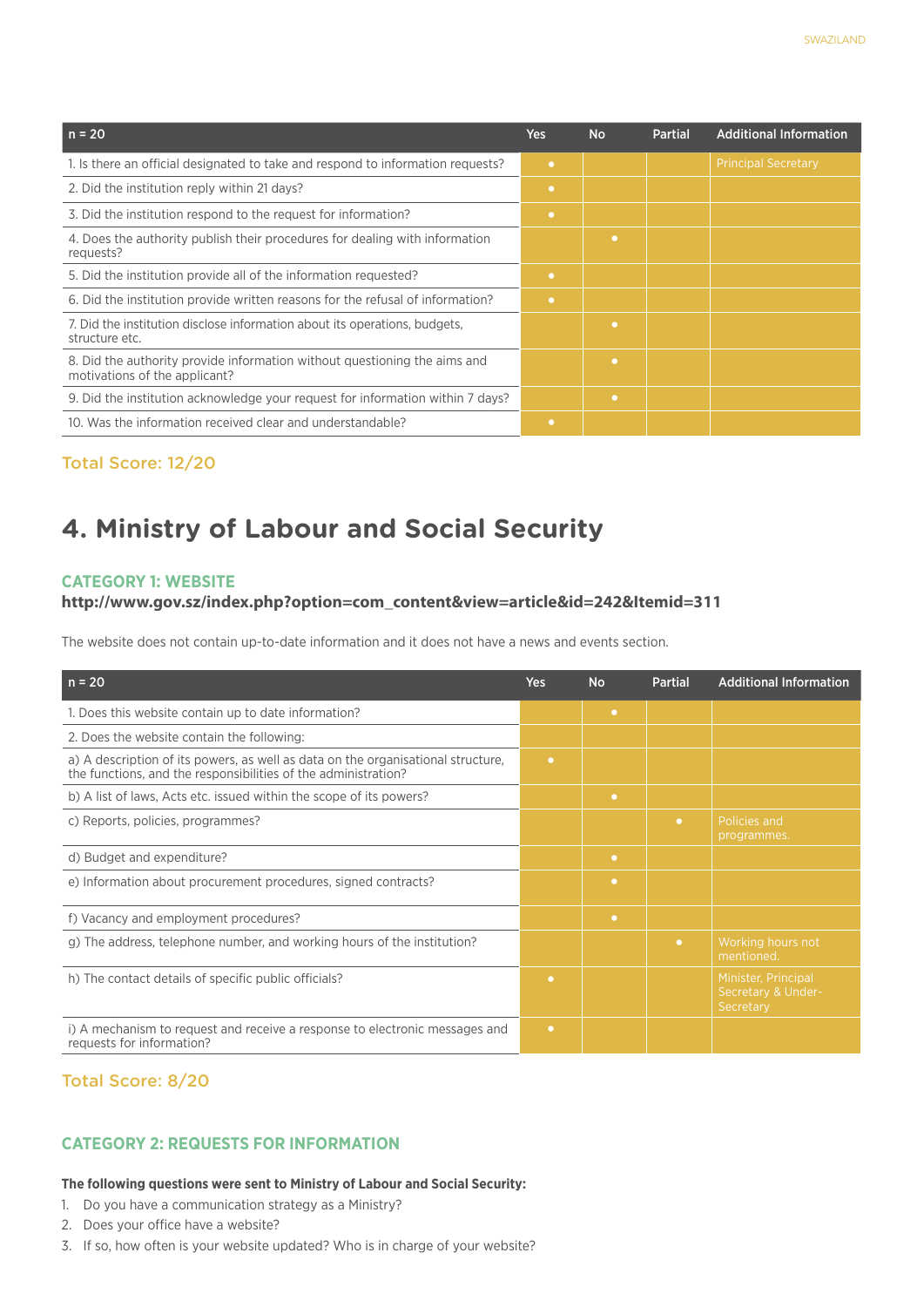| $n = 20$                                                                                                   | <b>Yes</b> | <b>No</b> | <b>Partial</b> | <b>Additional Information</b> |
|------------------------------------------------------------------------------------------------------------|------------|-----------|----------------|-------------------------------|
| 1. Is there an official designated to take and respond to information requests?                            | $\bullet$  |           |                | <b>Principal Secretary</b>    |
| 2. Did the institution reply within 21 days?                                                               | $\bullet$  |           |                |                               |
| 3. Did the institution respond to the request for information?                                             | $\bullet$  |           |                |                               |
| 4. Does the authority publish their procedures for dealing with information<br>requests?                   |            | $\bullet$ |                |                               |
| 5. Did the institution provide all of the information requested?                                           | ٠          |           |                |                               |
| 6. Did the institution provide written reasons for the refusal of information?                             | $\bullet$  |           |                |                               |
| 7. Did the institution disclose information about its operations, budgets,<br>structure etc.               |            | ٠         |                |                               |
| 8. Did the authority provide information without questioning the aims and<br>motivations of the applicant? |            | $\bullet$ |                |                               |
| 9. Did the institution acknowledge your request for information within 7 days?                             |            | $\bullet$ |                |                               |
| 10. Was the information received clear and understandable?                                                 | $\bullet$  |           |                |                               |

## **4. Ministry of Labour and Social Security**

#### **Category 1: Website**

#### **http://www.gov.sz/index.php?option=com\_content&view=article&id=242&Itemid=311**

The website does not contain up-to-date information and it does not have a news and events section.

| $n = 20$                                                                                                                                           | Yes       | <b>No</b> | <b>Partial</b> | <b>Additional Information</b>                          |
|----------------------------------------------------------------------------------------------------------------------------------------------------|-----------|-----------|----------------|--------------------------------------------------------|
| 1. Does this website contain up to date information?                                                                                               |           | $\bullet$ |                |                                                        |
| 2. Does the website contain the following:                                                                                                         |           |           |                |                                                        |
| a) A description of its powers, as well as data on the organisational structure,<br>the functions, and the responsibilities of the administration? | ۰         |           |                |                                                        |
| b) A list of laws, Acts etc. issued within the scope of its powers?                                                                                |           | $\bullet$ |                |                                                        |
| c) Reports, policies, programmes?                                                                                                                  |           |           | $\bullet$      | Policies and<br>programmes.                            |
| d) Budget and expenditure?                                                                                                                         |           | $\bullet$ |                |                                                        |
| e) Information about procurement procedures, signed contracts?                                                                                     |           | $\bullet$ |                |                                                        |
| f) Vacancy and employment procedures?                                                                                                              |           | $\bullet$ |                |                                                        |
| g) The address, telephone number, and working hours of the institution?                                                                            |           |           | $\bullet$      | Working hours not<br>mentioned.                        |
| h) The contact details of specific public officials?                                                                                               | $\bullet$ |           |                | Minister, Principal<br>Secretary & Under-<br>Secretary |
| i) A mechanism to request and receive a response to electronic messages and<br>requests for information?                                           | $\bullet$ |           |                |                                                        |

#### Total Score: 8/20

#### **CATEGORY 2: REQUESTS FOR INFORMATION**

#### **The following questions were sent to Ministry of Labour and Social Security:**

- 1. Do you have a communication strategy as a Ministry?
- 2. Does your office have a website?
- 3. If so, how often is your website updated? Who is in charge of your website?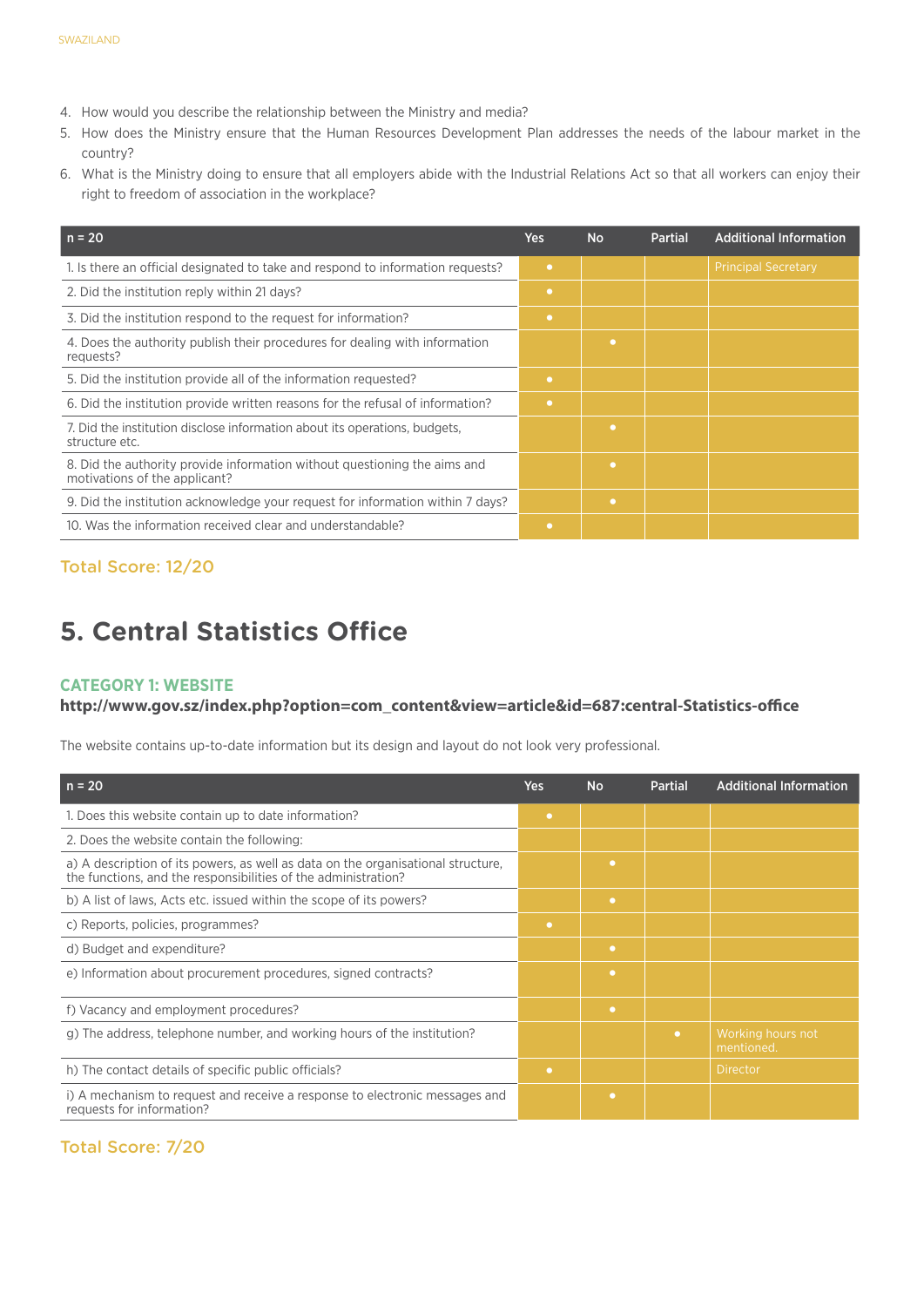- 4. How would you describe the relationship between the Ministry and media?
- 5. How does the Ministry ensure that the Human Resources Development Plan addresses the needs of the labour market in the country?
- 6. What is the Ministry doing to ensure that all employers abide with the Industrial Relations Act so that all workers can enjoy their right to freedom of association in the workplace?

| $n = 20$                                                                                                   | Yes       | <b>No</b> | <b>Partial</b> | <b>Additional Information</b> |
|------------------------------------------------------------------------------------------------------------|-----------|-----------|----------------|-------------------------------|
| 1. Is there an official designated to take and respond to information requests?                            | $\bullet$ |           |                | <b>Principal Secretary</b>    |
| 2. Did the institution reply within 21 days?                                                               | $\bullet$ |           |                |                               |
| 3. Did the institution respond to the request for information?                                             | $\bullet$ |           |                |                               |
| 4. Does the authority publish their procedures for dealing with information<br>requests?                   |           | ٠         |                |                               |
| 5. Did the institution provide all of the information requested?                                           | $\bullet$ |           |                |                               |
| 6. Did the institution provide written reasons for the refusal of information?                             | $\bullet$ |           |                |                               |
| 7. Did the institution disclose information about its operations, budgets,<br>structure etc.               |           | ٠         |                |                               |
| 8. Did the authority provide information without questioning the aims and<br>motivations of the applicant? |           | ٠         |                |                               |
| 9. Did the institution acknowledge your request for information within 7 days?                             |           | $\bullet$ |                |                               |
| 10. Was the information received clear and understandable?                                                 | $\bullet$ |           |                |                               |

## **5. Central Statistics Office**

#### **Category 1: Website**

#### **http://www.gov.sz/index.php?option=com\_content&view=article&id=687:central-Statistics-office**

The website contains up-to-date information but its design and layout do not look very professional.

| $n = 20$                                                                                                                                           | <b>Yes</b> | <b>No</b> | <b>Partial</b> | <b>Additional Information</b>   |
|----------------------------------------------------------------------------------------------------------------------------------------------------|------------|-----------|----------------|---------------------------------|
| 1. Does this website contain up to date information?                                                                                               | $\bullet$  |           |                |                                 |
| 2. Does the website contain the following:                                                                                                         |            |           |                |                                 |
| a) A description of its powers, as well as data on the organisational structure,<br>the functions, and the responsibilities of the administration? |            | ۰         |                |                                 |
| b) A list of laws, Acts etc. issued within the scope of its powers?                                                                                |            | ۰         |                |                                 |
| c) Reports, policies, programmes?                                                                                                                  | $\bullet$  |           |                |                                 |
| d) Budget and expenditure?                                                                                                                         |            | $\bullet$ |                |                                 |
| e) Information about procurement procedures, signed contracts?                                                                                     |            | ٠         |                |                                 |
| f) Vacancy and employment procedures?                                                                                                              |            | $\bullet$ |                |                                 |
| g) The address, telephone number, and working hours of the institution?                                                                            |            |           | $\bullet$      | Working hours not<br>mentioned. |
| h) The contact details of specific public officials?                                                                                               | $\bullet$  |           |                | Director                        |
| i) A mechanism to request and receive a response to electronic messages and<br>requests for information?                                           |            | ٠         |                |                                 |

#### Total Score: 7/20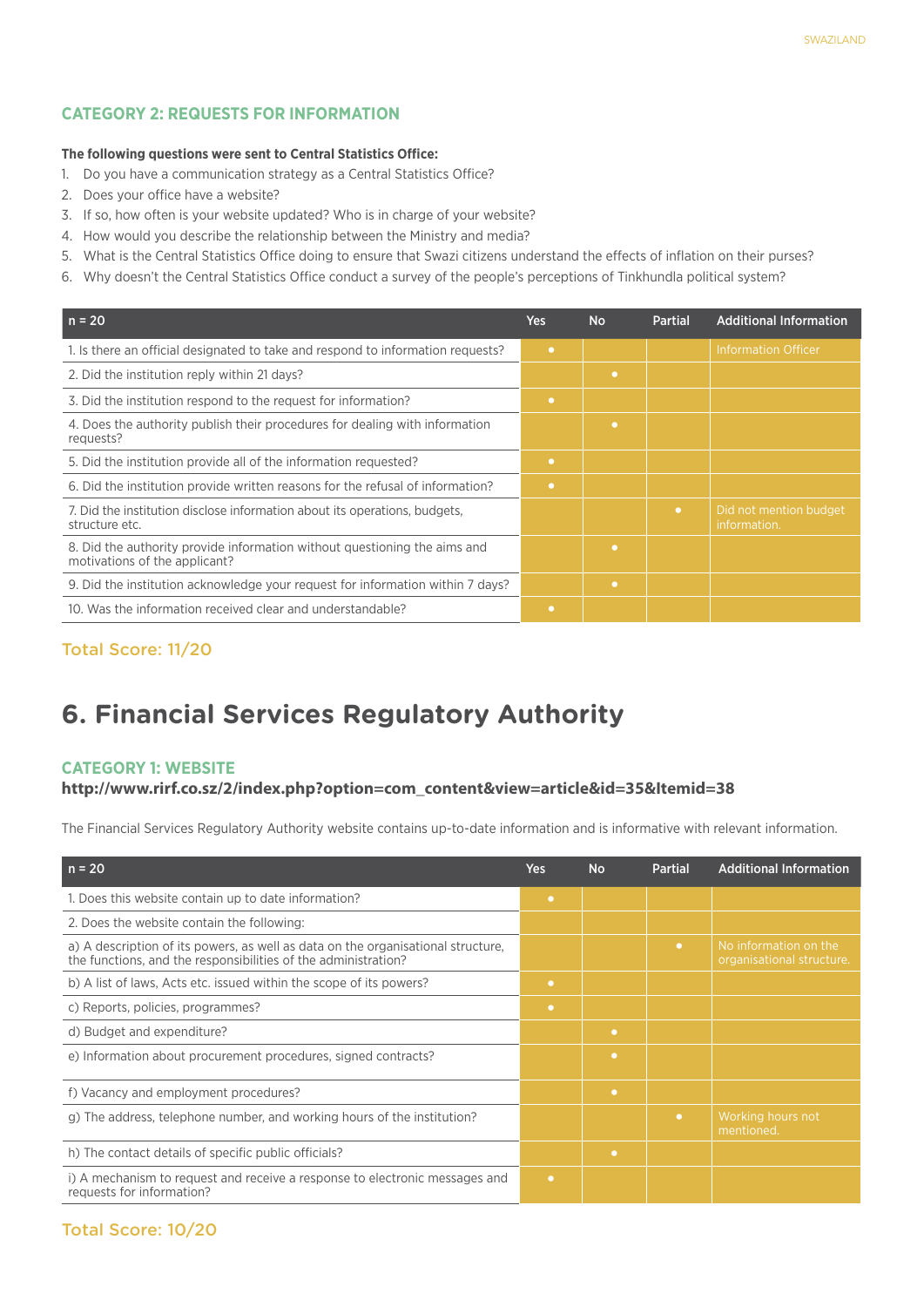#### **CATEGORY 2: REQUESTS FOR INFORMATION**

#### **The following questions were sent to Central Statistics Office:**

- 1. Do you have a communication strategy as a Central Statistics Office?
- 2. Does your office have a website?
- 3. If so, how often is your website updated? Who is in charge of your website?
- 4. How would you describe the relationship between the Ministry and media?
- 5. What is the Central Statistics Office doing to ensure that Swazi citizens understand the effects of inflation on their purses?
- 6. Why doesn't the Central Statistics Office conduct a survey of the people's perceptions of Tinkhundla political system?

| $n = 20$                                                                                                   | Yes       | <b>No</b> | <b>Partial</b> | <b>Additional Information</b>          |
|------------------------------------------------------------------------------------------------------------|-----------|-----------|----------------|----------------------------------------|
| 1. Is there an official designated to take and respond to information requests?                            | $\bullet$ |           |                | <b>Information Officer</b>             |
| 2. Did the institution reply within 21 days?                                                               |           | $\bullet$ |                |                                        |
| 3. Did the institution respond to the request for information?                                             | $\bullet$ |           |                |                                        |
| 4. Does the authority publish their procedures for dealing with information<br>requests?                   |           | ۰         |                |                                        |
| 5. Did the institution provide all of the information requested?                                           | ٠         |           |                |                                        |
| 6. Did the institution provide written reasons for the refusal of information?                             | $\bullet$ |           |                |                                        |
| 7. Did the institution disclose information about its operations, budgets,<br>structure etc.               |           |           | $\bullet$      | Did not mention budget<br>information. |
| 8. Did the authority provide information without questioning the aims and<br>motivations of the applicant? |           | ۰         |                |                                        |
| 9. Did the institution acknowledge your request for information within 7 days?                             |           | ۰         |                |                                        |
| 10. Was the information received clear and understandable?                                                 | $\bullet$ |           |                |                                        |

#### Total Score: 11/20

## **6. Financial Services Regulatory Authority**

#### **Category 1: Website**

#### **http://www.rirf.co.sz/2/index.php?option=com\_content&view=article&id=35&Itemid=38**

The Financial Services Regulatory Authority website contains up-to-date information and is informative with relevant information.

| $n = 20$                                                                                                                                           | <b>Yes</b> | <b>No</b> | <b>Partial</b> | <b>Additional Information</b>                      |
|----------------------------------------------------------------------------------------------------------------------------------------------------|------------|-----------|----------------|----------------------------------------------------|
| 1. Does this website contain up to date information?                                                                                               | $\bullet$  |           |                |                                                    |
| 2. Does the website contain the following:                                                                                                         |            |           |                |                                                    |
| a) A description of its powers, as well as data on the organisational structure,<br>the functions, and the responsibilities of the administration? |            |           | $\bullet$      | No information on the<br>organisational structure. |
| b) A list of laws, Acts etc. issued within the scope of its powers?                                                                                | $\bullet$  |           |                |                                                    |
| c) Reports, policies, programmes?                                                                                                                  | $\bullet$  |           |                |                                                    |
| d) Budget and expenditure?                                                                                                                         |            | $\bullet$ |                |                                                    |
| e) Information about procurement procedures, signed contracts?                                                                                     |            | $\bullet$ |                |                                                    |
| f) Vacancy and employment procedures?                                                                                                              |            | $\bullet$ |                |                                                    |
| g) The address, telephone number, and working hours of the institution?                                                                            |            |           | $\bullet$      | Working hours not<br>mentioned.                    |
| h) The contact details of specific public officials?                                                                                               |            | $\bullet$ |                |                                                    |
| i) A mechanism to request and receive a response to electronic messages and<br>requests for information?                                           | $\bullet$  |           |                |                                                    |

#### Total Score: 10/20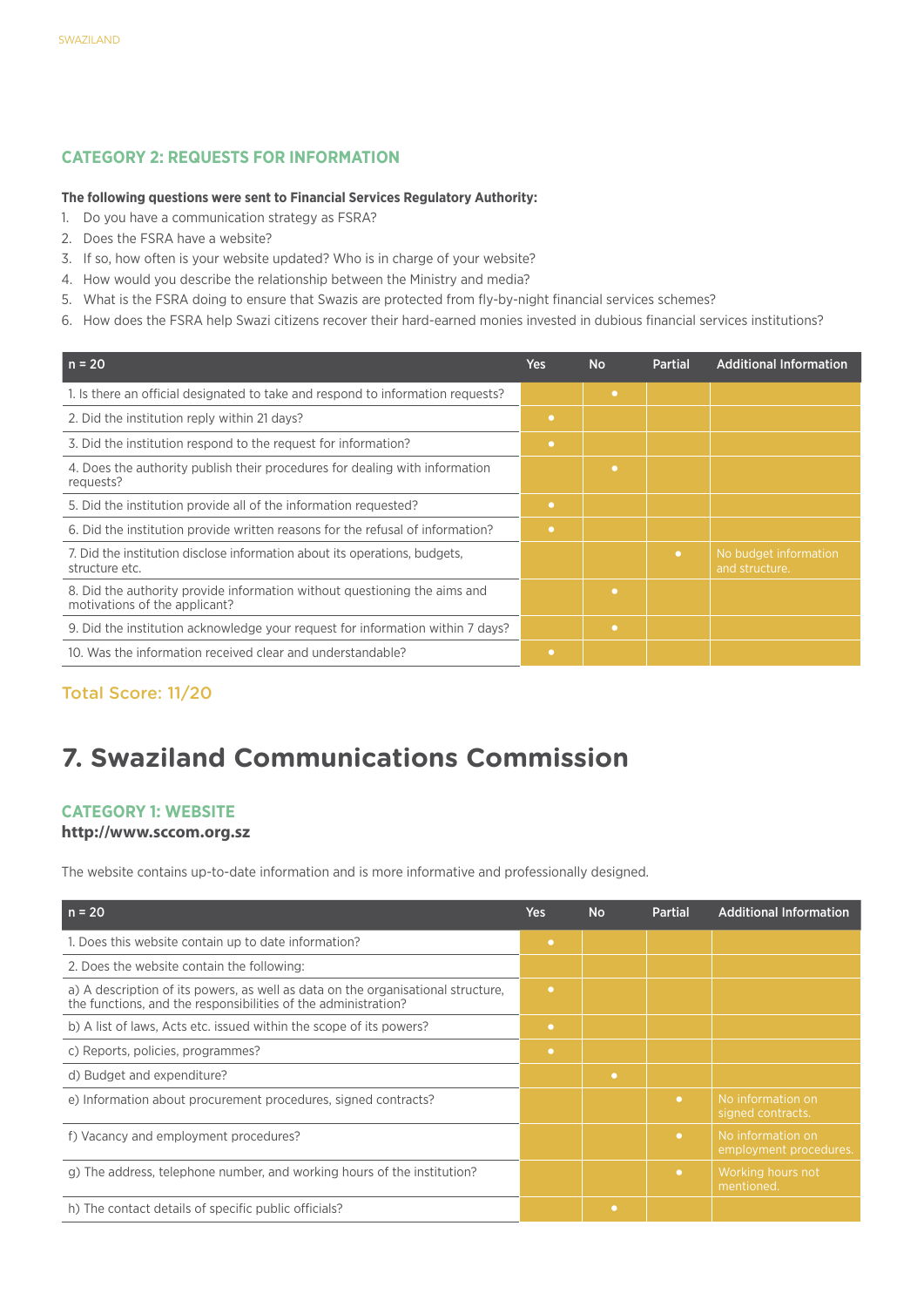#### **CATEGORY 2: REQUESTS FOR INFORMATION**

#### **The following questions were sent to Financial Services Regulatory Authority:**

- 1. Do you have a communication strategy as FSRA?
- 2. Does the FSRA have a website?
- 3. If so, how often is your website updated? Who is in charge of your website?
- 4. How would you describe the relationship between the Ministry and media?
- 5. What is the FSRA doing to ensure that Swazis are protected from fly-by-night financial services schemes?
- 6. How does the FSRA help Swazi citizens recover their hard-earned monies invested in dubious financial services institutions?

| <b>Yes</b> | <b>No</b> | <b>Partial</b> | <b>Additional Information</b>           |
|------------|-----------|----------------|-----------------------------------------|
|            | ٠         |                |                                         |
| $\bullet$  |           |                |                                         |
| $\bullet$  |           |                |                                         |
|            | $\bullet$ |                |                                         |
| $\bullet$  |           |                |                                         |
| $\bullet$  |           |                |                                         |
|            |           | $\bullet$      | No budget information<br>and structure. |
|            | $\bullet$ |                |                                         |
|            | $\bullet$ |                |                                         |
| $\bullet$  |           |                |                                         |
|            |           |                |                                         |

#### Total Score: 11/20

## **7. Swaziland Communications Commission**

#### **Category 1: Website**

#### **http://www.sccom.org.sz**

The website contains up-to-date information and is more informative and professionally designed.

| $n = 20$                                                                                                                                           | <b>Yes</b> | <b>No</b> | <b>Partial</b> | <b>Additional Information</b>               |
|----------------------------------------------------------------------------------------------------------------------------------------------------|------------|-----------|----------------|---------------------------------------------|
| 1. Does this website contain up to date information?                                                                                               | $\bullet$  |           |                |                                             |
| 2. Does the website contain the following:                                                                                                         |            |           |                |                                             |
| a) A description of its powers, as well as data on the organisational structure,<br>the functions, and the responsibilities of the administration? | $\bullet$  |           |                |                                             |
| b) A list of laws, Acts etc. issued within the scope of its powers?                                                                                | $\bullet$  |           |                |                                             |
| c) Reports, policies, programmes?                                                                                                                  | $\bullet$  |           |                |                                             |
| d) Budget and expenditure?                                                                                                                         |            | ٠         |                |                                             |
| e) Information about procurement procedures, signed contracts?                                                                                     |            |           | $\bullet$      | No information on<br>signed contracts.      |
| f) Vacancy and employment procedures?                                                                                                              |            |           | $\bullet$      | No information on<br>employment procedures. |
| g) The address, telephone number, and working hours of the institution?                                                                            |            |           | $\bullet$      | Working hours not<br>mentioned.             |
| h) The contact details of specific public officials?                                                                                               |            | $\bullet$ |                |                                             |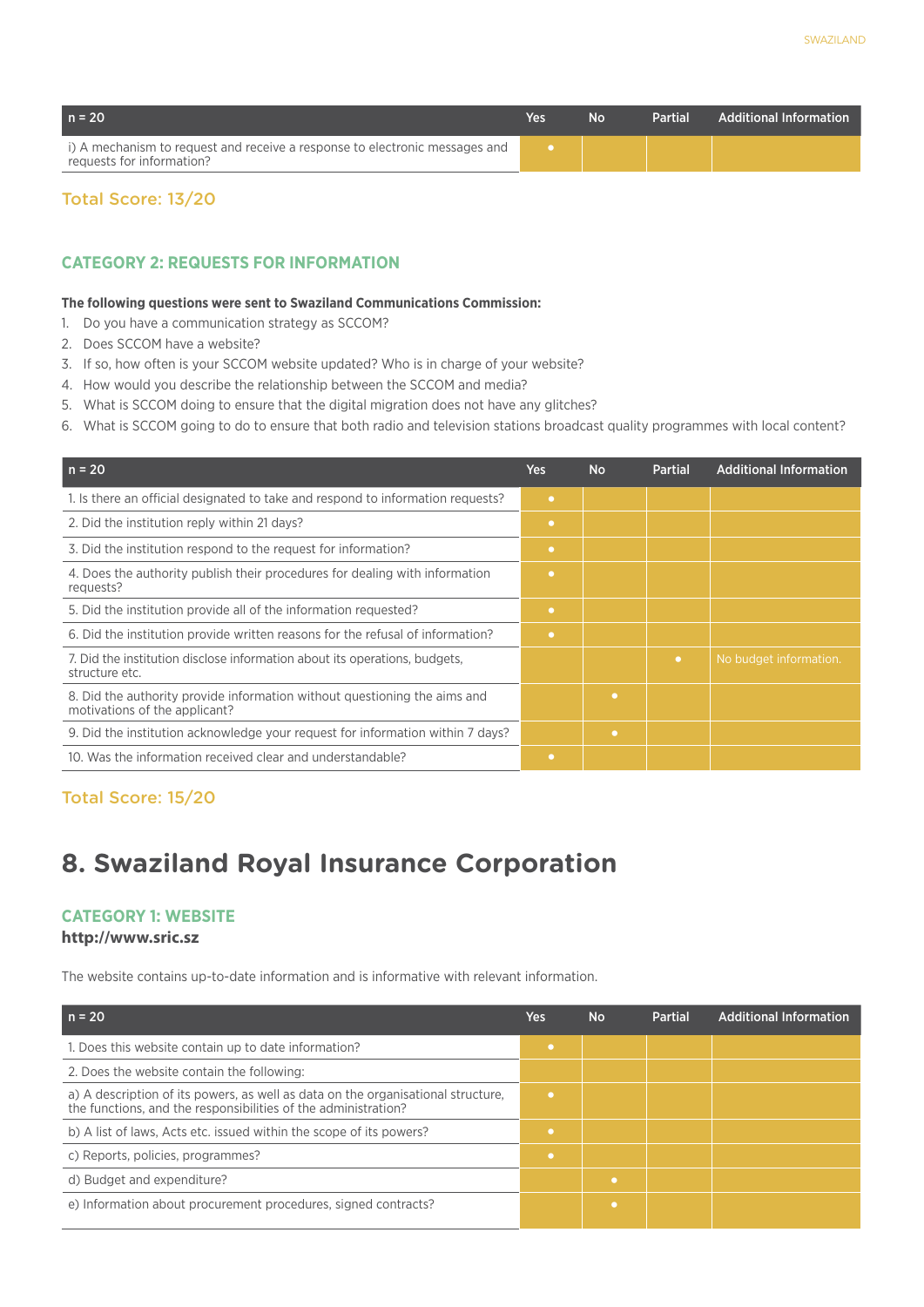| $n = 20$                                                                                                 | Yes | Nο | <b>Partial</b> | <b>Additional Information</b> |
|----------------------------------------------------------------------------------------------------------|-----|----|----------------|-------------------------------|
| i) A mechanism to request and receive a response to electronic messages and<br>requests for information? |     |    |                |                               |

#### **CATEGORY 2: REQUESTS FOR INFORMATION**

#### **The following questions were sent to Swaziland Communications Commission:**

- 1. Do you have a communication strategy as SCCOM?
- 2. Does SCCOM have a website?
- 3. If so, how often is your SCCOM website updated? Who is in charge of your website?
- 4. How would you describe the relationship between the SCCOM and media?
- 5. What is SCCOM doing to ensure that the digital migration does not have any glitches?
- 6. What is SCCOM going to do to ensure that both radio and television stations broadcast quality programmes with local content?

| $n = 20$                                                                                                   | <b>Yes</b> | <b>No</b> | <b>Partial</b> | <b>Additional Information</b> |
|------------------------------------------------------------------------------------------------------------|------------|-----------|----------------|-------------------------------|
| 1. Is there an official designated to take and respond to information requests?                            | $\bullet$  |           |                |                               |
| 2. Did the institution reply within 21 days?                                                               | $\bullet$  |           |                |                               |
| 3. Did the institution respond to the request for information?                                             | $\bullet$  |           |                |                               |
| 4. Does the authority publish their procedures for dealing with information<br>requests?                   | $\bullet$  |           |                |                               |
| 5. Did the institution provide all of the information requested?                                           | $\bullet$  |           |                |                               |
| 6. Did the institution provide written reasons for the refusal of information?                             | $\bullet$  |           |                |                               |
| 7. Did the institution disclose information about its operations, budgets,<br>structure etc.               |            |           | $\bullet$      | No budget information.        |
| 8. Did the authority provide information without questioning the aims and<br>motivations of the applicant? |            | ۰         |                |                               |
| 9. Did the institution acknowledge your request for information within 7 days?                             |            | $\bullet$ |                |                               |
| 10. Was the information received clear and understandable?                                                 | ۰          |           |                |                               |

Total Score: 15/20

## **8. Swaziland Royal Insurance Corporation**

#### **Category 1: Website**

#### **http://www.sric.sz**

The website contains up-to-date information and is informative with relevant information.

| $n = 20$                                                                                                                                           | Yes       | <b>No</b> | Partial | <b>Additional Information</b> |
|----------------------------------------------------------------------------------------------------------------------------------------------------|-----------|-----------|---------|-------------------------------|
| 1. Does this website contain up to date information?                                                                                               |           |           |         |                               |
| 2. Does the website contain the following:                                                                                                         |           |           |         |                               |
| a) A description of its powers, as well as data on the organisational structure,<br>the functions, and the responsibilities of the administration? | $\bullet$ |           |         |                               |
| b) A list of laws, Acts etc. issued within the scope of its powers?                                                                                |           |           |         |                               |
| c) Reports, policies, programmes?                                                                                                                  |           |           |         |                               |
| d) Budget and expenditure?                                                                                                                         |           | $\bullet$ |         |                               |
| e) Information about procurement procedures, signed contracts?                                                                                     |           | ٠         |         |                               |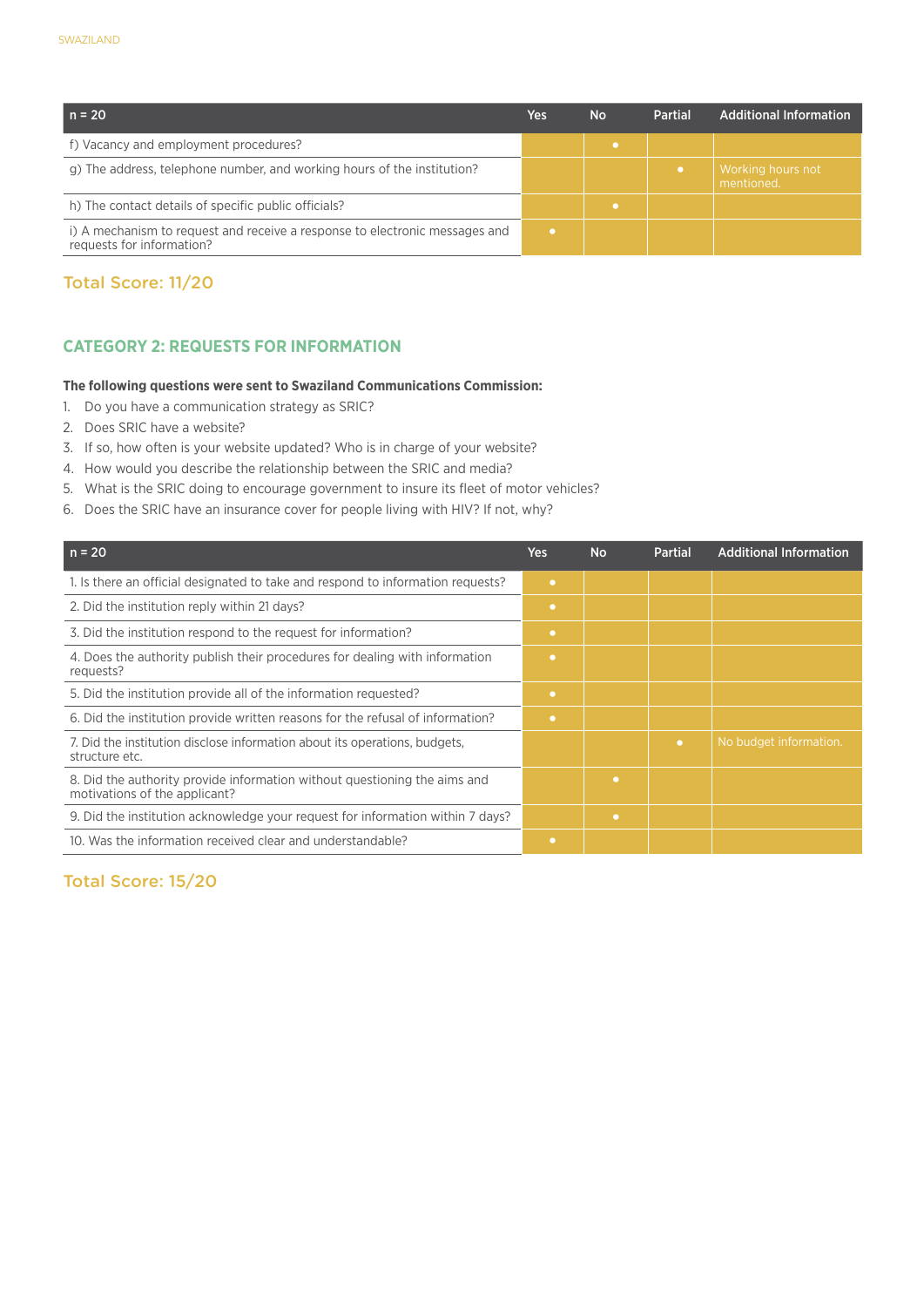| $n = 20$                                                                                                 | Yes | <b>No</b> | <b>Partial</b> | Additional Information          |
|----------------------------------------------------------------------------------------------------------|-----|-----------|----------------|---------------------------------|
| f) Vacancy and employment procedures?                                                                    |     |           |                |                                 |
| g) The address, telephone number, and working hours of the institution?                                  |     |           |                | Working hours not<br>mentioned. |
| h) The contact details of specific public officials?                                                     |     |           |                |                                 |
| i) A mechanism to request and receive a response to electronic messages and<br>requests for information? |     |           |                |                                 |

#### **CATEGORY 2: REQUESTS FOR INFORMATION**

#### **The following questions were sent to Swaziland Communications Commission:**

- 1. Do you have a communication strategy as SRIC?
- 2. Does SRIC have a website?
- 3. If so, how often is your website updated? Who is in charge of your website?
- 4. How would you describe the relationship between the SRIC and media?
- 5. What is the SRIC doing to encourage government to insure its fleet of motor vehicles?
- 6. Does the SRIC have an insurance cover for people living with HIV? If not, why?

| $n = 20$                                                                                                   | Yes       | <b>No</b> | <b>Partial</b> | <b>Additional Information</b> |
|------------------------------------------------------------------------------------------------------------|-----------|-----------|----------------|-------------------------------|
| 1. Is there an official designated to take and respond to information requests?                            | $\bullet$ |           |                |                               |
| 2. Did the institution reply within 21 days?                                                               | $\bullet$ |           |                |                               |
| 3. Did the institution respond to the request for information?                                             | $\bullet$ |           |                |                               |
| 4. Does the authority publish their procedures for dealing with information<br>requests?                   | $\bullet$ |           |                |                               |
| 5. Did the institution provide all of the information requested?                                           | $\bullet$ |           |                |                               |
| 6. Did the institution provide written reasons for the refusal of information?                             | $\bullet$ |           |                |                               |
| 7. Did the institution disclose information about its operations, budgets,<br>structure etc.               |           |           | $\bullet$      | No budget information.        |
| 8. Did the authority provide information without questioning the aims and<br>motivations of the applicant? |           | ٠         |                |                               |
| 9. Did the institution acknowledge your request for information within 7 days?                             |           | ٠         |                |                               |
| 10. Was the information received clear and understandable?                                                 | ۰         |           |                |                               |

#### Total Score: 15/20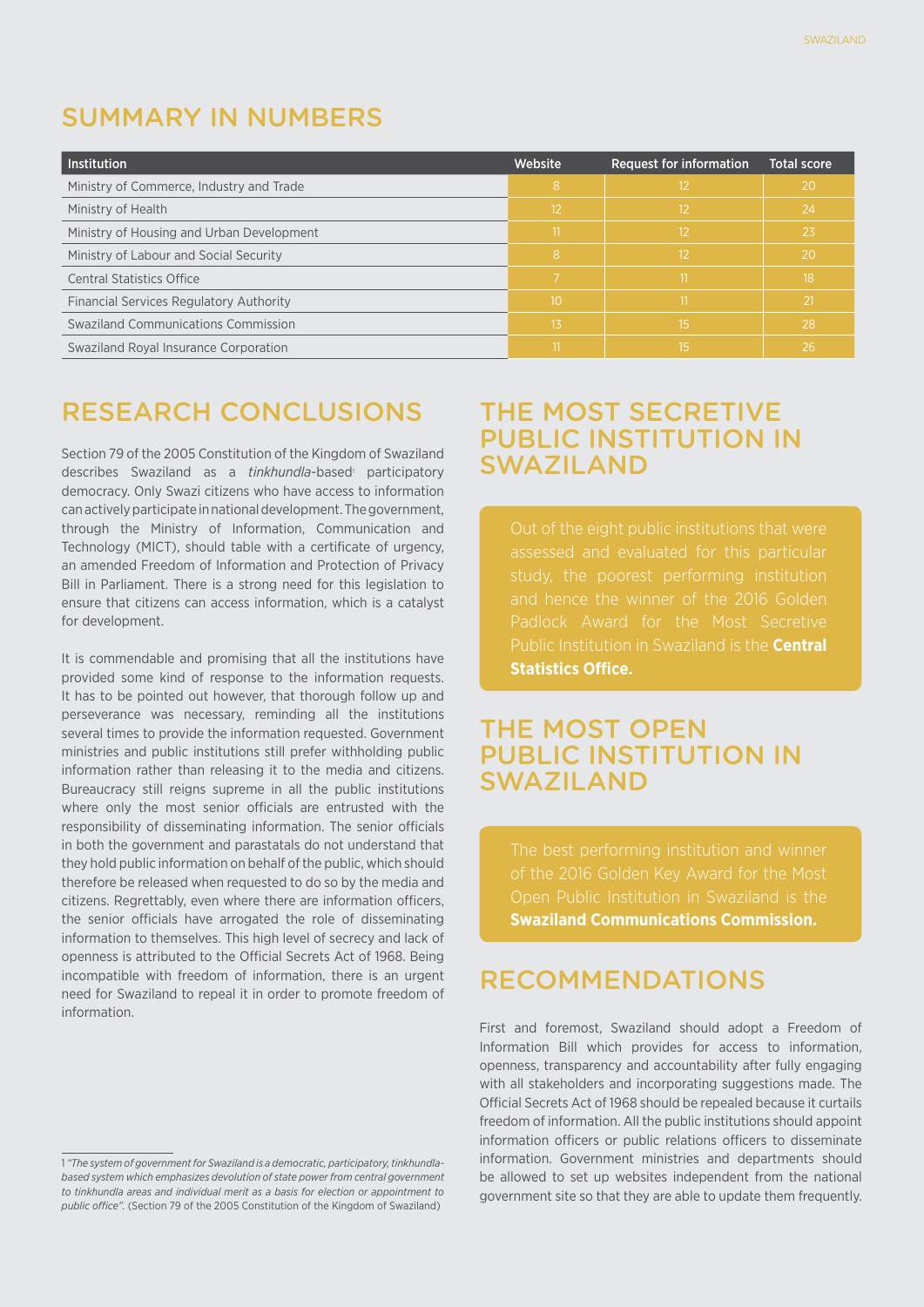## SUMMARY in NUMBERS

| <b>Institution</b>                             | Website | <b>Request for information</b> | <b>Total score</b> |
|------------------------------------------------|---------|--------------------------------|--------------------|
| Ministry of Commerce, Industry and Trade       | 8       | 12                             | 20                 |
| Ministry of Health                             | 12      | 12                             | 24                 |
| Ministry of Housing and Urban Development      |         | $12 \overline{ }$              | 23                 |
| Ministry of Labour and Social Security         | 8       | 12                             | -20                |
| <b>Central Statistics Office</b>               |         |                                | 18                 |
| <b>Financial Services Regulatory Authority</b> | 10      |                                | -21                |
| <b>Swaziland Communications Commission</b>     | 13      | 15                             | 28                 |
| Swaziland Royal Insurance Corporation          |         | 15                             | 26                 |

## RESEARCH CONCLUSIONS

Section 79 of the 2005 Constitution of the Kingdom of Swaziland describes Swaziland as a tinkhundla-based<sup>1</sup> participatory democracy. Only Swazi citizens who have access to information can actively participate in national development. The government, through the Ministry of Information, Communication and Technology (MICT), should table with a certificate of urgency, an amended Freedom of Information and Protection of Privacy Bill in Parliament. There is a strong need for this legislation to ensure that citizens can access information, which is a catalyst for development.

It is commendable and promising that all the institutions have provided some kind of response to the information requests. It has to be pointed out however, that thorough follow up and perseverance was necessary, reminding all the institutions several times to provide the information requested. Government ministries and public institutions still prefer withholding public information rather than releasing it to the media and citizens. Bureaucracy still reigns supreme in all the public institutions where only the most senior officials are entrusted with the responsibility of disseminating information. The senior officials in both the government and parastatals do not understand that they hold public information on behalf of the public, which should therefore be released when requested to do so by the media and citizens. Regrettably, even where there are information officers, the senior officials have arrogated the role of disseminating information to themselves. This high level of secrecy and lack of openness is attributed to the Official Secrets Act of 1968. Being incompatible with freedom of information, there is an urgent need for Swaziland to repeal it in order to promote freedom of information.

## THE MOST SECRETIVE PUBLIC INSTITUTION IN SWAZILAND

Out of the eight public institutions that were Padlock Award for the Most Secretive Public Institution in Swaziland is the **Central Statistics Office.** 

## THE MOST OPEN PUBLIC INSTITUTION IN SWAZILAND

Open Public Institution in Swaziland is the **Swaziland Communications Commission.** 

## RECOMMENDATIONS

First and foremost, Swaziland should adopt a Freedom of Information Bill which provides for access to information, openness, transparency and accountability after fully engaging with all stakeholders and incorporating suggestions made. The Official Secrets Act of 1968 should be repealed because it curtails freedom of information. All the public institutions should appoint information officers or public relations officers to disseminate information. Government ministries and departments should be allowed to set up websites independent from the national government site so that they are able to update them frequently.

<sup>1</sup> *"The system of government for Swaziland is a democratic, participatory, tinkhundlabased system which emphasizes devolution of state power from central government to tinkhundla areas and individual merit as a basis for election or appointment to public office".* (Section 79 of the 2005 Constitution of the Kingdom of Swaziland)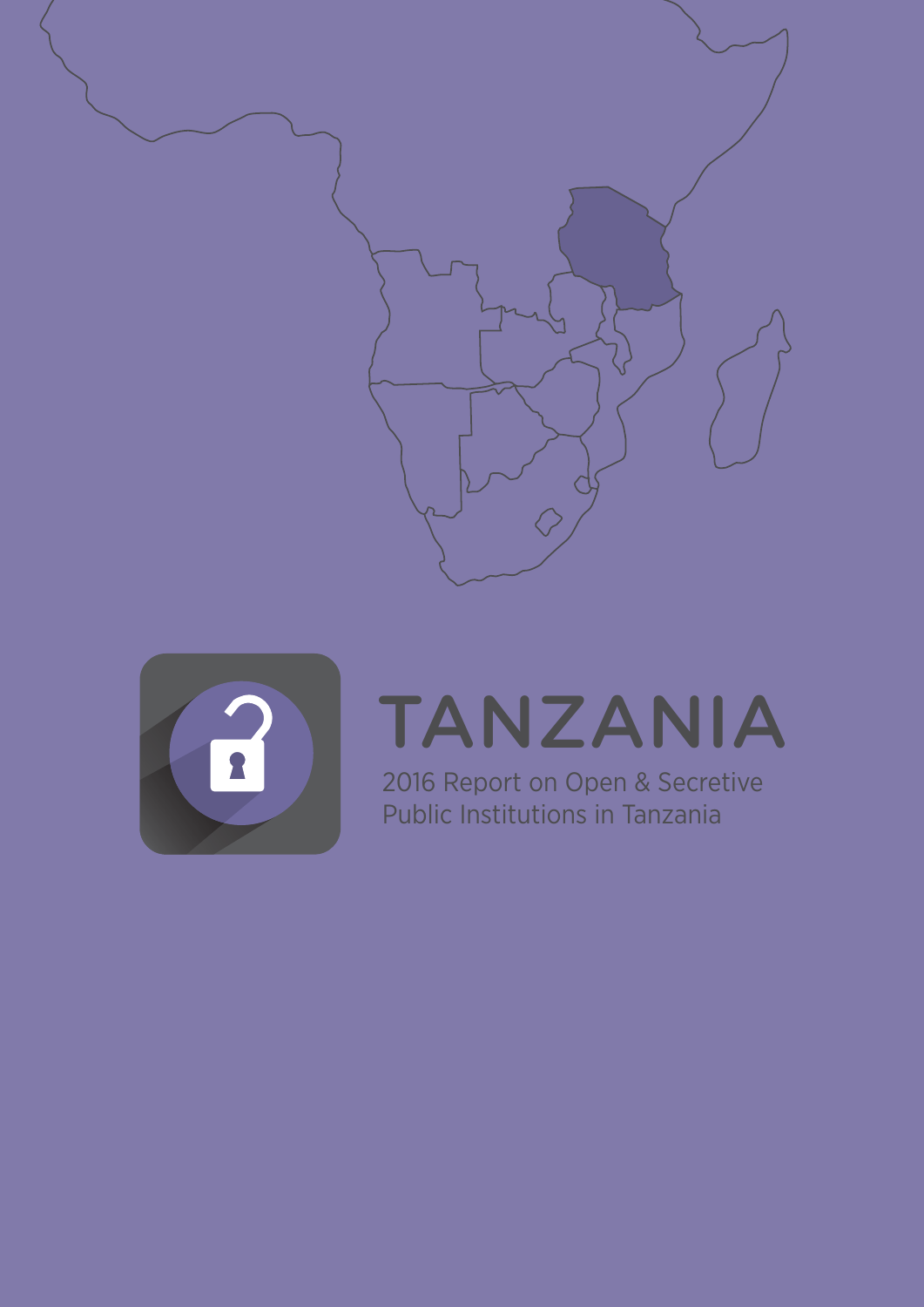



## TANZANIA

2016 Report on Open & Secretive Public Institutions in Tanzania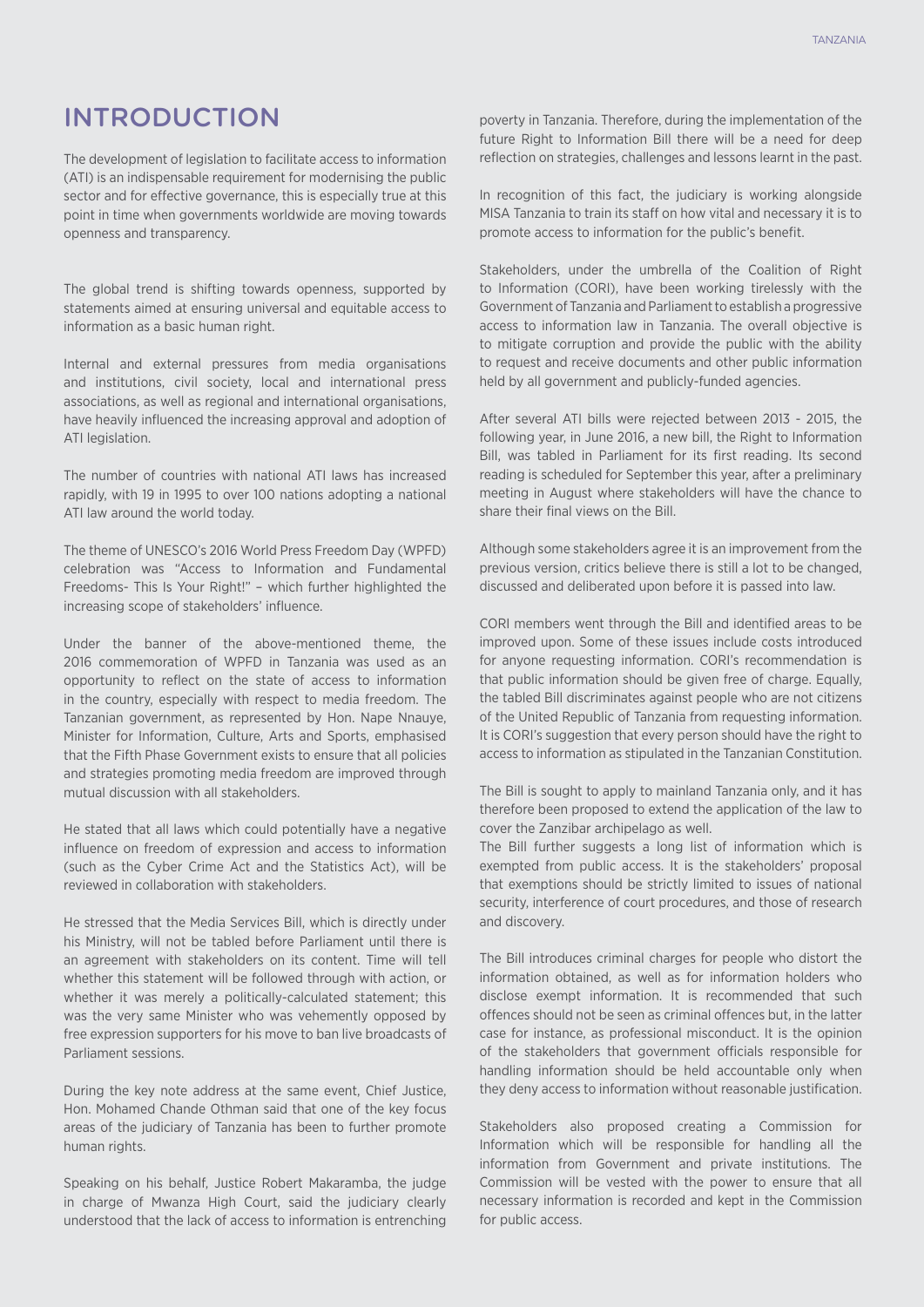# INTRODUCTION

The development of legislation to facilitate access to information (ATI) is an indispensable requirement for modernising the public sector and for effective governance, this is especially true at this point in time when governments worldwide are moving towards openness and transparency.

The global trend is shifting towards openness, supported by statements aimed at ensuring universal and equitable access to information as a basic human right.

Internal and external pressures from media organisations and institutions, civil society, local and international press associations, as well as regional and international organisations, have heavily influenced the increasing approval and adoption of ATI legislation.

The number of countries with national ATI laws has increased rapidly, with 19 in 1995 to over 100 nations adopting a national ATI law around the world today.

The theme of UNESCO's 2016 World Press Freedom Day (WPFD) celebration was "Access to Information and Fundamental Freedoms- This Is Your Right!" – which further highlighted the increasing scope of stakeholders' influence.

Under the banner of the above-mentioned theme, the 2016 commemoration of WPFD in Tanzania was used as an opportunity to reflect on the state of access to information in the country, especially with respect to media freedom. The Tanzanian government, as represented by Hon. Nape Nnauye, Minister for Information, Culture, Arts and Sports, emphasised that the Fifth Phase Government exists to ensure that all policies and strategies promoting media freedom are improved through mutual discussion with all stakeholders.

He stated that all laws which could potentially have a negative influence on freedom of expression and access to information (such as the Cyber Crime Act and the Statistics Act), will be reviewed in collaboration with stakeholders.

He stressed that the Media Services Bill, which is directly under his Ministry, will not be tabled before Parliament until there is an agreement with stakeholders on its content. Time will tell whether this statement will be followed through with action, or whether it was merely a politically-calculated statement; this was the very same Minister who was vehemently opposed by free expression supporters for his move to ban live broadcasts of Parliament sessions.

During the key note address at the same event, Chief Justice, Hon. Mohamed Chande Othman said that one of the key focus areas of the judiciary of Tanzania has been to further promote human rights.

Speaking on his behalf, Justice Robert Makaramba, the judge in charge of Mwanza High Court, said the judiciary clearly understood that the lack of access to information is entrenching

poverty in Tanzania. Therefore, during the implementation of the future Right to Information Bill there will be a need for deep reflection on strategies, challenges and lessons learnt in the past.

In recognition of this fact, the judiciary is working alongside MISA Tanzania to train its staff on how vital and necessary it is to promote access to information for the public's benefit.

Stakeholders, under the umbrella of the Coalition of Right to Information (CORI), have been working tirelessly with the Government of Tanzania and Parliament to establish a progressive access to information law in Tanzania. The overall objective is to mitigate corruption and provide the public with the ability to request and receive documents and other public information held by all government and publicly-funded agencies.

After several ATI bills were rejected between 2013 - 2015, the following year, in June 2016, a new bill, the Right to Information Bill, was tabled in Parliament for its first reading. Its second reading is scheduled for September this year, after a preliminary meeting in August where stakeholders will have the chance to share their final views on the Bill.

Although some stakeholders agree it is an improvement from the previous version, critics believe there is still a lot to be changed, discussed and deliberated upon before it is passed into law.

CORI members went through the Bill and identified areas to be improved upon. Some of these issues include costs introduced for anyone requesting information. CORI's recommendation is that public information should be given free of charge. Equally, the tabled Bill discriminates against people who are not citizens of the United Republic of Tanzania from requesting information. It is CORI's suggestion that every person should have the right to access to information as stipulated in the Tanzanian Constitution.

The Bill is sought to apply to mainland Tanzania only, and it has therefore been proposed to extend the application of the law to cover the Zanzibar archipelago as well.

The Bill further suggests a long list of information which is exempted from public access. It is the stakeholders' proposal that exemptions should be strictly limited to issues of national security, interference of court procedures, and those of research and discovery.

The Bill introduces criminal charges for people who distort the information obtained, as well as for information holders who disclose exempt information. It is recommended that such offences should not be seen as criminal offences but, in the latter case for instance, as professional misconduct. It is the opinion of the stakeholders that government officials responsible for handling information should be held accountable only when they deny access to information without reasonable justification.

Stakeholders also proposed creating a Commission for Information which will be responsible for handling all the information from Government and private institutions. The Commission will be vested with the power to ensure that all necessary information is recorded and kept in the Commission for public access.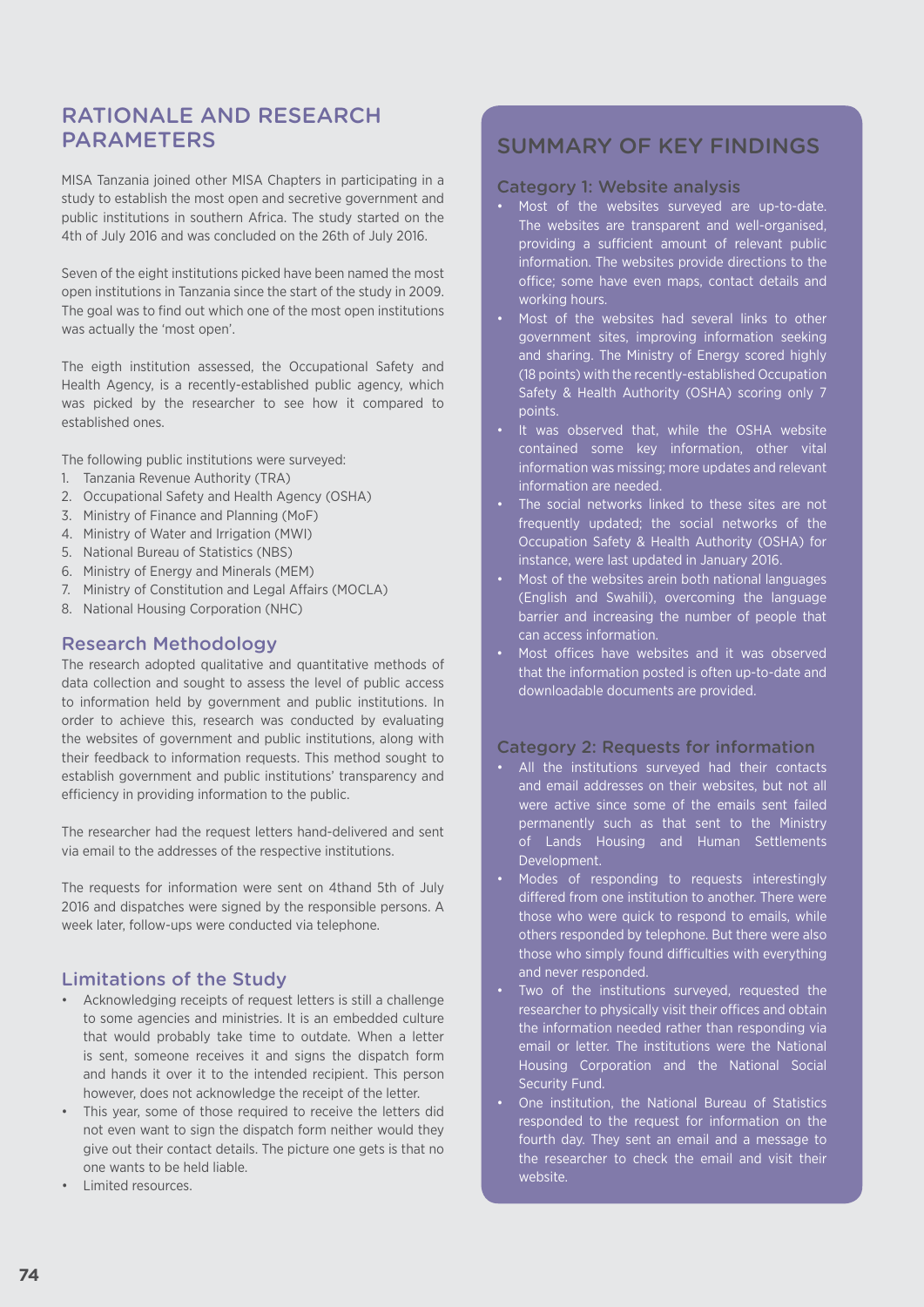# Rationale and ReseaRch **PARAMETERS**

MISA Tanzania joined other MISA Chapters in participating in a study to establish the most open and secretive government and public institutions in southern Africa. The study started on the 4th of July 2016 and was concluded on the 26th of July 2016.

Seven of the eight institutions picked have been named the most open institutions in Tanzania since the start of the study in 2009. The goal was to find out which one of the most open institutions was actually the 'most open'.

The eigth institution assessed, the Occupational Safety and Health Agency, is a recently-established public agency, which was picked by the researcher to see how it compared to established ones.

The following public institutions were surveyed:

- 1. Tanzania Revenue Authority (TRA)
- 2. Occupational Safety and Health Agency (OSHA)
- 3. Ministry of Finance and Planning (MoF)
- 4. Ministry of Water and Irrigation (MWI)
- 5. National Bureau of Statistics (NBS)
- 6. Ministry of Energy and Minerals (MEM)
- 7. Ministry of Constitution and Legal Affairs (MOCLA)
- 8. National Housing Corporation (NHC)

## Research Methodology

The research adopted qualitative and quantitative methods of data collection and sought to assess the level of public access to information held by government and public institutions. In order to achieve this, research was conducted by evaluating the websites of government and public institutions, along with their feedback to information requests. This method sought to establish government and public institutions' transparency and efficiency in providing information to the public.

The researcher had the request letters hand-delivered and sent via email to the addresses of the respective institutions.

The requests for information were sent on 4thand 5th of July 2016 and dispatches were signed by the responsible persons. A week later, follow-ups were conducted via telephone.

## Limitations of the Study

- • Acknowledging receipts of request letters is still a challenge to some agencies and ministries. It is an embedded culture that would probably take time to outdate. When a letter is sent, someone receives it and signs the dispatch form and hands it over it to the intended recipient. This person however, does not acknowledge the receipt of the letter.
- This year, some of those required to receive the letters did not even want to sign the dispatch form neither would they give out their contact details. The picture one gets is that no one wants to be held liable.
- **Limited resources.**

# SUMMARY OF KEY FINDINGS

#### Category 1: Website analysis

- • Most of the websites surveyed are up-to-date. The websites are transparent and well-organised, providing a sufficient amount of relevant public information. The websites provide directions to the office; some have even maps, contact details and working hours.
- • Most of the websites had several links to other government sites, improving information seeking and sharing. The Ministry of Energy scored highly (18 points) with the recently-established Occupation Safety & Health Authority (OSHA) scoring only 7 points.
- It was observed that, while the OSHA website contained some key information, other vital information was missing; more updates and relevant information are needed.
- The social networks linked to these sites are not frequently updated; the social networks of the Occupation Safety & Health Authority (OSHA) for instance, were last updated in January 2016.
- Most of the websites arein both national languages (English and Swahili), overcoming the language barrier and increasing the number of people that can access information.
- Most offices have websites and it was observed that the information posted is often up-to-date and downloadable documents are provided.

#### Category 2: Requests for information

- • All the institutions surveyed had their contacts and email addresses on their websites, but not all were active since some of the emails sent failed permanently such as that sent to the Ministry of Lands Housing and Human Settlements Development.
- • Modes of responding to requests interestingly differed from one institution to another. There were those who were quick to respond to emails, while others responded by telephone. But there were also those who simply found difficulties with everything and never responded.
- Two of the institutions surveyed, requested the researcher to physically visit their offices and obtain the information needed rather than responding via email or letter. The institutions were the National Housing Corporation and the National Social Security Fund.
- One institution, the National Bureau of Statistics responded to the request for information on the fourth day. They sent an email and a message to the researcher to check the email and visit their website.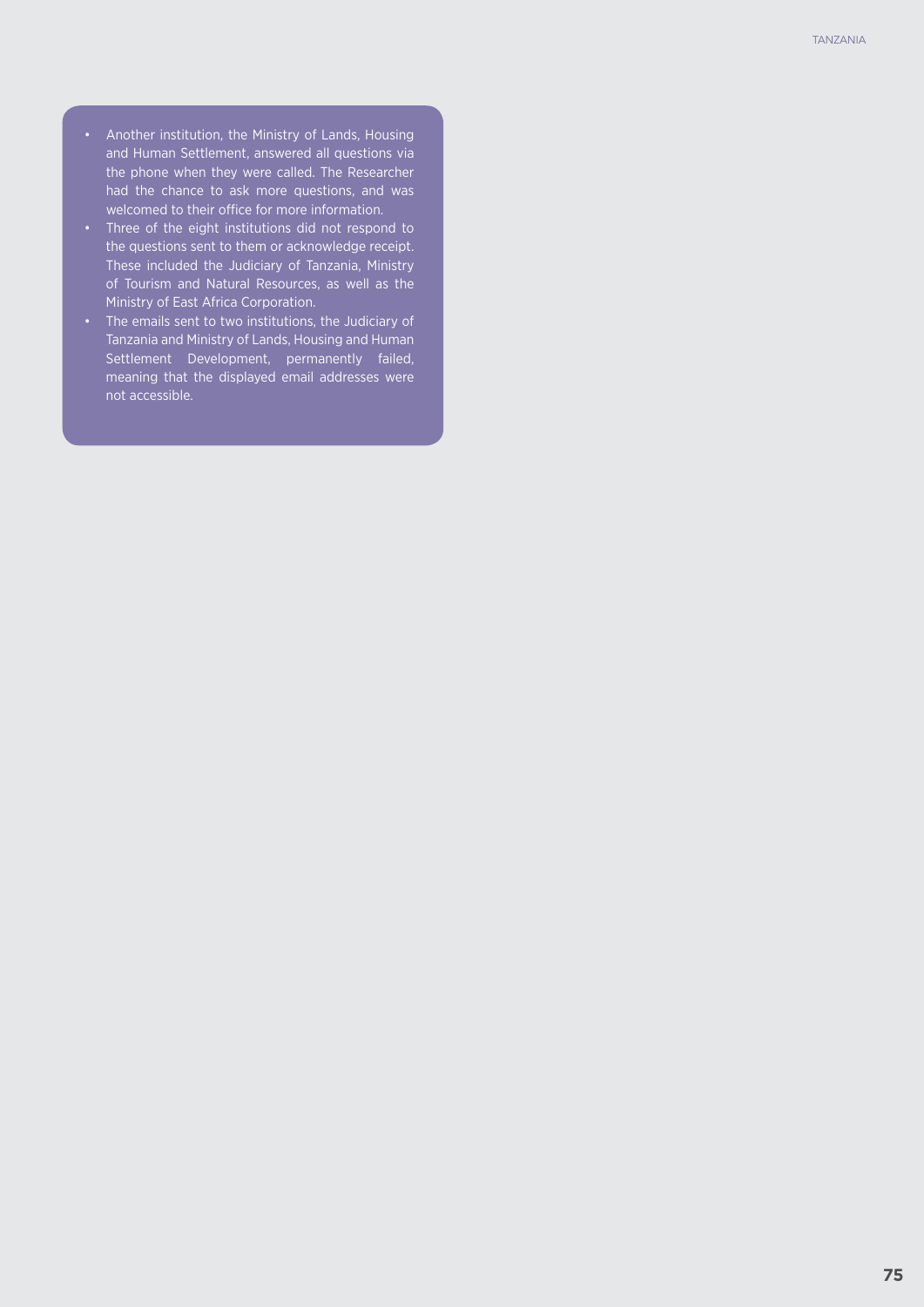- • Another institution, the Ministry of Lands, Housing and Human Settlement, answered all questions via the phone when they were called. The Researcher had the chance to ask more questions, and was welcomed to their office for more information.
- • Three of the eight institutions did not respond to the questions sent to them or acknowledge receipt. These included the Judiciary of Tanzania, Ministry of Tourism and Natural Resources, as well as the Ministry of East Africa Corporation.
- • The emails sent to two institutions, the Judiciary of Tanzania and Ministry of Lands, Housing and Human Settlement Development, permanently failed, meaning that the displayed email addresses were not accessible.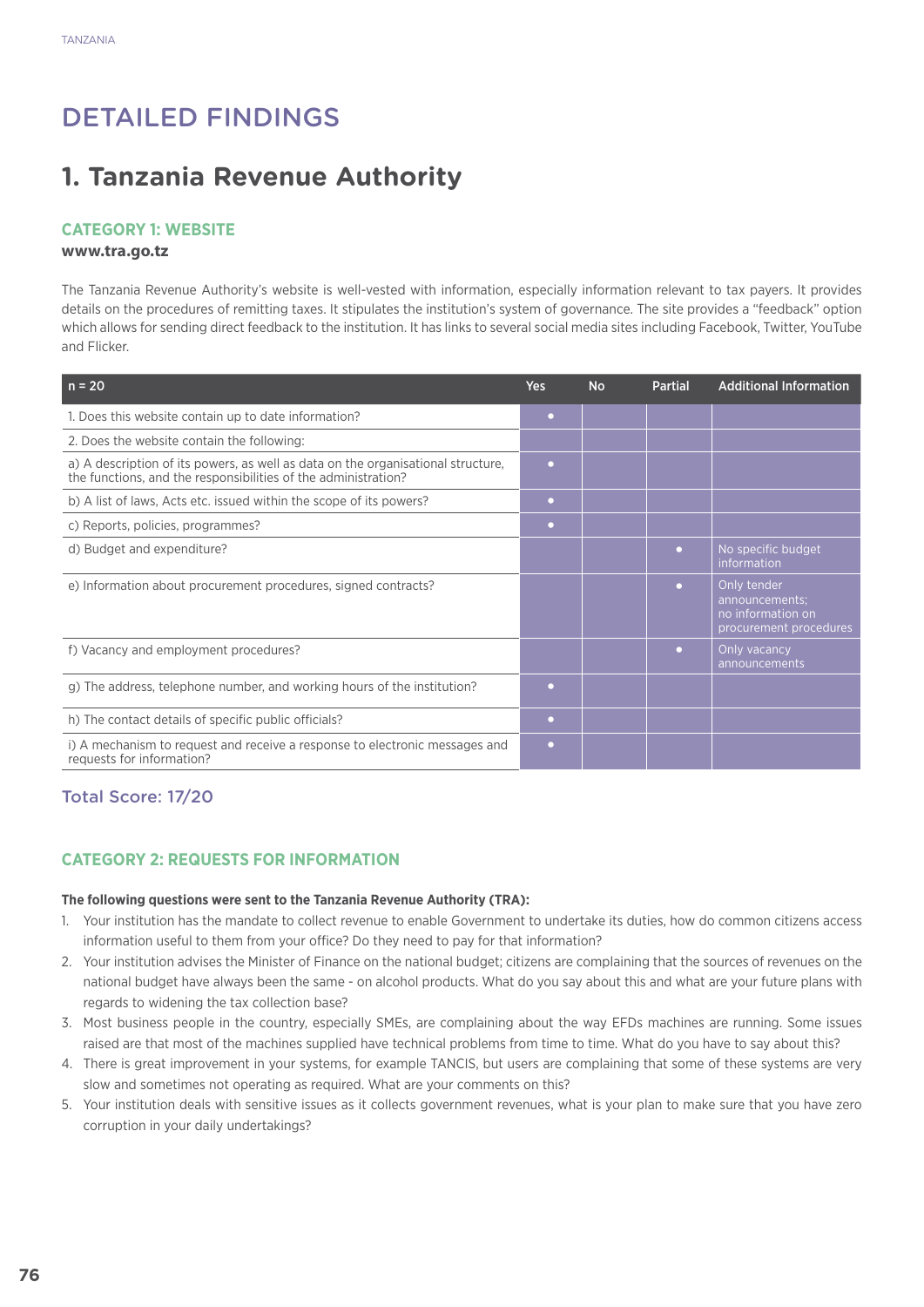# Detailed Findings

# **1. Tanzania Revenue Authority**

## **Category 1: Website**

#### **www.tra.go.tz**

The Tanzania Revenue Authority's website is well-vested with information, especially information relevant to tax payers. It provides details on the procedures of remitting taxes. It stipulates the institution's system of governance. The site provides a "feedback" option which allows for sending direct feedback to the institution. It has links to several social media sites including Facebook, Twitter, YouTube and Flicker.

| $n = 20$                                                                                                                                           | Yes       | <b>No</b> | <b>Partial</b> | <b>Additional Information</b>                                                |
|----------------------------------------------------------------------------------------------------------------------------------------------------|-----------|-----------|----------------|------------------------------------------------------------------------------|
| 1. Does this website contain up to date information?                                                                                               | $\bullet$ |           |                |                                                                              |
| 2. Does the website contain the following:                                                                                                         |           |           |                |                                                                              |
| a) A description of its powers, as well as data on the organisational structure,<br>the functions, and the responsibilities of the administration? | o         |           |                |                                                                              |
| b) A list of laws, Acts etc. issued within the scope of its powers?                                                                                | $\bullet$ |           |                |                                                                              |
| c) Reports, policies, programmes?                                                                                                                  | ۰         |           |                |                                                                              |
| d) Budget and expenditure?                                                                                                                         |           |           | $\bullet$      | No specific budget<br>information                                            |
| e) Information about procurement procedures, signed contracts?                                                                                     |           |           | $\bullet$      | Only tender<br>announcements;<br>no information on<br>procurement procedures |
| f) Vacancy and employment procedures?                                                                                                              |           |           | $\bullet$      | Only vacancy<br>announcements                                                |
| g) The address, telephone number, and working hours of the institution?                                                                            | $\bullet$ |           |                |                                                                              |
| h) The contact details of specific public officials?                                                                                               | $\bullet$ |           |                |                                                                              |
| i) A mechanism to request and receive a response to electronic messages and<br>requests for information?                                           | $\bullet$ |           |                |                                                                              |

# Total Score: 17/20

## **CATEGORY 2: REQUESTS FOR INFORMATION**

#### **The following questions were sent to the Tanzania Revenue Authority (TRA):**

- 1. Your institution has the mandate to collect revenue to enable Government to undertake its duties, how do common citizens access information useful to them from your office? Do they need to pay for that information?
- 2. Your institution advises the Minister of Finance on the national budget; citizens are complaining that the sources of revenues on the national budget have always been the same - on alcohol products. What do you say about this and what are your future plans with regards to widening the tax collection base?
- 3. Most business people in the country, especially SMEs, are complaining about the way EFDs machines are running. Some issues raised are that most of the machines supplied have technical problems from time to time. What do you have to say about this?
- 4. There is great improvement in your systems, for example TANCIS, but users are complaining that some of these systems are very slow and sometimes not operating as required. What are your comments on this?
- 5. Your institution deals with sensitive issues as it collects government revenues, what is your plan to make sure that you have zero corruption in your daily undertakings?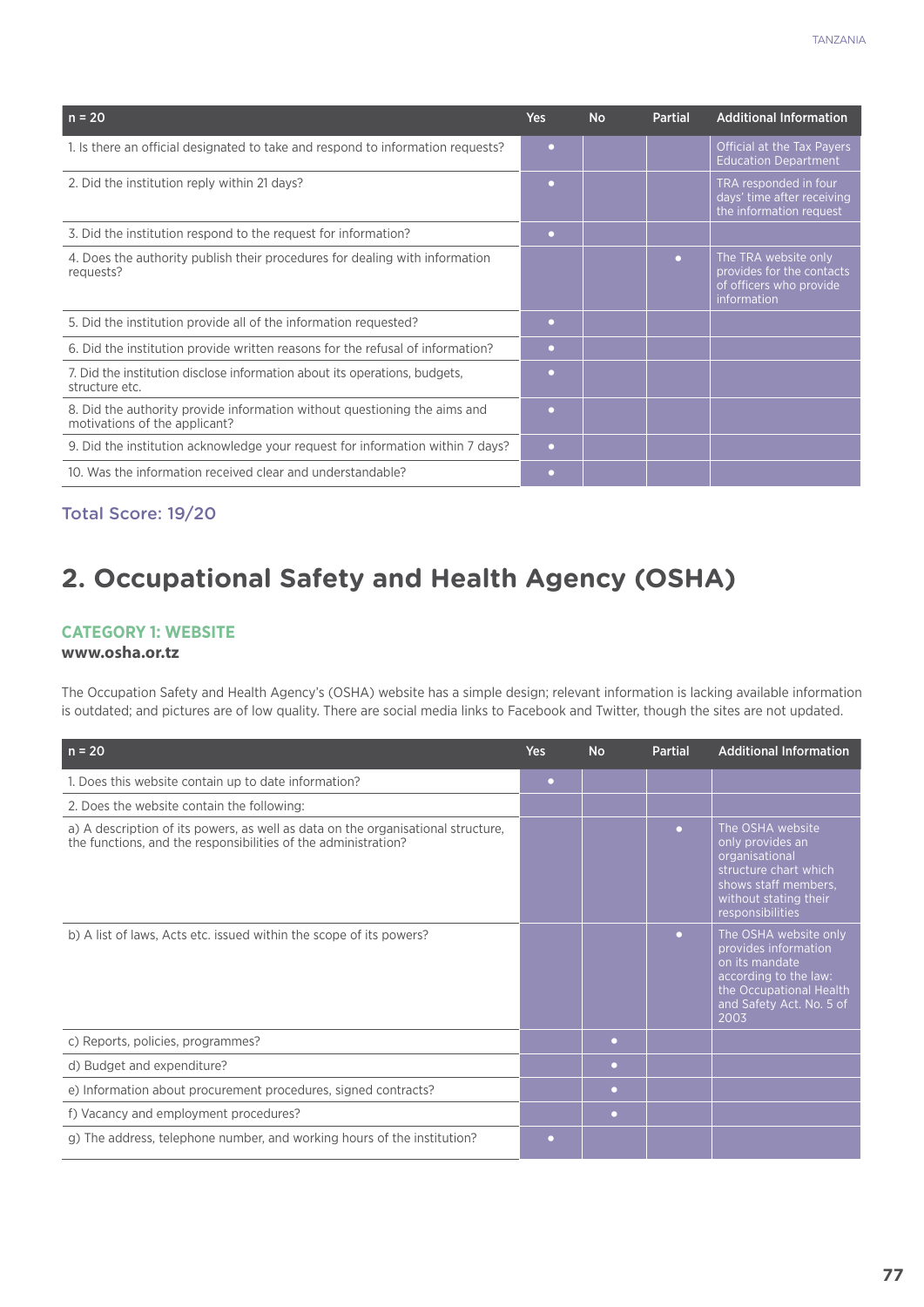| $n = 20$                                                                                                   | <b>Yes</b> | <b>No</b> | <b>Partial</b> | <b>Additional Information</b>                                                               |
|------------------------------------------------------------------------------------------------------------|------------|-----------|----------------|---------------------------------------------------------------------------------------------|
| 1. Is there an official designated to take and respond to information requests?                            | $\bullet$  |           |                | Official at the Tax Payers<br><b>Education Department</b>                                   |
| 2. Did the institution reply within 21 days?                                                               | $\bullet$  |           |                | TRA responded in four<br>days' time after receiving<br>the information request              |
| 3. Did the institution respond to the request for information?                                             | $\bullet$  |           |                |                                                                                             |
| 4. Does the authority publish their procedures for dealing with information<br>requests?                   |            |           | $\bullet$      | The TRA website only<br>provides for the contacts<br>of officers who provide<br>information |
| 5. Did the institution provide all of the information requested?                                           | $\bullet$  |           |                |                                                                                             |
| 6. Did the institution provide written reasons for the refusal of information?                             | $\bullet$  |           |                |                                                                                             |
| 7. Did the institution disclose information about its operations, budgets,<br>structure etc.               | $\bullet$  |           |                |                                                                                             |
| 8. Did the authority provide information without questioning the aims and<br>motivations of the applicant? | $\bullet$  |           |                |                                                                                             |
| 9. Did the institution acknowledge your request for information within 7 days?                             | $\bullet$  |           |                |                                                                                             |
| 10. Was the information received clear and understandable?                                                 | $\bullet$  |           |                |                                                                                             |

Total Score: 19/20

# **2. Occupational Safety and Health Agency (OSHA)**

#### **Category 1: Website**

#### **www.osha.or.tz**

The Occupation Safety and Health Agency's (OSHA) website has a simple design; relevant information is lacking available information is outdated; and pictures are of low quality. There are social media links to Facebook and Twitter, though the sites are not updated.

| $n = 20$                                                                                                                                           | <b>Yes</b> | <b>No</b> | <b>Partial</b> | <b>Additional Information</b>                                                                                                                           |
|----------------------------------------------------------------------------------------------------------------------------------------------------|------------|-----------|----------------|---------------------------------------------------------------------------------------------------------------------------------------------------------|
| 1. Does this website contain up to date information?                                                                                               | $\bullet$  |           |                |                                                                                                                                                         |
| 2. Does the website contain the following:                                                                                                         |            |           |                |                                                                                                                                                         |
| a) A description of its powers, as well as data on the organisational structure,<br>the functions, and the responsibilities of the administration? |            |           | $\bullet$      | The OSHA website<br>only provides an<br>organisational<br>structure chart which<br>shows staff members,<br>without stating their<br>responsibilities    |
| b) A list of laws, Acts etc. issued within the scope of its powers?                                                                                |            |           | $\bullet$      | The OSHA website only<br>provides information<br>on its mandate<br>according to the law:<br>the Occupational Health<br>and Safety Act. No. 5 of<br>2003 |
| c) Reports, policies, programmes?                                                                                                                  |            | o         |                |                                                                                                                                                         |
| d) Budget and expenditure?                                                                                                                         |            | $\bullet$ |                |                                                                                                                                                         |
| e) Information about procurement procedures, signed contracts?                                                                                     |            | $\bullet$ |                |                                                                                                                                                         |
| f) Vacancy and employment procedures?                                                                                                              |            | $\bullet$ |                |                                                                                                                                                         |
| g) The address, telephone number, and working hours of the institution?                                                                            | ◠          |           |                |                                                                                                                                                         |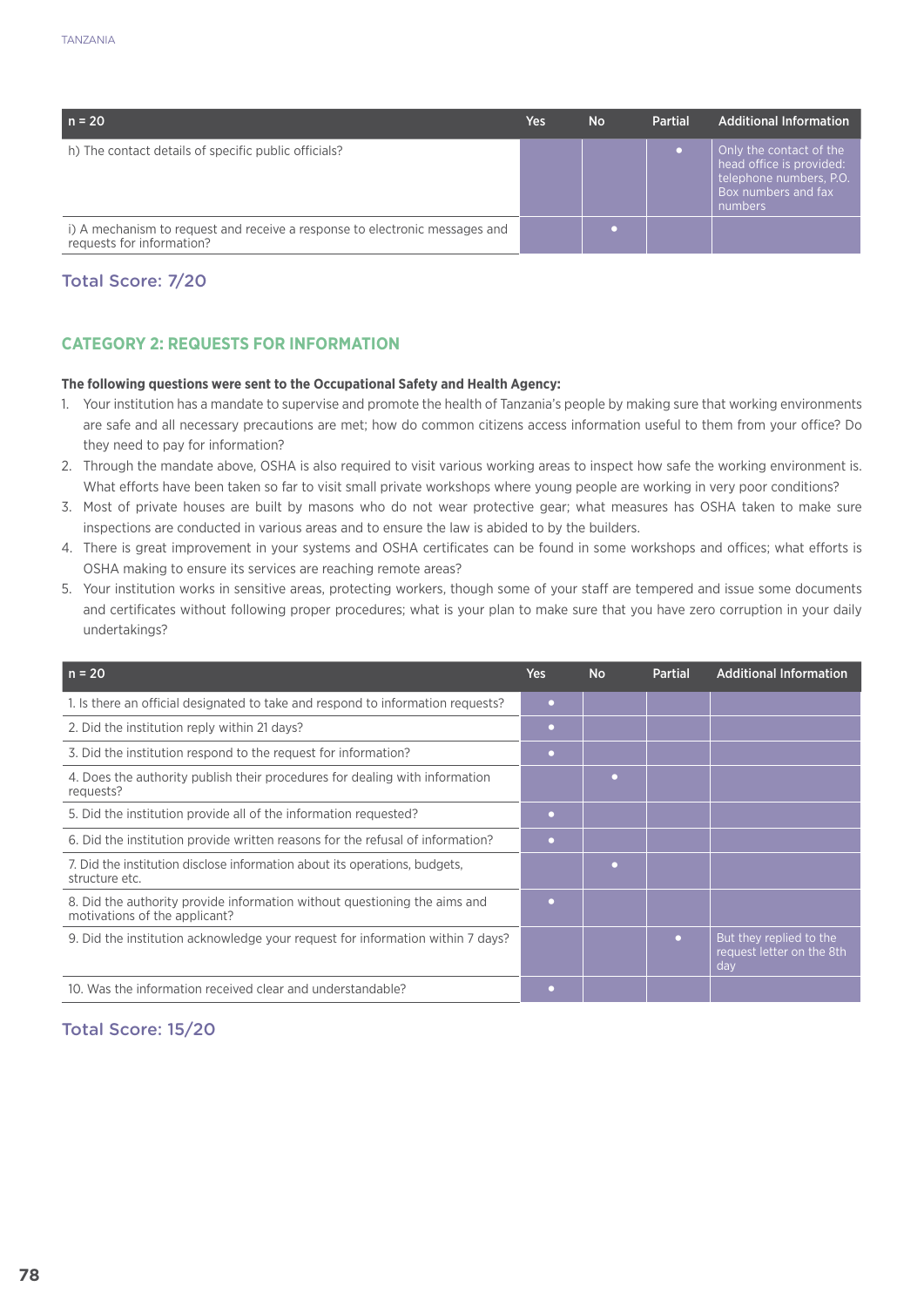| $n = 20$                                                                                                 | Yes | <b>No</b> | <b>Partial</b> | <b>Additional Information</b>                                                                                           |
|----------------------------------------------------------------------------------------------------------|-----|-----------|----------------|-------------------------------------------------------------------------------------------------------------------------|
| h) The contact details of specific public officials?                                                     |     |           |                | Only the contact of the<br>head office is provided:<br>telephone numbers, P.O.<br><b>Box numbers and fax</b><br>numbers |
| i) A mechanism to request and receive a response to electronic messages and<br>requests for information? |     |           |                |                                                                                                                         |

# Total Score: 7/20

# **CATEGORY 2: REQUESTS FOR INFORMATION**

#### **The following questions were sent to the Occupational Safety and Health Agency:**

- 1. Your institution has a mandate to supervise and promote the health of Tanzania's people by making sure that working environments are safe and all necessary precautions are met; how do common citizens access information useful to them from your office? Do they need to pay for information?
- 2. Through the mandate above, OSHA is also required to visit various working areas to inspect how safe the working environment is. What efforts have been taken so far to visit small private workshops where young people are working in very poor conditions?
- 3. Most of private houses are built by masons who do not wear protective gear; what measures has OSHA taken to make sure inspections are conducted in various areas and to ensure the law is abided to by the builders.
- 4. There is great improvement in your systems and OSHA certificates can be found in some workshops and offices; what efforts is OSHA making to ensure its services are reaching remote areas?
- 5. Your institution works in sensitive areas, protecting workers, though some of your staff are tempered and issue some documents and certificates without following proper procedures; what is your plan to make sure that you have zero corruption in your daily undertakings?

| $n = 20$                                                                                                   | <b>Yes</b>     | <b>No</b> | Partial   | <b>Additional Information</b>                               |
|------------------------------------------------------------------------------------------------------------|----------------|-----------|-----------|-------------------------------------------------------------|
| 1. Is there an official designated to take and respond to information requests?                            | $\bullet$      |           |           |                                                             |
| 2. Did the institution reply within 21 days?                                                               | ٠              |           |           |                                                             |
| 3. Did the institution respond to the request for information?                                             | $\bullet$      |           |           |                                                             |
| 4. Does the authority publish their procedures for dealing with information<br>requests?                   |                | ٠         |           |                                                             |
| 5. Did the institution provide all of the information requested?                                           |                |           |           |                                                             |
| 6. Did the institution provide written reasons for the refusal of information?                             | ٠              |           |           |                                                             |
| 7. Did the institution disclose information about its operations, budgets,<br>structure etc.               |                | ٠         |           |                                                             |
| 8. Did the authority provide information without questioning the aims and<br>motivations of the applicant? | $\blacksquare$ |           |           |                                                             |
| 9. Did the institution acknowledge your request for information within 7 days?                             |                |           | $\bullet$ | But they replied to the<br>request letter on the 8th<br>day |
| 10. Was the information received clear and understandable?                                                 |                |           |           |                                                             |

## Total Score: 15/20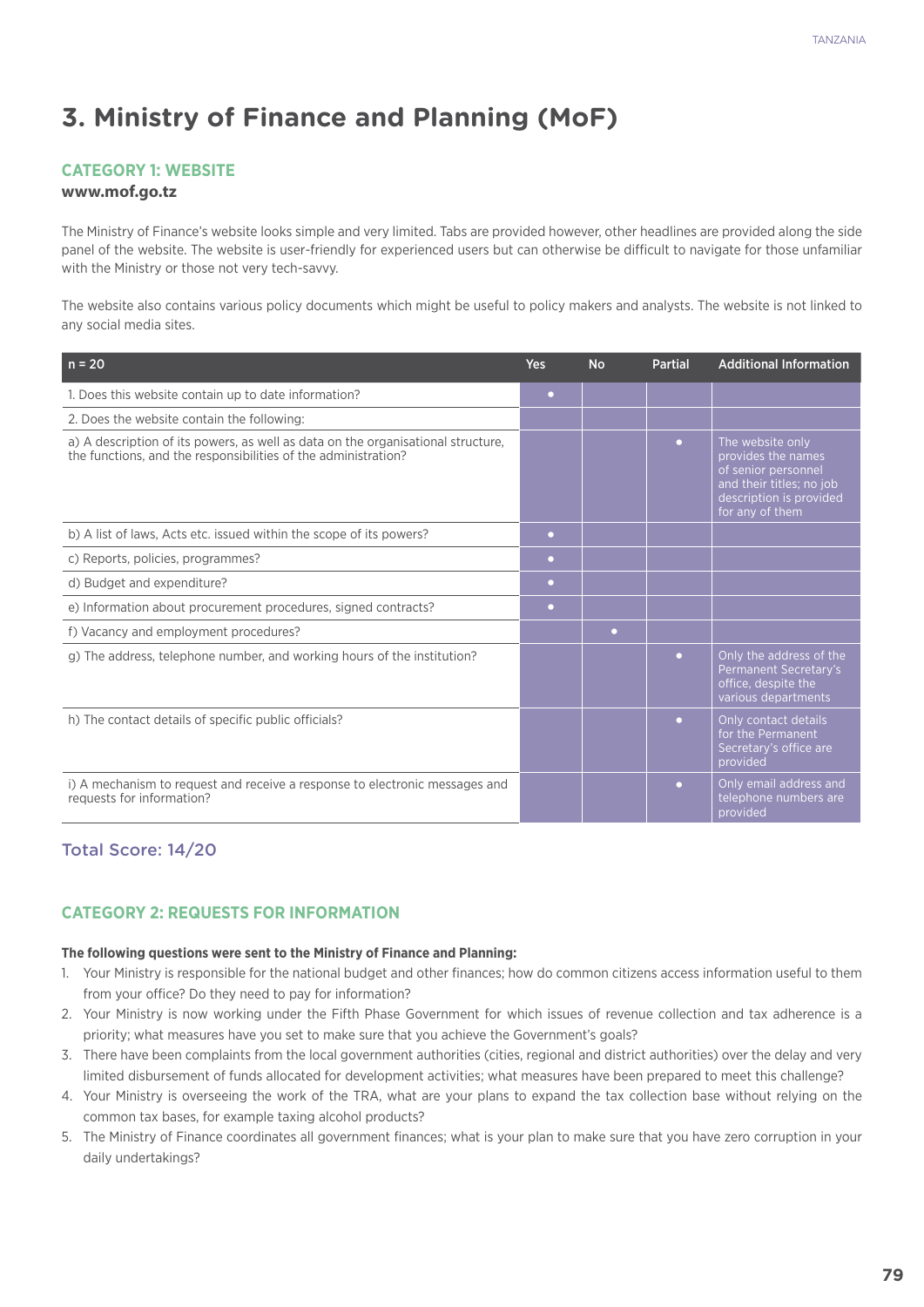# **3. Ministry of Finance and Planning (MoF)**

#### **Category 1: Website**

#### **www.mof.go.tz**

The Ministry of Finance's website looks simple and very limited. Tabs are provided however, other headlines are provided along the side panel of the website. The website is user-friendly for experienced users but can otherwise be difficult to navigate for those unfamiliar with the Ministry or those not very tech-savvy.

The website also contains various policy documents which might be useful to policy makers and analysts. The website is not linked to any social media sites.

| $n = 20$                                                                                                                                           | <b>Yes</b> | <b>No</b> | <b>Partial</b> | <b>Additional Information</b>                                                                                                           |
|----------------------------------------------------------------------------------------------------------------------------------------------------|------------|-----------|----------------|-----------------------------------------------------------------------------------------------------------------------------------------|
| 1. Does this website contain up to date information?                                                                                               | $\bullet$  |           |                |                                                                                                                                         |
| 2. Does the website contain the following:                                                                                                         |            |           |                |                                                                                                                                         |
| a) A description of its powers, as well as data on the organisational structure,<br>the functions, and the responsibilities of the administration? |            |           | $\bullet$      | The website only<br>provides the names<br>of senior personnel<br>and their titles; no job<br>description is provided<br>for any of them |
| b) A list of laws, Acts etc. issued within the scope of its powers?                                                                                | $\bullet$  |           |                |                                                                                                                                         |
| c) Reports, policies, programmes?                                                                                                                  | $\bullet$  |           |                |                                                                                                                                         |
| d) Budget and expenditure?                                                                                                                         | $\bullet$  |           |                |                                                                                                                                         |
| e) Information about procurement procedures, signed contracts?                                                                                     | $\bullet$  |           |                |                                                                                                                                         |
| f) Vacancy and employment procedures?                                                                                                              |            | $\bullet$ |                |                                                                                                                                         |
| g) The address, telephone number, and working hours of the institution?                                                                            |            |           | $\bullet$      | Only the address of the<br>Permanent Secretary's<br>office, despite the<br>various departments                                          |
| h) The contact details of specific public officials?                                                                                               |            |           | $\bullet$      | Only contact details<br>for the Permanent<br>Secretary's office are<br>provided                                                         |
| i) A mechanism to request and receive a response to electronic messages and<br>requests for information?                                           |            |           | $\bullet$      | Only email address and<br>telephone numbers are<br>provided                                                                             |

## Total Score: 14/20

#### **CATEGORY 2: REQUESTS FOR INFORMATION**

#### **The following questions were sent to the Ministry of Finance and Planning:**

- 1. Your Ministry is responsible for the national budget and other finances; how do common citizens access information useful to them from your office? Do they need to pay for information?
- 2. Your Ministry is now working under the Fifth Phase Government for which issues of revenue collection and tax adherence is a priority; what measures have you set to make sure that you achieve the Government's goals?
- 3. There have been complaints from the local government authorities (cities, regional and district authorities) over the delay and very limited disbursement of funds allocated for development activities; what measures have been prepared to meet this challenge?
- 4. Your Ministry is overseeing the work of the TRA, what are your plans to expand the tax collection base without relying on the common tax bases, for example taxing alcohol products?
- 5. The Ministry of Finance coordinates all government finances; what is your plan to make sure that you have zero corruption in your daily undertakings?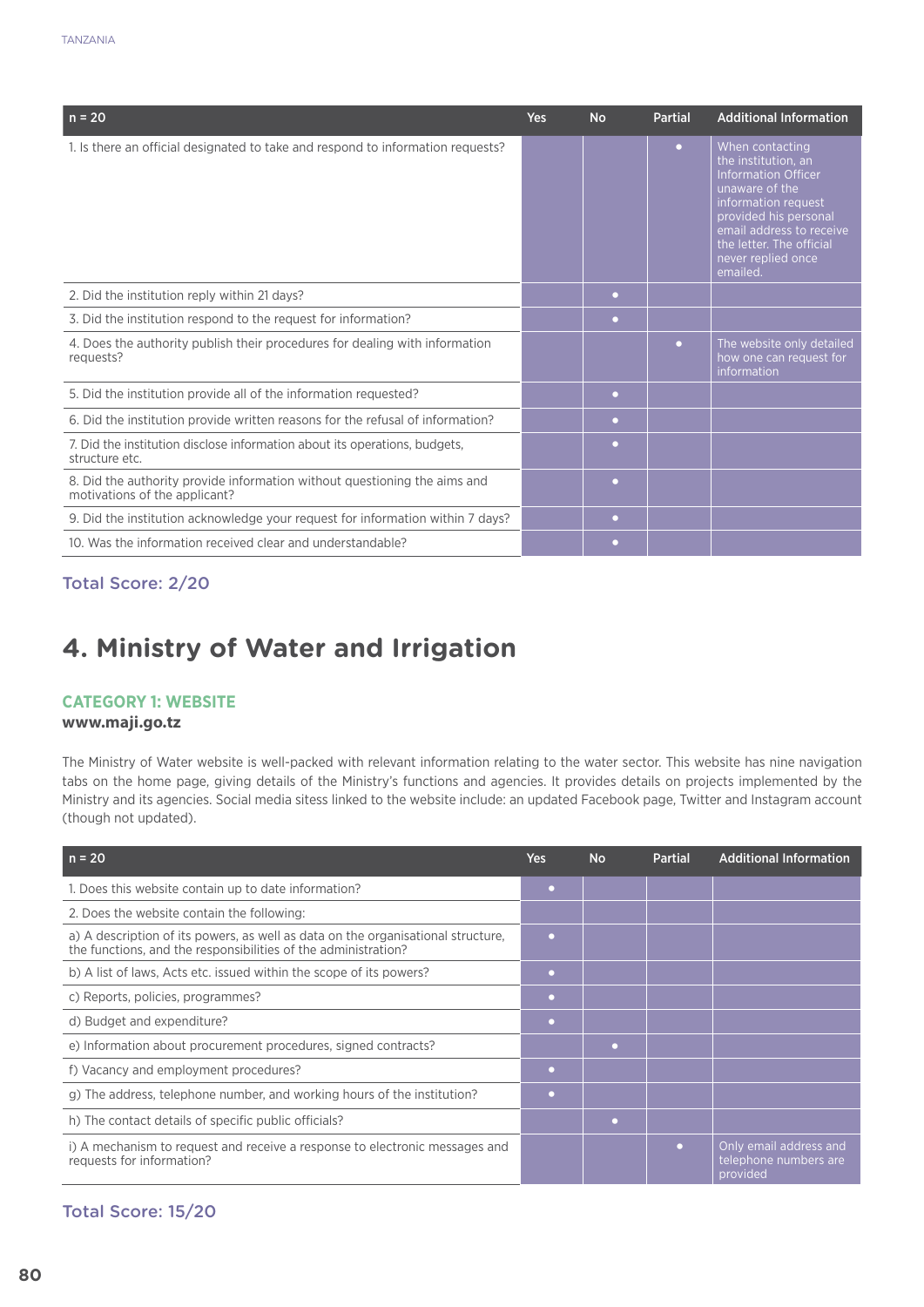| $n = 20$                                                                                                   | <b>Yes</b> | <b>No</b> | <b>Partial</b> | <b>Additional Information</b>                                                                                                                                                                                                    |
|------------------------------------------------------------------------------------------------------------|------------|-----------|----------------|----------------------------------------------------------------------------------------------------------------------------------------------------------------------------------------------------------------------------------|
| 1. Is there an official designated to take and respond to information requests?                            |            |           | $\bullet$      | When contacting<br>the institution, an<br><b>Information Officer</b><br>unaware of the<br>information request<br>provided his personal<br>email address to receive<br>the letter. The official<br>never replied once<br>emailed. |
| 2. Did the institution reply within 21 days?                                                               |            | $\bullet$ |                |                                                                                                                                                                                                                                  |
| 3. Did the institution respond to the request for information?                                             |            | $\bullet$ |                |                                                                                                                                                                                                                                  |
| 4. Does the authority publish their procedures for dealing with information<br>requests?                   |            |           | $\bullet$      | The website only detailed<br>how one can request for<br>information                                                                                                                                                              |
| 5. Did the institution provide all of the information requested?                                           |            | $\bullet$ |                |                                                                                                                                                                                                                                  |
| 6. Did the institution provide written reasons for the refusal of information?                             |            | $\bullet$ |                |                                                                                                                                                                                                                                  |
| 7. Did the institution disclose information about its operations, budgets,<br>structure etc.               |            | $\bullet$ |                |                                                                                                                                                                                                                                  |
| 8. Did the authority provide information without questioning the aims and<br>motivations of the applicant? |            | $\bullet$ |                |                                                                                                                                                                                                                                  |
| 9. Did the institution acknowledge your request for information within 7 days?                             |            | $\bullet$ |                |                                                                                                                                                                                                                                  |
| 10. Was the information received clear and understandable?                                                 |            | $\bullet$ |                |                                                                                                                                                                                                                                  |

# Total Score: 2/20

# **4. Ministry of Water and Irrigation**

#### **Category 1: Website**

#### **www.maji.go.tz**

The Ministry of Water website is well-packed with relevant information relating to the water sector. This website has nine navigation tabs on the home page, giving details of the Ministry's functions and agencies. It provides details on projects implemented by the Ministry and its agencies. Social media sitess linked to the website include: an updated Facebook page, Twitter and Instagram account (though not updated).

| $n = 20$                                                                                                                                           | <b>Yes</b> | <b>No</b> | <b>Partial</b> | <b>Additional Information</b>                               |
|----------------------------------------------------------------------------------------------------------------------------------------------------|------------|-----------|----------------|-------------------------------------------------------------|
| 1. Does this website contain up to date information?                                                                                               | ۰          |           |                |                                                             |
| 2. Does the website contain the following:                                                                                                         |            |           |                |                                                             |
| a) A description of its powers, as well as data on the organisational structure,<br>the functions, and the responsibilities of the administration? | $\bullet$  |           |                |                                                             |
| b) A list of laws, Acts etc. issued within the scope of its powers?                                                                                | $\bullet$  |           |                |                                                             |
| c) Reports, policies, programmes?                                                                                                                  | $\bullet$  |           |                |                                                             |
| d) Budget and expenditure?                                                                                                                         | ۰          |           |                |                                                             |
| e) Information about procurement procedures, signed contracts?                                                                                     |            | $\bullet$ |                |                                                             |
| f) Vacancy and employment procedures?                                                                                                              | $\bullet$  |           |                |                                                             |
| g) The address, telephone number, and working hours of the institution?                                                                            |            |           |                |                                                             |
| h) The contact details of specific public officials?                                                                                               |            | ۰         |                |                                                             |
| i) A mechanism to request and receive a response to electronic messages and<br>requests for information?                                           |            |           | $\blacksquare$ | Only email address and<br>telephone numbers are<br>provided |

#### Total Score: 15/20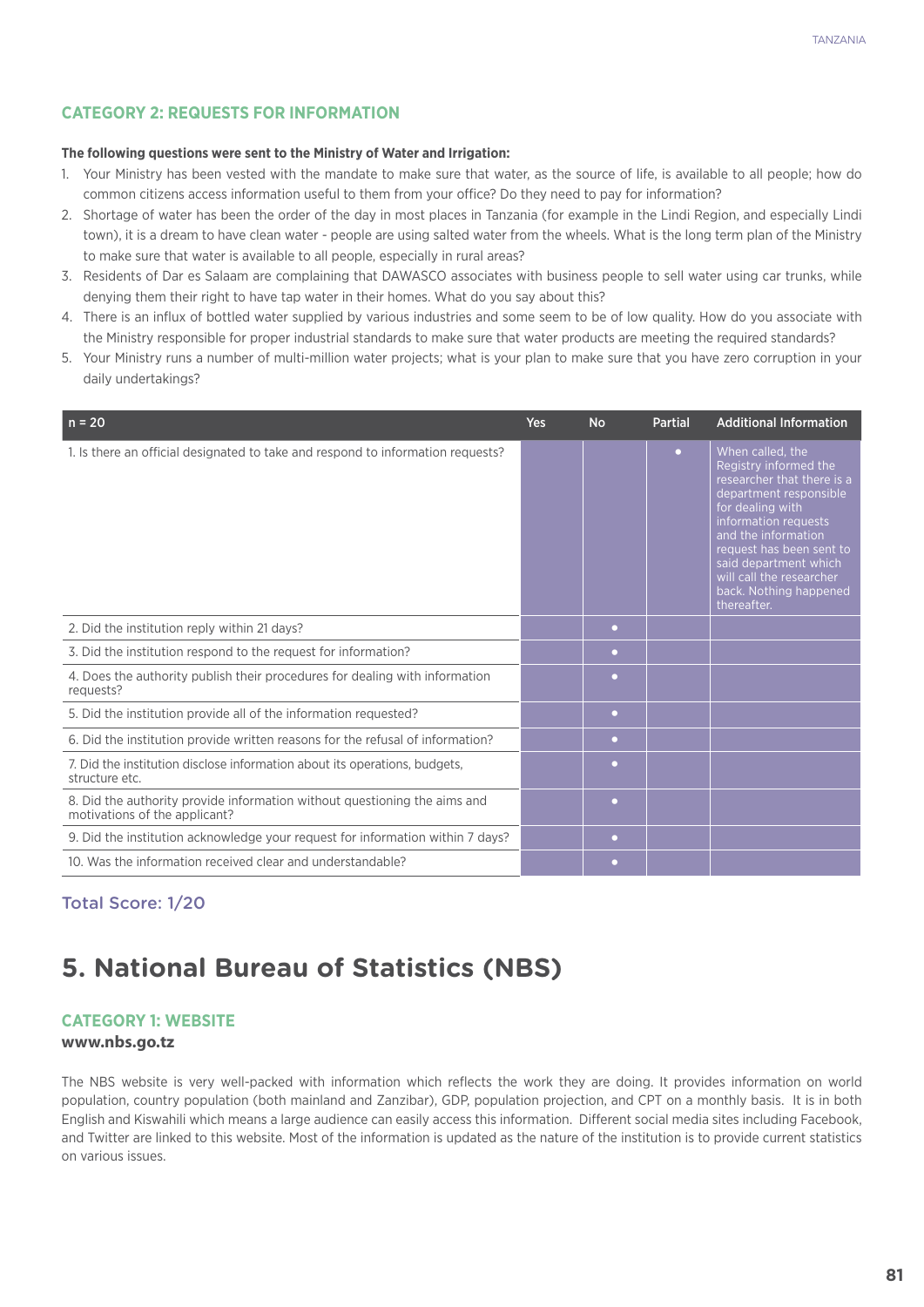## **CATEGORY 2: REQUESTS FOR INFORMATION**

#### **The following questions were sent to the Ministry of Water and Irrigation:**

- 1. Your Ministry has been vested with the mandate to make sure that water, as the source of life, is available to all people; how do common citizens access information useful to them from your office? Do they need to pay for information?
- 2. Shortage of water has been the order of the day in most places in Tanzania (for example in the Lindi Region, and especially Lindi town), it is a dream to have clean water - people are using salted water from the wheels. What is the long term plan of the Ministry to make sure that water is available to all people, especially in rural areas?
- 3. Residents of Dar es Salaam are complaining that DAWASCO associates with business people to sell water using car trunks, while denying them their right to have tap water in their homes. What do you say about this?
- 4. There is an influx of bottled water supplied by various industries and some seem to be of low quality. How do you associate with the Ministry responsible for proper industrial standards to make sure that water products are meeting the required standards?
- 5. Your Ministry runs a number of multi-million water projects; what is your plan to make sure that you have zero corruption in your daily undertakings?

| $n = 20$                                                                                                   | Yes | <b>No</b> | <b>Partial</b> | <b>Additional Information</b>                                                                                                                                                                                                                                                                  |
|------------------------------------------------------------------------------------------------------------|-----|-----------|----------------|------------------------------------------------------------------------------------------------------------------------------------------------------------------------------------------------------------------------------------------------------------------------------------------------|
| 1. Is there an official designated to take and respond to information requests?                            |     |           | $\bullet$      | When called, the<br>Registry informed the<br>researcher that there is a<br>department responsible<br>for dealing with<br>information requests<br>and the information<br>request has been sent to<br>said department which<br>will call the researcher<br>back. Nothing happened<br>thereafter. |
| 2. Did the institution reply within 21 days?                                                               |     | $\bullet$ |                |                                                                                                                                                                                                                                                                                                |
| 3. Did the institution respond to the request for information?                                             |     | $\bullet$ |                |                                                                                                                                                                                                                                                                                                |
| 4. Does the authority publish their procedures for dealing with information<br>requests?                   |     | $\bullet$ |                |                                                                                                                                                                                                                                                                                                |
| 5. Did the institution provide all of the information requested?                                           |     | $\bullet$ |                |                                                                                                                                                                                                                                                                                                |
| 6. Did the institution provide written reasons for the refusal of information?                             |     | $\bullet$ |                |                                                                                                                                                                                                                                                                                                |
| 7. Did the institution disclose information about its operations, budgets,<br>structure etc.               |     | $\bullet$ |                |                                                                                                                                                                                                                                                                                                |
| 8. Did the authority provide information without questioning the aims and<br>motivations of the applicant? |     | $\bullet$ |                |                                                                                                                                                                                                                                                                                                |
| 9. Did the institution acknowledge your request for information within 7 days?                             |     | $\bullet$ |                |                                                                                                                                                                                                                                                                                                |
| 10. Was the information received clear and understandable?                                                 |     | $\bullet$ |                |                                                                                                                                                                                                                                                                                                |

Total Score: 1/20

# **5. National Bureau of Statistics (NBS)**

### **Category 1: Website**

#### **www.nbs.go.tz**

The NBS website is very well-packed with information which reflects the work they are doing. It provides information on world population, country population (both mainland and Zanzibar), GDP, population projection, and CPT on a monthly basis. It is in both English and Kiswahili which means a large audience can easily access this information. Different social media sites including Facebook, and Twitter are linked to this website. Most of the information is updated as the nature of the institution is to provide current statistics on various issues.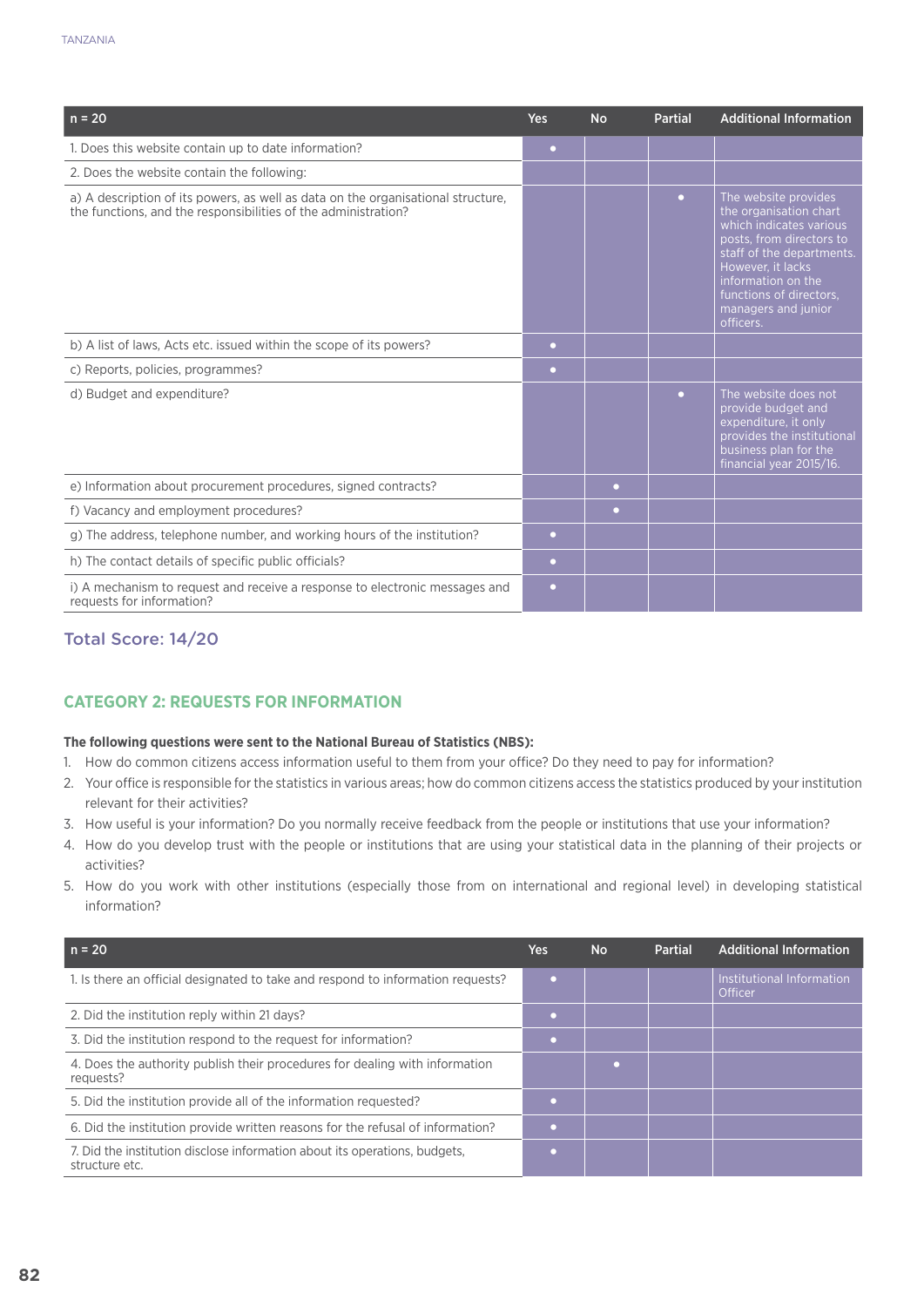| $n = 20$                                                                                                                                           | <b>Yes</b> | <b>No</b> | <b>Partial</b> | <b>Additional Information</b>                                                                                                                                                                                                                |
|----------------------------------------------------------------------------------------------------------------------------------------------------|------------|-----------|----------------|----------------------------------------------------------------------------------------------------------------------------------------------------------------------------------------------------------------------------------------------|
| 1. Does this website contain up to date information?                                                                                               | $\bullet$  |           |                |                                                                                                                                                                                                                                              |
| 2. Does the website contain the following:                                                                                                         |            |           |                |                                                                                                                                                                                                                                              |
| a) A description of its powers, as well as data on the organisational structure,<br>the functions, and the responsibilities of the administration? |            |           | $\bullet$      | The website provides<br>the organisation chart<br>which indicates various<br>posts, from directors to<br>staff of the departments.<br>However, it lacks<br>information on the<br>functions of directors.<br>managers and junior<br>officers. |
| b) A list of laws, Acts etc. issued within the scope of its powers?                                                                                | $\bullet$  |           |                |                                                                                                                                                                                                                                              |
| c) Reports, policies, programmes?                                                                                                                  | $\bullet$  |           |                |                                                                                                                                                                                                                                              |
| d) Budget and expenditure?                                                                                                                         |            |           | $\bullet$      | The website does not<br>provide budget and<br>expenditure, it only<br>provides the institutional<br>business plan for the<br>financial year 2015/16.                                                                                         |
| e) Information about procurement procedures, signed contracts?                                                                                     |            | $\bullet$ |                |                                                                                                                                                                                                                                              |
| f) Vacancy and employment procedures?                                                                                                              |            | $\bullet$ |                |                                                                                                                                                                                                                                              |
| g) The address, telephone number, and working hours of the institution?                                                                            | $\bullet$  |           |                |                                                                                                                                                                                                                                              |
| h) The contact details of specific public officials?                                                                                               | $\bullet$  |           |                |                                                                                                                                                                                                                                              |
| i) A mechanism to request and receive a response to electronic messages and<br>requests for information?                                           | $\bullet$  |           |                |                                                                                                                                                                                                                                              |

# Total Score: 14/20

## **CATEGORY 2: REQUESTS FOR INFORMATION**

#### **The following questions were sent to the National Bureau of Statistics (NBS):**

- 1. How do common citizens access information useful to them from your office? Do they need to pay for information?
- 2. Your office is responsible for the statistics in various areas; how do common citizens access the statistics produced by your institution relevant for their activities?
- 3. How useful is your information? Do you normally receive feedback from the people or institutions that use your information?
- 4. How do you develop trust with the people or institutions that are using your statistical data in the planning of their projects or activities?
- 5. How do you work with other institutions (especially those from on international and regional level) in developing statistical information?

| $n = 20$                                                                                     | Yes | <b>No</b> | Partial | <b>Additional Information</b>        |
|----------------------------------------------------------------------------------------------|-----|-----------|---------|--------------------------------------|
| 1. Is there an official designated to take and respond to information requests?              |     |           |         | Institutional Information<br>Officer |
| 2. Did the institution reply within 21 days?                                                 |     |           |         |                                      |
| 3. Did the institution respond to the request for information?                               |     |           |         |                                      |
| 4. Does the authority publish their procedures for dealing with information<br>requests?     |     |           |         |                                      |
| 5. Did the institution provide all of the information requested?                             |     |           |         |                                      |
| 6. Did the institution provide written reasons for the refusal of information?               |     |           |         |                                      |
| 7. Did the institution disclose information about its operations, budgets,<br>structure etc. |     |           |         |                                      |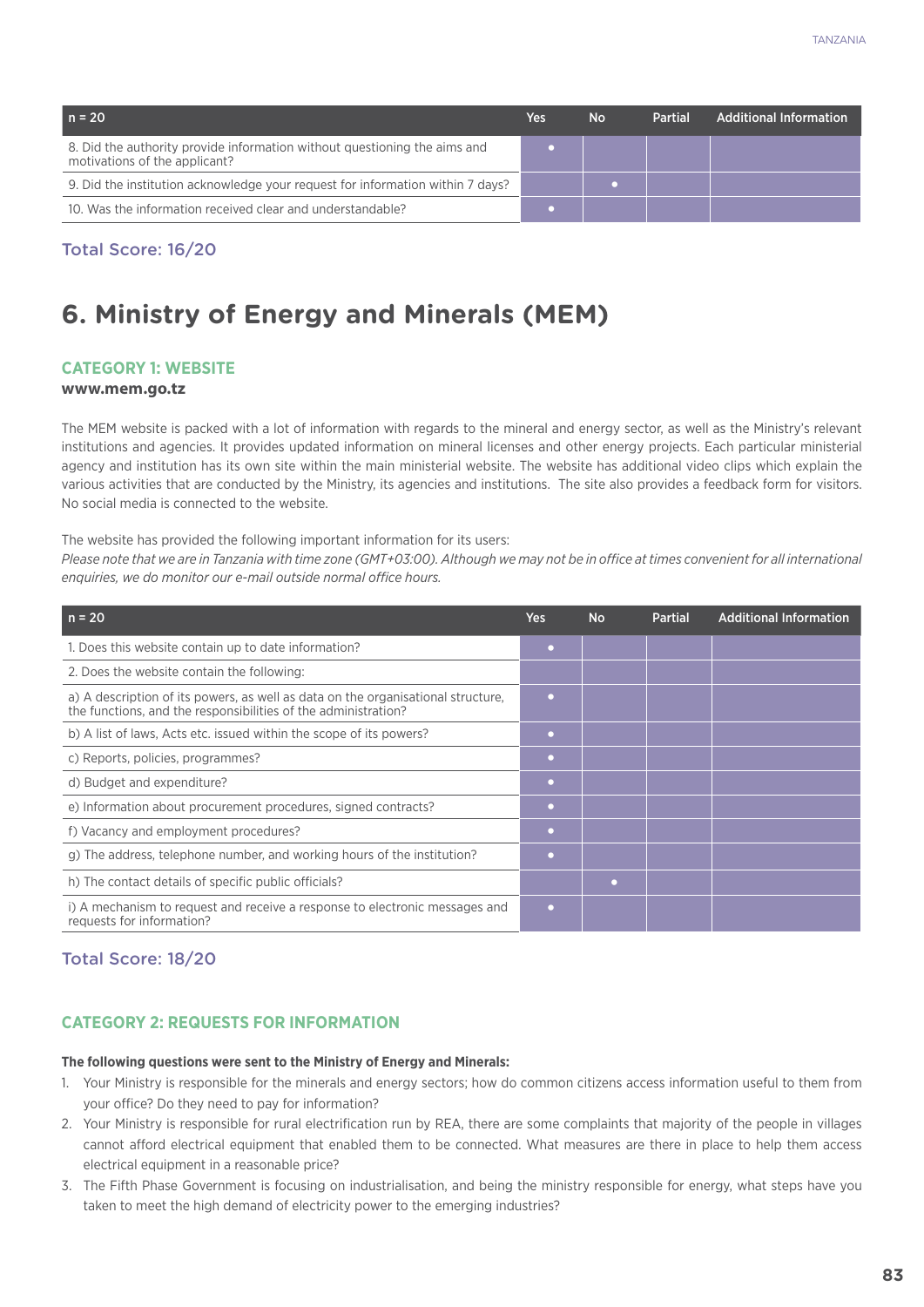| $n = 20$                                                                                                   | Yes | <b>No</b> | <b>Partial</b> | <b>Additional Information</b> |
|------------------------------------------------------------------------------------------------------------|-----|-----------|----------------|-------------------------------|
| 8. Did the authority provide information without questioning the aims and<br>motivations of the applicant? |     |           |                |                               |
| 9. Did the institution acknowledge your request for information within 7 days?                             |     |           |                |                               |
| 10. Was the information received clear and understandable?                                                 |     |           |                |                               |

#### Total Score: 16/20

# **6. Ministry of Energy and Minerals (MEM)**

#### **Category 1: Website**

#### **www.mem.go.tz**

The MEM website is packed with a lot of information with regards to the mineral and energy sector, as well as the Ministry's relevant institutions and agencies. It provides updated information on mineral licenses and other energy projects. Each particular ministerial agency and institution has its own site within the main ministerial website. The website has additional video clips which explain the various activities that are conducted by the Ministry, its agencies and institutions. The site also provides a feedback form for visitors. No social media is connected to the website.

The website has provided the following important information for its users:

*Please note that we are in Tanzania with time zone (GMT+03:00). Although we may not be in office at times convenient for all international enquiries, we do monitor our e-mail outside normal office hours.* 

| $n = 20$                                                                                                                                           | <b>Yes</b> | <b>No</b> | <b>Partial</b> | <b>Additional Information</b> |
|----------------------------------------------------------------------------------------------------------------------------------------------------|------------|-----------|----------------|-------------------------------|
| 1. Does this website contain up to date information?                                                                                               | $\bullet$  |           |                |                               |
| 2. Does the website contain the following:                                                                                                         |            |           |                |                               |
| a) A description of its powers, as well as data on the organisational structure,<br>the functions, and the responsibilities of the administration? | $\bullet$  |           |                |                               |
| b) A list of laws, Acts etc. issued within the scope of its powers?                                                                                | $\bullet$  |           |                |                               |
| c) Reports, policies, programmes?                                                                                                                  | $\bullet$  |           |                |                               |
| d) Budget and expenditure?                                                                                                                         | $\bullet$  |           |                |                               |
| e) Information about procurement procedures, signed contracts?                                                                                     | $\bullet$  |           |                |                               |
| f) Vacancy and employment procedures?                                                                                                              | $\bullet$  |           |                |                               |
| g) The address, telephone number, and working hours of the institution?                                                                            |            |           |                |                               |
| h) The contact details of specific public officials?                                                                                               |            | ٠         |                |                               |
| i) A mechanism to request and receive a response to electronic messages and<br>requests for information?                                           | $\bullet$  |           |                |                               |

#### Total Score: 18/20

### **CATEGORY 2: REQUESTS FOR INFORMATION**

#### **The following questions were sent to the Ministry of Energy and Minerals:**

- 1. Your Ministry is responsible for the minerals and energy sectors; how do common citizens access information useful to them from your office? Do they need to pay for information?
- 2. Your Ministry is responsible for rural electrification run by REA, there are some complaints that majority of the people in villages cannot afford electrical equipment that enabled them to be connected. What measures are there in place to help them access electrical equipment in a reasonable price?
- 3. The Fifth Phase Government is focusing on industrialisation, and being the ministry responsible for energy, what steps have you taken to meet the high demand of electricity power to the emerging industries?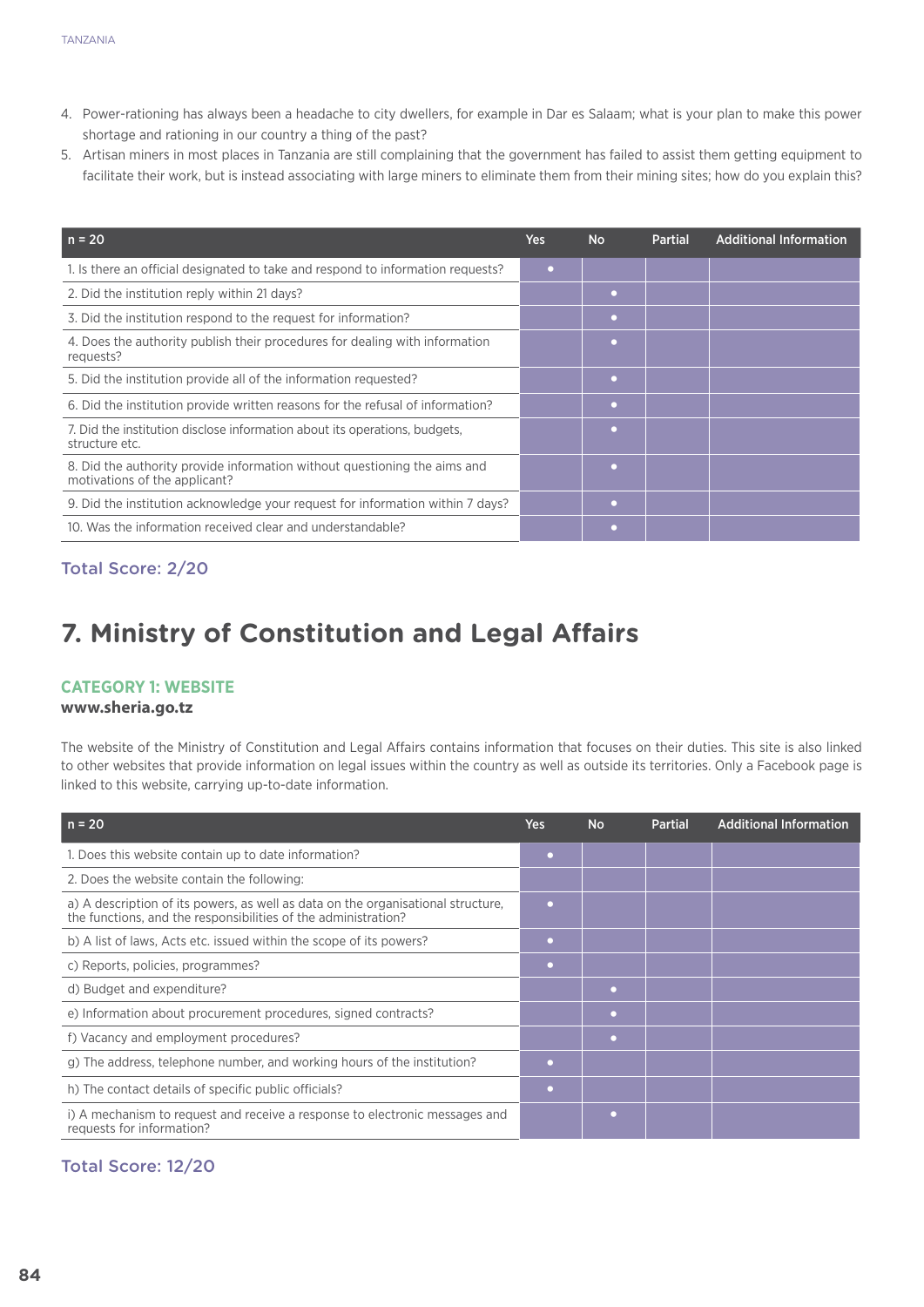- 4. Power-rationing has always been a headache to city dwellers, for example in Dar es Salaam; what is your plan to make this power shortage and rationing in our country a thing of the past?
- 5. Artisan miners in most places in Tanzania are still complaining that the government has failed to assist them getting equipment to facilitate their work, but is instead associating with large miners to eliminate them from their mining sites; how do you explain this?

| $n = 20$                                                                                                   | Yes       | <b>No</b> | <b>Partial</b> | <b>Additional Information</b> |
|------------------------------------------------------------------------------------------------------------|-----------|-----------|----------------|-------------------------------|
| 1. Is there an official designated to take and respond to information requests?                            | $\bullet$ |           |                |                               |
| 2. Did the institution reply within 21 days?                                                               |           | $\bullet$ |                |                               |
| 3. Did the institution respond to the request for information?                                             |           | $\bullet$ |                |                               |
| 4. Does the authority publish their procedures for dealing with information<br>requests?                   |           |           |                |                               |
| 5. Did the institution provide all of the information requested?                                           |           | $\bullet$ |                |                               |
| 6. Did the institution provide written reasons for the refusal of information?                             |           |           |                |                               |
| 7. Did the institution disclose information about its operations, budgets,<br>structure etc.               |           | $\bullet$ |                |                               |
| 8. Did the authority provide information without questioning the aims and<br>motivations of the applicant? |           | $\bullet$ |                |                               |
| 9. Did the institution acknowledge your request for information within 7 days?                             |           |           |                |                               |
| 10. Was the information received clear and understandable?                                                 |           |           |                |                               |

# Total Score: 2/20

# **7. Ministry of Constitution and Legal Affairs**

#### **Category 1: Website**

#### **www.sheria.go.tz**

The website of the Ministry of Constitution and Legal Affairs contains information that focuses on their duties. This site is also linked to other websites that provide information on legal issues within the country as well as outside its territories. Only a Facebook page is linked to this website, carrying up-to-date information.

| $n = 20$                                                                                                                                           | Yes       | <b>No</b> | <b>Partial</b> | <b>Additional Information</b> |
|----------------------------------------------------------------------------------------------------------------------------------------------------|-----------|-----------|----------------|-------------------------------|
| 1. Does this website contain up to date information?                                                                                               | ۰         |           |                |                               |
| 2. Does the website contain the following:                                                                                                         |           |           |                |                               |
| a) A description of its powers, as well as data on the organisational structure,<br>the functions, and the responsibilities of the administration? | ٠         |           |                |                               |
| b) A list of laws, Acts etc. issued within the scope of its powers?                                                                                | $\bullet$ |           |                |                               |
| c) Reports, policies, programmes?                                                                                                                  | ۰         |           |                |                               |
| d) Budget and expenditure?                                                                                                                         |           |           |                |                               |
| e) Information about procurement procedures, signed contracts?                                                                                     |           | ٠         |                |                               |
| f) Vacancy and employment procedures?                                                                                                              |           | ۰         |                |                               |
| g) The address, telephone number, and working hours of the institution?                                                                            |           |           |                |                               |
| h) The contact details of specific public officials?                                                                                               | ۰         |           |                |                               |
| i) A mechanism to request and receive a response to electronic messages and<br>requests for information?                                           |           | $\bullet$ |                |                               |

# Total Score: 12/20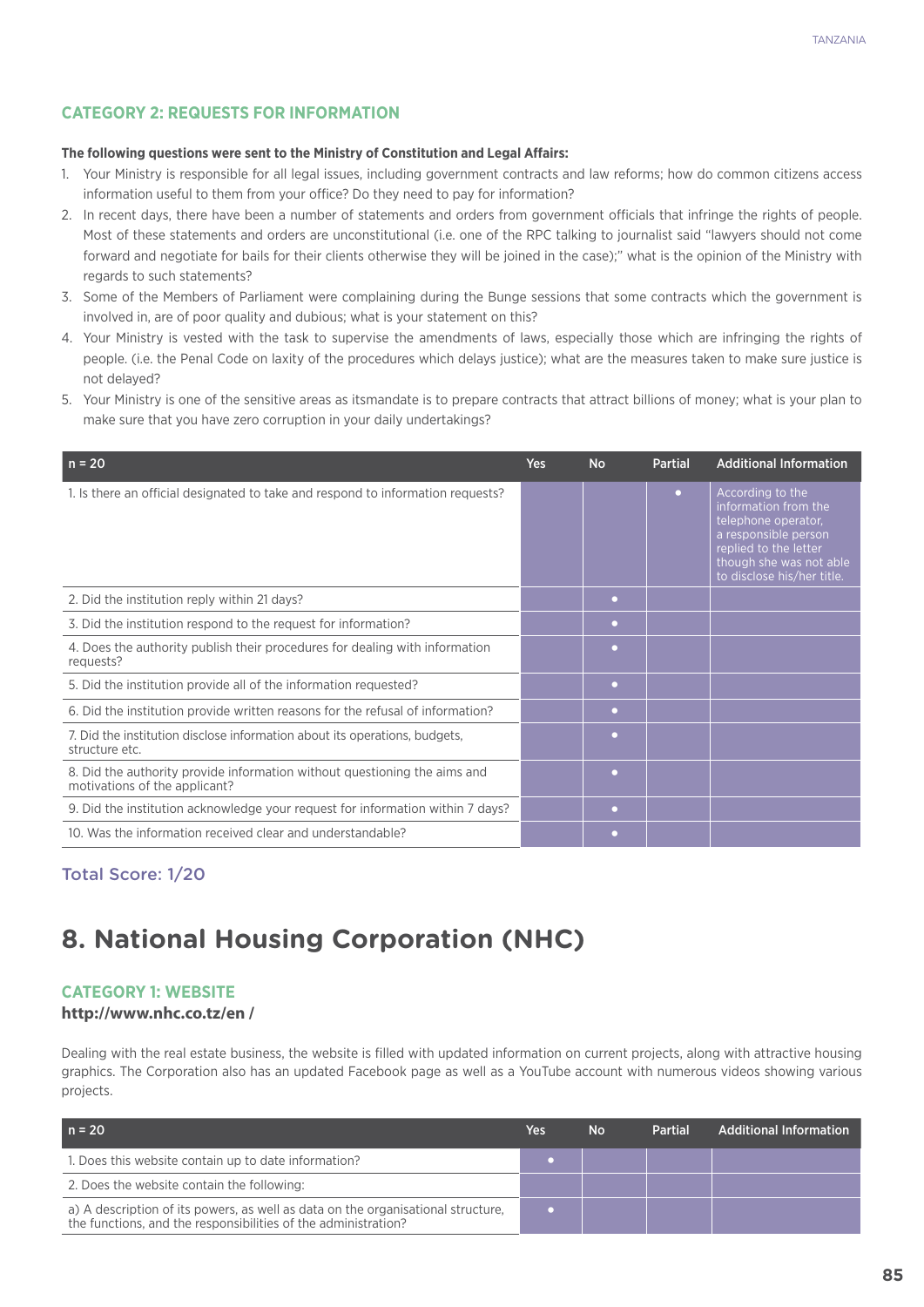## **CATEGORY 2: REQUESTS FOR INFORMATION**

#### **The following questions were sent to the Ministry of Constitution and Legal Affairs:**

- 1. Your Ministry is responsible for all legal issues, including government contracts and law reforms; how do common citizens access information useful to them from your office? Do they need to pay for information?
- 2. In recent days, there have been a number of statements and orders from government officials that infringe the rights of people. Most of these statements and orders are unconstitutional (i.e. one of the RPC talking to journalist said "lawyers should not come forward and negotiate for bails for their clients otherwise they will be joined in the case);" what is the opinion of the Ministry with regards to such statements?
- 3. Some of the Members of Parliament were complaining during the Bunge sessions that some contracts which the government is involved in, are of poor quality and dubious; what is your statement on this?
- 4. Your Ministry is vested with the task to supervise the amendments of laws, especially those which are infringing the rights of people. (i.e. the Penal Code on laxity of the procedures which delays justice); what are the measures taken to make sure justice is not delayed?
- 5. Your Ministry is one of the sensitive areas as itsmandate is to prepare contracts that attract billions of money; what is your plan to make sure that you have zero corruption in your daily undertakings?

| $n = 20$                                                                                                   | <b>Yes</b> | <b>No</b> | <b>Partial</b> | <b>Additional Information</b>                                                                                                                                             |
|------------------------------------------------------------------------------------------------------------|------------|-----------|----------------|---------------------------------------------------------------------------------------------------------------------------------------------------------------------------|
| 1. Is there an official designated to take and respond to information requests?                            |            |           | $\bullet$      | According to the<br>information from the<br>telephone operator,<br>a responsible person<br>replied to the letter<br>though she was not able<br>to disclose his/her title. |
| 2. Did the institution reply within 21 days?                                                               |            | $\bullet$ |                |                                                                                                                                                                           |
| 3. Did the institution respond to the request for information?                                             |            | $\bullet$ |                |                                                                                                                                                                           |
| 4. Does the authority publish their procedures for dealing with information<br>requests?                   |            | ۰         |                |                                                                                                                                                                           |
| 5. Did the institution provide all of the information requested?                                           |            | $\bullet$ |                |                                                                                                                                                                           |
| 6. Did the institution provide written reasons for the refusal of information?                             |            | $\bullet$ |                |                                                                                                                                                                           |
| 7. Did the institution disclose information about its operations, budgets,<br>structure etc.               |            | ۰         |                |                                                                                                                                                                           |
| 8. Did the authority provide information without questioning the aims and<br>motivations of the applicant? |            | ٠         |                |                                                                                                                                                                           |
| 9. Did the institution acknowledge your request for information within 7 days?                             |            | $\bullet$ |                |                                                                                                                                                                           |
| 10. Was the information received clear and understandable?                                                 |            | $\bullet$ |                |                                                                                                                                                                           |

## Total Score: 1/20

# **8. National Housing Corporation (NHC)**

#### **Category 1: Website**

#### **http://www.nhc.co.tz/en /**

Dealing with the real estate business, the website is filled with updated information on current projects, along with attractive housing graphics. The Corporation also has an updated Facebook page as well as a YouTube account with numerous videos showing various projects.

| l n = 20                                                                                                                                           | Yes. | <b>No</b> | <b>Partial</b> | <b>Additional Information</b> |
|----------------------------------------------------------------------------------------------------------------------------------------------------|------|-----------|----------------|-------------------------------|
| 1. Does this website contain up to date information?                                                                                               |      |           |                |                               |
| 2. Does the website contain the following:                                                                                                         |      |           |                |                               |
| a) A description of its powers, as well as data on the organisational structure,<br>the functions, and the responsibilities of the administration? |      |           |                |                               |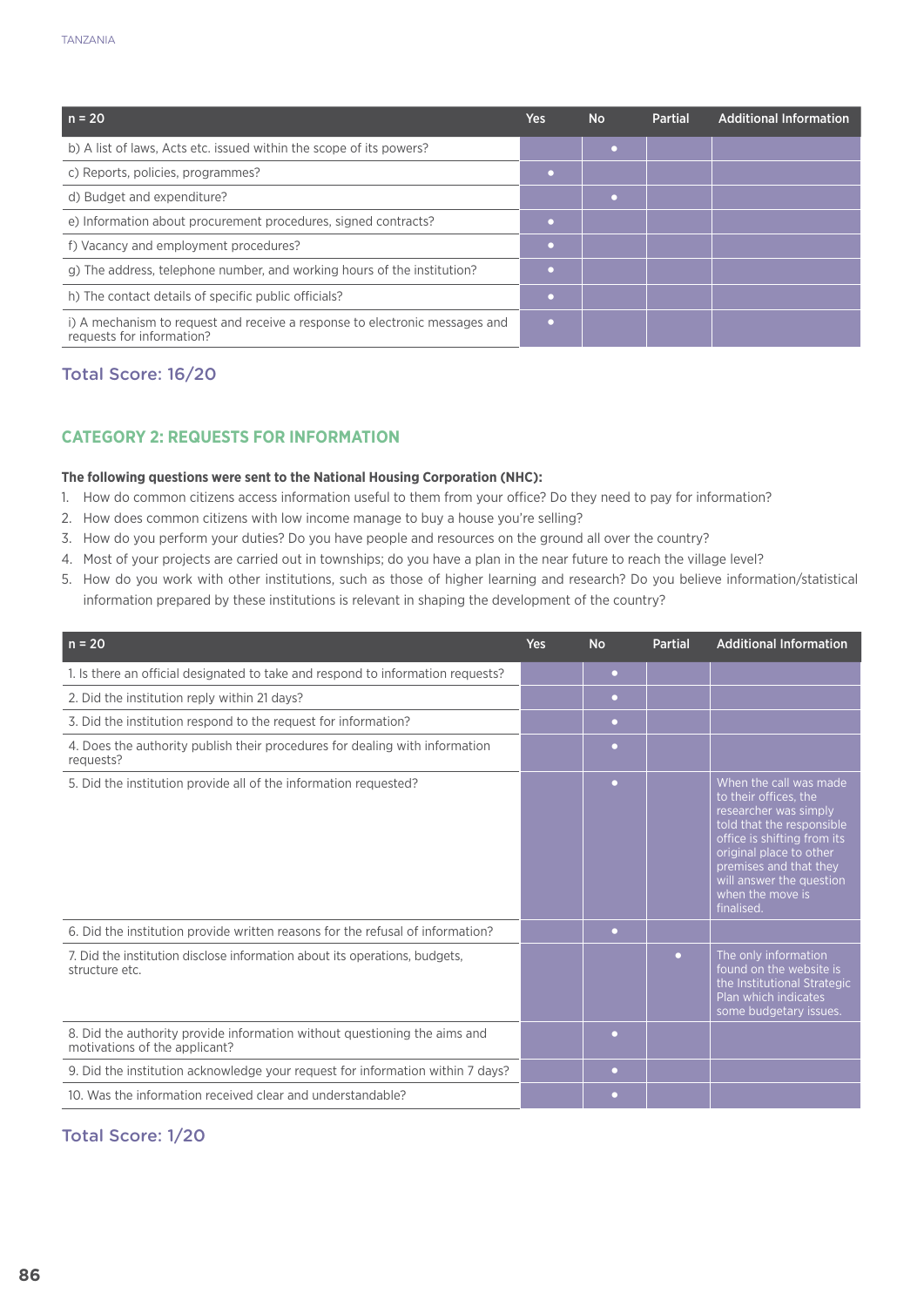| $n = 20$                                                                                                 | <b>Yes</b> | <b>No</b> | <b>Partial</b> | <b>Additional Information</b> |
|----------------------------------------------------------------------------------------------------------|------------|-----------|----------------|-------------------------------|
| b) A list of laws, Acts etc. issued within the scope of its powers?                                      |            |           |                |                               |
| c) Reports, policies, programmes?                                                                        |            |           |                |                               |
| d) Budget and expenditure?                                                                               |            |           |                |                               |
| e) Information about procurement procedures, signed contracts?                                           |            |           |                |                               |
| f) Vacancy and employment procedures?                                                                    |            |           |                |                               |
| g) The address, telephone number, and working hours of the institution?                                  |            |           |                |                               |
| h) The contact details of specific public officials?                                                     |            |           |                |                               |
| i) A mechanism to request and receive a response to electronic messages and<br>requests for information? |            |           |                |                               |

## Total Score: 16/20

# **CATEGORY 2: REQUESTS FOR INFORMATION**

## **The following questions were sent to the National Housing Corporation (NHC):**

- 1. How do common citizens access information useful to them from your office? Do they need to pay for information?
- 2. How does common citizens with low income manage to buy a house you're selling?
- 3. How do you perform your duties? Do you have people and resources on the ground all over the country?
- 4. Most of your projects are carried out in townships; do you have a plan in the near future to reach the village level?
- 5. How do you work with other institutions, such as those of higher learning and research? Do you believe information/statistical information prepared by these institutions is relevant in shaping the development of the country?

| $n = 20$                                                                                                   | <b>Yes</b> | <b>No</b> | <b>Partial</b> | <b>Additional Information</b>                                                                                                                                                                                                                           |
|------------------------------------------------------------------------------------------------------------|------------|-----------|----------------|---------------------------------------------------------------------------------------------------------------------------------------------------------------------------------------------------------------------------------------------------------|
| 1. Is there an official designated to take and respond to information requests?                            |            | $\bullet$ |                |                                                                                                                                                                                                                                                         |
| 2. Did the institution reply within 21 days?                                                               |            | $\bullet$ |                |                                                                                                                                                                                                                                                         |
| 3. Did the institution respond to the request for information?                                             |            | $\bullet$ |                |                                                                                                                                                                                                                                                         |
| 4. Does the authority publish their procedures for dealing with information<br>requests?                   |            | $\bullet$ |                |                                                                                                                                                                                                                                                         |
| 5. Did the institution provide all of the information requested?                                           |            | ٠         |                | When the call was made<br>to their offices, the<br>researcher was simply<br>told that the responsible<br>office is shifting from its<br>original place to other<br>premises and that they<br>will answer the question<br>when the move is<br>finalised. |
| 6. Did the institution provide written reasons for the refusal of information?                             |            | $\bullet$ |                |                                                                                                                                                                                                                                                         |
| 7. Did the institution disclose information about its operations, budgets,<br>structure etc.               |            |           | $\bullet$      | The only information<br>found on the website is<br>the Institutional Strategic<br>Plan which indicates<br>some budgetary issues.                                                                                                                        |
| 8. Did the authority provide information without questioning the aims and<br>motivations of the applicant? |            | $\bullet$ |                |                                                                                                                                                                                                                                                         |
| 9. Did the institution acknowledge your request for information within 7 days?                             |            | $\bullet$ |                |                                                                                                                                                                                                                                                         |
| 10. Was the information received clear and understandable?                                                 |            | $\bullet$ |                |                                                                                                                                                                                                                                                         |

## Total Score: 1/20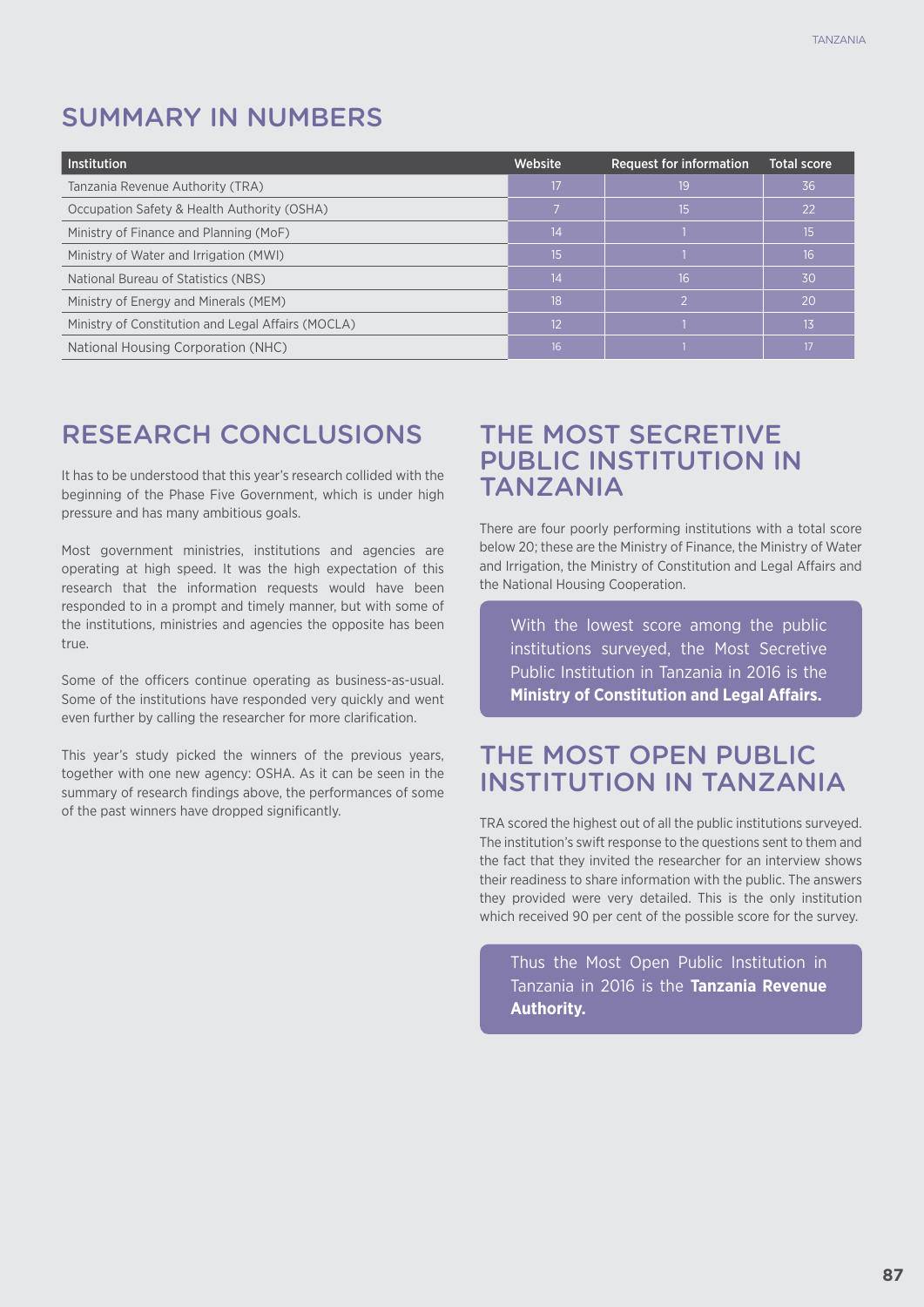# SUMMARY IN NUMBERS

| <b>Institution</b>                                 | Website         | <b>Request for information</b> | <b>Total score</b> |
|----------------------------------------------------|-----------------|--------------------------------|--------------------|
| Tanzania Revenue Authority (TRA)                   | 17              | 19                             | 36                 |
| Occupation Safety & Health Authority (OSHA)        |                 | 15                             | 22                 |
| Ministry of Finance and Planning (MoF)             | 14              |                                | 15                 |
| Ministry of Water and Irrigation (MWI)             | 15              |                                | 16                 |
| National Bureau of Statistics (NBS)                | 14              | 16                             | -30                |
| Ministry of Energy and Minerals (MEM)              | 18              |                                | <b>20</b>          |
| Ministry of Constitution and Legal Affairs (MOCLA) | 12              |                                | 13                 |
| National Housing Corporation (NHC)                 | 16 <sup>2</sup> |                                | 17                 |

# RESEARCH CONCLUSIONS

It has to be understood that this year's research collided with the beginning of the Phase Five Government, which is under high pressure and has many ambitious goals.

Most government ministries, institutions and agencies are operating at high speed. It was the high expectation of this research that the information requests would have been responded to in a prompt and timely manner, but with some of the institutions, ministries and agencies the opposite has been true.

Some of the officers continue operating as business-as-usual. Some of the institutions have responded very quickly and went even further by calling the researcher for more clarification.

This year's study picked the winners of the previous years, together with one new agency: OSHA. As it can be seen in the summary of research findings above, the performances of some of the past winners have dropped significantly.

# THE MOST SECRETIVE PUBLIC INSTITUTION IN **TAN7ANIA**

There are four poorly performing institutions with a total score below 20; these are the Ministry of Finance, the Ministry of Water and Irrigation, the Ministry of Constitution and Legal Affairs and the National Housing Cooperation.

With the lowest score among the public institutions surveyed, the Most Secretive Public Institution in Tanzania in 2016 is the **Ministry of Constitution and Legal Affairs.**

# THE MOST OPEN PUBLIC INSTITUTION IN TANZANIA

TRA scored the highest out of all the public institutions surveyed. The institution's swift response to the questions sent to them and the fact that they invited the researcher for an interview shows their readiness to share information with the public. The answers they provided were very detailed. This is the only institution which received 90 per cent of the possible score for the survey.

Thus the Most Open Public Institution in Tanzania in 2016 is the **Tanzania Revenue Authority.**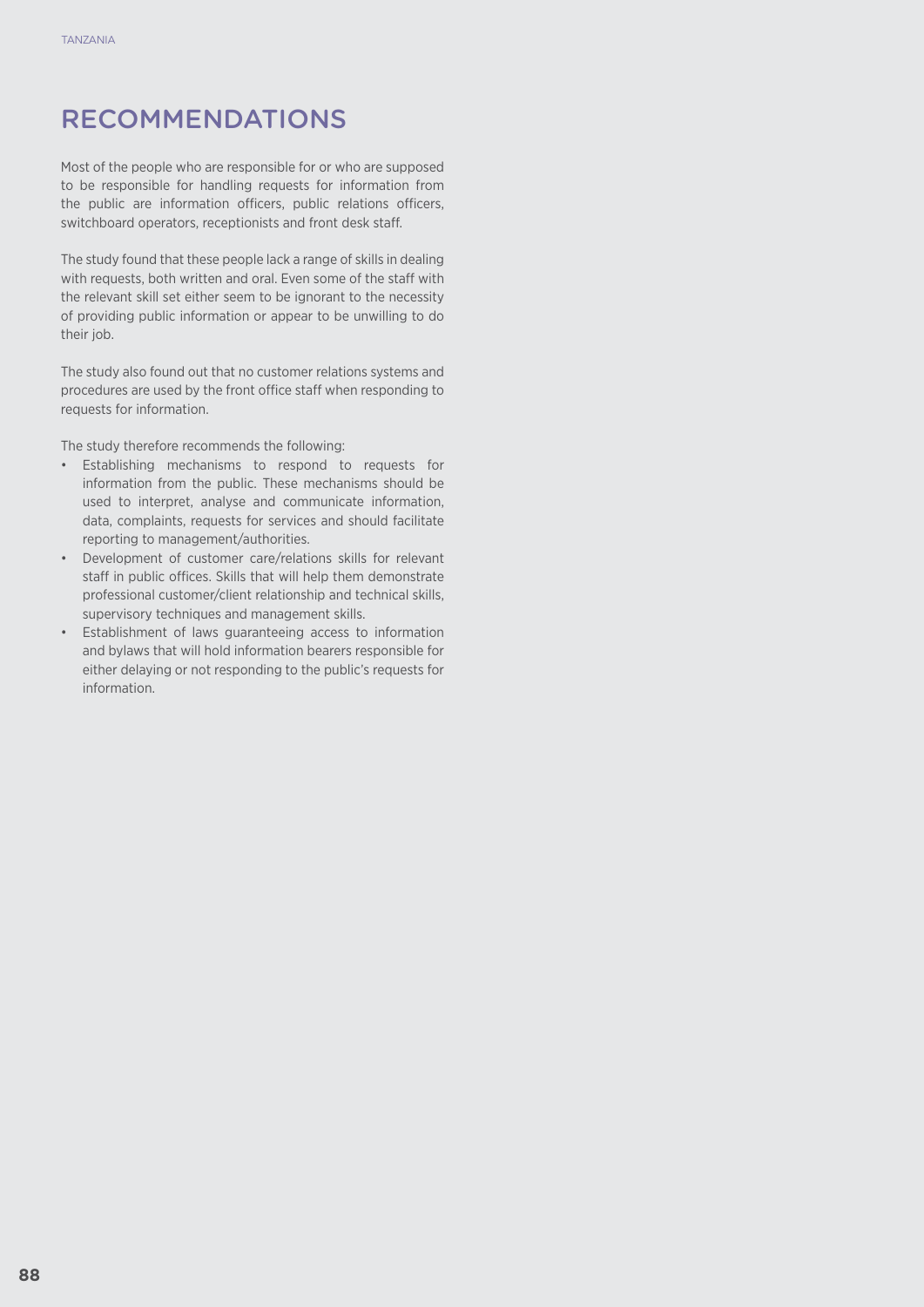# RECOMMENDATIONS

Most of the people who are responsible for or who are supposed to be responsible for handling requests for information from the public are information officers, public relations officers, switchboard operators, receptionists and front desk staff.

The study found that these people lack a range of skills in dealing with requests, both written and oral. Even some of the staff with the relevant skill set either seem to be ignorant to the necessity of providing public information or appear to be unwilling to do their job.

The study also found out that no customer relations systems and procedures are used by the front office staff when responding to requests for information.

The study therefore recommends the following:

- • Establishing mechanisms to respond to requests for information from the public. These mechanisms should be used to interpret, analyse and communicate information, data, complaints, requests for services and should facilitate reporting to management/authorities.
- • Development of customer care/relations skills for relevant staff in public offices. Skills that will help them demonstrate professional customer/client relationship and technical skills, supervisory techniques and management skills.
- • Establishment of laws guaranteeing access to information and bylaws that will hold information bearers responsible for either delaying or not responding to the public's requests for information.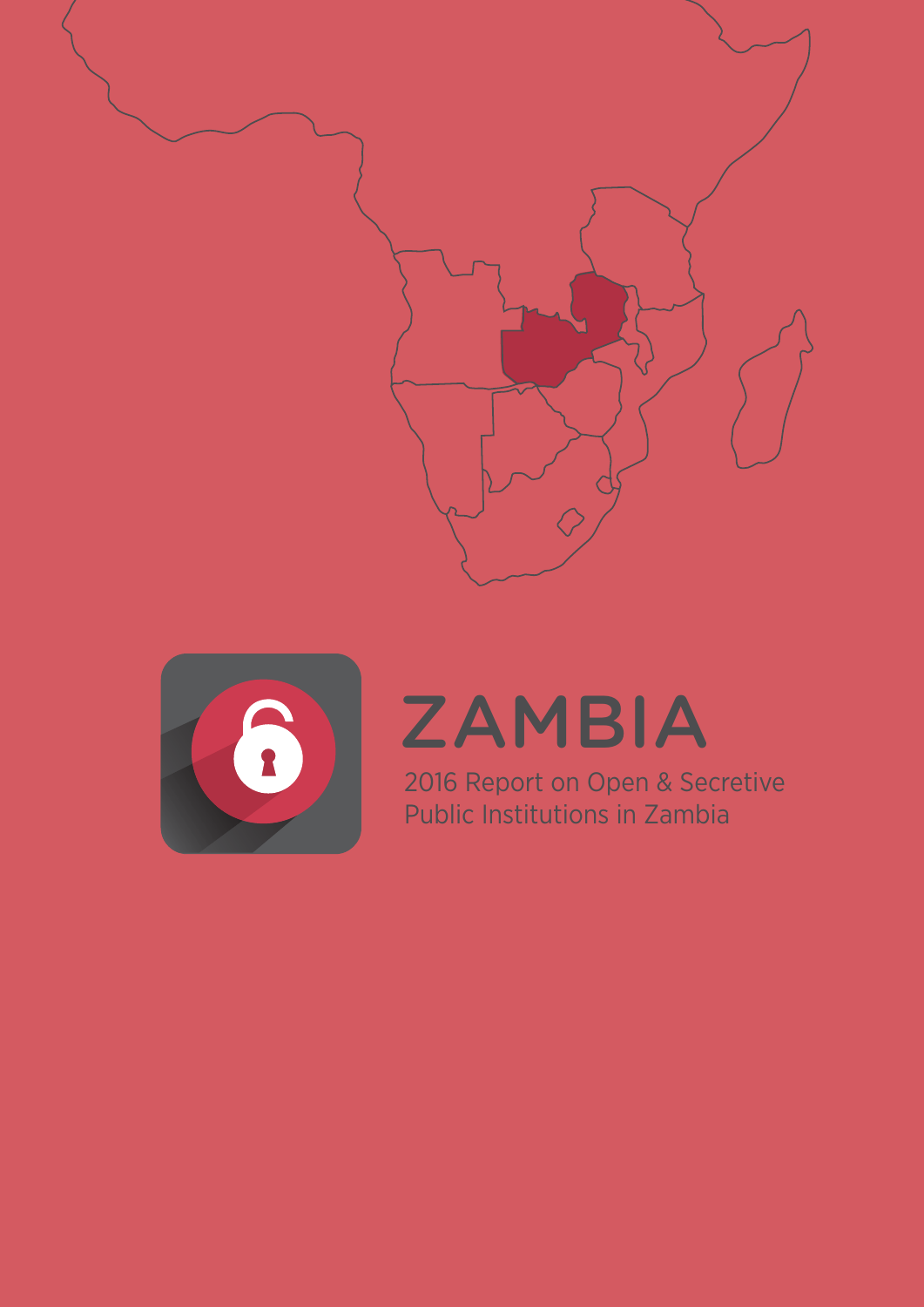



# **ZAMBIA**

2016 Report on Open & Secretive Public Institutions in Zambia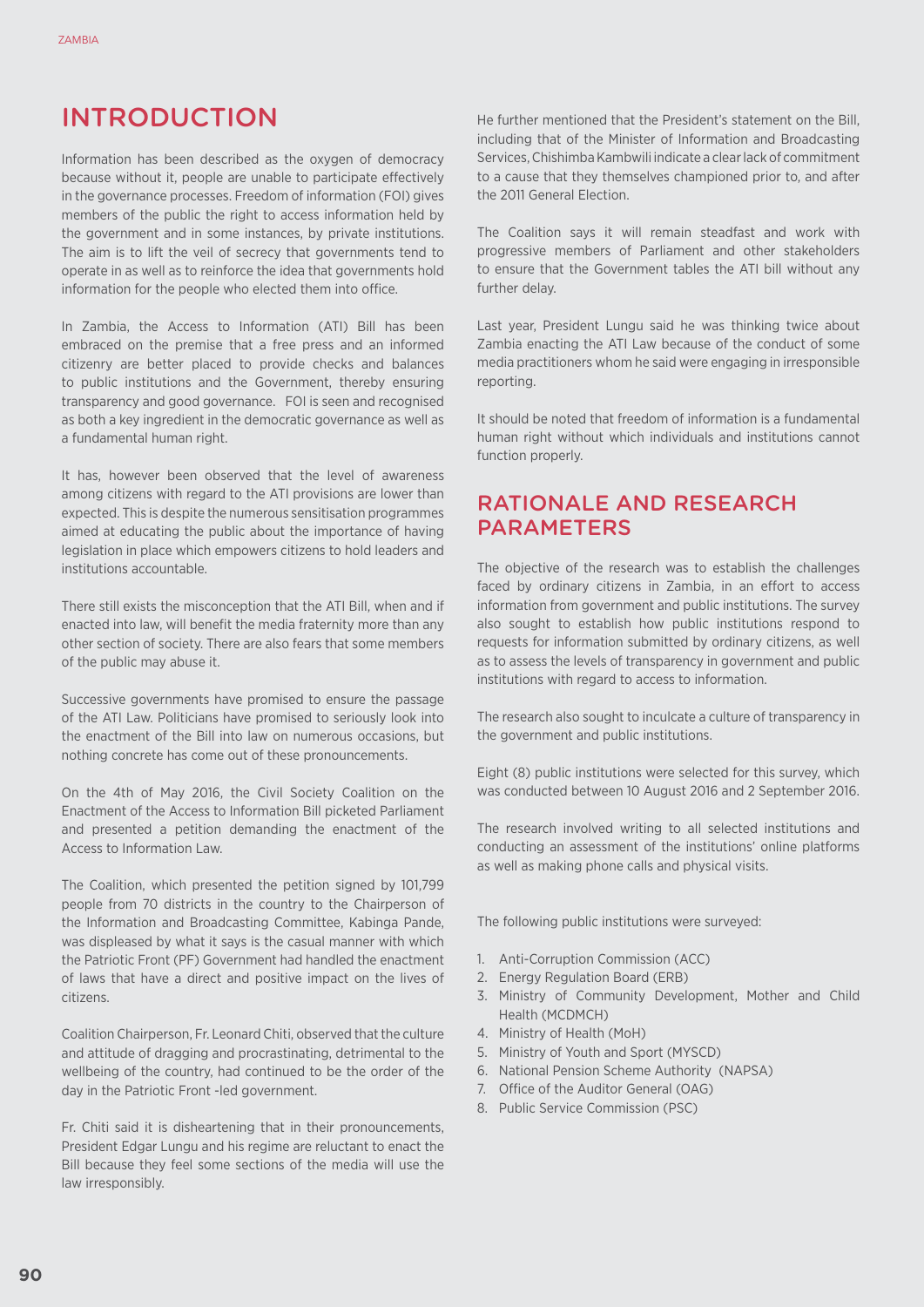# INTRODUCTION

Information has been described as the oxygen of democracy because without it, people are unable to participate effectively in the governance processes. Freedom of information (FOI) gives members of the public the right to access information held by the government and in some instances, by private institutions. The aim is to lift the veil of secrecy that governments tend to operate in as well as to reinforce the idea that governments hold information for the people who elected them into office.

In Zambia, the Access to Information (ATI) Bill has been embraced on the premise that a free press and an informed citizenry are better placed to provide checks and balances to public institutions and the Government, thereby ensuring transparency and good governance. FOI is seen and recognised as both a key ingredient in the democratic governance as well as a fundamental human right.

It has, however been observed that the level of awareness among citizens with regard to the ATI provisions are lower than expected. This is despite the numerous sensitisation programmes aimed at educating the public about the importance of having legislation in place which empowers citizens to hold leaders and institutions accountable.

There still exists the misconception that the ATI Bill, when and if enacted into law, will benefit the media fraternity more than any other section of society. There are also fears that some members of the public may abuse it.

Successive governments have promised to ensure the passage of the ATI Law. Politicians have promised to seriously look into the enactment of the Bill into law on numerous occasions, but nothing concrete has come out of these pronouncements.

On the 4th of May 2016, the Civil Society Coalition on the Enactment of the Access to Information Bill picketed Parliament and presented a petition demanding the enactment of the Access to Information Law.

The Coalition, which presented the petition signed by 101,799 people from 70 districts in the country to the Chairperson of the Information and Broadcasting Committee, Kabinga Pande, was displeased by what it says is the casual manner with which the Patriotic Front (PF) Government had handled the enactment of laws that have a direct and positive impact on the lives of citizens.

Coalition Chairperson, Fr. Leonard Chiti, observed that the culture and attitude of dragging and procrastinating, detrimental to the wellbeing of the country, had continued to be the order of the day in the Patriotic Front -led government.

Fr. Chiti said it is disheartening that in their pronouncements, President Edgar Lungu and his regime are reluctant to enact the Bill because they feel some sections of the media will use the law irresponsibly.

He further mentioned that the President's statement on the Bill, including that of the Minister of Information and Broadcasting Services, Chishimba Kambwili indicate a clear lack of commitment to a cause that they themselves championed prior to, and after the 2011 General Election.

The Coalition says it will remain steadfast and work with progressive members of Parliament and other stakeholders to ensure that the Government tables the ATI bill without any further delay.

Last year, President Lungu said he was thinking twice about Zambia enacting the ATI Law because of the conduct of some media practitioners whom he said were engaging in irresponsible reporting.

It should be noted that freedom of information is a fundamental human right without which individuals and institutions cannot function properly.

# Rationale and ReseaRch **PARAMETERS**

The objective of the research was to establish the challenges faced by ordinary citizens in Zambia, in an effort to access information from government and public institutions. The survey also sought to establish how public institutions respond to requests for information submitted by ordinary citizens, as well as to assess the levels of transparency in government and public institutions with regard to access to information.

The research also sought to inculcate a culture of transparency in the government and public institutions.

Eight (8) public institutions were selected for this survey, which was conducted between 10 August 2016 and 2 September 2016.

The research involved writing to all selected institutions and conducting an assessment of the institutions' online platforms as well as making phone calls and physical visits.

The following public institutions were surveyed:

- 1. Anti-Corruption Commission (ACC)
- 2. Energy Regulation Board (ERB)
- 3. Ministry of Community Development, Mother and Child Health (MCDMCH)
- 4. Ministry of Health (MoH)
- 5. Ministry of Youth and Sport (MYSCD)
- 6. National Pension Scheme Authority (NAPSA)
- 7. Office of the Auditor General (OAG)
- 8. Public Service Commission (PSC)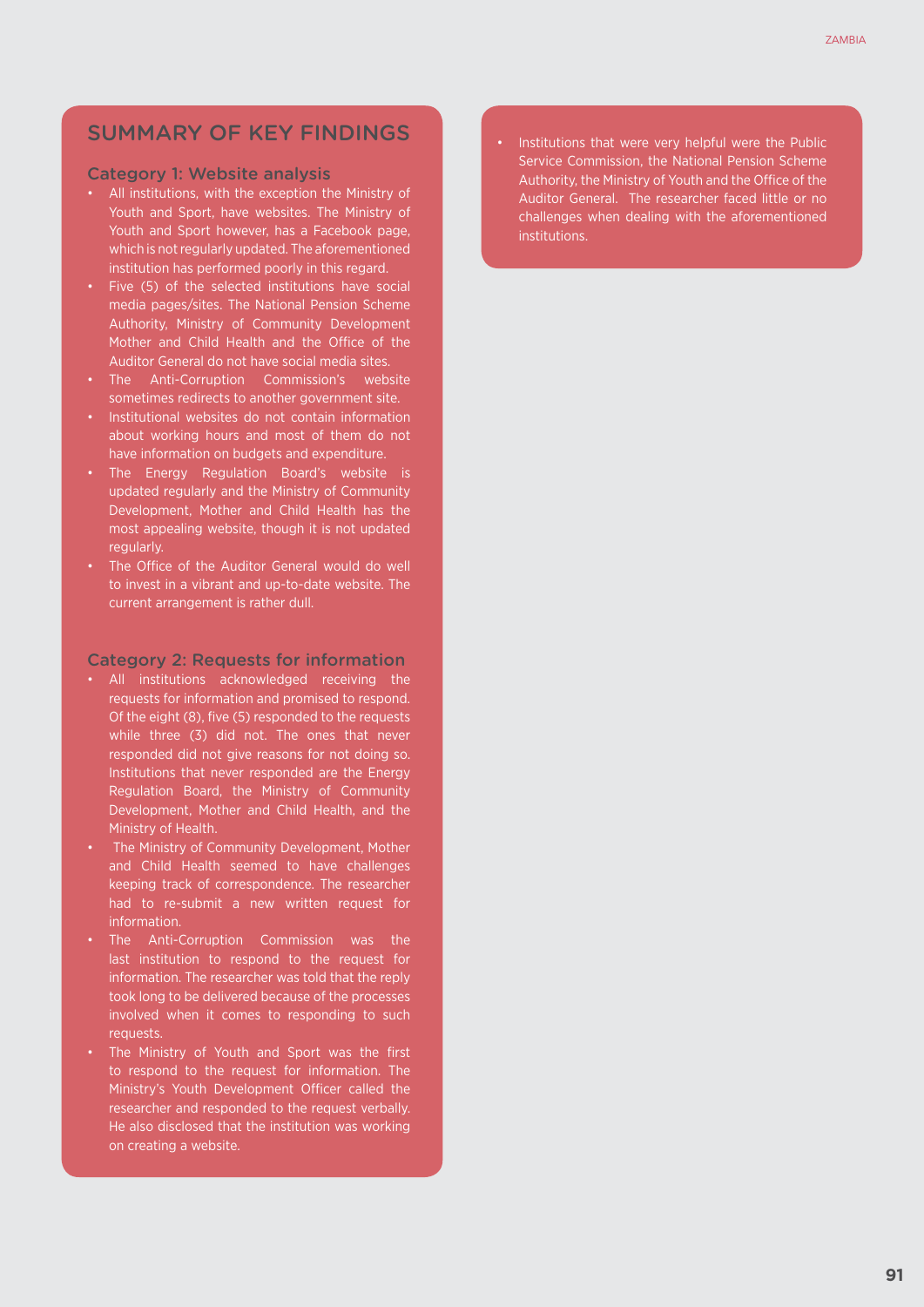# SUMMARY OF KEY FINDINGS

#### Category 1: Website analysis

- • All institutions, with the exception the Ministry of Youth and Sport, have websites. The Ministry of Youth and Sport however, has a Facebook page, which is not regularly updated. The aforementioned institution has performed poorly in this regard.
- Five (5) of the selected institutions have social media pages/sites. The National Pension Scheme Authority, Ministry of Community Development Mother and Child Health and the Office of the Auditor General do not have social media sites.
- The Anti-Corruption Commission's website sometimes redirects to another government site.
- Institutional websites do not contain information about working hours and most of them do not have information on budgets and expenditure.
- The Energy Regulation Board's website is updated regularly and the Ministry of Community Development, Mother and Child Health has the most appealing website, though it is not updated regularly.
- The Office of the Auditor General would do well to invest in a vibrant and up-to-date website. The current arrangement is rather dull.

#### Category 2: Requests for information

- • All institutions acknowledged receiving the requests for information and promised to respond. Of the eight (8), five (5) responded to the requests while three (3) did not. The ones that never responded did not give reasons for not doing so. Institutions that never responded are the Energy Regulation Board, the Ministry of Community Development, Mother and Child Health, and the Ministry of Health.
- The Ministry of Community Development, Mother and Child Health seemed to have challenges keeping track of correspondence. The researcher had to re-submit a new written request for information.
- The Anti-Corruption Commission was the last institution to respond to the request for information. The researcher was told that the reply took long to be delivered because of the processes involved when it comes to responding to such requests.
- The Ministry of Youth and Sport was the first to respond to the request for information. The Ministry's Youth Development Officer called the researcher and responded to the request verbally. He also disclosed that the institution was working on creating a website.

Institutions that were very helpful were the Public Service Commission, the National Pension Scheme Authority, the Ministry of Youth and the Office of the Auditor General. The researcher faced little or no challenges when dealing with the aforementioned institutions.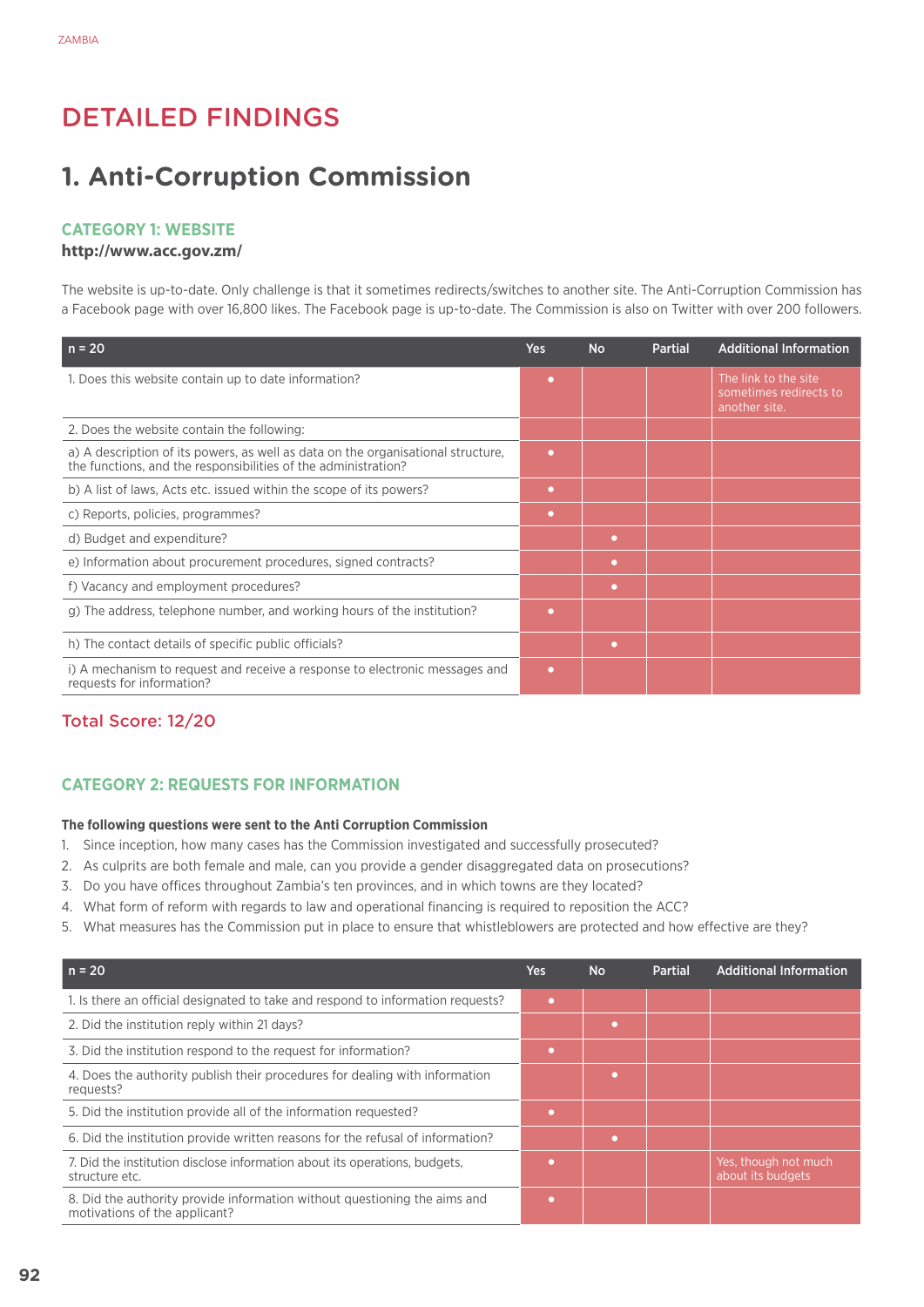# Detailed Findings

# **1. Anti-Corruption Commission**

### **Category 1: Website**

#### **http://www.acc.gov.zm/**

The website is up-to-date. Only challenge is that it sometimes redirects/switches to another site. The Anti-Corruption Commission has a Facebook page with over 16,800 likes. The Facebook page is up-to-date. The Commission is also on Twitter with over 200 followers.

| $n = 20$                                                                                                                                           | Yes       | <b>No</b> | <b>Partial</b> | <b>Additional Information</b>                                   |
|----------------------------------------------------------------------------------------------------------------------------------------------------|-----------|-----------|----------------|-----------------------------------------------------------------|
| 1. Does this website contain up to date information?                                                                                               | $\bullet$ |           |                | The link to the site<br>sometimes redirects to<br>another site. |
| 2. Does the website contain the following:                                                                                                         |           |           |                |                                                                 |
| a) A description of its powers, as well as data on the organisational structure,<br>the functions, and the responsibilities of the administration? | ٠         |           |                |                                                                 |
| b) A list of laws, Acts etc. issued within the scope of its powers?                                                                                | ٠         |           |                |                                                                 |
| c) Reports, policies, programmes?                                                                                                                  | ٠         |           |                |                                                                 |
| d) Budget and expenditure?                                                                                                                         |           | $\bullet$ |                |                                                                 |
| e) Information about procurement procedures, signed contracts?                                                                                     |           | ۰         |                |                                                                 |
| f) Vacancy and employment procedures?                                                                                                              |           | ۰         |                |                                                                 |
| g) The address, telephone number, and working hours of the institution?                                                                            | ۰         |           |                |                                                                 |
| h) The contact details of specific public officials?                                                                                               |           | o         |                |                                                                 |
| i) A mechanism to request and receive a response to electronic messages and<br>requests for information?                                           | $\bullet$ |           |                |                                                                 |

## Total Score: 12/20

# **CATEGORY 2: REQUESTS FOR INFORMATION**

#### **The following questions were sent to the Anti Corruption Commission**

- 1. Since inception, how many cases has the Commission investigated and successfully prosecuted?
- 2. As culprits are both female and male, can you provide a gender disaggregated data on prosecutions?
- 3. Do you have offices throughout Zambia's ten provinces, and in which towns are they located?
- 4. What form of reform with regards to law and operational financing is required to reposition the ACC?
- 5. What measures has the Commission put in place to ensure that whistleblowers are protected and how effective are they?

| $n = 20$                                                                                                   | Yes            | <b>No</b> | Partial | <b>Additional Information</b>             |
|------------------------------------------------------------------------------------------------------------|----------------|-----------|---------|-------------------------------------------|
| 1. Is there an official designated to take and respond to information requests?                            | $\blacksquare$ |           |         |                                           |
| 2. Did the institution reply within 21 days?                                                               |                |           |         |                                           |
| 3. Did the institution respond to the request for information?                                             |                |           |         |                                           |
| 4. Does the authority publish their procedures for dealing with information<br>requests?                   |                |           |         |                                           |
| 5. Did the institution provide all of the information requested?                                           |                |           |         |                                           |
| 6. Did the institution provide written reasons for the refusal of information?                             |                |           |         |                                           |
| 7. Did the institution disclose information about its operations, budgets,<br>structure etc.               |                |           |         | Yes, though not much<br>about its budgets |
| 8. Did the authority provide information without questioning the aims and<br>motivations of the applicant? |                |           |         |                                           |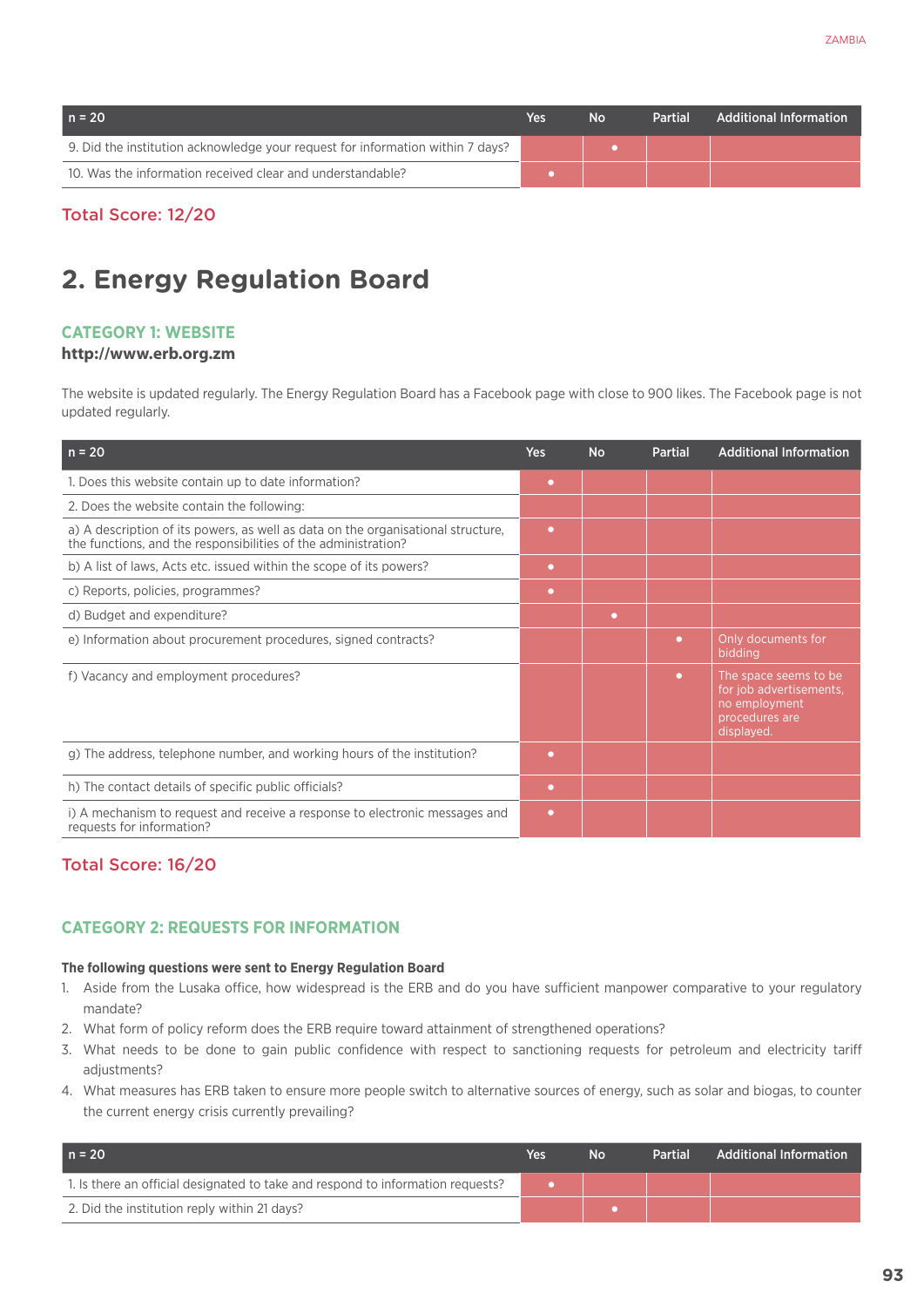| $n = 20$                                                                       | Yes | <b>No</b> | <b>Partial</b> | Additional Information |
|--------------------------------------------------------------------------------|-----|-----------|----------------|------------------------|
| 9. Did the institution acknowledge your request for information within 7 days? |     |           |                |                        |
| 10. Was the information received clear and understandable?                     |     |           |                |                        |

Total Score: 12/20

# **2. Energy Regulation Board**

## **Category 1: Website**

#### **http://www.erb.org.zm**

The website is updated regularly. The Energy Regulation Board has a Facebook page with close to 900 likes. The Facebook page is not updated regularly.

| $n = 20$                                                                                                                                           | Yes       | <b>No</b> | <b>Partial</b> | <b>Additional Information</b>                                                                     |
|----------------------------------------------------------------------------------------------------------------------------------------------------|-----------|-----------|----------------|---------------------------------------------------------------------------------------------------|
| 1. Does this website contain up to date information?                                                                                               | $\bullet$ |           |                |                                                                                                   |
| 2. Does the website contain the following:                                                                                                         |           |           |                |                                                                                                   |
| a) A description of its powers, as well as data on the organisational structure,<br>the functions, and the responsibilities of the administration? | $\bullet$ |           |                |                                                                                                   |
| b) A list of laws, Acts etc. issued within the scope of its powers?                                                                                | $\bullet$ |           |                |                                                                                                   |
| c) Reports, policies, programmes?                                                                                                                  | $\bullet$ |           |                |                                                                                                   |
| d) Budget and expenditure?                                                                                                                         |           | ٠         |                |                                                                                                   |
| e) Information about procurement procedures, signed contracts?                                                                                     |           |           | $\bullet$      | Only documents for<br>bidding                                                                     |
| f) Vacancy and employment procedures?                                                                                                              |           |           | $\bullet$      | The space seems to be<br>for job advertisements.<br>no employment<br>procedures are<br>displayed. |
| g) The address, telephone number, and working hours of the institution?                                                                            | $\bullet$ |           |                |                                                                                                   |
| h) The contact details of specific public officials?                                                                                               | $\bullet$ |           |                |                                                                                                   |
| i) A mechanism to request and receive a response to electronic messages and<br>requests for information?                                           | $\bullet$ |           |                |                                                                                                   |

## Total Score: 16/20

## **CATEGORY 2: REQUESTS FOR INFORMATION**

#### **The following questions were sent to Energy Regulation Board**

- 1. Aside from the Lusaka office, how widespread is the ERB and do you have sufficient manpower comparative to your regulatory mandate?
- 2. What form of policy reform does the ERB require toward attainment of strengthened operations?
- 3. What needs to be done to gain public confidence with respect to sanctioning requests for petroleum and electricity tariff adjustments?
- 4. What measures has ERB taken to ensure more people switch to alternative sources of energy, such as solar and biogas, to counter the current energy crisis currently prevailing?

| $n = 20$                                                                        | Yes | No | <b>Partial</b> | <b>Additional Information</b> |
|---------------------------------------------------------------------------------|-----|----|----------------|-------------------------------|
| 1. Is there an official designated to take and respond to information requests? |     |    |                |                               |
| 2. Did the institution reply within 21 days?                                    |     |    |                |                               |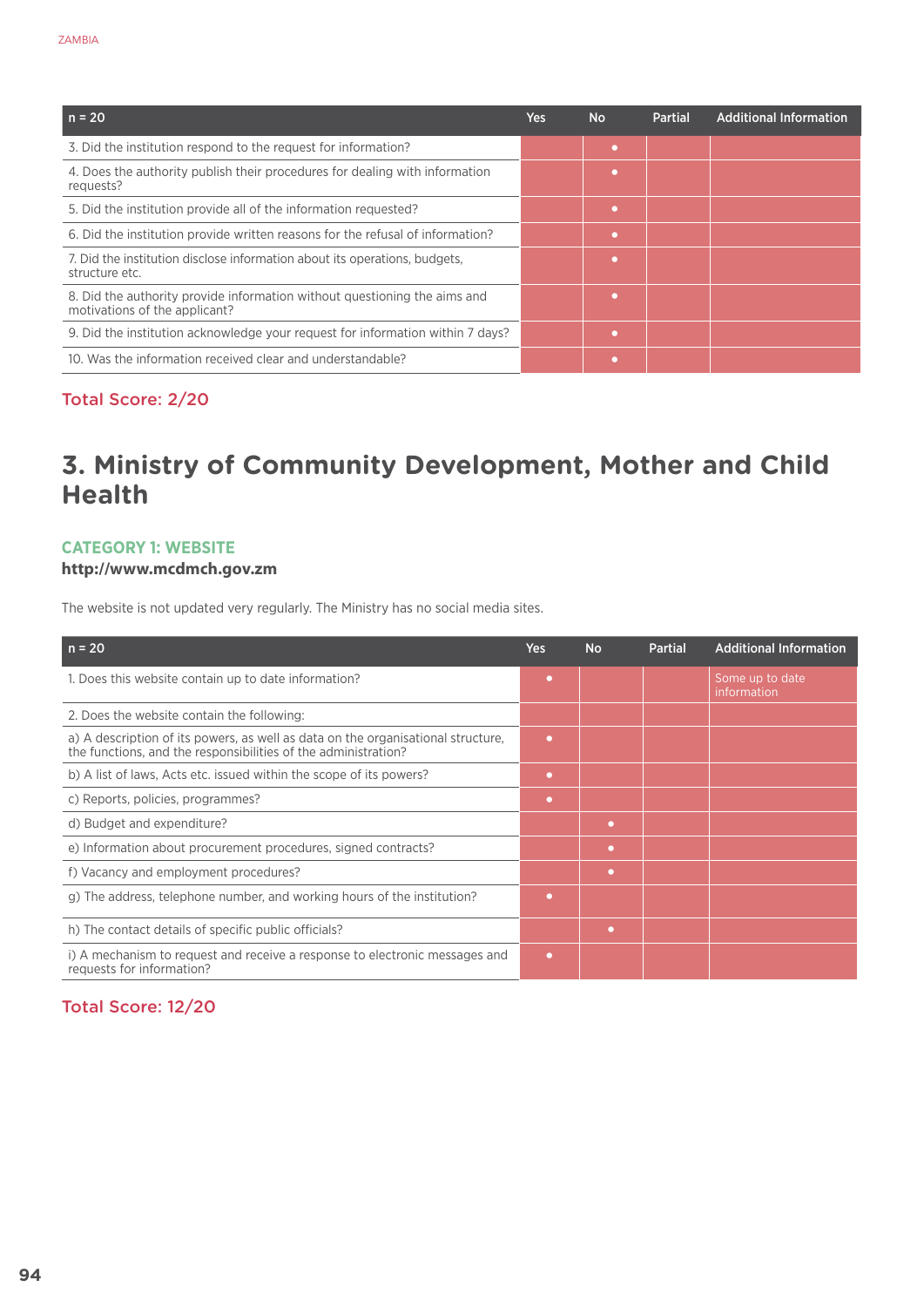| $n = 20$                                                                                                   | Yes | <b>No</b> | Partial | <b>Additional Information</b> |
|------------------------------------------------------------------------------------------------------------|-----|-----------|---------|-------------------------------|
| 3. Did the institution respond to the request for information?                                             |     | ٠         |         |                               |
| 4. Does the authority publish their procedures for dealing with information<br>requests?                   |     |           |         |                               |
| 5. Did the institution provide all of the information requested?                                           |     | ٠         |         |                               |
| 6. Did the institution provide written reasons for the refusal of information?                             |     | ٠         |         |                               |
| 7. Did the institution disclose information about its operations, budgets,<br>structure etc.               |     | ٠         |         |                               |
| 8. Did the authority provide information without questioning the aims and<br>motivations of the applicant? |     | ٠         |         |                               |
| 9. Did the institution acknowledge your request for information within 7 days?                             |     |           |         |                               |
| 10. Was the information received clear and understandable?                                                 |     |           |         |                               |

# Total Score: 2/20

# **3. Ministry of Community Development, Mother and Child Health**

# **Category 1: Website**

## **http://www.mcdmch.gov.zm**

The website is not updated very regularly. The Ministry has no social media sites.

| $n = 20$                                                                                                                                           | Yes       | <b>No</b> | <b>Partial</b> | <b>Additional Information</b>  |
|----------------------------------------------------------------------------------------------------------------------------------------------------|-----------|-----------|----------------|--------------------------------|
| 1. Does this website contain up to date information?                                                                                               | o         |           |                | Some up to date<br>information |
| 2. Does the website contain the following:                                                                                                         |           |           |                |                                |
| a) A description of its powers, as well as data on the organisational structure,<br>the functions, and the responsibilities of the administration? | o         |           |                |                                |
| b) A list of laws, Acts etc. issued within the scope of its powers?                                                                                | $\bullet$ |           |                |                                |
| c) Reports, policies, programmes?                                                                                                                  | $\bullet$ |           |                |                                |
| d) Budget and expenditure?                                                                                                                         |           | $\bullet$ |                |                                |
| e) Information about procurement procedures, signed contracts?                                                                                     |           | $\bullet$ |                |                                |
| f) Vacancy and employment procedures?                                                                                                              |           | $\bullet$ |                |                                |
| g) The address, telephone number, and working hours of the institution?                                                                            | o         |           |                |                                |
| h) The contact details of specific public officials?                                                                                               |           | $\bullet$ |                |                                |
| i) A mechanism to request and receive a response to electronic messages and<br>requests for information?                                           | $\bullet$ |           |                |                                |

# Total Score: 12/20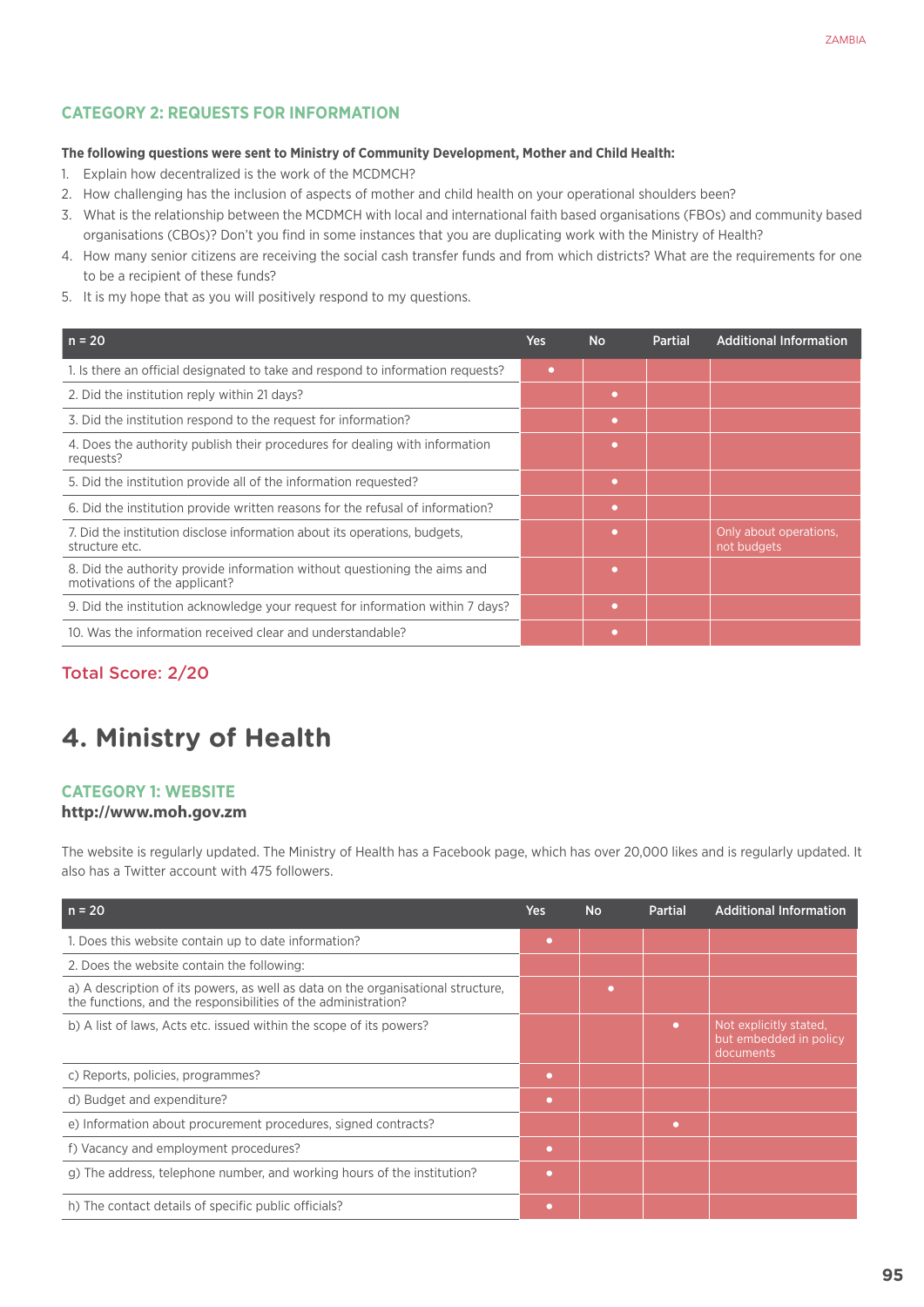# **CATEGORY 2: REQUESTS FOR INFORMATION**

#### **The following questions were sent to Ministry of Community Development, Mother and Child Health:**

- 1. Explain how decentralized is the work of the MCDMCH?
- 2. How challenging has the inclusion of aspects of mother and child health on your operational shoulders been?
- 3. What is the relationship between the MCDMCH with local and international faith based organisations (FBOs) and community based organisations (CBOs)? Don't you find in some instances that you are duplicating work with the Ministry of Health?
- 4. How many senior citizens are receiving the social cash transfer funds and from which districts? What are the requirements for one to be a recipient of these funds?
- 5. It is my hope that as you will positively respond to my questions.

| $n = 20$                                                                                                   | Yes | <b>No</b> | <b>Partial</b> | <b>Additional Information</b>         |
|------------------------------------------------------------------------------------------------------------|-----|-----------|----------------|---------------------------------------|
| 1. Is there an official designated to take and respond to information requests?                            | ٠   |           |                |                                       |
| 2. Did the institution reply within 21 days?                                                               |     | ٠         |                |                                       |
| 3. Did the institution respond to the request for information?                                             |     | ۰         |                |                                       |
| 4. Does the authority publish their procedures for dealing with information<br>requests?                   |     | ٠         |                |                                       |
| 5. Did the institution provide all of the information requested?                                           |     | ۰         |                |                                       |
| 6. Did the institution provide written reasons for the refusal of information?                             |     | o         |                |                                       |
| 7. Did the institution disclose information about its operations, budgets,<br>structure etc.               |     | ٠         |                | Only about operations,<br>not budgets |
| 8. Did the authority provide information without questioning the aims and<br>motivations of the applicant? |     | ٠         |                |                                       |
| 9. Did the institution acknowledge your request for information within 7 days?                             |     | ۰         |                |                                       |
| 10. Was the information received clear and understandable?                                                 |     |           |                |                                       |

## Total Score: 2/20

# **4. Ministry of Health**

## **Category 1: Website**

#### **http://www.moh.gov.zm**

The website is regularly updated. The Ministry of Health has a Facebook page, which has over 20,000 likes and is regularly updated. It also has a Twitter account with 475 followers.

| $n = 20$                                                                                                                                           | <b>Yes</b> | <b>No</b> | <b>Partial</b> | <b>Additional Information</b>                                 |
|----------------------------------------------------------------------------------------------------------------------------------------------------|------------|-----------|----------------|---------------------------------------------------------------|
| 1. Does this website contain up to date information?                                                                                               | ٠          |           |                |                                                               |
| 2. Does the website contain the following:                                                                                                         |            |           |                |                                                               |
| a) A description of its powers, as well as data on the organisational structure,<br>the functions, and the responsibilities of the administration? |            | ٠         |                |                                                               |
| b) A list of laws, Acts etc. issued within the scope of its powers?                                                                                |            |           | $\bullet$      | Not explicitly stated.<br>but embedded in policy<br>documents |
| c) Reports, policies, programmes?                                                                                                                  | ٠          |           |                |                                                               |
| d) Budget and expenditure?                                                                                                                         | ٠          |           |                |                                                               |
| e) Information about procurement procedures, signed contracts?                                                                                     |            |           | ٠              |                                                               |
| f) Vacancy and employment procedures?                                                                                                              | ٠          |           |                |                                                               |
| g) The address, telephone number, and working hours of the institution?                                                                            | $\bullet$  |           |                |                                                               |
| h) The contact details of specific public officials?                                                                                               | ٠          |           |                |                                                               |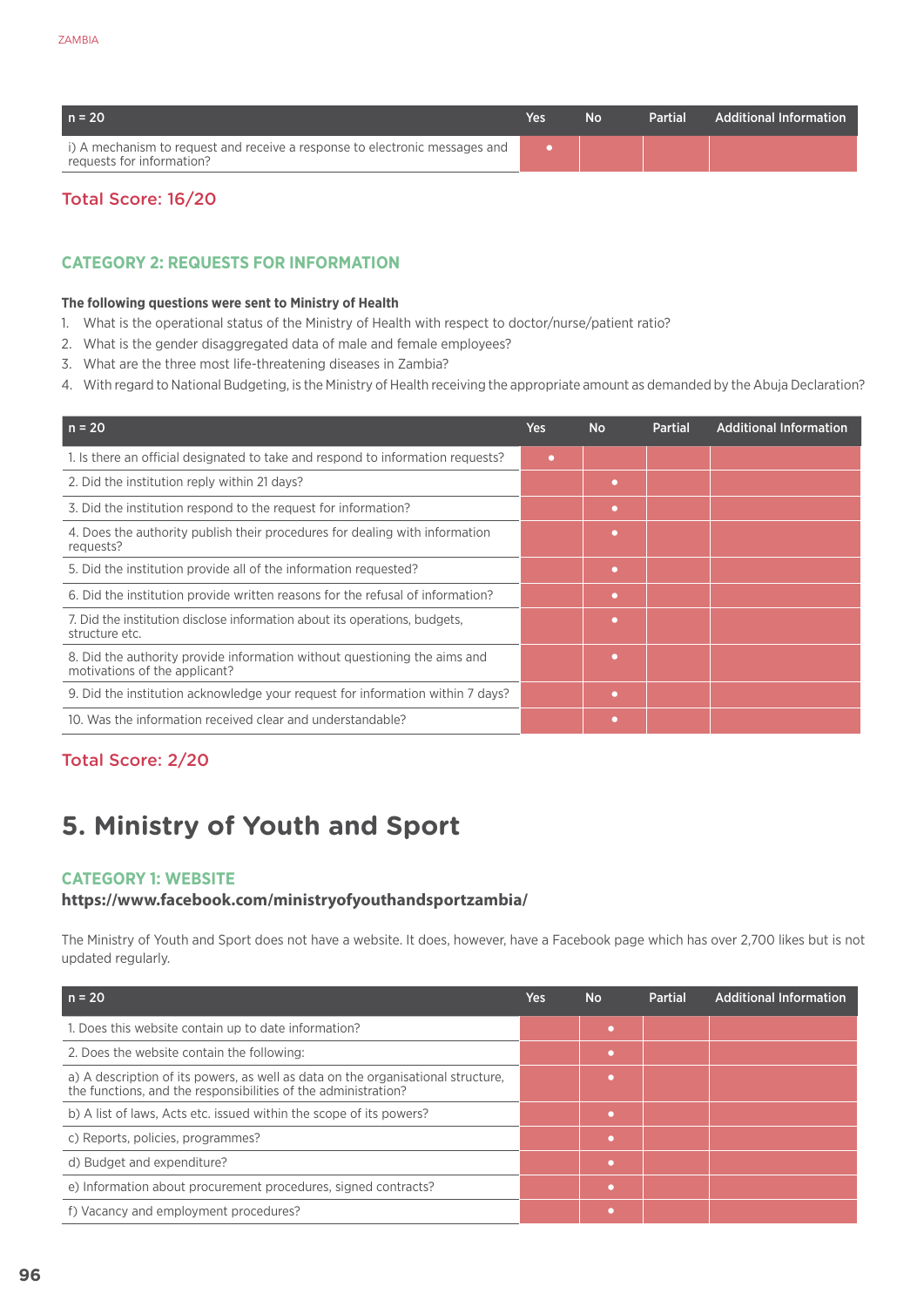| $n = 20$                                                                                                 | Yes | N∩ | Partial | <b>Additional Information</b> |
|----------------------------------------------------------------------------------------------------------|-----|----|---------|-------------------------------|
| i) A mechanism to request and receive a response to electronic messages and<br>requests for information? |     |    |         |                               |

# Total Score: 16/20

# **CATEGORY 2: REQUESTS FOR INFORMATION**

#### **The following questions were sent to Ministry of Health**

- 1. What is the operational status of the Ministry of Health with respect to doctor/nurse/patient ratio?
- 2. What is the gender disaggregated data of male and female employees?
- 3. What are the three most life-threatening diseases in Zambia?
- 4. With regard to National Budgeting, is the Ministry of Health receiving the appropriate amount as demanded by the Abuja Declaration?

| $n = 20$                                                                                                   | <b>Yes</b> | <b>No</b> | <b>Partial</b> | <b>Additional Information</b> |
|------------------------------------------------------------------------------------------------------------|------------|-----------|----------------|-------------------------------|
| 1. Is there an official designated to take and respond to information requests?                            | $\bullet$  |           |                |                               |
| 2. Did the institution reply within 21 days?                                                               |            | $\bullet$ |                |                               |
| 3. Did the institution respond to the request for information?                                             |            | ۰         |                |                               |
| 4. Does the authority publish their procedures for dealing with information<br>requests?                   |            | $\bullet$ |                |                               |
| 5. Did the institution provide all of the information requested?                                           |            | $\bullet$ |                |                               |
| 6. Did the institution provide written reasons for the refusal of information?                             |            | $\bullet$ |                |                               |
| 7. Did the institution disclose information about its operations, budgets,<br>structure etc.               |            | ٠         |                |                               |
| 8. Did the authority provide information without questioning the aims and<br>motivations of the applicant? |            | o         |                |                               |
| 9. Did the institution acknowledge your request for information within 7 days?                             |            | $\bullet$ |                |                               |
| 10. Was the information received clear and understandable?                                                 |            | ٠         |                |                               |

# Total Score: 2/20

# **5. Ministry of Youth and Sport**

## **Category 1: Website**

#### **https://www.facebook.com/ministryofyouthandsportzambia/**

The Ministry of Youth and Sport does not have a website. It does, however, have a Facebook page which has over 2,700 likes but is not updated regularly.

| $n = 20$                                                                                                                                           | Yes | <b>No</b> | <b>Partial</b> | <b>Additional Information</b> |
|----------------------------------------------------------------------------------------------------------------------------------------------------|-----|-----------|----------------|-------------------------------|
| 1. Does this website contain up to date information?                                                                                               |     |           |                |                               |
| 2. Does the website contain the following:                                                                                                         |     | o         |                |                               |
| a) A description of its powers, as well as data on the organisational structure,<br>the functions, and the responsibilities of the administration? |     |           |                |                               |
| b) A list of laws, Acts etc. issued within the scope of its powers?                                                                                |     | г         |                |                               |
| c) Reports, policies, programmes?                                                                                                                  |     | $\bullet$ |                |                               |
| d) Budget and expenditure?                                                                                                                         |     | ٠         |                |                               |
| e) Information about procurement procedures, signed contracts?                                                                                     |     | г         |                |                               |
| f) Vacancy and employment procedures?                                                                                                              |     |           |                |                               |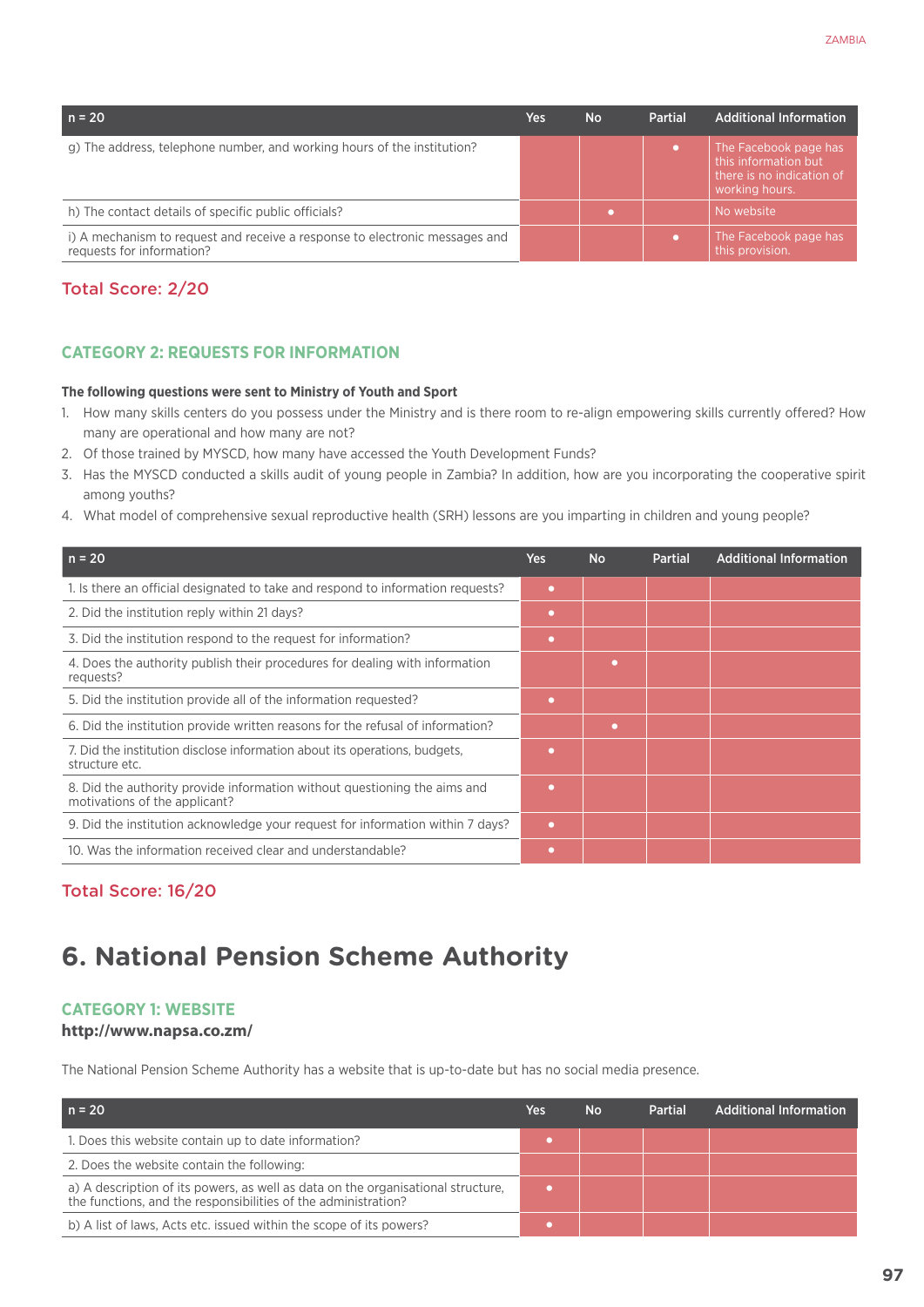| $n = 20$                                                                                                 | Yes | <b>No</b> | Partial | <b>Additional Information</b>                                                                |
|----------------------------------------------------------------------------------------------------------|-----|-----------|---------|----------------------------------------------------------------------------------------------|
| g) The address, telephone number, and working hours of the institution?                                  |     |           |         | The Facebook page has<br>this information but<br>there is no indication of<br>working hours. |
| h) The contact details of specific public officials?                                                     |     |           |         | No website                                                                                   |
| i) A mechanism to request and receive a response to electronic messages and<br>requests for information? |     |           |         | The Facebook page has<br>this provision.                                                     |

# Total Score: 2/20

# **CATEGORY 2: REQUESTS FOR INFORMATION**

#### **The following questions were sent to Ministry of Youth and Sport**

- 1. How many skills centers do you possess under the Ministry and is there room to re-align empowering skills currently offered? How many are operational and how many are not?
- 2. Of those trained by MYSCD, how many have accessed the Youth Development Funds?
- 3. Has the MYSCD conducted a skills audit of young people in Zambia? In addition, how are you incorporating the cooperative spirit among youths?
- 4. What model of comprehensive sexual reproductive health (SRH) lessons are you imparting in children and young people?

| $n = 20$                                                                                                   | <b>Yes</b> | <b>No</b> | Partial | <b>Additional Information</b> |
|------------------------------------------------------------------------------------------------------------|------------|-----------|---------|-------------------------------|
| 1. Is there an official designated to take and respond to information requests?                            | $\bullet$  |           |         |                               |
| 2. Did the institution reply within 21 days?                                                               | ۰          |           |         |                               |
| 3. Did the institution respond to the request for information?                                             | ٠          |           |         |                               |
| 4. Does the authority publish their procedures for dealing with information<br>requests?                   |            | ٠         |         |                               |
| 5. Did the institution provide all of the information requested?                                           | ٠          |           |         |                               |
| 6. Did the institution provide written reasons for the refusal of information?                             |            | $\bullet$ |         |                               |
| 7. Did the institution disclose information about its operations, budgets,<br>structure etc.               | $\bullet$  |           |         |                               |
| 8. Did the authority provide information without questioning the aims and<br>motivations of the applicant? | $\bullet$  |           |         |                               |
| 9. Did the institution acknowledge your request for information within 7 days?                             | ٠          |           |         |                               |
| 10. Was the information received clear and understandable?                                                 | ۰          |           |         |                               |

# Total Score: 16/20

# **6. National Pension Scheme Authority**

## **Category 1: Website**

## **http://www.napsa.co.zm/**

The National Pension Scheme Authority has a website that is up-to-date but has no social media presence.

| n = 20                                                                                                                                             | Yes | <b>No</b> | <b>Partial</b> | <b>Additional Information</b> |
|----------------------------------------------------------------------------------------------------------------------------------------------------|-----|-----------|----------------|-------------------------------|
| 1. Does this website contain up to date information?                                                                                               |     |           |                |                               |
| 2. Does the website contain the following:                                                                                                         |     |           |                |                               |
| a) A description of its powers, as well as data on the organisational structure,<br>the functions, and the responsibilities of the administration? |     |           |                |                               |
| b) A list of laws, Acts etc. issued within the scope of its powers?                                                                                |     |           |                |                               |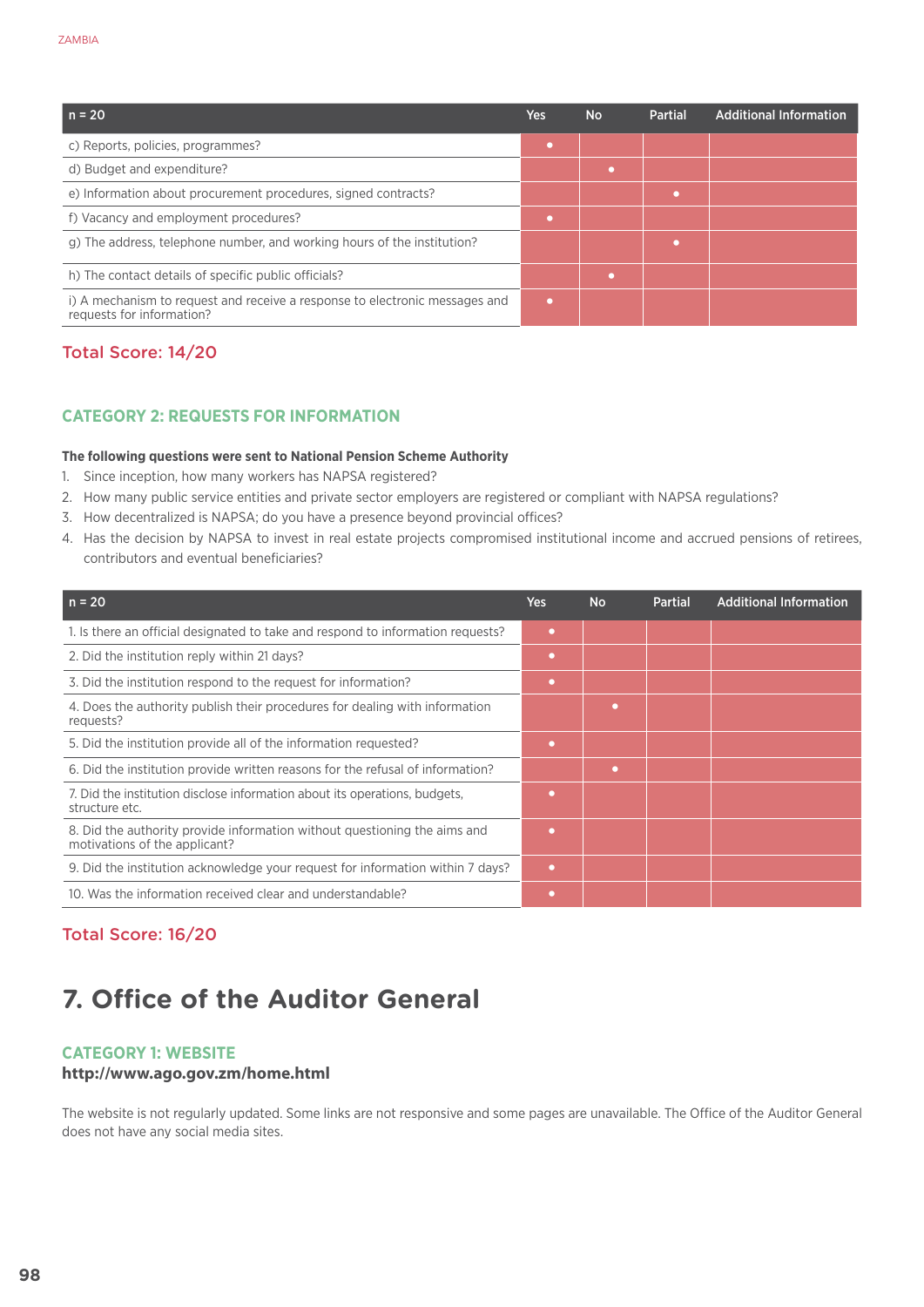| $n = 20$                                                                                                 | Yes | <b>No</b> | Partial | <b>Additional Information</b> |
|----------------------------------------------------------------------------------------------------------|-----|-----------|---------|-------------------------------|
| c) Reports, policies, programmes?                                                                        |     |           |         |                               |
| d) Budget and expenditure?                                                                               |     |           |         |                               |
| e) Information about procurement procedures, signed contracts?                                           |     |           |         |                               |
| f) Vacancy and employment procedures?                                                                    |     |           |         |                               |
| g) The address, telephone number, and working hours of the institution?                                  |     |           |         |                               |
| h) The contact details of specific public officials?                                                     |     |           |         |                               |
| i) A mechanism to request and receive a response to electronic messages and<br>requests for information? |     |           |         |                               |

# Total Score: 14/20

#### **CATEGORY 2: REQUESTS FOR INFORMATION**

#### **The following questions were sent to National Pension Scheme Authority**

- 1. Since inception, how many workers has NAPSA registered?
- 2. How many public service entities and private sector employers are registered or compliant with NAPSA regulations?
- 3. How decentralized is NAPSA; do you have a presence beyond provincial offices?
- 4. Has the decision by NAPSA to invest in real estate projects compromised institutional income and accrued pensions of retirees, contributors and eventual beneficiaries?

| $n = 20$                                                                                                   | Yes       | <b>No</b> | <b>Partial</b> | <b>Additional Information</b> |
|------------------------------------------------------------------------------------------------------------|-----------|-----------|----------------|-------------------------------|
| 1. Is there an official designated to take and respond to information requests?                            | ٠         |           |                |                               |
| 2. Did the institution reply within 21 days?                                                               | ۰         |           |                |                               |
| 3. Did the institution respond to the request for information?                                             | ۰         |           |                |                               |
| 4. Does the authority publish their procedures for dealing with information<br>requests?                   |           | ٠         |                |                               |
| 5. Did the institution provide all of the information requested?                                           | ٠         |           |                |                               |
| 6. Did the institution provide written reasons for the refusal of information?                             |           | ٠         |                |                               |
| 7. Did the institution disclose information about its operations, budgets,<br>structure etc.               |           |           |                |                               |
| 8. Did the authority provide information without questioning the aims and<br>motivations of the applicant? | ٠         |           |                |                               |
| 9. Did the institution acknowledge your request for information within 7 days?                             | $\bullet$ |           |                |                               |
| 10. Was the information received clear and understandable?                                                 | ٠         |           |                |                               |

## Total Score: 16/20

# **7. Office of the Auditor General**

#### **Category 1: Website**

#### **http://www.ago.gov.zm/home.html**

The website is not regularly updated. Some links are not responsive and some pages are unavailable. The Office of the Auditor General does not have any social media sites.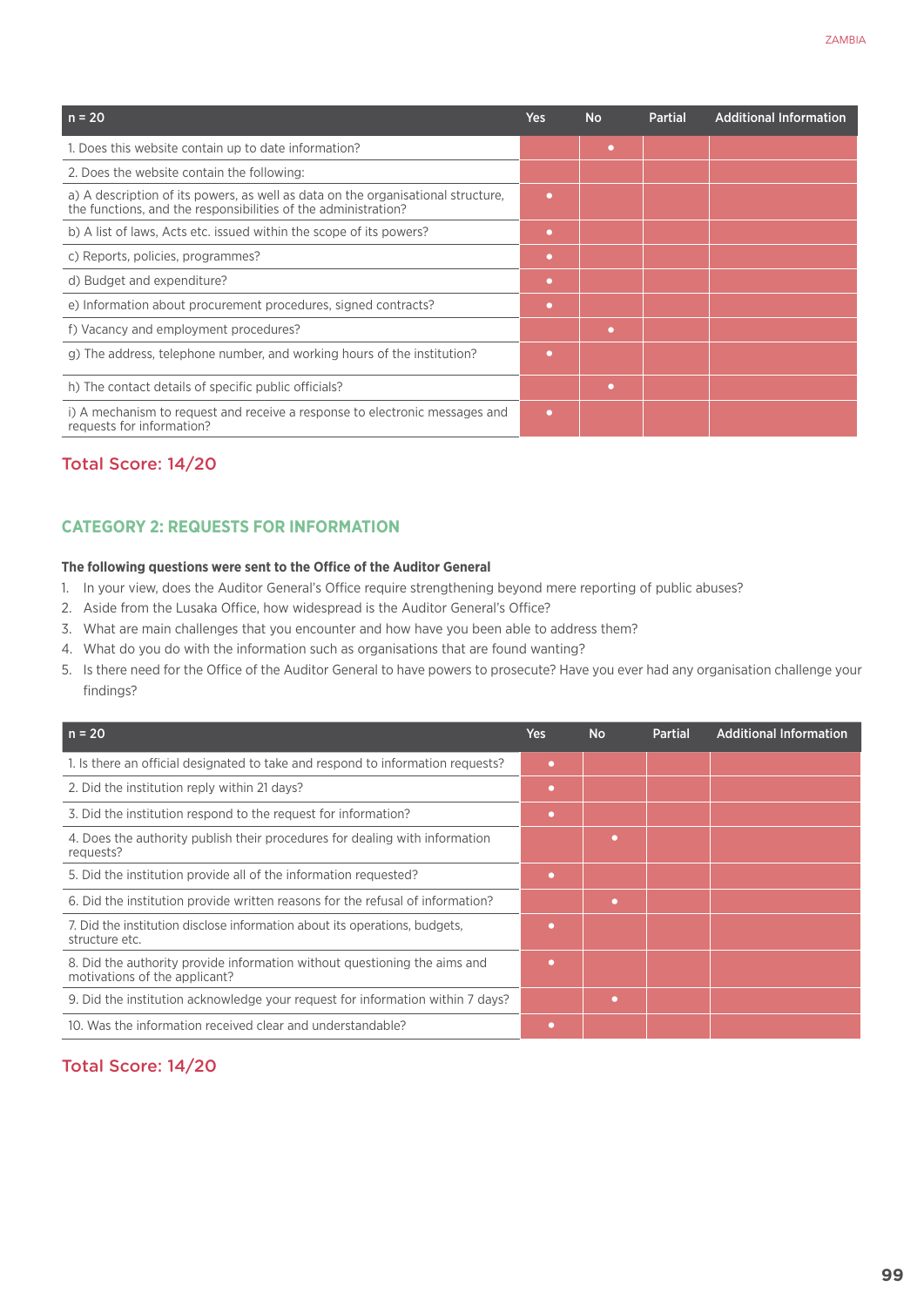| $n = 20$                                                                                                                                           | <b>Yes</b> | <b>No</b> | <b>Partial</b> | <b>Additional Information</b> |
|----------------------------------------------------------------------------------------------------------------------------------------------------|------------|-----------|----------------|-------------------------------|
| 1. Does this website contain up to date information?                                                                                               |            | $\bullet$ |                |                               |
| 2. Does the website contain the following:                                                                                                         |            |           |                |                               |
| a) A description of its powers, as well as data on the organisational structure,<br>the functions, and the responsibilities of the administration? | $\bullet$  |           |                |                               |
| b) A list of laws, Acts etc. issued within the scope of its powers?                                                                                | $\bullet$  |           |                |                               |
| c) Reports, policies, programmes?                                                                                                                  | $\bullet$  |           |                |                               |
| d) Budget and expenditure?                                                                                                                         | $\bullet$  |           |                |                               |
| e) Information about procurement procedures, signed contracts?                                                                                     | $\bullet$  |           |                |                               |
| f) Vacancy and employment procedures?                                                                                                              |            | $\bullet$ |                |                               |
| g) The address, telephone number, and working hours of the institution?                                                                            | $\bullet$  |           |                |                               |
| h) The contact details of specific public officials?                                                                                               |            | $\bullet$ |                |                               |
| i) A mechanism to request and receive a response to electronic messages and<br>requests for information?                                           | $\bullet$  |           |                |                               |

## Total Score: 14/20

#### **CATEGORY 2: REQUESTS FOR INFORMATION**

#### **The following questions were sent to the Office of the Auditor General**

- 1. In your view, does the Auditor General's Office require strengthening beyond mere reporting of public abuses?
- 2. Aside from the Lusaka Office, how widespread is the Auditor General's Office?
- 3. What are main challenges that you encounter and how have you been able to address them?
- 4. What do you do with the information such as organisations that are found wanting?
- 5. Is there need for the Office of the Auditor General to have powers to prosecute? Have you ever had any organisation challenge your findings?

| $n = 20$                                                                                                   | <b>Yes</b> | <b>No</b> | <b>Partial</b> | <b>Additional Information</b> |
|------------------------------------------------------------------------------------------------------------|------------|-----------|----------------|-------------------------------|
| 1. Is there an official designated to take and respond to information requests?                            | ٠          |           |                |                               |
| 2. Did the institution reply within 21 days?                                                               | $\bullet$  |           |                |                               |
| 3. Did the institution respond to the request for information?                                             | $\bullet$  |           |                |                               |
| 4. Does the authority publish their procedures for dealing with information<br>requests?                   |            | $\bullet$ |                |                               |
| 5. Did the institution provide all of the information requested?                                           | ٠          |           |                |                               |
| 6. Did the institution provide written reasons for the refusal of information?                             |            | ٠         |                |                               |
| 7. Did the institution disclose information about its operations, budgets,<br>structure etc.               | ٠          |           |                |                               |
| 8. Did the authority provide information without questioning the aims and<br>motivations of the applicant? | $\bullet$  |           |                |                               |
| 9. Did the institution acknowledge your request for information within 7 days?                             |            | ۰         |                |                               |
| 10. Was the information received clear and understandable?                                                 |            |           |                |                               |

#### Total Score: 14/20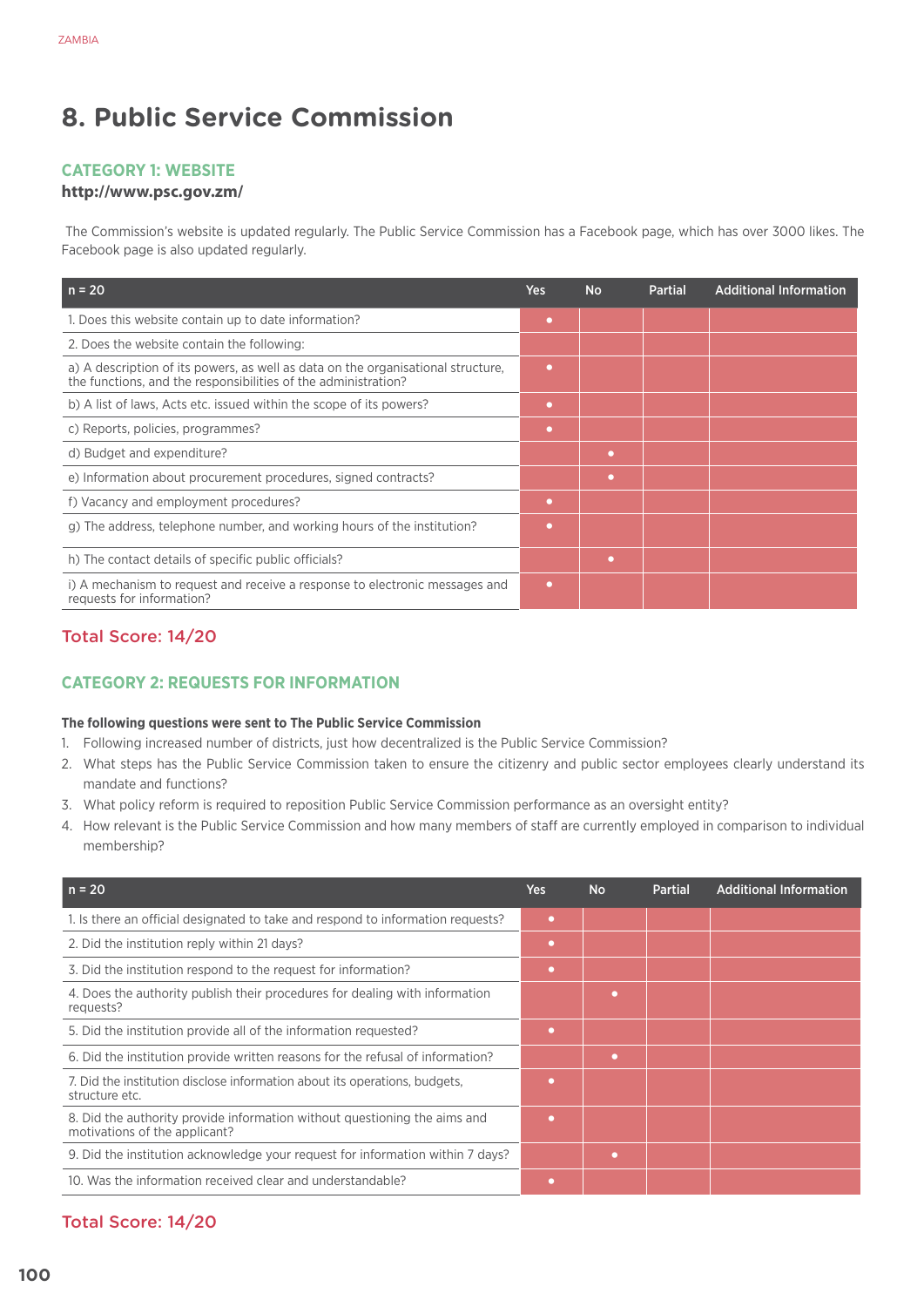# **8. Public Service Commission**

## **Category 1: Website**

#### **http://www.psc.gov.zm/**

 The Commission's website is updated regularly. The Public Service Commission has a Facebook page, which has over 3000 likes. The Facebook page is also updated regularly.

| $n = 20$                                                                                                                                           | Yes       | <b>No</b> | <b>Partial</b> | <b>Additional Information</b> |
|----------------------------------------------------------------------------------------------------------------------------------------------------|-----------|-----------|----------------|-------------------------------|
| 1. Does this website contain up to date information?                                                                                               | $\bullet$ |           |                |                               |
| 2. Does the website contain the following:                                                                                                         |           |           |                |                               |
| a) A description of its powers, as well as data on the organisational structure,<br>the functions, and the responsibilities of the administration? | ٠         |           |                |                               |
| b) A list of laws, Acts etc. issued within the scope of its powers?                                                                                | $\bullet$ |           |                |                               |
| c) Reports, policies, programmes?                                                                                                                  | ٠         |           |                |                               |
| d) Budget and expenditure?                                                                                                                         |           | $\bullet$ |                |                               |
| e) Information about procurement procedures, signed contracts?                                                                                     |           | $\bullet$ |                |                               |
| f) Vacancy and employment procedures?                                                                                                              | ٠         |           |                |                               |
| g) The address, telephone number, and working hours of the institution?                                                                            | $\bullet$ |           |                |                               |
| h) The contact details of specific public officials?                                                                                               |           | $\bullet$ |                |                               |
| i) A mechanism to request and receive a response to electronic messages and<br>requests for information?                                           | ٠         |           |                |                               |

# Total Score: 14/20

## **CATEGORY 2: REQUESTS FOR INFORMATION**

#### **The following questions were sent to The Public Service Commission**

- 1. Following increased number of districts, just how decentralized is the Public Service Commission?
- 2. What steps has the Public Service Commission taken to ensure the citizenry and public sector employees clearly understand its mandate and functions?
- 3. What policy reform is required to reposition Public Service Commission performance as an oversight entity?
- 4. How relevant is the Public Service Commission and how many members of staff are currently employed in comparison to individual membership?

| $n = 20$                                                                                                   | <b>Yes</b> | <b>No</b> | <b>Partial</b> | <b>Additional Information</b> |
|------------------------------------------------------------------------------------------------------------|------------|-----------|----------------|-------------------------------|
| 1. Is there an official designated to take and respond to information requests?                            | o          |           |                |                               |
| 2. Did the institution reply within 21 days?                                                               | $\bullet$  |           |                |                               |
| 3. Did the institution respond to the request for information?                                             | $\bullet$  |           |                |                               |
| 4. Does the authority publish their procedures for dealing with information<br>requests?                   |            | ٠         |                |                               |
| 5. Did the institution provide all of the information requested?                                           | o          |           |                |                               |
| 6. Did the institution provide written reasons for the refusal of information?                             |            | ٠         |                |                               |
| 7. Did the institution disclose information about its operations, budgets,<br>structure etc.               | $\bullet$  |           |                |                               |
| 8. Did the authority provide information without questioning the aims and<br>motivations of the applicant? | o          |           |                |                               |
| 9. Did the institution acknowledge your request for information within 7 days?                             |            | $\bullet$ |                |                               |
| 10. Was the information received clear and understandable?                                                 | o          |           |                |                               |

# Total Score: 14/20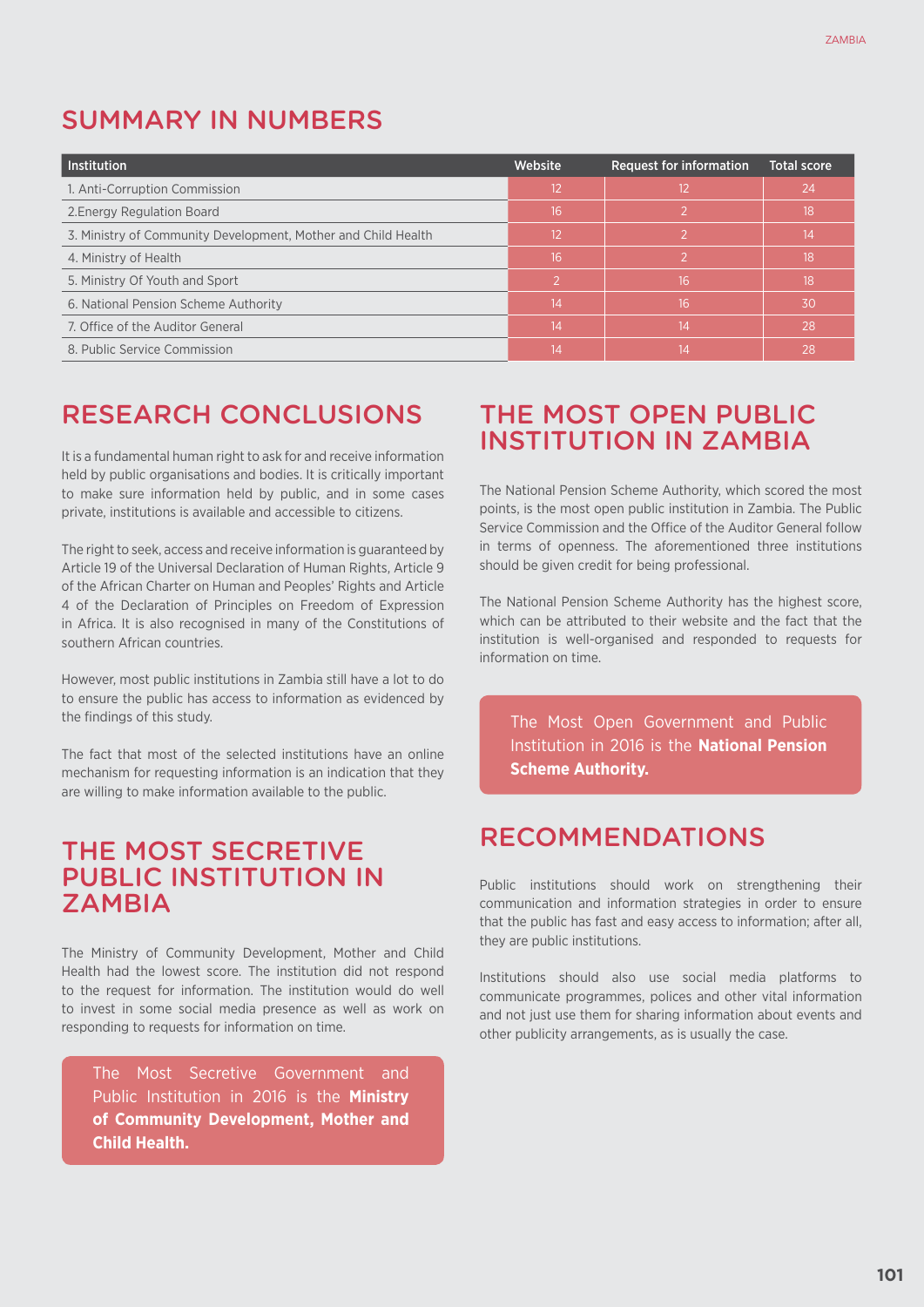# SUMMARY IN NUMBERS

| <b>Institution</b>                                            | Website | <b>Request for information</b> | <b>Total score</b> |
|---------------------------------------------------------------|---------|--------------------------------|--------------------|
| 1. Anti-Corruption Commission                                 | 12      | 12                             | 24                 |
| 2. Energy Regulation Board                                    | 16      | $\mathcal{P}$                  | 18                 |
| 3. Ministry of Community Development, Mother and Child Health | 12      |                                | 14                 |
| 4. Ministry of Health                                         | 16      |                                | 18                 |
| 5. Ministry Of Youth and Sport                                |         | 16                             | 18                 |
| 6. National Pension Scheme Authority                          | 14      | 16                             | 30                 |
| 7. Office of the Auditor General                              | 14      | 14                             | 28                 |
| 8. Public Service Commission                                  | 14      | 14                             | 28                 |

# RESEARCH CONCLUSIONS

It is a fundamental human right to ask for and receive information held by public organisations and bodies. It is critically important to make sure information held by public, and in some cases private, institutions is available and accessible to citizens.

The right to seek, access and receive information is guaranteed by Article 19 of the Universal Declaration of Human Rights, Article 9 of the African Charter on Human and Peoples' Rights and Article 4 of the Declaration of Principles on Freedom of Expression in Africa. It is also recognised in many of the Constitutions of southern African countries.

However, most public institutions in Zambia still have a lot to do to ensure the public has access to information as evidenced by the findings of this study.

The fact that most of the selected institutions have an online mechanism for requesting information is an indication that they are willing to make information available to the public.

# THE MOST SECRETIVE PUBLIC INSTITUTION IN ZAMBIA

The Ministry of Community Development, Mother and Child Health had the lowest score. The institution did not respond to the request for information. The institution would do well to invest in some social media presence as well as work on responding to requests for information on time.

The Most Secretive Government and Public Institution in 2016 is the **Ministry of Community Development, Mother and Child Health.**

# THE MOST OPEN PUBLIC INSTITUTION IN ZAMBIA

The National Pension Scheme Authority, which scored the most points, is the most open public institution in Zambia. The Public Service Commission and the Office of the Auditor General follow in terms of openness. The aforementioned three institutions should be given credit for being professional.

The National Pension Scheme Authority has the highest score, which can be attributed to their website and the fact that the institution is well-organised and responded to requests for information on time.

The Most Open Government and Public Institution in 2016 is the **National Pension Scheme Authority.**

# RECOMMENDATIONS

Public institutions should work on strengthening their communication and information strategies in order to ensure that the public has fast and easy access to information; after all, they are public institutions.

Institutions should also use social media platforms to communicate programmes, polices and other vital information and not just use them for sharing information about events and other publicity arrangements, as is usually the case.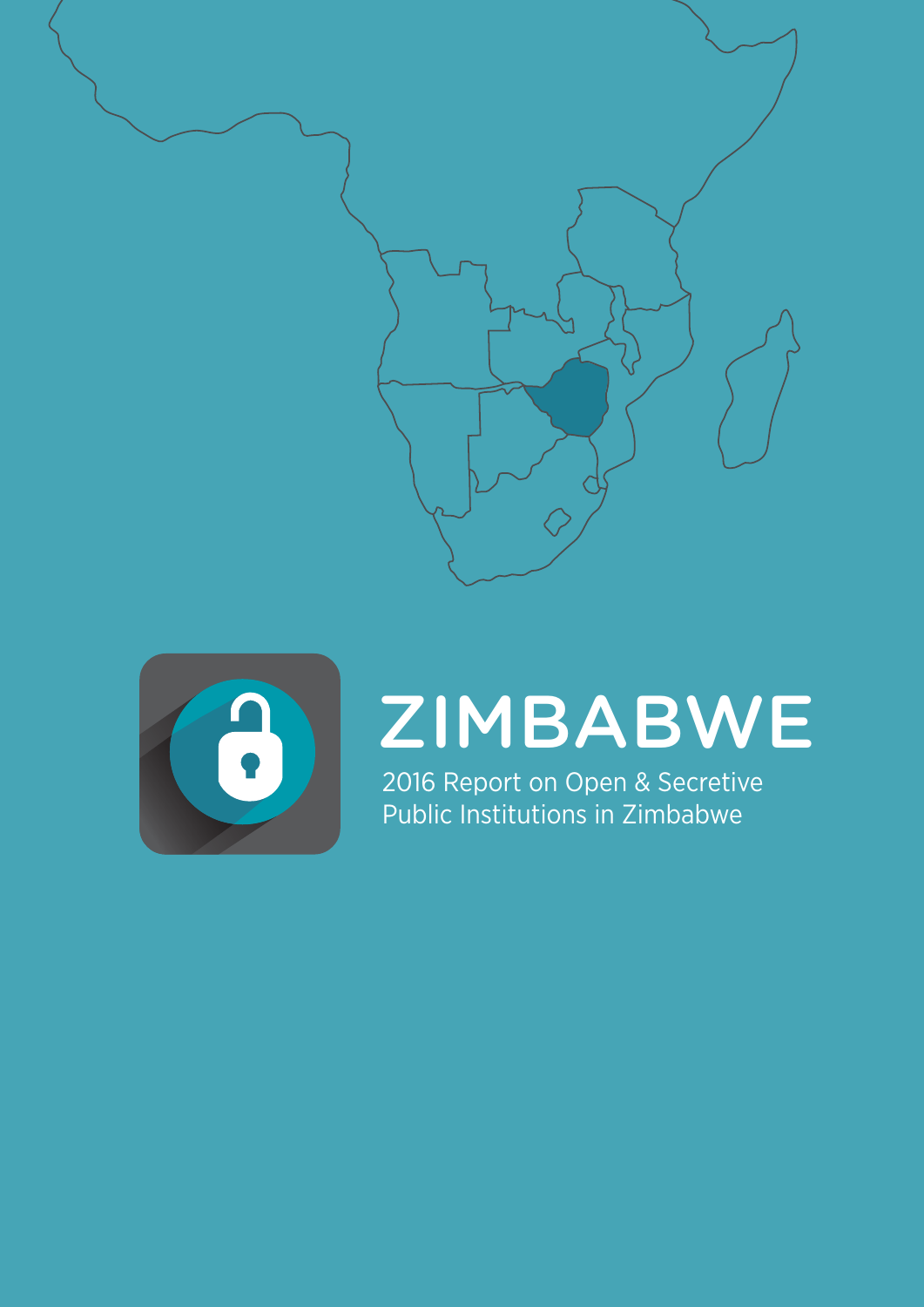



# ZIMBABWE

2016 Report on Open & Secretive Public Institutions in Zimbabwe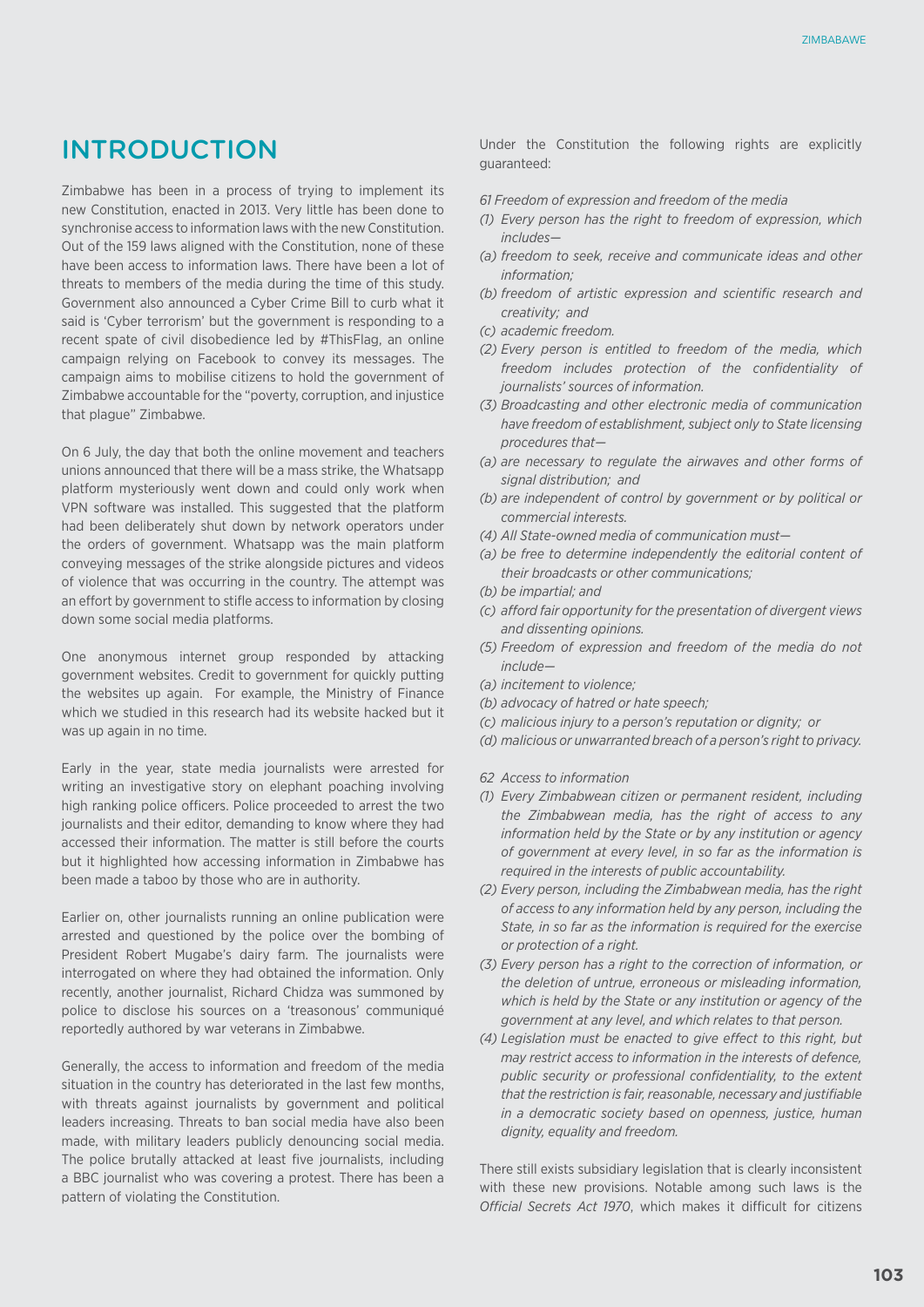# INTRODUCTION

Zimbabwe has been in a process of trying to implement its new Constitution, enacted in 2013. Very little has been done to synchronise access to information laws with the new Constitution. Out of the 159 laws aligned with the Constitution, none of these have been access to information laws. There have been a lot of threats to members of the media during the time of this study. Government also announced a Cyber Crime Bill to curb what it said is 'Cyber terrorism' but the government is responding to a recent spate of civil disobedience led by #ThisFlag, an online campaign relying on Facebook to convey its messages. The campaign aims to mobilise citizens to hold the government of Zimbabwe accountable for the "poverty, corruption, and injustice that plague" Zimbabwe.

On 6 July, the day that both the online movement and teachers unions announced that there will be a mass strike, the Whatsapp platform mysteriously went down and could only work when VPN software was installed. This suggested that the platform had been deliberately shut down by network operators under the orders of government. Whatsapp was the main platform conveying messages of the strike alongside pictures and videos of violence that was occurring in the country. The attempt was an effort by government to stifle access to information by closing down some social media platforms.

One anonymous internet group responded by attacking government websites. Credit to government for quickly putting the websites up again. For example, the Ministry of Finance which we studied in this research had its website hacked but it was up again in no time.

Early in the year, state media journalists were arrested for writing an investigative story on elephant poaching involving high ranking police officers. Police proceeded to arrest the two journalists and their editor, demanding to know where they had accessed their information. The matter is still before the courts but it highlighted how accessing information in Zimbabwe has been made a taboo by those who are in authority.

Earlier on, other journalists running an online publication were arrested and questioned by the police over the bombing of President Robert Mugabe's dairy farm. The journalists were interrogated on where they had obtained the information. Only recently, another journalist, Richard Chidza was summoned by police to disclose his sources on a 'treasonous' communiqué reportedly authored by war veterans in Zimbabwe.

Generally, the access to information and freedom of the media situation in the country has deteriorated in the last few months, with threats against journalists by government and political leaders increasing. Threats to ban social media have also been made, with military leaders publicly denouncing social media. The police brutally attacked at least five journalists, including a BBC journalist who was covering a protest. There has been a pattern of violating the Constitution.

Under the Constitution the following rights are explicitly guaranteed:

- *61 Freedom of expression and freedom of the media*
- *(1) Every person has the right to freedom of expression, which includes—*
- *(a) freedom to seek, receive and communicate ideas and other information;*
- *(b) freedom of artistic expression and scientific research and creativity; and*
- *(c) academic freedom.*
- *(2) Every person is entitled to freedom of the media, which freedom includes protection of the confidentiality of journalists' sources of information.*
- *(3) Broadcasting and other electronic media of communication have freedom of establishment, subject only to State licensing procedures that—*
- *(a) are necessary to regulate the airwaves and other forms of signal distribution; and*
- *(b) are independent of control by government or by political or commercial interests.*
- *(4) All State-owned media of communication must—*
- *(a) be free to determine independently the editorial content of their broadcasts or other communications;*
- *(b) be impartial; and*
- *(c) afford fair opportunity for the presentation of divergent views and dissenting opinions.*
- *(5) Freedom of expression and freedom of the media do not include—*
- *(a) incitement to violence;*
- *(b) advocacy of hatred or hate speech;*
- *(c) malicious injury to a person's reputation or dignity; or*
- *(d) malicious or unwarranted breach of a person's right to privacy.*
- *62 Access to information*
- *(1) Every Zimbabwean citizen or permanent resident, including the Zimbabwean media, has the right of access to any information held by the State or by any institution or agency of government at every level, in so far as the information is required in the interests of public accountability.*
- *(2) Every person, including the Zimbabwean media, has the right of access to any information held by any person, including the State, in so far as the information is required for the exercise or protection of a right.*
- *(3) Every person has a right to the correction of information, or the deletion of untrue, erroneous or misleading information, which is held by the State or any institution or agency of the government at any level, and which relates to that person.*
- *(4) Legislation must be enacted to give effect to this right, but may restrict access to information in the interests of defence, public security or professional confidentiality, to the extent that the restriction is fair, reasonable, necessary and justifiable in a democratic society based on openness, justice, human dignity, equality and freedom.*

There still exists subsidiary legislation that is clearly inconsistent with these new provisions. Notable among such laws is the *Official Secrets Act 1970*, which makes it difficult for citizens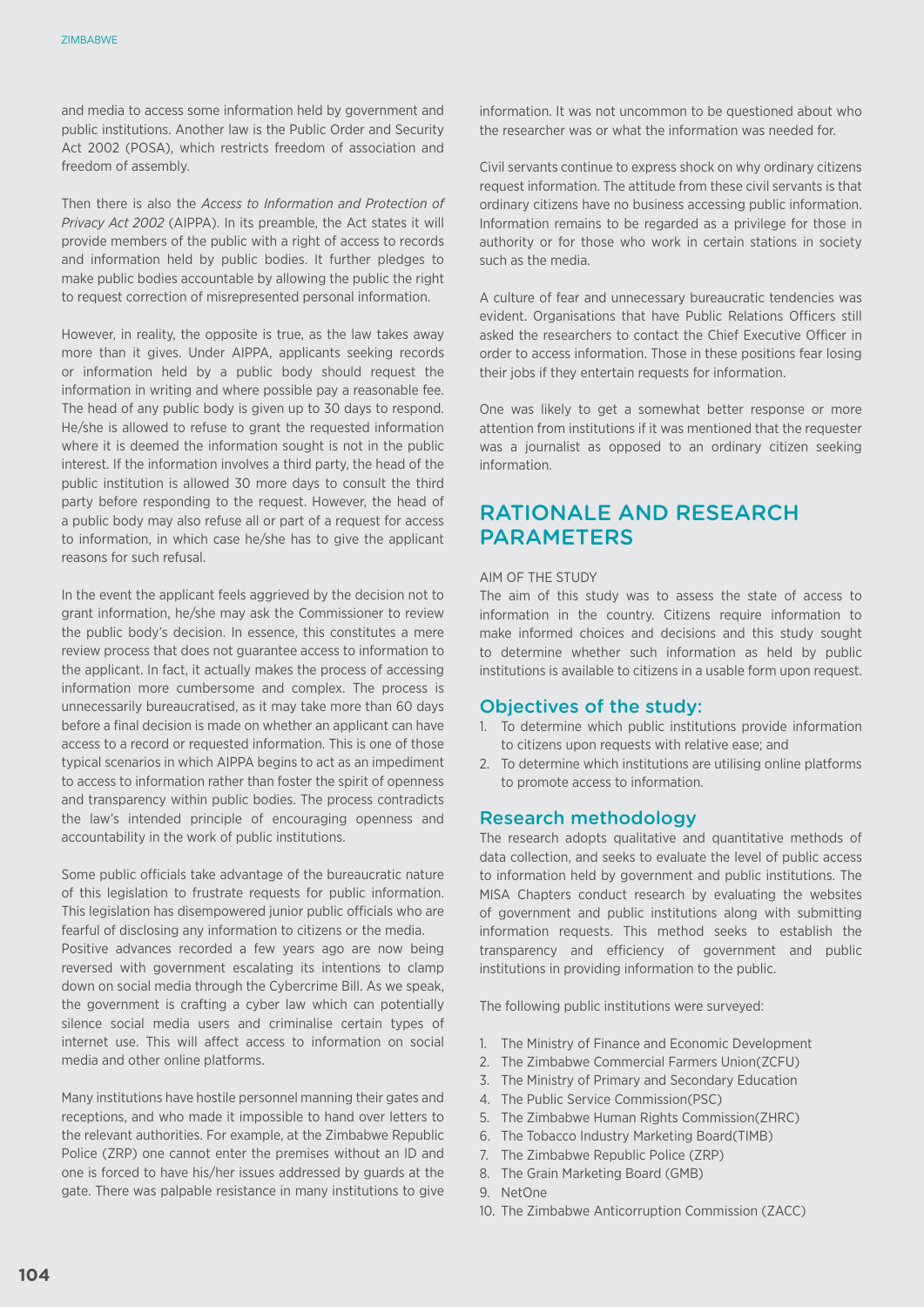and media to access some information held by government and public institutions. Another law is the Public Order and Security Act 2002 (POSA), which restricts freedom of association and freedom of assembly.

Then there is also the *Access to Information and Protection of Privacy Act 2002* (AIPPA). In its preamble, the Act states it will provide members of the public with a right of access to records and information held by public bodies. It further pledges to make public bodies accountable by allowing the public the right to request correction of misrepresented personal information.

However, in reality, the opposite is true, as the law takes away more than it gives. Under AIPPA, applicants seeking records or information held by a public body should request the information in writing and where possible pay a reasonable fee. The head of any public body is given up to 30 days to respond. He/she is allowed to refuse to grant the requested information where it is deemed the information sought is not in the public interest. If the information involves a third party, the head of the public institution is allowed 30 more days to consult the third party before responding to the request. However, the head of a public body may also refuse all or part of a request for access to information, in which case he/she has to give the applicant reasons for such refusal.

In the event the applicant feels aggrieved by the decision not to grant information, he/she may ask the Commissioner to review the public body's decision. In essence, this constitutes a mere review process that does not guarantee access to information to the applicant. In fact, it actually makes the process of accessing information more cumbersome and complex. The process is unnecessarily bureaucratised, as it may take more than 60 days before a final decision is made on whether an applicant can have access to a record or requested information. This is one of those typical scenarios in which AIPPA begins to act as an impediment to access to information rather than foster the spirit of openness and transparency within public bodies. The process contradicts the law's intended principle of encouraging openness and accountability in the work of public institutions.

Some public officials take advantage of the bureaucratic nature of this legislation to frustrate requests for public information. This legislation has disempowered junior public officials who are fearful of disclosing any information to citizens or the media. Positive advances recorded a few years ago are now being reversed with government escalating its intentions to clamp down on social media through the Cybercrime Bill. As we speak, the government is crafting a cyber law which can potentially silence social media users and criminalise certain types of internet use. This will affect access to information on social media and other online platforms.

Many institutions have hostile personnel manning their gates and receptions, and who made it impossible to hand over letters to the relevant authorities. For example, at the Zimbabwe Republic Police (ZRP) one cannot enter the premises without an ID and one is forced to have his/her issues addressed by guards at the gate. There was palpable resistance in many institutions to give information. It was not uncommon to be questioned about who the researcher was or what the information was needed for.

Civil servants continue to express shock on why ordinary citizens request information. The attitude from these civil servants is that ordinary citizens have no business accessing public information. Information remains to be regarded as a privilege for those in authority or for those who work in certain stations in society such as the media.

A culture of fear and unnecessary bureaucratic tendencies was evident. Organisations that have Public Relations Officers still asked the researchers to contact the Chief Executive Officer in order to access information. Those in these positions fear losing their jobs if they entertain requests for information.

One was likely to get a somewhat better response or more attention from institutions if it was mentioned that the requester was a journalist as opposed to an ordinary citizen seeking information.

# Rationale and ReseaRch **PARAMETERS**

#### AIM OF THE STUDY

The aim of this study was to assess the state of access to information in the country. Citizens require information to make informed choices and decisions and this study sought to determine whether such information as held by public institutions is available to citizens in a usable form upon request.

#### Objectives of the study:

- 1. To determine which public institutions provide information to citizens upon requests with relative ease; and
- 2. To determine which institutions are utilising online platforms to promote access to information.

#### Research methodology

The research adopts qualitative and quantitative methods of data collection, and seeks to evaluate the level of public access to information held by government and public institutions. The MISA Chapters conduct research by evaluating the websites of government and public institutions along with submitting information requests. This method seeks to establish the transparency and efficiency of government and public institutions in providing information to the public.

The following public institutions were surveyed:

- 1. The Ministry of Finance and Economic Development
- 2. The Zimbabwe Commercial Farmers Union(ZCFU)
- 3. The Ministry of Primary and Secondary Education
- 4. The Public Service Commission(PSC)
- 5. The Zimbabwe Human Rights Commission(ZHRC)
- 6. The Tobacco Industry Marketing Board(TIMB)
- 7. The Zimbabwe Republic Police (ZRP)
- 8. The Grain Marketing Board (GMB)
- 9. NetOne
- 10. The Zimbabwe Anticorruption Commission (ZACC)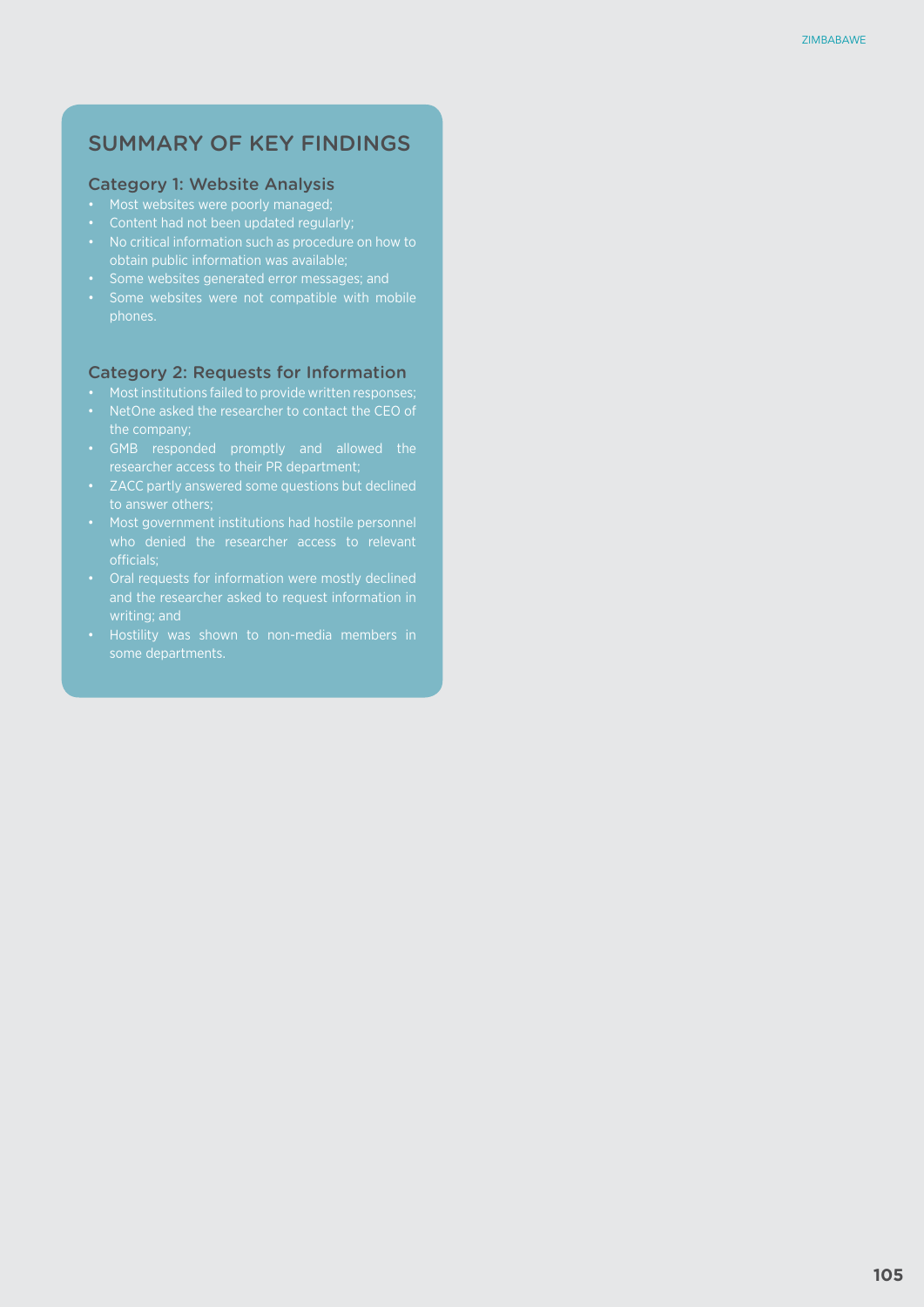# SUMMARY OF KEY FINDINGS

#### Category 1: Website Analysis

- Most websites were poorly managed;
- • Content had not been updated regularly;
- 
- • Some websites generated error messages; and
- phones.

#### Category 2: Requests for Information

- 
- 
- • GMB responded promptly and allowed the
- 
- officials;
- • Oral requests for information were mostly declined writing; and
-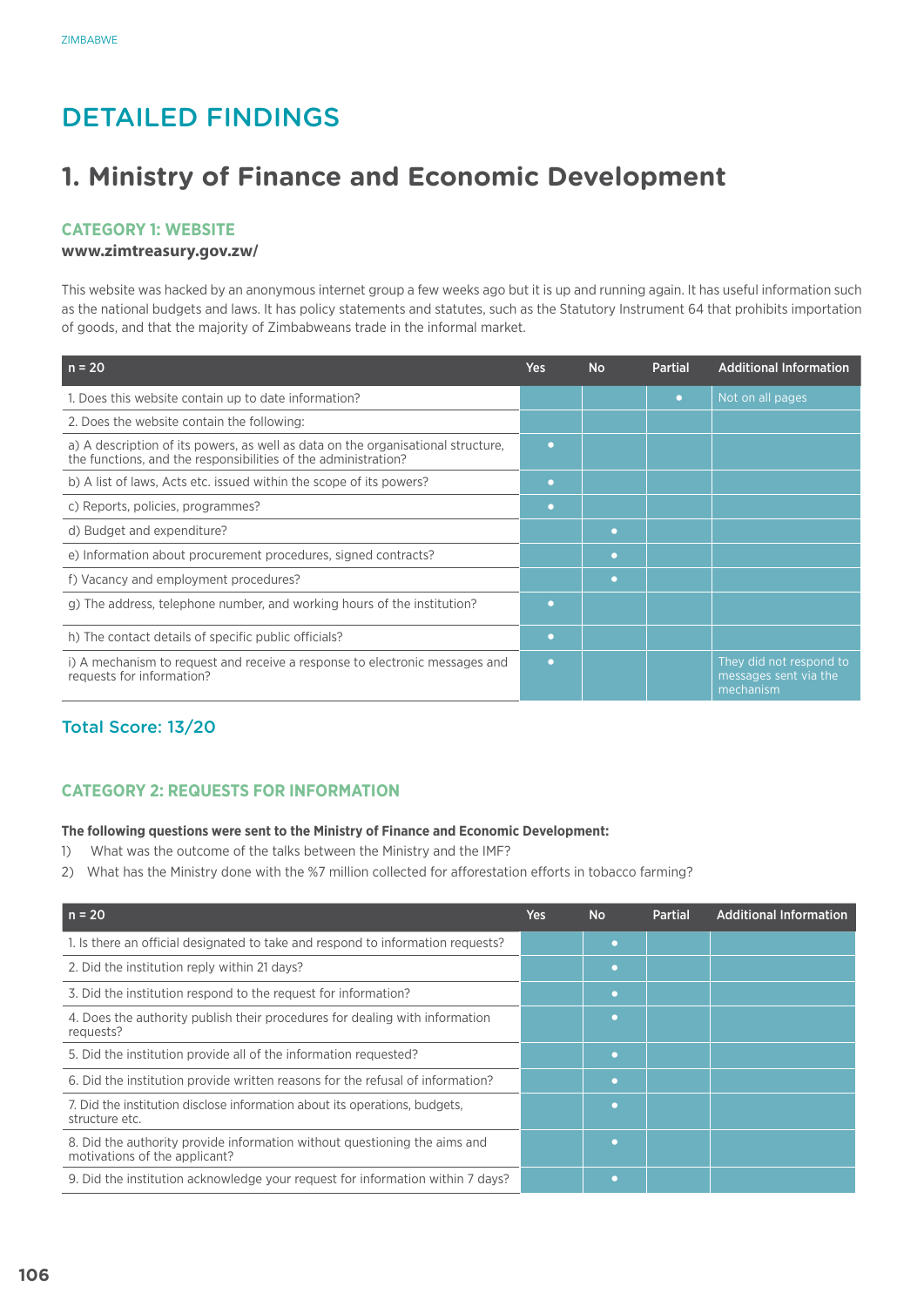# Detailed Findings

# **1. Ministry of Finance and Economic Development**

### **Category 1: Website**

#### **www.zimtreasury.gov.zw/**

This website was hacked by an anonymous internet group a few weeks ago but it is up and running again. It has useful information such as the national budgets and laws. It has policy statements and statutes, such as the Statutory Instrument 64 that prohibits importation of goods, and that the majority of Zimbabweans trade in the informal market.

| $n = 20$                                                                                                                                           | <b>Yes</b> | <b>No</b> | <b>Partial</b> | <b>Additional Information</b>                                 |
|----------------------------------------------------------------------------------------------------------------------------------------------------|------------|-----------|----------------|---------------------------------------------------------------|
| 1. Does this website contain up to date information?                                                                                               |            |           | n              | Not on all pages                                              |
| 2. Does the website contain the following:                                                                                                         |            |           |                |                                                               |
| a) A description of its powers, as well as data on the organisational structure,<br>the functions, and the responsibilities of the administration? | n          |           |                |                                                               |
| b) A list of laws, Acts etc. issued within the scope of its powers?                                                                                | o          |           |                |                                                               |
| c) Reports, policies, programmes?                                                                                                                  | $\bullet$  |           |                |                                                               |
| d) Budget and expenditure?                                                                                                                         |            | o         |                |                                                               |
| e) Information about procurement procedures, signed contracts?                                                                                     |            |           |                |                                                               |
| f) Vacancy and employment procedures?                                                                                                              |            | o         |                |                                                               |
| g) The address, telephone number, and working hours of the institution?                                                                            | o          |           |                |                                                               |
| h) The contact details of specific public officials?                                                                                               | $\bullet$  |           |                |                                                               |
| i) A mechanism to request and receive a response to electronic messages and<br>requests for information?                                           | $\bullet$  |           |                | They did not respond to<br>messages sent via the<br>mechanism |

# Total Score: 13/20

# **CATEGORY 2: REQUESTS FOR INFORMATION**

#### **The following questions were sent to the Ministry of Finance and Economic Development:**

- 1) What was the outcome of the talks between the Ministry and the IMF?
- 2) What has the Ministry done with the %7 million collected for afforestation efforts in tobacco farming?

| $n = 20$                                                                                                   | <b>Yes</b> | <b>No</b> | <b>Partial</b> | <b>Additional Information</b> |
|------------------------------------------------------------------------------------------------------------|------------|-----------|----------------|-------------------------------|
| 1. Is there an official designated to take and respond to information requests?                            |            | ◠         |                |                               |
| 2. Did the institution reply within 21 days?                                                               |            | ◠         |                |                               |
| 3. Did the institution respond to the request for information?                                             |            | ◠         |                |                               |
| 4. Does the authority publish their procedures for dealing with information<br>requests?                   |            |           |                |                               |
| 5. Did the institution provide all of the information requested?                                           |            | г         |                |                               |
| 6. Did the institution provide written reasons for the refusal of information?                             |            | ◠         |                |                               |
| 7. Did the institution disclose information about its operations, budgets,<br>structure etc.               |            | г         |                |                               |
| 8. Did the authority provide information without questioning the aims and<br>motivations of the applicant? |            |           |                |                               |
| 9. Did the institution acknowledge your request for information within 7 days?                             |            |           |                |                               |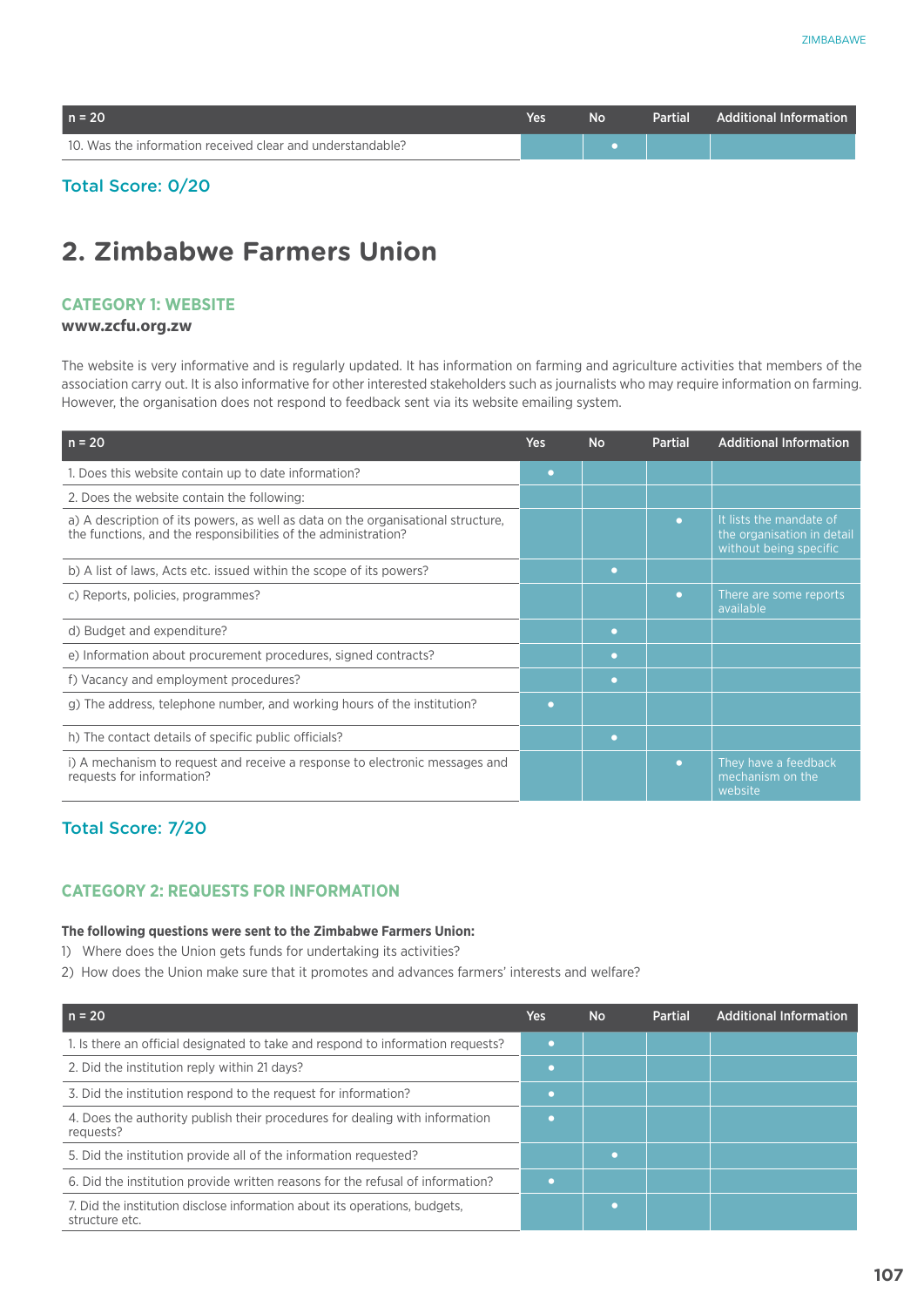| $n = 20$                                                   | Yes | N٥ | Partial Additional Information |
|------------------------------------------------------------|-----|----|--------------------------------|
| 10. Was the information received clear and understandable? |     |    |                                |

## Total Score: 0/20

# **2. Zimbabwe Farmers Union**

## **Category 1: Website**

#### **www.zcfu.org.zw**

The website is very informative and is regularly updated. It has information on farming and agriculture activities that members of the association carry out. It is also informative for other interested stakeholders such as journalists who may require information on farming. However, the organisation does not respond to feedback sent via its website emailing system.

| $n = 20$                                                                                                                                           | <b>Yes</b> | <b>No</b> | <b>Partial</b> | <b>Additional Information</b>                                                   |
|----------------------------------------------------------------------------------------------------------------------------------------------------|------------|-----------|----------------|---------------------------------------------------------------------------------|
| 1. Does this website contain up to date information?                                                                                               | n          |           |                |                                                                                 |
| 2. Does the website contain the following:                                                                                                         |            |           |                |                                                                                 |
| a) A description of its powers, as well as data on the organisational structure,<br>the functions, and the responsibilities of the administration? |            |           | $\bullet$      | It lists the mandate of<br>the organisation in detail<br>without being specific |
| b) A list of laws, Acts etc. issued within the scope of its powers?                                                                                |            | o         |                |                                                                                 |
| c) Reports, policies, programmes?                                                                                                                  |            |           | o              | There are some reports<br>available                                             |
| d) Budget and expenditure?                                                                                                                         |            | o         |                |                                                                                 |
| e) Information about procurement procedures, signed contracts?                                                                                     |            | o         |                |                                                                                 |
| f) Vacancy and employment procedures?                                                                                                              |            | o         |                |                                                                                 |
| g) The address, telephone number, and working hours of the institution?                                                                            | o          |           |                |                                                                                 |
| h) The contact details of specific public officials?                                                                                               |            | n         |                |                                                                                 |
| i) A mechanism to request and receive a response to electronic messages and<br>requests for information?                                           |            |           | o              | They have a feedback<br>mechanism on the<br>website                             |

# Total Score: 7/20

## **CATEGORY 2: REQUESTS FOR INFORMATION**

#### **The following questions were sent to the Zimbabwe Farmers Union:**

- 1) Where does the Union gets funds for undertaking its activities?
- 2) How does the Union make sure that it promotes and advances farmers' interests and welfare?

| $n = 20$                                                                                     | <b>Yes</b> | <b>No</b> | Partial | <b>Additional Information</b> |
|----------------------------------------------------------------------------------------------|------------|-----------|---------|-------------------------------|
| 1. Is there an official designated to take and respond to information requests?              |            |           |         |                               |
| 2. Did the institution reply within 21 days?                                                 |            |           |         |                               |
| 3. Did the institution respond to the request for information?                               |            |           |         |                               |
| 4. Does the authority publish their procedures for dealing with information<br>requests?     |            |           |         |                               |
| 5. Did the institution provide all of the information requested?                             |            |           |         |                               |
| 6. Did the institution provide written reasons for the refusal of information?               |            |           |         |                               |
| 7. Did the institution disclose information about its operations, budgets,<br>structure etc. |            |           |         |                               |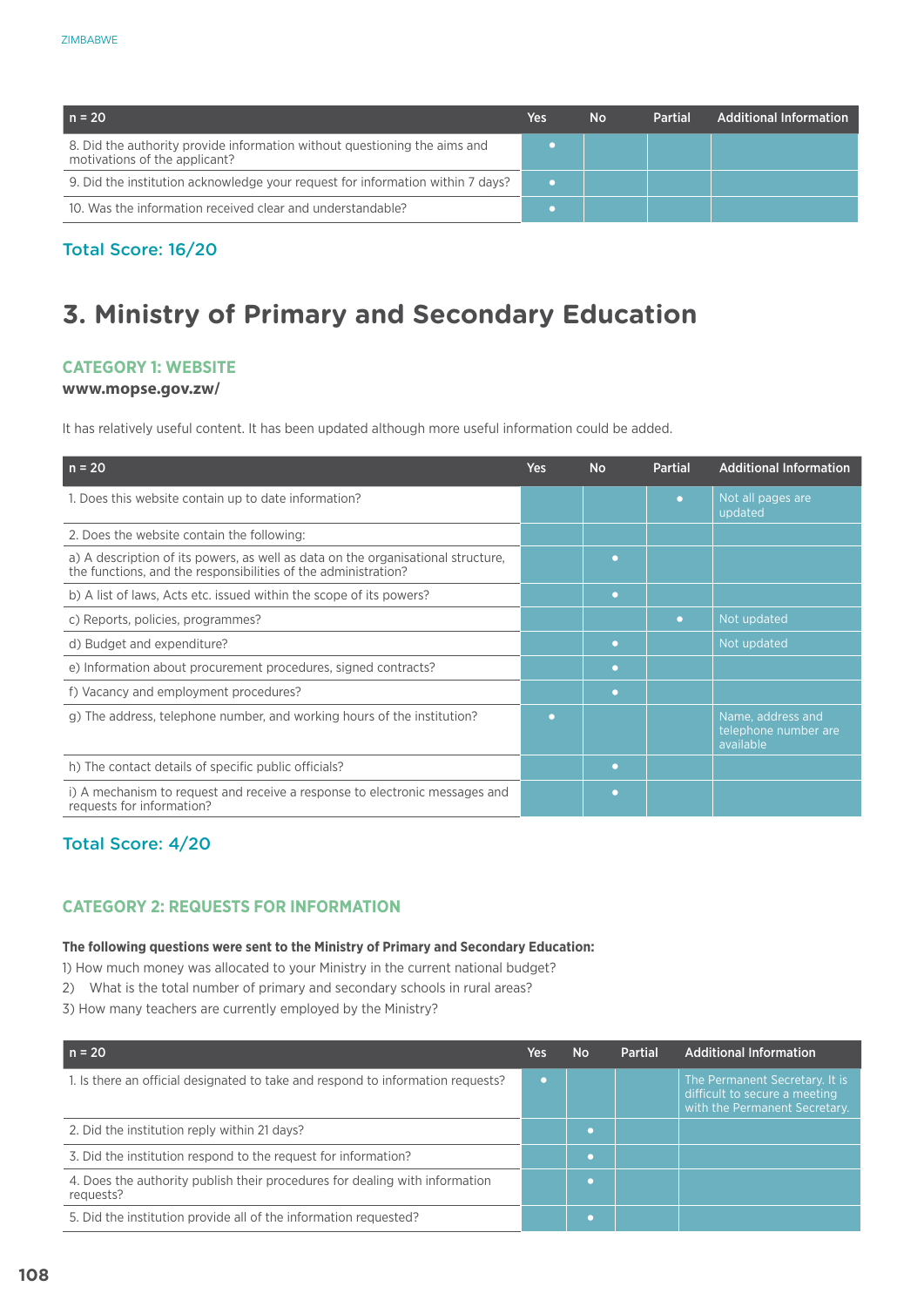| $n = 20$                                                                                                   | <b>Yes</b> | No | <b>Partial</b> | <b>Additional Information</b> |
|------------------------------------------------------------------------------------------------------------|------------|----|----------------|-------------------------------|
| 8. Did the authority provide information without questioning the aims and<br>motivations of the applicant? |            |    |                |                               |
| 9. Did the institution acknowledge your request for information within 7 days?                             |            |    |                |                               |
| 10. Was the information received clear and understandable?                                                 |            |    |                |                               |

# Total Score: 16/20

# **3. Ministry of Primary and Secondary Education**

## **Category 1: Website**

#### **www.mopse.gov.zw/**

It has relatively useful content. It has been updated although more useful information could be added.

| $n = 20$                                                                                                                                           | Yes | <b>No</b> | <b>Partial</b> | <b>Additional Information</b>                          |
|----------------------------------------------------------------------------------------------------------------------------------------------------|-----|-----------|----------------|--------------------------------------------------------|
| 1. Does this website contain up to date information?                                                                                               |     |           | o              | Not all pages are<br>updated                           |
| 2. Does the website contain the following:                                                                                                         |     |           |                |                                                        |
| a) A description of its powers, as well as data on the organisational structure,<br>the functions, and the responsibilities of the administration? |     | o         |                |                                                        |
| b) A list of laws, Acts etc. issued within the scope of its powers?                                                                                |     | $\bullet$ |                |                                                        |
| c) Reports, policies, programmes?                                                                                                                  |     |           | o              | Not updated                                            |
| d) Budget and expenditure?                                                                                                                         |     | $\bullet$ |                | Not updated                                            |
| e) Information about procurement procedures, signed contracts?                                                                                     |     | o         |                |                                                        |
| f) Vacancy and employment procedures?                                                                                                              |     | o         |                |                                                        |
| g) The address, telephone number, and working hours of the institution?                                                                            | ◠   |           |                | Name, address and<br>telephone number are<br>available |
| h) The contact details of specific public officials?                                                                                               |     | o         |                |                                                        |
| i) A mechanism to request and receive a response to electronic messages and<br>requests for information?                                           |     | o         |                |                                                        |

# Total Score: 4/20

## **CATEGORY 2: REQUESTS FOR INFORMATION**

#### **The following questions were sent to the Ministry of Primary and Secondary Education:**

- 1) How much money was allocated to your Ministry in the current national budget?
- 2) What is the total number of primary and secondary schools in rural areas?
- 3) How many teachers are currently employed by the Ministry?

| $n = 20$                                                                                 | Yes | <b>No</b> | Partial | <b>Additional Information</b>                                                                    |
|------------------------------------------------------------------------------------------|-----|-----------|---------|--------------------------------------------------------------------------------------------------|
| 1. Is there an official designated to take and respond to information requests?          |     |           |         | The Permanent Secretary. It is<br>difficult to secure a meeting<br>with the Permanent Secretary. |
| 2. Did the institution reply within 21 days?                                             |     | o         |         |                                                                                                  |
| 3. Did the institution respond to the request for information?                           |     | n         |         |                                                                                                  |
| 4. Does the authority publish their procedures for dealing with information<br>requests? |     |           |         |                                                                                                  |
| 5. Did the institution provide all of the information requested?                         |     |           |         |                                                                                                  |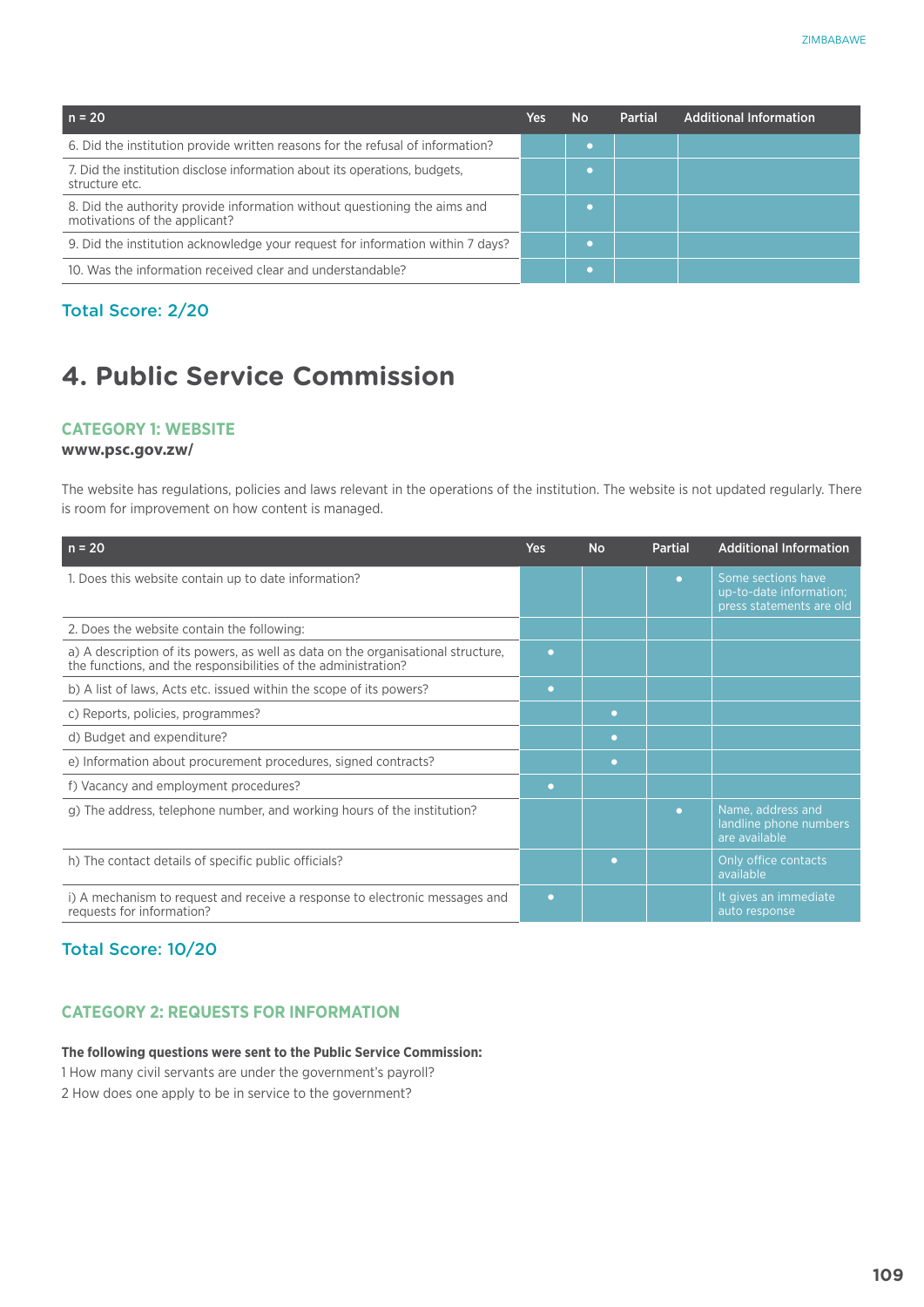| $n = 20$                                                                                                   | Yes | <b>No</b> | Partial | <b>Additional Information</b> |
|------------------------------------------------------------------------------------------------------------|-----|-----------|---------|-------------------------------|
| 6. Did the institution provide written reasons for the refusal of information?                             |     |           |         |                               |
| 7. Did the institution disclose information about its operations, budgets,<br>structure etc.               |     |           |         |                               |
| 8. Did the authority provide information without questioning the aims and<br>motivations of the applicant? |     |           |         |                               |
| 9. Did the institution acknowledge your request for information within 7 days?                             |     |           |         |                               |
| 10. Was the information received clear and understandable?                                                 |     |           |         |                               |

## Total Score: 2/20

## **4. Public Service Commission**

#### **Category 1: Website**

#### **www.psc.gov.zw/**

The website has regulations, policies and laws relevant in the operations of the institution. The website is not updated regularly. There is room for improvement on how content is managed.

| $n = 20$                                                                                                                                           | <b>Yes</b> | <b>No</b> | <b>Partial</b> | <b>Additional Information</b>                                             |
|----------------------------------------------------------------------------------------------------------------------------------------------------|------------|-----------|----------------|---------------------------------------------------------------------------|
| 1. Does this website contain up to date information?                                                                                               |            |           | $\bullet$      | Some sections have<br>up-to-date information;<br>press statements are old |
| 2. Does the website contain the following:                                                                                                         |            |           |                |                                                                           |
| a) A description of its powers, as well as data on the organisational structure,<br>the functions, and the responsibilities of the administration? | ٠          |           |                |                                                                           |
| b) A list of laws, Acts etc. issued within the scope of its powers?                                                                                | ٠          |           |                |                                                                           |
| c) Reports, policies, programmes?                                                                                                                  |            | o         |                |                                                                           |
| d) Budget and expenditure?                                                                                                                         |            | ◠         |                |                                                                           |
| e) Information about procurement procedures, signed contracts?                                                                                     |            | o         |                |                                                                           |
| f) Vacancy and employment procedures?                                                                                                              | ٠          |           |                |                                                                           |
| g) The address, telephone number, and working hours of the institution?                                                                            |            |           | o              | Name, address and<br>landline phone numbers<br>are available              |
| h) The contact details of specific public officials?                                                                                               |            |           |                | Only office contacts<br>available                                         |
| i) A mechanism to request and receive a response to electronic messages and<br>requests for information?                                           | ٠          |           |                | It gives an immediate<br>auto response                                    |

## Total Score: 10/20

### **CATEGORY 2: REQUESTS FOR INFORMATION**

#### **The following questions were sent to the Public Service Commission:**

1 How many civil servants are under the government's payroll?

2 How does one apply to be in service to the government?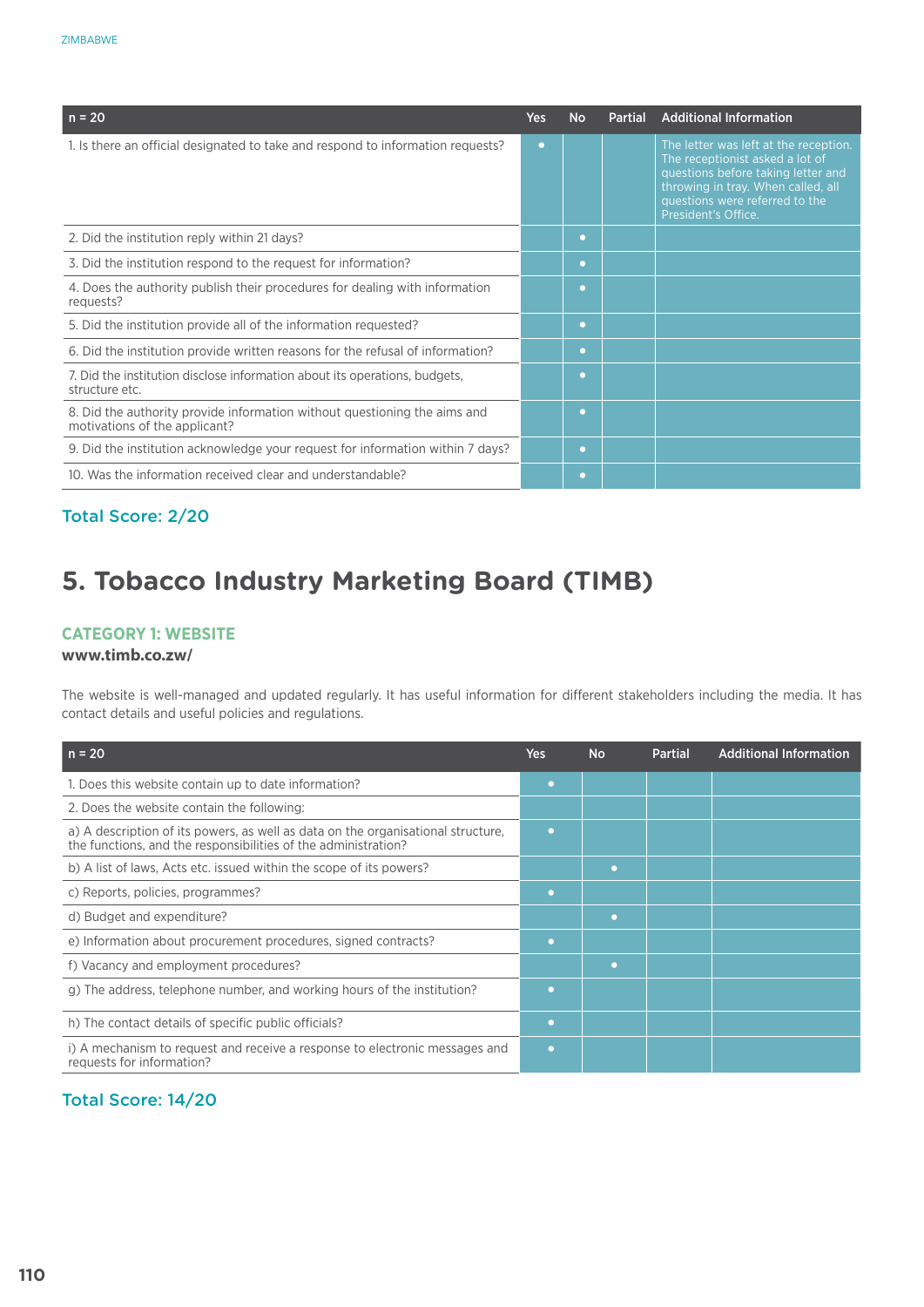| $n = 20$                                                                                                   | Yes | <b>No</b> | <b>Partial</b> | <b>Additional Information</b>                                                                                                                                                                                 |
|------------------------------------------------------------------------------------------------------------|-----|-----------|----------------|---------------------------------------------------------------------------------------------------------------------------------------------------------------------------------------------------------------|
| 1. Is there an official designated to take and respond to information requests?                            | o   |           |                | The letter was left at the reception.<br>The receptionist asked a lot of<br>questions before taking letter and<br>throwing in tray. When called, all<br>questions were referred to the<br>President's Office. |
| 2. Did the institution reply within 21 days?                                                               |     | o         |                |                                                                                                                                                                                                               |
| 3. Did the institution respond to the request for information?                                             |     | o         |                |                                                                                                                                                                                                               |
| 4. Does the authority publish their procedures for dealing with information<br>requests?                   |     | o         |                |                                                                                                                                                                                                               |
| 5. Did the institution provide all of the information requested?                                           |     | $\bullet$ |                |                                                                                                                                                                                                               |
| 6. Did the institution provide written reasons for the refusal of information?                             |     | $\bullet$ |                |                                                                                                                                                                                                               |
| 7. Did the institution disclose information about its operations, budgets,<br>structure etc.               |     | o         |                |                                                                                                                                                                                                               |
| 8. Did the authority provide information without questioning the aims and<br>motivations of the applicant? |     | $\bullet$ |                |                                                                                                                                                                                                               |
| 9. Did the institution acknowledge your request for information within 7 days?                             |     | o         |                |                                                                                                                                                                                                               |
| 10. Was the information received clear and understandable?                                                 |     | o         |                |                                                                                                                                                                                                               |

## Total Score: 2/20

## **5. Tobacco Industry Marketing Board (TIMB)**

#### **Category 1: Website**

#### **www.timb.co.zw/**

The website is well-managed and updated regularly. It has useful information for different stakeholders including the media. It has contact details and useful policies and regulations.

| $n = 20$                                                                                                                                           | <b>Yes</b> | <b>No</b> | <b>Partial</b> | <b>Additional Information</b> |
|----------------------------------------------------------------------------------------------------------------------------------------------------|------------|-----------|----------------|-------------------------------|
| 1. Does this website contain up to date information?                                                                                               | $\bullet$  |           |                |                               |
| 2. Does the website contain the following:                                                                                                         |            |           |                |                               |
| a) A description of its powers, as well as data on the organisational structure,<br>the functions, and the responsibilities of the administration? | ۰          |           |                |                               |
| b) A list of laws, Acts etc. issued within the scope of its powers?                                                                                |            | o         |                |                               |
| c) Reports, policies, programmes?                                                                                                                  | ۰          |           |                |                               |
| d) Budget and expenditure?                                                                                                                         |            | o         |                |                               |
| e) Information about procurement procedures, signed contracts?                                                                                     | ۰          |           |                |                               |
| f) Vacancy and employment procedures?                                                                                                              |            | o         |                |                               |
| g) The address, telephone number, and working hours of the institution?                                                                            | o          |           |                |                               |
| h) The contact details of specific public officials?                                                                                               | $\bullet$  |           |                |                               |
| i) A mechanism to request and receive a response to electronic messages and<br>requests for information?                                           | $\bullet$  |           |                |                               |

### Total Score: 14/20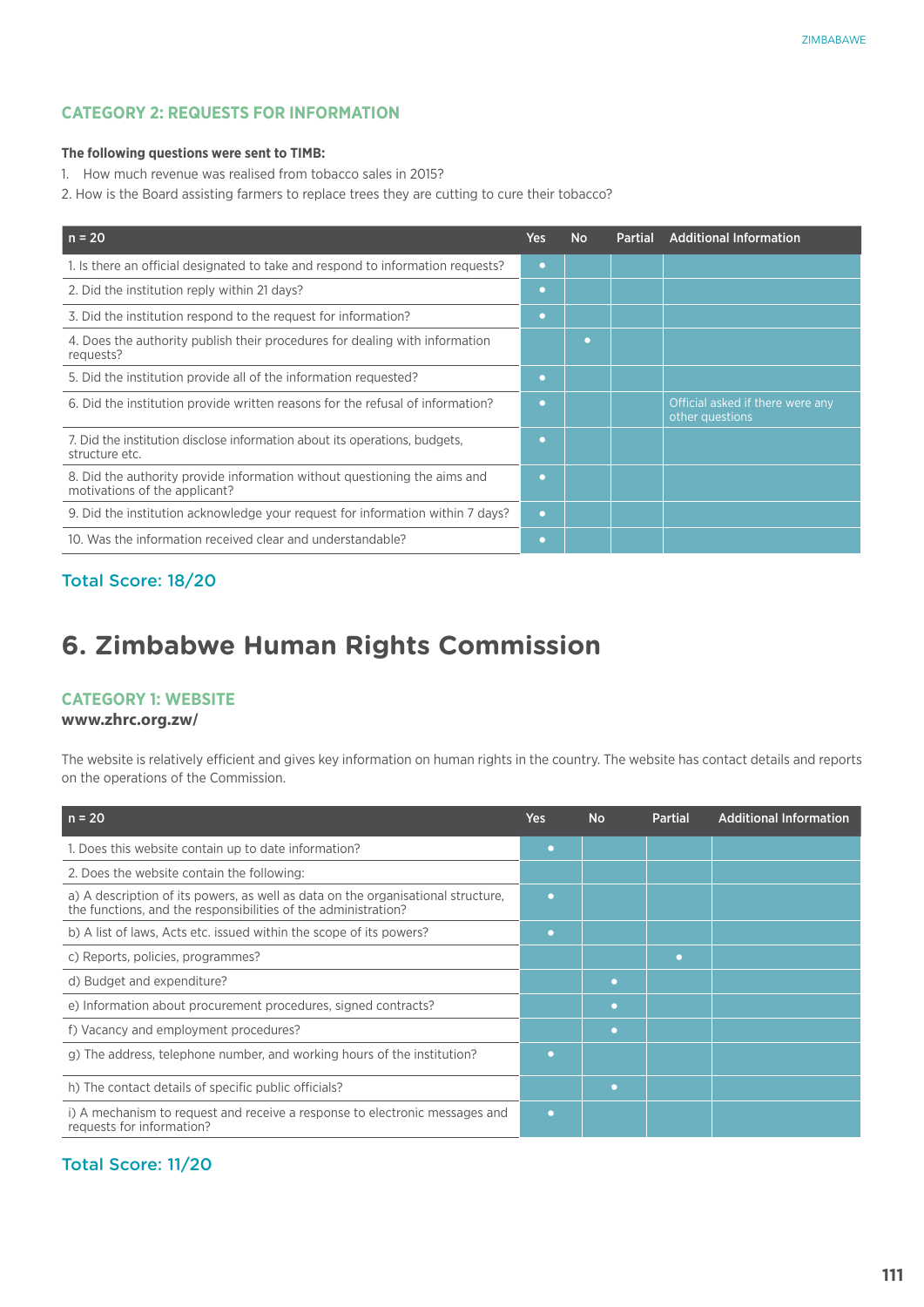#### **The following questions were sent to TIMB:**

- 1. How much revenue was realised from tobacco sales in 2015?
- 2. How is the Board assisting farmers to replace trees they are cutting to cure their tobacco?

| $n = 20$                                                                                                   | Yes | <b>No</b> | <b>Partial</b> | <b>Additional Information</b>                       |
|------------------------------------------------------------------------------------------------------------|-----|-----------|----------------|-----------------------------------------------------|
| 1. Is there an official designated to take and respond to information requests?                            | o   |           |                |                                                     |
| 2. Did the institution reply within 21 days?                                                               | o   |           |                |                                                     |
| 3. Did the institution respond to the request for information?                                             | O   |           |                |                                                     |
| 4. Does the authority publish their procedures for dealing with information<br>requests?                   |     | ٠         |                |                                                     |
| 5. Did the institution provide all of the information requested?                                           | o   |           |                |                                                     |
| 6. Did the institution provide written reasons for the refusal of information?                             | n   |           |                | Official asked if there were any<br>other questions |
| 7. Did the institution disclose information about its operations, budgets,<br>structure etc.               |     |           |                |                                                     |
| 8. Did the authority provide information without questioning the aims and<br>motivations of the applicant? | O   |           |                |                                                     |
| 9. Did the institution acknowledge your request for information within 7 days?                             | o   |           |                |                                                     |
| 10. Was the information received clear and understandable?                                                 | o   |           |                |                                                     |

### Total Score: 18/20

## **6. Zimbabwe Human Rights Commission**

#### **Category 1: Website**

#### **www.zhrc.org.zw/**

The website is relatively efficient and gives key information on human rights in the country. The website has contact details and reports on the operations of the Commission.

| $n = 20$                                                                                                                                           | Yes       | No | <b>Partial</b> | <b>Additional Information</b> |
|----------------------------------------------------------------------------------------------------------------------------------------------------|-----------|----|----------------|-------------------------------|
| 1. Does this website contain up to date information?                                                                                               | ٠         |    |                |                               |
| 2. Does the website contain the following:                                                                                                         |           |    |                |                               |
| a) A description of its powers, as well as data on the organisational structure,<br>the functions, and the responsibilities of the administration? | ٠         |    |                |                               |
| b) A list of laws, Acts etc. issued within the scope of its powers?                                                                                | ٠         |    |                |                               |
| c) Reports, policies, programmes?                                                                                                                  |           |    | o              |                               |
| d) Budget and expenditure?                                                                                                                         |           | ٠  |                |                               |
| e) Information about procurement procedures, signed contracts?                                                                                     |           | ٠  |                |                               |
| f) Vacancy and employment procedures?                                                                                                              |           | ٠  |                |                               |
| g) The address, telephone number, and working hours of the institution?                                                                            | ٠         |    |                |                               |
| h) The contact details of specific public officials?                                                                                               |           | ٠  |                |                               |
| i) A mechanism to request and receive a response to electronic messages and<br>requests for information?                                           | $\bullet$ |    |                |                               |

## Total Score: 11/20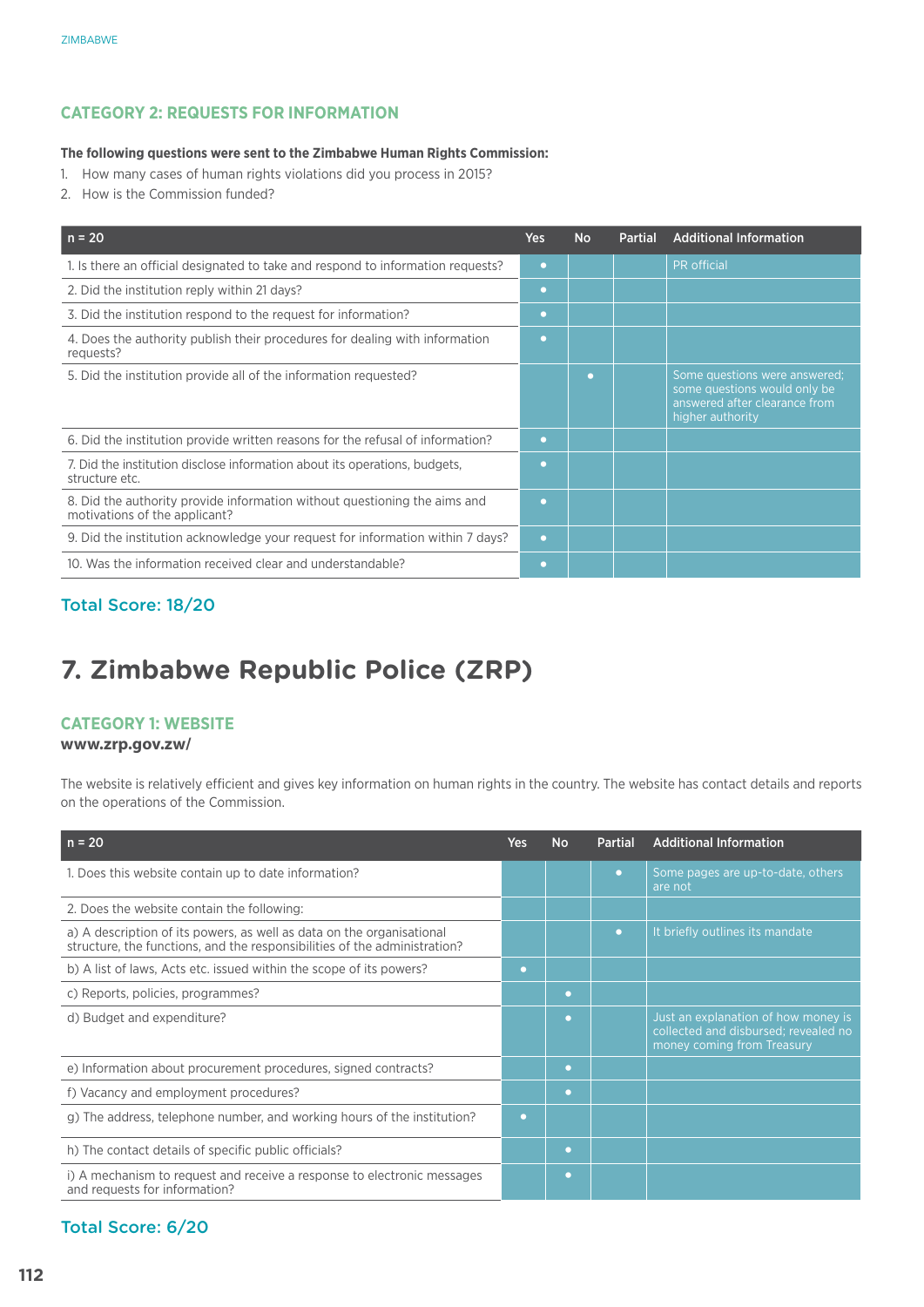#### **The following questions were sent to the Zimbabwe Human Rights Commission:**

- 1. How many cases of human rights violations did you process in 2015?
- 2. How is the Commission funded?

| $n = 20$                                                                                                   | Yes       | <b>No</b> | <b>Partial</b> | <b>Additional Information</b>                                                                                      |
|------------------------------------------------------------------------------------------------------------|-----------|-----------|----------------|--------------------------------------------------------------------------------------------------------------------|
| 1. Is there an official designated to take and respond to information requests?                            | $\bullet$ |           |                | PR official                                                                                                        |
| 2. Did the institution reply within 21 days?                                                               | $\bullet$ |           |                |                                                                                                                    |
| 3. Did the institution respond to the request for information?                                             | $\bullet$ |           |                |                                                                                                                    |
| 4. Does the authority publish their procedures for dealing with information<br>requests?                   | n         |           |                |                                                                                                                    |
| 5. Did the institution provide all of the information requested?                                           |           | г         |                | Some questions were answered;<br>some questions would only be<br>answered after clearance from<br>higher authority |
| 6. Did the institution provide written reasons for the refusal of information?                             | $\bullet$ |           |                |                                                                                                                    |
| 7. Did the institution disclose information about its operations, budgets,<br>structure etc.               | O         |           |                |                                                                                                                    |
| 8. Did the authority provide information without questioning the aims and<br>motivations of the applicant? | o         |           |                |                                                                                                                    |
| 9. Did the institution acknowledge your request for information within 7 days?                             | $\bullet$ |           |                |                                                                                                                    |
| 10. Was the information received clear and understandable?                                                 | n         |           |                |                                                                                                                    |

## Total Score: 18/20

## **7. Zimbabwe Republic Police (ZRP)**

#### **Category 1: Website**

#### **www.zrp.gov.zw/**

The website is relatively efficient and gives key information on human rights in the country. The website has contact details and reports on the operations of the Commission.

| $n = 20$                                                                                                                                           | Yes | <b>No</b> | <b>Partial</b> | <b>Additional Information</b>                                                                             |
|----------------------------------------------------------------------------------------------------------------------------------------------------|-----|-----------|----------------|-----------------------------------------------------------------------------------------------------------|
| 1. Does this website contain up to date information?                                                                                               |     |           | $\bullet$      | Some pages are up-to-date, others<br>are not                                                              |
| 2. Does the website contain the following:                                                                                                         |     |           |                |                                                                                                           |
| a) A description of its powers, as well as data on the organisational<br>structure, the functions, and the responsibilities of the administration? |     |           | n              | It briefly outlines its mandate                                                                           |
| b) A list of laws, Acts etc. issued within the scope of its powers?                                                                                | o   |           |                |                                                                                                           |
| c) Reports, policies, programmes?                                                                                                                  |     | o         |                |                                                                                                           |
| d) Budget and expenditure?                                                                                                                         |     | o         |                | Just an explanation of how money is<br>collected and disbursed; revealed no<br>money coming from Treasury |
| e) Information about procurement procedures, signed contracts?                                                                                     |     | o         |                |                                                                                                           |
| f) Vacancy and employment procedures?                                                                                                              |     | o         |                |                                                                                                           |
| g) The address, telephone number, and working hours of the institution?                                                                            | o   |           |                |                                                                                                           |
| h) The contact details of specific public officials?                                                                                               |     | $\bullet$ |                |                                                                                                           |
| i) A mechanism to request and receive a response to electronic messages<br>and requests for information?                                           |     | o         |                |                                                                                                           |

### Total Score: 6/20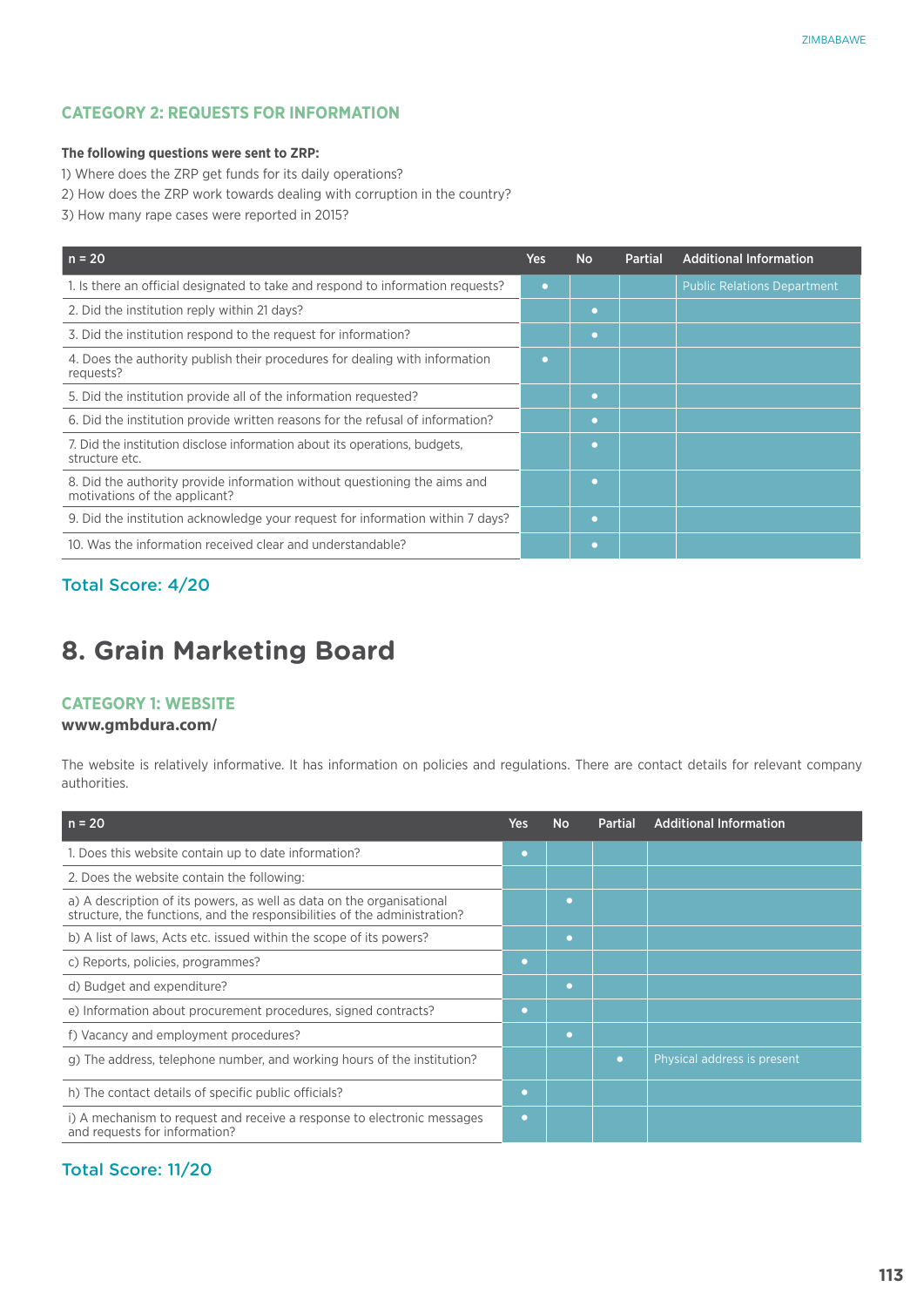#### **The following questions were sent to ZRP:**

- 1) Where does the ZRP get funds for its daily operations?
- 2) How does the ZRP work towards dealing with corruption in the country?
- 3) How many rape cases were reported in 2015?

| $n = 20$                                                                                                   | Yes | <b>No</b> | <b>Partial</b> | <b>Additional Information</b>      |
|------------------------------------------------------------------------------------------------------------|-----|-----------|----------------|------------------------------------|
| 1. Is there an official designated to take and respond to information requests?                            | o   |           |                | <b>Public Relations Department</b> |
| 2. Did the institution reply within 21 days?                                                               |     | o         |                |                                    |
| 3. Did the institution respond to the request for information?                                             |     | o         |                |                                    |
| 4. Does the authority publish their procedures for dealing with information<br>requests?                   | o   |           |                |                                    |
| 5. Did the institution provide all of the information requested?                                           |     | o         |                |                                    |
| 6. Did the institution provide written reasons for the refusal of information?                             |     | o         |                |                                    |
| 7. Did the institution disclose information about its operations, budgets,<br>structure etc.               |     | o         |                |                                    |
| 8. Did the authority provide information without questioning the aims and<br>motivations of the applicant? |     | n         |                |                                    |
| 9. Did the institution acknowledge your request for information within 7 days?                             |     | n         |                |                                    |
| 10. Was the information received clear and understandable?                                                 |     |           |                |                                    |

### Total Score: 4/20

## **8. Grain Marketing Board**

#### **Category 1: Website**

#### **www.gmbdura.com/**

The website is relatively informative. It has information on policies and regulations. There are contact details for relevant company authorities.

| $n = 20$                                                                                                                                           | <b>Yes</b> | <b>No</b> | <b>Partial</b> | <b>Additional Information</b> |
|----------------------------------------------------------------------------------------------------------------------------------------------------|------------|-----------|----------------|-------------------------------|
| 1. Does this website contain up to date information?                                                                                               | $\bullet$  |           |                |                               |
| 2. Does the website contain the following:                                                                                                         |            |           |                |                               |
| a) A description of its powers, as well as data on the organisational<br>structure, the functions, and the responsibilities of the administration? |            | o         |                |                               |
| b) A list of laws, Acts etc. issued within the scope of its powers?                                                                                |            | o         |                |                               |
| c) Reports, policies, programmes?                                                                                                                  | $\bullet$  |           |                |                               |
| d) Budget and expenditure?                                                                                                                         |            | $\bullet$ |                |                               |
| e) Information about procurement procedures, signed contracts?                                                                                     | $\bullet$  |           |                |                               |
| f) Vacancy and employment procedures?                                                                                                              |            | o         |                |                               |
| g) The address, telephone number, and working hours of the institution?                                                                            |            |           | o              | Physical address is present   |
| h) The contact details of specific public officials?                                                                                               | o          |           |                |                               |
| i) A mechanism to request and receive a response to electronic messages<br>and requests for information?                                           | o          |           |                |                               |

## Total Score: 11/20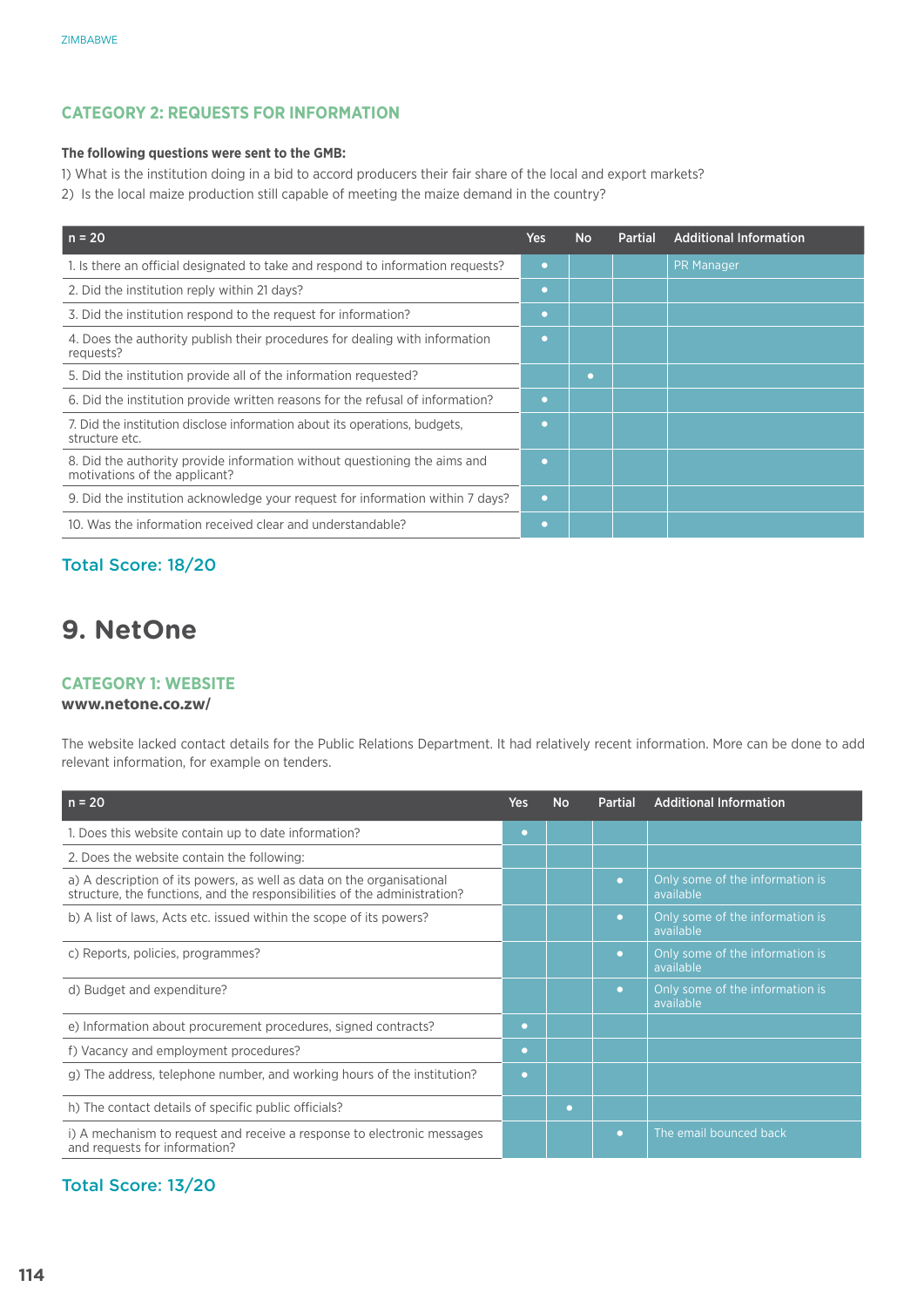#### **The following questions were sent to the GMB:**

1) What is the institution doing in a bid to accord producers their fair share of the local and export markets?

2) Is the local maize production still capable of meeting the maize demand in the country?

| $n = 20$                                                                                                   | <b>Yes</b> | <b>No</b> | Partial | <b>Additional Information</b> |
|------------------------------------------------------------------------------------------------------------|------------|-----------|---------|-------------------------------|
| 1. Is there an official designated to take and respond to information requests?                            | O          |           |         | <b>PR Manager</b>             |
| 2. Did the institution reply within 21 days?                                                               | O          |           |         |                               |
| 3. Did the institution respond to the request for information?                                             | O          |           |         |                               |
| 4. Does the authority publish their procedures for dealing with information<br>requests?                   |            |           |         |                               |
| 5. Did the institution provide all of the information requested?                                           |            | n         |         |                               |
| 6. Did the institution provide written reasons for the refusal of information?                             | $\bullet$  |           |         |                               |
| 7. Did the institution disclose information about its operations, budgets,<br>structure etc.               | n          |           |         |                               |
| 8. Did the authority provide information without questioning the aims and<br>motivations of the applicant? |            |           |         |                               |
| 9. Did the institution acknowledge your request for information within 7 days?                             | о          |           |         |                               |
| 10. Was the information received clear and understandable?                                                 | o          |           |         |                               |

## Total Score: 18/20

## **9. NetOne**

#### **Category 1: Website**

#### **www.netone.co.zw/**

The website lacked contact details for the Public Relations Department. It had relatively recent information. More can be done to add relevant information, for example on tenders.

| $n = 20$                                                                                                                                           | Yes       | <b>No</b> | <b>Partial</b> | <b>Additional Information</b>                |
|----------------------------------------------------------------------------------------------------------------------------------------------------|-----------|-----------|----------------|----------------------------------------------|
| 1. Does this website contain up to date information?                                                                                               | $\bullet$ |           |                |                                              |
| 2. Does the website contain the following:                                                                                                         |           |           |                |                                              |
| a) A description of its powers, as well as data on the organisational<br>structure, the functions, and the responsibilities of the administration? |           |           |                | Only some of the information is<br>available |
| b) A list of laws, Acts etc. issued within the scope of its powers?                                                                                |           |           | $\bullet$      | Only some of the information is<br>available |
| c) Reports, policies, programmes?                                                                                                                  |           |           | $\bullet$      | Only some of the information is<br>available |
| d) Budget and expenditure?                                                                                                                         |           |           | $\bullet$      | Only some of the information is<br>available |
| e) Information about procurement procedures, signed contracts?                                                                                     | o         |           |                |                                              |
| f) Vacancy and employment procedures?                                                                                                              | $\bullet$ |           |                |                                              |
| g) The address, telephone number, and working hours of the institution?                                                                            | o         |           |                |                                              |
| h) The contact details of specific public officials?                                                                                               |           | o         |                |                                              |
| i) A mechanism to request and receive a response to electronic messages<br>and requests for information?                                           |           |           | о              | The email bounced back                       |

### Total Score: 13/20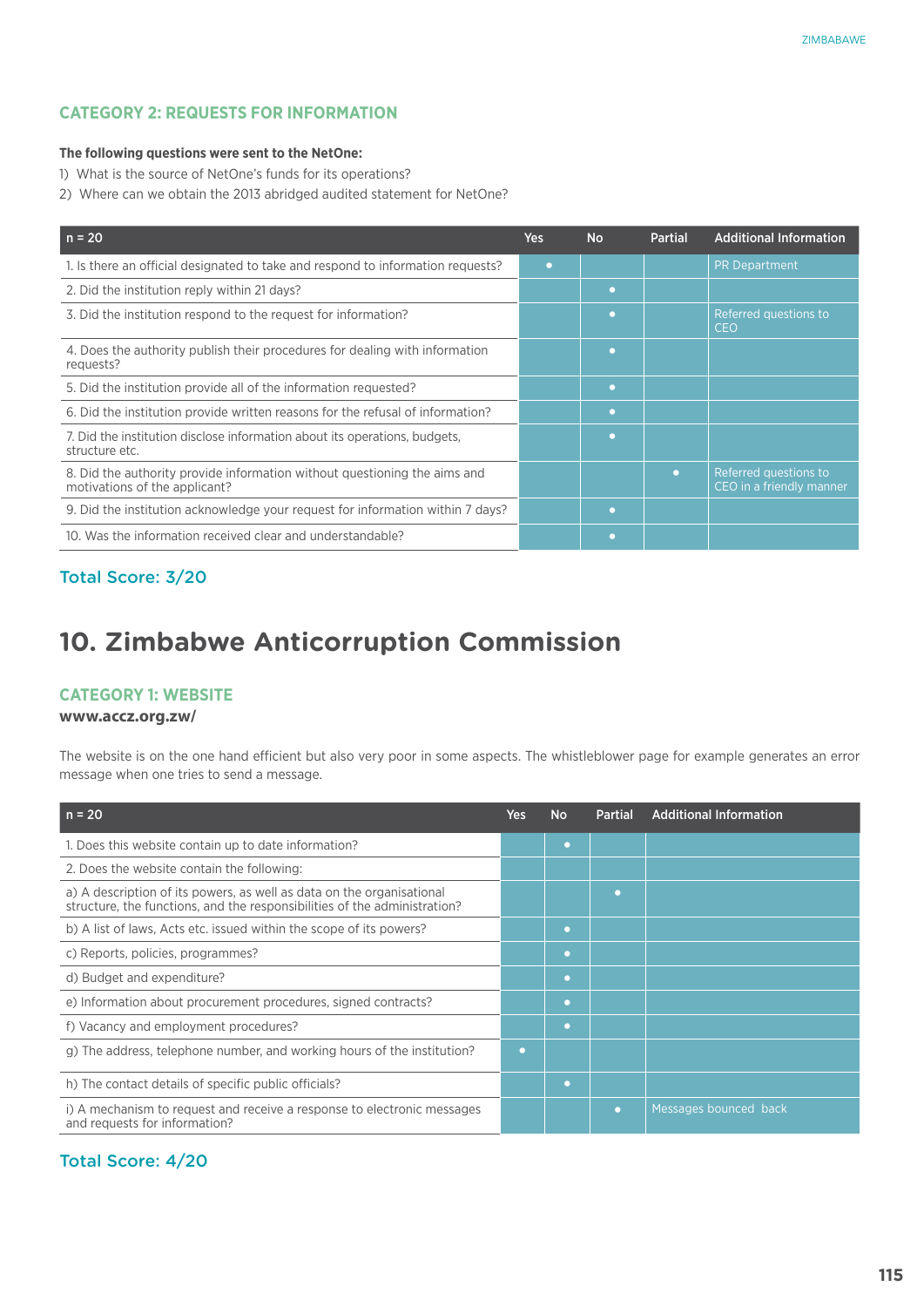#### **The following questions were sent to the NetOne:**

- 1) What is the source of NetOne's funds for its operations?
- 2) Where can we obtain the 2013 abridged audited statement for NetOne?

| $n = 20$                                                                                                   | <b>Yes</b> | <b>No</b> | <b>Partial</b> | <b>Additional Information</b>                     |
|------------------------------------------------------------------------------------------------------------|------------|-----------|----------------|---------------------------------------------------|
| 1. Is there an official designated to take and respond to information requests?                            | o          |           |                | <b>PR Department</b>                              |
| 2. Did the institution reply within 21 days?                                                               |            | o         |                |                                                   |
| 3. Did the institution respond to the request for information?                                             |            | o         |                | Referred questions to<br><b>CEO</b>               |
| 4. Does the authority publish their procedures for dealing with information<br>requests?                   |            | o         |                |                                                   |
| 5. Did the institution provide all of the information requested?                                           |            | o         |                |                                                   |
| 6. Did the institution provide written reasons for the refusal of information?                             |            | o         |                |                                                   |
| 7. Did the institution disclose information about its operations, budgets,<br>structure etc.               |            | o         |                |                                                   |
| 8. Did the authority provide information without questioning the aims and<br>motivations of the applicant? |            |           | $\bullet$      | Referred questions to<br>CEO in a friendly manner |
| 9. Did the institution acknowledge your request for information within 7 days?                             |            | o         |                |                                                   |
| 10. Was the information received clear and understandable?                                                 |            | o         |                |                                                   |

## Total Score: 3/20

## **10. Zimbabwe Anticorruption Commission**

#### **Category 1: Website**

#### **www.accz.org.zw/**

The website is on the one hand efficient but also very poor in some aspects. The whistleblower page for example generates an error message when one tries to send a message.

| $n = 20$                                                                                                                                           | Yes | <b>No</b> | <b>Partial</b> | <b>Additional Information</b> |
|----------------------------------------------------------------------------------------------------------------------------------------------------|-----|-----------|----------------|-------------------------------|
| 1. Does this website contain up to date information?                                                                                               |     | $\bullet$ |                |                               |
| 2. Does the website contain the following:                                                                                                         |     |           |                |                               |
| a) A description of its powers, as well as data on the organisational<br>structure, the functions, and the responsibilities of the administration? |     |           | O              |                               |
| b) A list of laws, Acts etc. issued within the scope of its powers?                                                                                |     | o         |                |                               |
| c) Reports, policies, programmes?                                                                                                                  |     | o         |                |                               |
| d) Budget and expenditure?                                                                                                                         |     | o         |                |                               |
| e) Information about procurement procedures, signed contracts?                                                                                     |     | o         |                |                               |
| f) Vacancy and employment procedures?                                                                                                              |     | o         |                |                               |
| g) The address, telephone number, and working hours of the institution?                                                                            | o   |           |                |                               |
| h) The contact details of specific public officials?                                                                                               |     | o         |                |                               |
| i) A mechanism to request and receive a response to electronic messages<br>and requests for information?                                           |     |           | o              | Messages bounced back         |

### Total Score: 4/20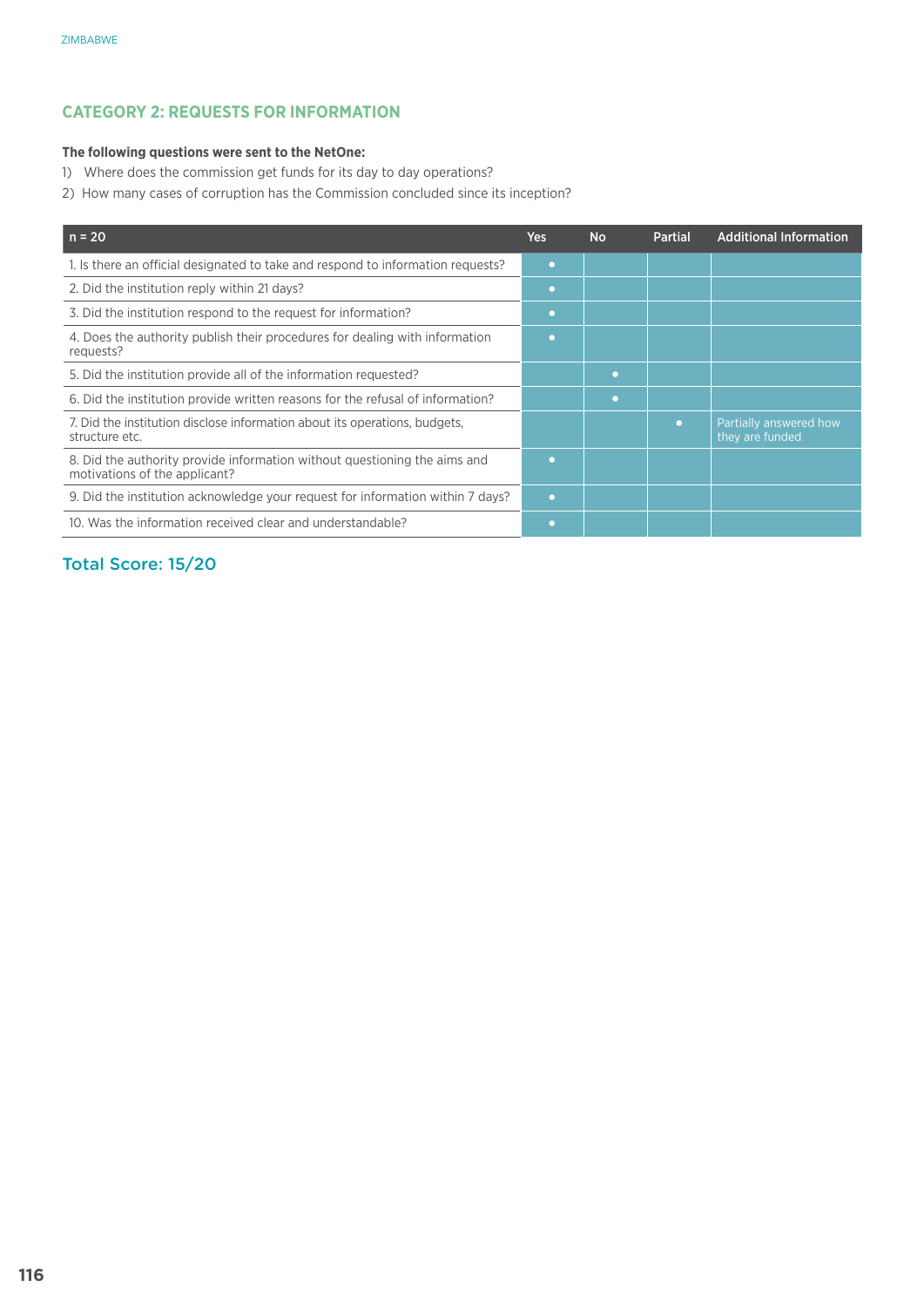#### **The following questions were sent to the NetOne:**

- 1) Where does the commission get funds for its day to day operations?
- 2) How many cases of corruption has the Commission concluded since its inception?

| $n = 20$                                                                                                   | <b>Yes</b> | <b>No</b> | <b>Partial</b> | <b>Additional Information</b>             |
|------------------------------------------------------------------------------------------------------------|------------|-----------|----------------|-------------------------------------------|
| 1. Is there an official designated to take and respond to information requests?                            | ٠          |           |                |                                           |
| 2. Did the institution reply within 21 days?                                                               | ٠          |           |                |                                           |
| 3. Did the institution respond to the request for information?                                             |            |           |                |                                           |
| 4. Does the authority publish their procedures for dealing with information<br>requests?                   |            |           |                |                                           |
| 5. Did the institution provide all of the information requested?                                           |            | ۰         |                |                                           |
| 6. Did the institution provide written reasons for the refusal of information?                             |            | ٠         |                |                                           |
| 7. Did the institution disclose information about its operations, budgets,<br>structure etc.               |            |           | $\bullet$      | Partially answered how<br>they are funded |
| 8. Did the authority provide information without questioning the aims and<br>motivations of the applicant? | ٠          |           |                |                                           |
| 9. Did the institution acknowledge your request for information within 7 days?                             | $\bullet$  |           |                |                                           |
| 10. Was the information received clear and understandable?                                                 |            |           |                |                                           |

## Total Score: 15/20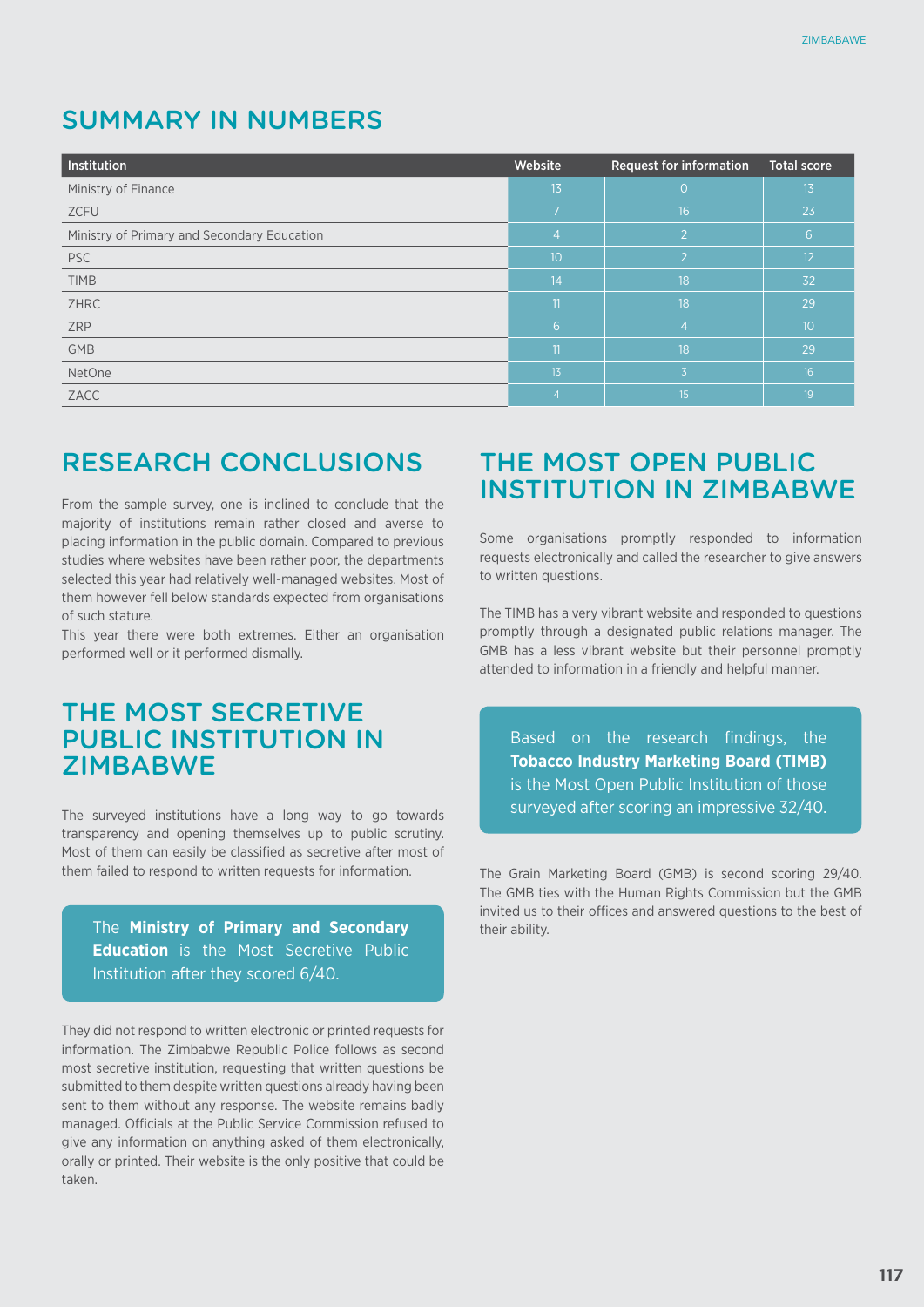## SUMMARY IN NUMBERS

| Institution                                 | Website                  | <b>Request for information</b> | <b>Total score</b> |
|---------------------------------------------|--------------------------|--------------------------------|--------------------|
| Ministry of Finance                         | 13                       | $\Omega$                       | 13                 |
| ZCFU                                        | $\overline{\phantom{a}}$ | 16                             | 23                 |
| Ministry of Primary and Secondary Education | 4                        | 2                              | 6                  |
| <b>PSC</b>                                  | 10                       | $\overline{2}$                 | 12                 |
| <b>TIMB</b>                                 | 14                       | 18                             | 32                 |
| <b>ZHRC</b>                                 | 11                       | 18                             | 29                 |
| <b>ZRP</b>                                  | 6                        | 4                              | 10                 |
| <b>GMB</b>                                  | 11                       | $\overline{18}$                | 29                 |
| NetOne                                      | 13                       | 3                              | 16                 |
| ZACC                                        | 4                        | 15                             | 19                 |

## RESEARCH CONCLUSIONS

From the sample survey, one is inclined to conclude that the majority of institutions remain rather closed and averse to placing information in the public domain. Compared to previous studies where websites have been rather poor, the departments selected this year had relatively well-managed websites. Most of them however fell below standards expected from organisations of such stature.

This year there were both extremes. Either an organisation performed well or it performed dismally.

## THE MOST SECRETIVE PUBLIC INSTITUTION IN **ZIMBABWF**

The surveyed institutions have a long way to go towards transparency and opening themselves up to public scrutiny. Most of them can easily be classified as secretive after most of them failed to respond to written requests for information.

The **Ministry of Primary and Secondary Education** is the Most Secretive Public Institution after they scored 6/40.

They did not respond to written electronic or printed requests for information. The Zimbabwe Republic Police follows as second most secretive institution, requesting that written questions be submitted to them despite written questions already having been sent to them without any response. The website remains badly managed. Officials at the Public Service Commission refused to give any information on anything asked of them electronically, orally or printed. Their website is the only positive that could be taken.

## THE MOST OPEN PUBLIC INSTITUTION IN ZIMBABWE

Some organisations promptly responded to information requests electronically and called the researcher to give answers to written questions.

The TIMB has a very vibrant website and responded to questions promptly through a designated public relations manager. The GMB has a less vibrant website but their personnel promptly attended to information in a friendly and helpful manner.

Based on the research findings, the **Tobacco Industry Marketing Board (TIMB)**  is the Most Open Public Institution of those surveyed after scoring an impressive 32/40.

The Grain Marketing Board (GMB) is second scoring 29/40. The GMB ties with the Human Rights Commission but the GMB invited us to their offices and answered questions to the best of their ability.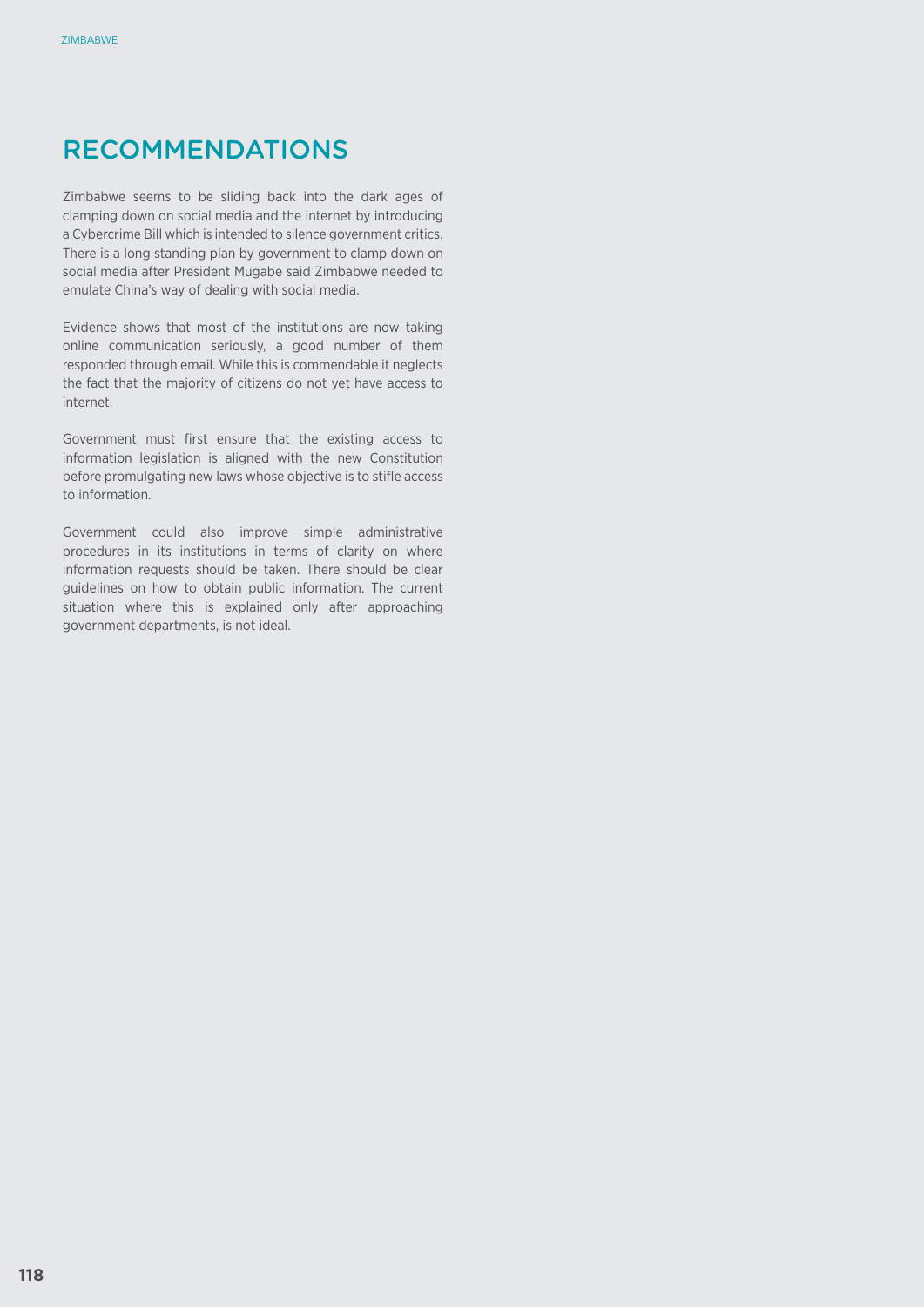## RECOMMENDATIONS

Zimbabwe seems to be sliding back into the dark ages of clamping down on social media and the internet by introducing a Cybercrime Bill which is intended to silence government critics. There is a long standing plan by government to clamp down on social media after President Mugabe said Zimbabwe needed to emulate China's way of dealing with social media.

Evidence shows that most of the institutions are now taking online communication seriously, a good number of them responded through email. While this is commendable it neglects the fact that the majority of citizens do not yet have access to internet.

Government must first ensure that the existing access to information legislation is aligned with the new Constitution before promulgating new laws whose objective is to stifle access to information.

Government could also improve simple administrative procedures in its institutions in terms of clarity on where information requests should be taken. There should be clear guidelines on how to obtain public information. The current situation where this is explained only after approaching government departments, is not ideal.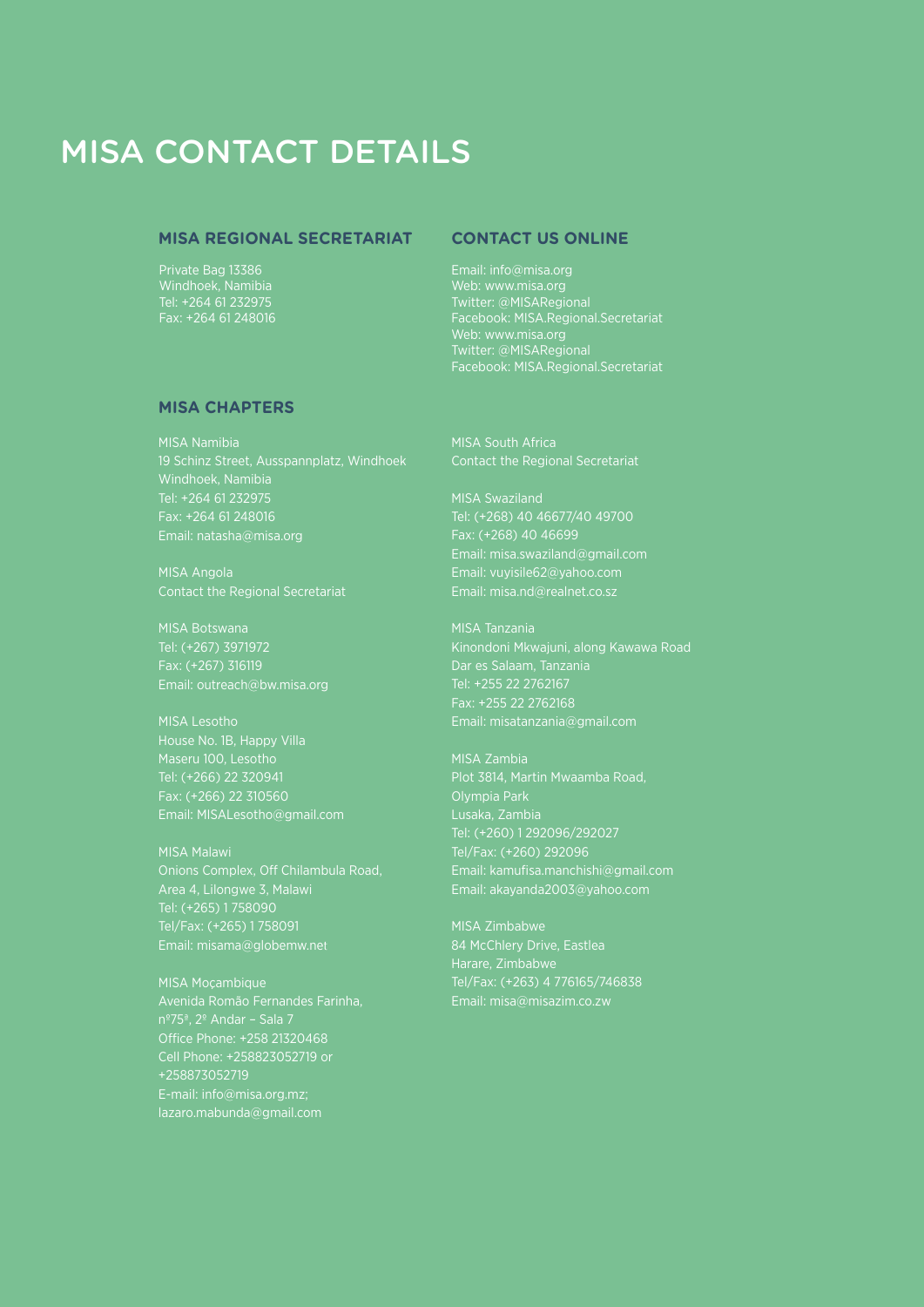# MISA CONTACT DETAILS

#### **MISA Regional Secretariat**

Private Bag 13386 Windhoek, Namibia Tel: +264 61 232975 Fax: +264 61 248016

#### **Contact us online**

Email: info@misa.org Web: www.misa.org Twitter: @MISARegional Facebook: MISA.Regional.Secretariat Web: www.misa.org Facebook: MISA.Regional.Secretariat

#### **MISA Chapters**

MISA Namibia Tel: +264 61 232975

MISA Angola Contact the Regional Secretariat

MISA Botswana Email: outreach@bw.misa.org

MISA Lesotho House No. 1B, Happy Villa Maseru 100, Lesotho Fax: (+266) 22 310560 Email: MISALesotho@gmail.com

MISA Malawi Tel: (+265) 1 758090 Email: misama@globemw.net

MISA Moçambique Avenida Romão Fernandes Farinha, Office Phone: +258 21320468 Cell Phone: +258823052719 or +258873052719 E-mail: info@misa.org.mz; lazaro.mabunda@gmail.com

MISA South Africa

MISA Swaziland Tel: (+268) 40 46677/40 49700 Email: misa.swaziland@gmail.com Email: vuyisile62@yahoo.com

MISA Tanzania Kinondoni Mkwajuni, along Kawawa Road Tel: +255 22 2762167 Fax: +255 22 2762168 Email: misatanzania@gmail.com

MISA Zambia Olympia Park Lusaka, Zambia Tel: (+260) 1 292096/292027 Tel/Fax: (+260) 292096 Email: akayanda2003@yahoo.com

MISA Zimbabwe 84 McChlery Drive, Eastlea Harare, Zimbabwe Tel/Fax: (+263) 4 776165/746838